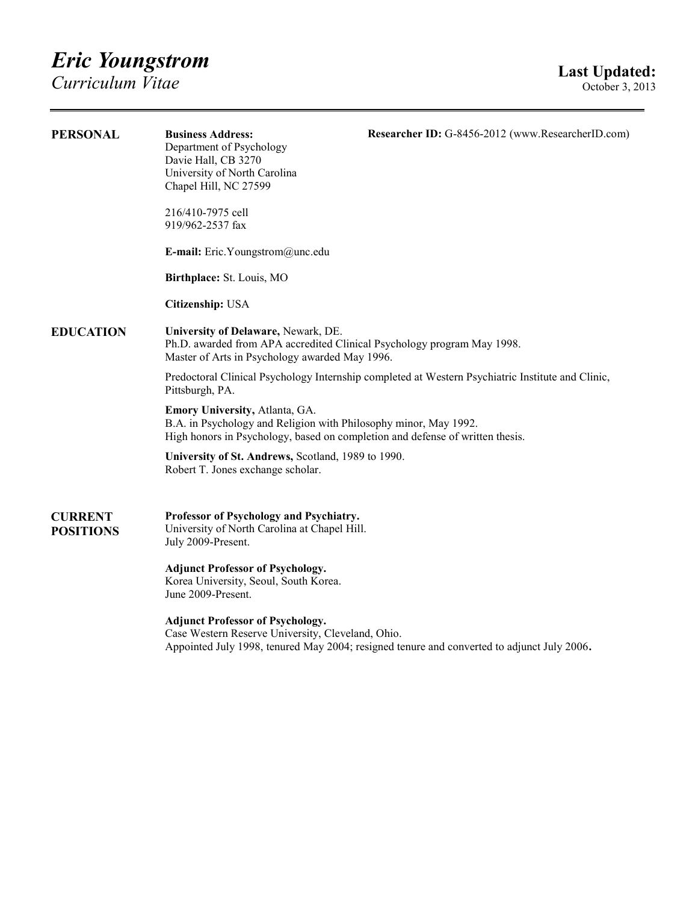|                                    | Department of Psychology<br>Davie Hall, CB 3270<br>University of North Carolina<br>Chapel Hill, NC 27599                                                                            | Researcher ID: G-8456-2012 (www.ResearcherID.com)                                                 |
|------------------------------------|-------------------------------------------------------------------------------------------------------------------------------------------------------------------------------------|---------------------------------------------------------------------------------------------------|
|                                    | 216/410-7975 cell<br>919/962-2537 fax                                                                                                                                               |                                                                                                   |
|                                    | E-mail: Eric.Youngstrom@unc.edu                                                                                                                                                     |                                                                                                   |
|                                    | Birthplace: St. Louis, MO                                                                                                                                                           |                                                                                                   |
|                                    | Citizenship: USA                                                                                                                                                                    |                                                                                                   |
| <b>EDUCATION</b>                   | University of Delaware, Newark, DE.<br>Ph.D. awarded from APA accredited Clinical Psychology program May 1998.<br>Master of Arts in Psychology awarded May 1996.                    |                                                                                                   |
|                                    | Pittsburgh, PA.                                                                                                                                                                     | Predoctoral Clinical Psychology Internship completed at Western Psychiatric Institute and Clinic, |
|                                    | Emory University, Atlanta, GA.<br>B.A. in Psychology and Religion with Philosophy minor, May 1992.<br>High honors in Psychology, based on completion and defense of written thesis. |                                                                                                   |
|                                    | University of St. Andrews, Scotland, 1989 to 1990.<br>Robert T. Jones exchange scholar.                                                                                             |                                                                                                   |
| <b>CURRENT</b><br><b>POSITIONS</b> | Professor of Psychology and Psychiatry.<br>University of North Carolina at Chapel Hill.<br>July 2009-Present.                                                                       |                                                                                                   |
|                                    | <b>Adjunct Professor of Psychology.</b><br>Korea University, Seoul, South Korea.<br>June 2009-Present.                                                                              |                                                                                                   |
|                                    | <b>Adjunct Professor of Psychology.</b><br>Case Western Reserve University, Cleveland, Ohio.                                                                                        | Appointed July 1998, tenured May 2004; resigned tenure and converted to adjunct July 2006.        |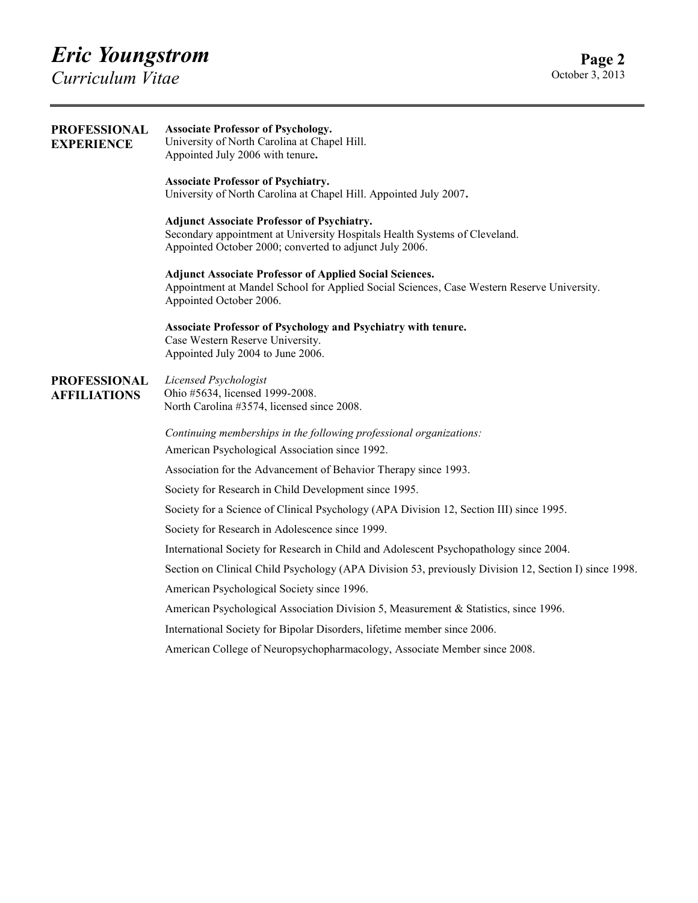| <b>PROFESSIONAL</b><br><b>EXPERIENCE</b>   | <b>Associate Professor of Psychology.</b><br>University of North Carolina at Chapel Hill.<br>Appointed July 2006 with tenure.                                                              |
|--------------------------------------------|--------------------------------------------------------------------------------------------------------------------------------------------------------------------------------------------|
|                                            | <b>Associate Professor of Psychiatry.</b><br>University of North Carolina at Chapel Hill. Appointed July 2007.                                                                             |
|                                            | <b>Adjunct Associate Professor of Psychiatry.</b><br>Secondary appointment at University Hospitals Health Systems of Cleveland.<br>Appointed October 2000; converted to adjunct July 2006. |
|                                            | <b>Adjunct Associate Professor of Applied Social Sciences.</b><br>Appointment at Mandel School for Applied Social Sciences, Case Western Reserve University.<br>Appointed October 2006.    |
|                                            | Associate Professor of Psychology and Psychiatry with tenure.<br>Case Western Reserve University.<br>Appointed July 2004 to June 2006.                                                     |
| <b>PROFESSIONAL</b><br><b>AFFILIATIONS</b> | Licensed Psychologist<br>Ohio #5634, licensed 1999-2008.<br>North Carolina #3574, licensed since 2008.                                                                                     |
|                                            | Continuing memberships in the following professional organizations:<br>American Psychological Association since 1992.                                                                      |
|                                            | Association for the Advancement of Behavior Therapy since 1993.                                                                                                                            |
|                                            | Society for Research in Child Development since 1995.                                                                                                                                      |
|                                            | Society for a Science of Clinical Psychology (APA Division 12, Section III) since 1995.                                                                                                    |
|                                            | Society for Research in Adolescence since 1999.                                                                                                                                            |
|                                            | International Society for Research in Child and Adolescent Psychopathology since 2004.                                                                                                     |
|                                            | Section on Clinical Child Psychology (APA Division 53, previously Division 12, Section I) since 1998.                                                                                      |
|                                            | American Psychological Society since 1996.                                                                                                                                                 |
|                                            | American Psychological Association Division 5, Measurement & Statistics, since 1996.                                                                                                       |
|                                            | International Society for Bipolar Disorders, lifetime member since 2006.                                                                                                                   |
|                                            | American College of Neuropsychopharmacology, Associate Member since 2008.                                                                                                                  |
|                                            |                                                                                                                                                                                            |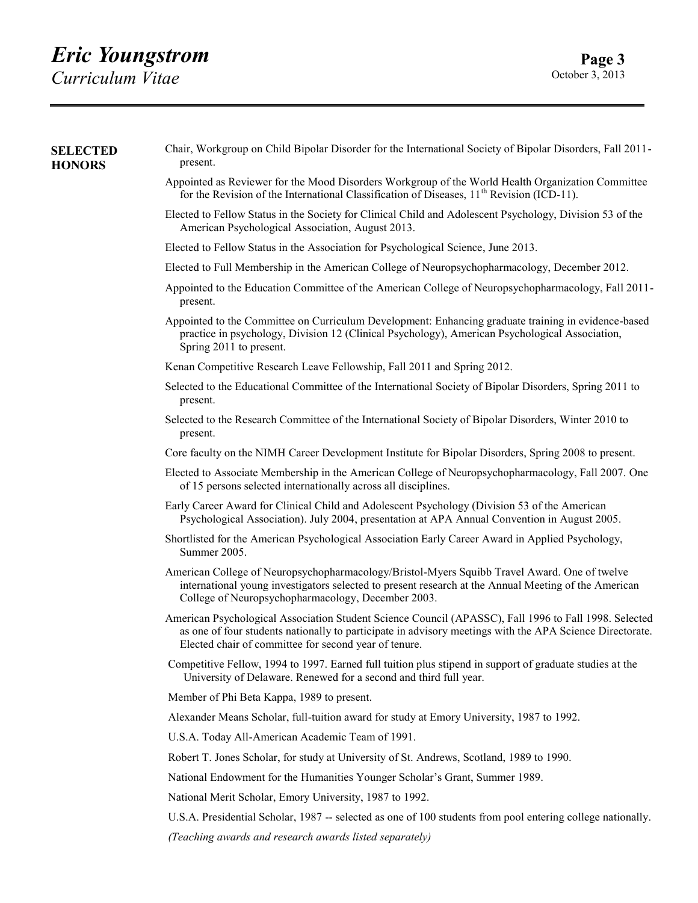#### **SELECTED HONORS**

- Chair, Workgroup on Child Bipolar Disorder for the International Society of Bipolar Disorders, Fall 2011 present.
- Appointed as Reviewer for the Mood Disorders Workgroup of the World Health Organization Committee for the Revision of the International Classification of Diseases,  $11<sup>th</sup>$  Revision (ICD-11).
- Elected to Fellow Status in the Society for Clinical Child and Adolescent Psychology, Division 53 of the American Psychological Association, August 2013.
- Elected to Fellow Status in the Association for Psychological Science, June 2013.
- Elected to Full Membership in the American College of Neuropsychopharmacology, December 2012.
- Appointed to the Education Committee of the American College of Neuropsychopharmacology, Fall 2011 present.
- Appointed to the Committee on Curriculum Development: Enhancing graduate training in evidence-based practice in psychology, Division 12 (Clinical Psychology), American Psychological Association, Spring 2011 to present.
- Kenan Competitive Research Leave Fellowship, Fall 2011 and Spring 2012.
- Selected to the Educational Committee of the International Society of Bipolar Disorders, Spring 2011 to present.
- Selected to the Research Committee of the International Society of Bipolar Disorders, Winter 2010 to present.
- Core faculty on the NIMH Career Development Institute for Bipolar Disorders, Spring 2008 to present.
- Elected to Associate Membership in the American College of Neuropsychopharmacology, Fall 2007. One of 15 persons selected internationally across all disciplines.
- Early Career Award for Clinical Child and Adolescent Psychology (Division 53 of the American Psychological Association). July 2004, presentation at APA Annual Convention in August 2005.
- Shortlisted for the American Psychological Association Early Career Award in Applied Psychology, Summer 2005.
- American College of Neuropsychopharmacology/Bristol-Myers Squibb Travel Award. One of twelve international young investigators selected to present research at the Annual Meeting of the American College of Neuropsychopharmacology, December 2003.
- American Psychological Association Student Science Council (APASSC), Fall 1996 to Fall 1998. Selected as one of four students nationally to participate in advisory meetings with the APA Science Directorate. Elected chair of committee for second year of tenure.
- Competitive Fellow, 1994 to 1997. Earned full tuition plus stipend in support of graduate studies at the University of Delaware. Renewed for a second and third full year.
- Member of Phi Beta Kappa, 1989 to present.
- Alexander Means Scholar, full-tuition award for study at Emory University, 1987 to 1992.

U.S.A. Today All-American Academic Team of 1991.

Robert T. Jones Scholar, for study at University of St. Andrews, Scotland, 1989 to 1990.

National Endowment for the Humanities Younger Scholar's Grant, Summer 1989.

National Merit Scholar, Emory University, 1987 to 1992.

U.S.A. Presidential Scholar, 1987 -- selected as one of 100 students from pool entering college nationally.

*(Teaching awards and research awards listed separately)*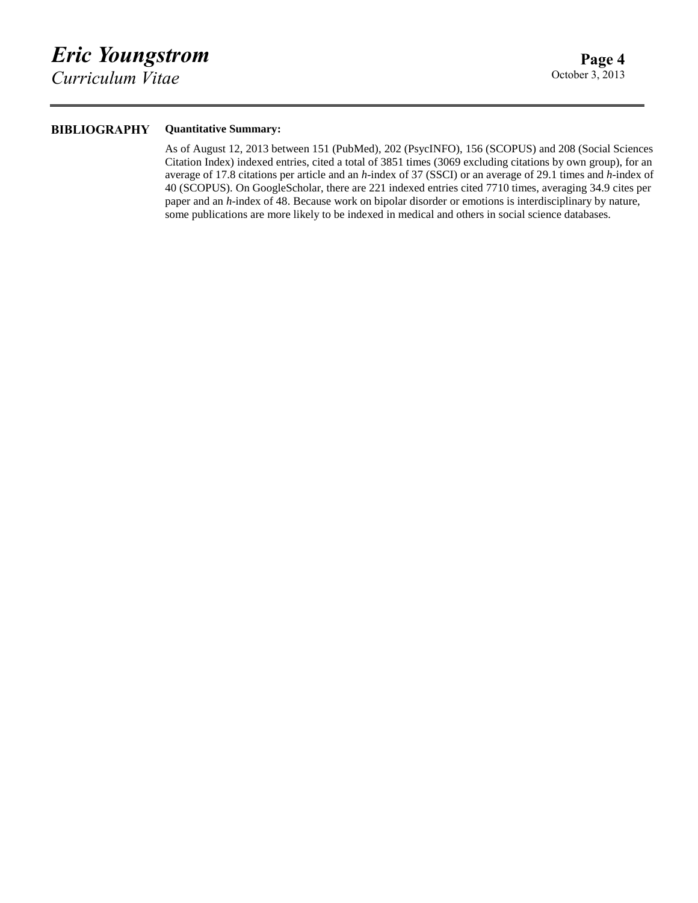#### **BIBLIOGRAPHY Quantitative Summary:**

As of August 12, 2013 between 151 (PubMed), 202 (PsycINFO), 156 (SCOPUS) and 208 (Social Sciences Citation Index) indexed entries, cited a total of 3851 times (3069 excluding citations by own group), for an average of 17.8 citations per article and an *h*-index of 37 (SSCI) or an average of 29.1 times and *h*-index of 40 (SCOPUS). On GoogleScholar, there are 221 indexed entries cited 7710 times, averaging 34.9 cites per paper and an *h*-index of 48. Because work on bipolar disorder or emotions is interdisciplinary by nature, some publications are more likely to be indexed in medical and others in social science databases.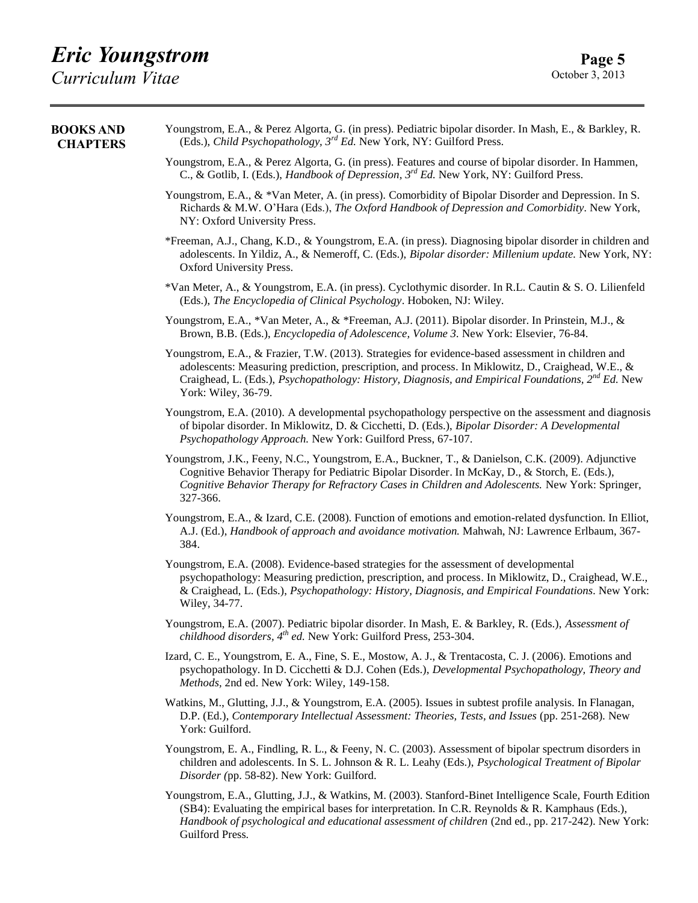| <b>BOOKS AND</b><br><b>CHAPTERS</b> | Youngstrom, E.A., & Perez Algorta, G. (in press). Pediatric bipolar disorder. In Mash, E., & Barkley, R.<br>(Eds.), Child Psychopathology, 3 <sup>rd</sup> Ed. New York, NY: Guilford Press.                                                                                                                                                           |
|-------------------------------------|--------------------------------------------------------------------------------------------------------------------------------------------------------------------------------------------------------------------------------------------------------------------------------------------------------------------------------------------------------|
|                                     | Youngstrom, E.A., & Perez Algorta, G. (in press). Features and course of bipolar disorder. In Hammen,<br>C., & Gotlib, I. (Eds.), <i>Handbook of Depression</i> , 3 <sup>rd</sup> Ed. New York, NY: Guilford Press.                                                                                                                                    |
|                                     | Youngstrom, E.A., & *Van Meter, A. (in press). Comorbidity of Bipolar Disorder and Depression. In S.<br>Richards & M.W. O'Hara (Eds.), The Oxford Handbook of Depression and Comorbidity. New York,<br>NY: Oxford University Press.                                                                                                                    |
|                                     | *Freeman, A.J., Chang, K.D., & Youngstrom, E.A. (in press). Diagnosing bipolar disorder in children and<br>adolescents. In Yildiz, A., & Nemeroff, C. (Eds.), Bipolar disorder: Millenium update. New York, NY:<br>Oxford University Press.                                                                                                            |
|                                     | *Van Meter, A., & Youngstrom, E.A. (in press). Cyclothymic disorder. In R.L. Cautin & S. O. Lilienfeld<br>(Eds.), The Encyclopedia of Clinical Psychology. Hoboken, NJ: Wiley.                                                                                                                                                                         |
|                                     | Youngstrom, E.A., *Van Meter, A., & *Freeman, A.J. (2011). Bipolar disorder. In Prinstein, M.J., &<br>Brown, B.B. (Eds.), <i>Encyclopedia of Adolescence, Volume 3</i> . New York: Elsevier, 76-84.                                                                                                                                                    |
|                                     | Youngstrom, E.A., & Frazier, T.W. (2013). Strategies for evidence-based assessment in children and<br>adolescents: Measuring prediction, prescription, and process. In Miklowitz, D., Craighead, W.E., &<br>Craighead, L. (Eds.), <i>Psychopathology: History, Diagnosis, and Empirical Foundations, 2<sup>nd</sup> Ed. New</i><br>York: Wiley, 36-79. |
|                                     | Youngstrom, E.A. (2010). A developmental psychopathology perspective on the assessment and diagnosis<br>of bipolar disorder. In Miklowitz, D. & Cicchetti, D. (Eds.), Bipolar Disorder: A Developmental<br>Psychopathology Approach. New York: Guilford Press, 67-107.                                                                                 |
|                                     | Youngstrom, J.K., Feeny, N.C., Youngstrom, E.A., Buckner, T., & Danielson, C.K. (2009). Adjunctive<br>Cognitive Behavior Therapy for Pediatric Bipolar Disorder. In McKay, D., & Storch, E. (Eds.),<br>Cognitive Behavior Therapy for Refractory Cases in Children and Adolescents. New York: Springer,<br>327-366.                                    |
|                                     | Youngstrom, E.A., & Izard, C.E. (2008). Function of emotions and emotion-related dysfunction. In Elliot,<br>A.J. (Ed.), Handbook of approach and avoidance motivation. Mahwah, NJ: Lawrence Erlbaum, 367-<br>384.                                                                                                                                      |
|                                     | Youngstrom, E.A. (2008). Evidence-based strategies for the assessment of developmental<br>psychopathology: Measuring prediction, prescription, and process. In Miklowitz, D., Craighead, W.E.,<br>& Craighead, L. (Eds.), Psychopathology: History, Diagnosis, and Empirical Foundations. New York:<br>Wiley, 34-77.                                   |
|                                     | Youngstrom, E.A. (2007). Pediatric bipolar disorder. In Mash, E. & Barkley, R. (Eds.), Assessment of<br>childhood disorders, 4th ed. New York: Guilford Press, 253-304.                                                                                                                                                                                |
|                                     | Izard, C. E., Youngstrom, E. A., Fine, S. E., Mostow, A. J., & Trentacosta, C. J. (2006). Emotions and<br>psychopathology. In D. Cicchetti & D.J. Cohen (Eds.), Developmental Psychopathology, Theory and<br>Methods, 2nd ed. New York: Wiley, 149-158.                                                                                                |
|                                     | Watkins, M., Glutting, J.J., & Youngstrom, E.A. (2005). Issues in subtest profile analysis. In Flanagan,<br>D.P. (Ed.), Contemporary Intellectual Assessment: Theories, Tests, and Issues (pp. 251-268). New<br>York: Guilford.                                                                                                                        |
|                                     | Youngstrom, E. A., Findling, R. L., & Feeny, N. C. (2003). Assessment of bipolar spectrum disorders in<br>children and adolescents. In S. L. Johnson & R. L. Leahy (Eds.), Psychological Treatment of Bipolar<br>Disorder (pp. 58-82). New York: Guilford.                                                                                             |
|                                     | Youngstrom, E.A., Glutting, J.J., & Watkins, M. (2003). Stanford-Binet Intelligence Scale, Fourth Edition<br>(SB4): Evaluating the empirical bases for interpretation. In C.R. Reynolds & R. Kamphaus (Eds.),<br>Handbook of psychological and educational assessment of children (2nd ed., pp. 217-242). New York:                                    |

Guilford Press.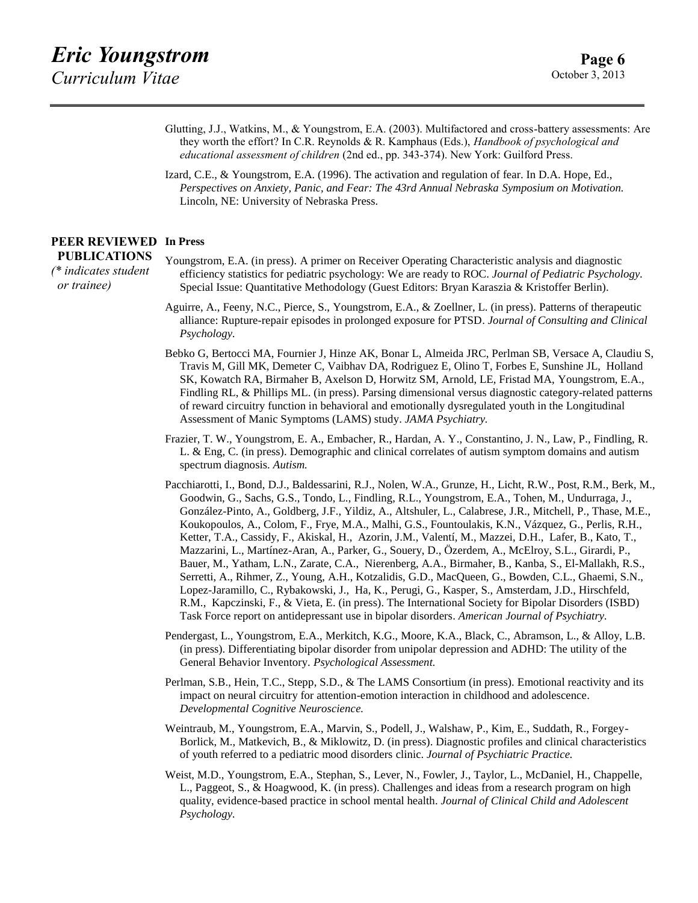- Glutting, J.J., Watkins, M., & Youngstrom, E.A. (2003). Multifactored and cross-battery assessments: Are they worth the effort? In C.R. Reynolds & R. Kamphaus (Eds.), *Handbook of psychological and educational assessment of children* (2nd ed., pp. 343-374). New York: Guilford Press.
- Izard, C.E., & Youngstrom, E.A. (1996). The activation and regulation of fear. In D.A. Hope, Ed., *Perspectives on Anxiety, Panic, and Fear: The 43rd Annual Nebraska Symposium on Motivation.* Lincoln, NE: University of Nebraska Press.

### **PEER REVIEWED In Press**

**PUBLICATIONS** *(\* indicates student or trainee)*

- Youngstrom, E.A. (in press). A primer on Receiver Operating Characteristic analysis and diagnostic efficiency statistics for pediatric psychology: We are ready to ROC. *Journal of Pediatric Psychology.* Special Issue: Quantitative Methodology (Guest Editors: Bryan Karaszia & Kristoffer Berlin).
	- Aguirre, A., Feeny, N.C., Pierce, S., Youngstrom, E.A., & Zoellner, L. (in press). Patterns of therapeutic alliance: Rupture-repair episodes in prolonged exposure for PTSD. *Journal of Consulting and Clinical Psychology.*
	- Bebko G, Bertocci MA, Fournier J, Hinze AK, Bonar L, Almeida JRC, Perlman SB, Versace A, Claudiu S, Travis M, Gill MK, Demeter C, Vaibhav DA, Rodriguez E, Olino T, Forbes E, Sunshine JL, Holland SK, Kowatch RA, Birmaher B, Axelson D, Horwitz SM, Arnold, LE, Fristad MA, Youngstrom, E.A., Findling RL, & Phillips ML. (in press). Parsing dimensional versus diagnostic category-related patterns of reward circuitry function in behavioral and emotionally dysregulated youth in the Longitudinal Assessment of Manic Symptoms (LAMS) study. *JAMA Psychiatry.*
- Frazier, T. W., Youngstrom, E. A., Embacher, R., Hardan, A. Y., Constantino, J. N., Law, P., Findling, R. L. & Eng, C. (in press). Demographic and clinical correlates of autism symptom domains and autism spectrum diagnosis. *Autism.*
- Pacchiarotti, I., Bond, D.J., Baldessarini, R.J., Nolen, W.A., Grunze, H., Licht, R.W., Post, R.M., Berk, M., Goodwin, G., Sachs, G.S., Tondo, L., Findling, R.L., Youngstrom, E.A., Tohen, M., Undurraga, J., González-Pinto, A., Goldberg, J.F., Yildiz, A., Altshuler, L., Calabrese, J.R., Mitchell, P., Thase, M.E., Koukopoulos, A., Colom, F., Frye, M.A., Malhi, G.S., Fountoulakis, K.N., Vázquez, G., Perlis, R.H., Ketter, T.A., Cassidy, F., Akiskal, H., Azorin, J.M., Valentí, M., Mazzei, D.H., Lafer, B., Kato, T., Mazzarini, L., Martínez-Aran, A., Parker, G., Souery, D., Özerdem, A., McElroy, S.L., Girardi, P., Bauer, M., Yatham, L.N., Zarate, C.A., Nierenberg, A.A., Birmaher, B., Kanba, S., El-Mallakh, R.S., Serretti, A., Rihmer, Z., Young, A.H., Kotzalidis, G.D., MacQueen, G., Bowden, C.L., Ghaemi, S.N., Lopez-Jaramillo, C., Rybakowski, J., Ha, K., Perugi, G., Kasper, S., Amsterdam, J.D., Hirschfeld, R.M., Kapczinski, F., & Vieta, E. (in press). The International Society for Bipolar Disorders (ISBD) Task Force report on antidepressant use in bipolar disorders. *American Journal of Psychiatry.*
- Pendergast, L., Youngstrom, E.A., Merkitch, K.G., Moore, K.A., Black, C., Abramson, L., & Alloy, L.B. (in press). Differentiating bipolar disorder from unipolar depression and ADHD: The utility of the General Behavior Inventory. *Psychological Assessment.*
- Perlman, S.B., Hein, T.C., Stepp, S.D., & The LAMS Consortium (in press). Emotional reactivity and its impact on neural circuitry for attention-emotion interaction in childhood and adolescence. *Developmental Cognitive Neuroscience.*
- Weintraub, M., Youngstrom, E.A., Marvin, S., Podell, J., Walshaw, P., Kim, E., Suddath, R., Forgey-Borlick, M., Matkevich, B., & Miklowitz, D. (in press). Diagnostic profiles and clinical characteristics of youth referred to a pediatric mood disorders clinic. *Journal of Psychiatric Practice.*
- Weist, M.D., Youngstrom, E.A., Stephan, S., Lever, N., Fowler, J., Taylor, L., McDaniel, H., Chappelle, L., Paggeot, S., & Hoagwood, K. (in press). Challenges and ideas from a research program on high quality, evidence-based practice in school mental health. *Journal of Clinical Child and Adolescent Psychology.*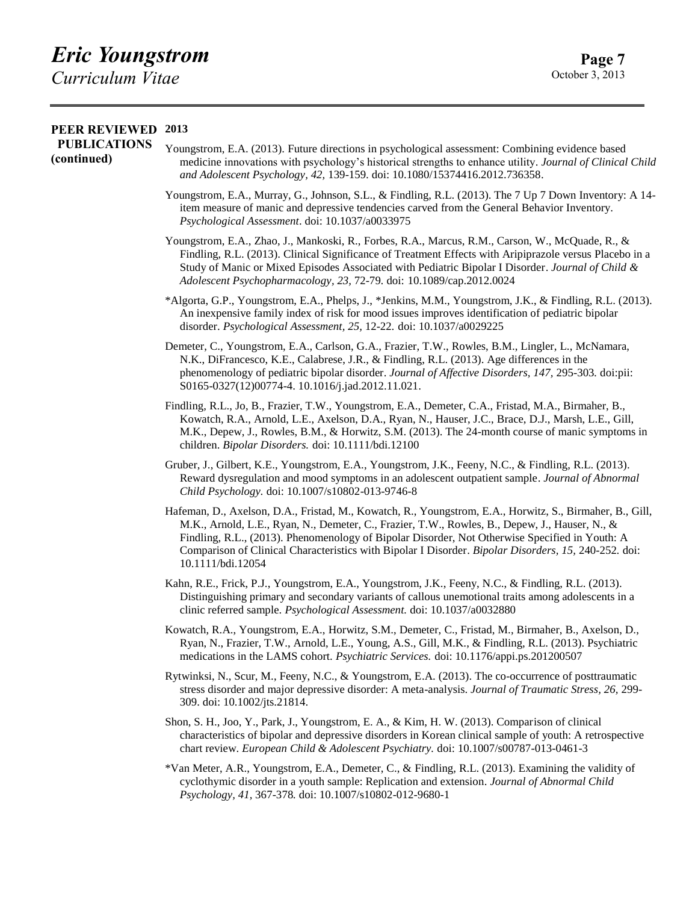**PUBLICATIONS (continued)**

- Youngstrom, E.A. (2013). Future directions in psychological assessment: Combining evidence based medicine innovations with psychology's historical strengths to enhance utility. *Journal of Clinical Child and Adolescent Psychology, 42,* 139-159*.* doi: 10.1080/15374416.2012.736358.
	- Youngstrom, E.A., Murray, G., Johnson, S.L., & Findling, R.L. (2013). The 7 Up 7 Down Inventory: A 14 item measure of manic and depressive tendencies carved from the General Behavior Inventory. *Psychological Assessment*. doi: 10.1037/a0033975
	- Youngstrom, E.A., Zhao, J., Mankoski, R., Forbes, R.A., Marcus, R.M., Carson, W., McQuade, R., & Findling, R.L. (2013). Clinical Significance of Treatment Effects with Aripiprazole versus Placebo in a Study of Manic or Mixed Episodes Associated with Pediatric Bipolar I Disorder. *Journal of Child & Adolescent Psychopharmacology, 23,* 72-79*.* doi: 10.1089/cap.2012.0024
	- \*Algorta, G.P., Youngstrom, E.A., Phelps, J., \*Jenkins, M.M., Youngstrom, J.K., & Findling, R.L. (2013). An inexpensive family index of risk for mood issues improves identification of pediatric bipolar disorder. *Psychological Assessment, 25,* 12-22*.* doi: 10.1037/a0029225
	- Demeter, C., Youngstrom, E.A., Carlson, G.A., Frazier, T.W., Rowles, B.M., Lingler, L., McNamara, N.K., DiFrancesco, K.E., Calabrese, J.R., & Findling, R.L. (2013). Age differences in the phenomenology of pediatric bipolar disorder. *Journal of Affective Disorders, 147,* 295-303*.* doi:pii: S0165-0327(12)00774-4. 10.1016/j.jad.2012.11.021.
	- Findling, R.L., Jo, B., Frazier, T.W., Youngstrom, E.A., Demeter, C.A., Fristad, M.A., Birmaher, B., Kowatch, R.A., Arnold, L.E., Axelson, D.A., Ryan, N., Hauser, J.C., Brace, D.J., Marsh, L.E., Gill, M.K., Depew, J., Rowles, B.M., & Horwitz, S.M. (2013). The 24-month course of manic symptoms in children. *Bipolar Disorders.* doi: 10.1111/bdi.12100
	- Gruber, J., Gilbert, K.E., Youngstrom, E.A., Youngstrom, J.K., Feeny, N.C., & Findling, R.L. (2013). Reward dysregulation and mood symptoms in an adolescent outpatient sample. *Journal of Abnormal Child Psychology.* doi: 10.1007/s10802-013-9746-8
	- Hafeman, D., Axelson, D.A., Fristad, M., Kowatch, R., Youngstrom, E.A., Horwitz, S., Birmaher, B., Gill, M.K., Arnold, L.E., Ryan, N., Demeter, C., Frazier, T.W., Rowles, B., Depew, J., Hauser, N., & Findling, R.L., (2013). Phenomenology of Bipolar Disorder, Not Otherwise Specified in Youth: A Comparison of Clinical Characteristics with Bipolar I Disorder. *Bipolar Disorders, 15,* 240-252*.* doi: 10.1111/bdi.12054
	- Kahn, R.E., Frick, P.J., Youngstrom, E.A., Youngstrom, J.K., Feeny, N.C., & Findling, R.L. (2013). Distinguishing primary and secondary variants of callous unemotional traits among adolescents in a clinic referred sample. *Psychological Assessment.* doi: 10.1037/a0032880
	- Kowatch, R.A., Youngstrom, E.A., Horwitz, S.M., Demeter, C., Fristad, M., Birmaher, B., Axelson, D., Ryan, N., Frazier, T.W., Arnold, L.E., Young, A.S., Gill, M.K., & Findling, R.L. (2013). Psychiatric medications in the LAMS cohort. *Psychiatric Services.* doi: 10.1176/appi.ps.201200507
	- Rytwinksi, N., Scur, M., Feeny, N.C., & Youngstrom, E.A. (2013). The co-occurrence of posttraumatic stress disorder and major depressive disorder: A meta-analysis. *Journal of Traumatic Stress, 26,* 299- 309. doi: 10.1002/jts.21814*.*
	- Shon, S. H., Joo, Y., Park, J., Youngstrom, E. A., & Kim, H. W. (2013). Comparison of clinical characteristics of bipolar and depressive disorders in Korean clinical sample of youth: A retrospective chart review. *European Child & Adolescent Psychiatry.* doi: 10.1007/s00787-013-0461-3
	- \*Van Meter, A.R., Youngstrom, E.A., Demeter, C., & Findling, R.L. (2013). Examining the validity of cyclothymic disorder in a youth sample: Replication and extension. *Journal of Abnormal Child Psychology, 41,* 367-378*.* doi: 10.1007/s10802-012-9680-1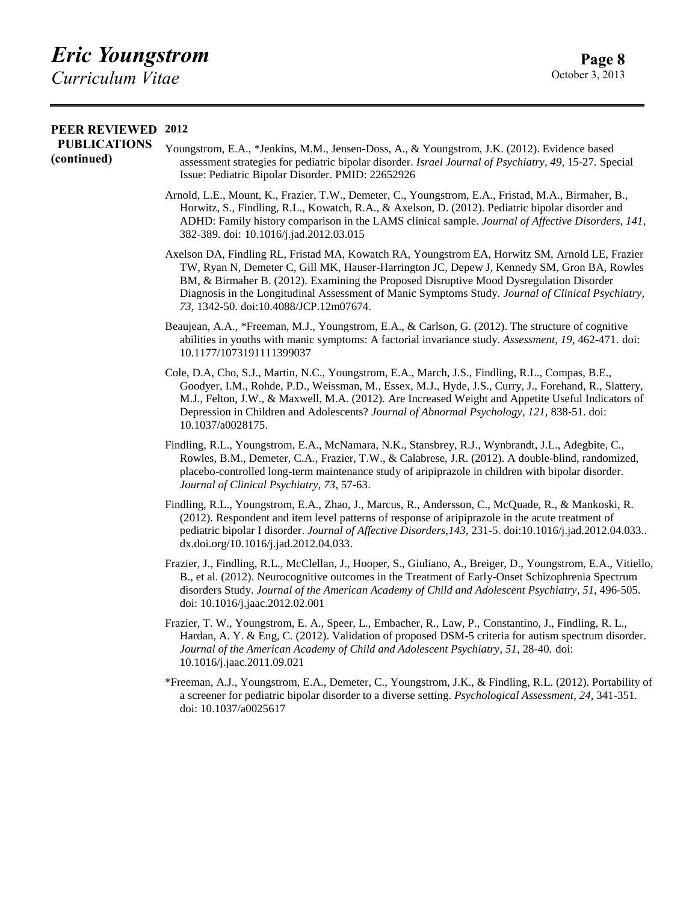**PUBLICATIONS (continued)**

- Youngstrom, E.A., \*Jenkins, M.M., Jensen-Doss, A., & Youngstrom, J.K. (2012). Evidence based assessment strategies for pediatric bipolar disorder. *Israel Journal of Psychiatry, 49,* 15-27*.* Special Issue: Pediatric Bipolar Disorder. PMID: 22652926
	- Arnold, L.E., Mount, K., Frazier, T.W., Demeter, C., Youngstrom, E.A., Fristad, M.A., Birmaher, B., Horwitz, S., Findling, R.L., Kowatch, R.A., & Axelson, D. (2012). Pediatric bipolar disorder and ADHD: Family history comparison in the LAMS clinical sample. *Journal of Affective Disorders, 141,*  382-389*.* doi: 10.1016/j.jad.2012.03.015
	- Axelson DA, Findling RL, Fristad MA, Kowatch RA, Youngstrom EA, Horwitz SM, Arnold LE, Frazier TW, Ryan N, Demeter C, Gill MK, Hauser-Harrington JC, Depew J, Kennedy SM, Gron BA, Rowles BM, & Birmaher B. (2012). Examining the Proposed Disruptive Mood Dysregulation Disorder Diagnosis in the Longitudinal Assessment of Manic Symptoms Study. *Journal of Clinical Psychiatry, 73,* 1342-50. doi:10.4088/JCP.12m07674.
	- Beaujean, A.A., \*Freeman, M.J., Youngstrom, E.A., & Carlson, G. (2012). The structure of cognitive abilities in youths with manic symptoms: A factorial invariance study. *Assessment, 19,* 462-471. doi: 10.1177/1073191111399037
	- Cole, D.A, Cho, S.J., Martin, N.C., Youngstrom, E.A., March, J.S., Findling, R.L., Compas, B.E., Goodyer, I.M., Rohde, P.D., Weissman, M., Essex, M.J., Hyde, J.S., Curry, J., Forehand, R., Slattery, M.J., Felton, J.W., & Maxwell, M.A. (2012). Are Increased Weight and Appetite Useful Indicators of Depression in Children and Adolescents? *Journal of Abnormal Psychology, 121,* 838-51. doi: 10.1037/a0028175.
	- Findling, R.L., Youngstrom, E.A., McNamara, N.K., Stansbrey, R.J., Wynbrandt, J.L., Adegbite, C., Rowles, B.M., Demeter, C.A., Frazier, T.W., & Calabrese, J.R. (2012). A double-blind, randomized, placebo-controlled long-term maintenance study of aripiprazole in children with bipolar disorder. *Journal of Clinical Psychiatry, 73,* 57-63.
	- Findling, R.L., Youngstrom, E.A., Zhao, J., Marcus, R., Andersson, C., McQuade, R., & Mankoski, R. (2012). Respondent and item level patterns of response of aripiprazole in the acute treatment of pediatric bipolar I disorder. *Journal of Affective Disorders,143,* 231-5. doi:10.1016/j.jad.2012.04.033.. dx.doi.org/10.1016/j.jad.2012.04.033.
	- Frazier, J., Findling, R.L., McClellan, J., Hooper, S., Giuliano, A., Breiger, D., Youngstrom, E.A., Vitiello, B., et al. (2012). Neurocognitive outcomes in the Treatment of Early-Onset Schizophrenia Spectrum disorders Study. *Journal of the American Academy of Child and Adolescent Psychiatry, 51*, 496-505. doi: 10.1016/j.jaac.2012.02.001
	- Frazier, T. W., Youngstrom, E. A., Speer, L., Embacher, R., Law, P., Constantino, J., Findling, R. L., Hardan, A. Y. & Eng, C. (2012). Validation of proposed DSM-5 criteria for autism spectrum disorder. *Journal of the American Academy of Child and Adolescent Psychiatry, 51, 28-40. doi:* 10.1016/j.jaac.2011.09.021
	- \*Freeman, A.J., Youngstrom, E.A., Demeter, C., Youngstrom, J.K., & Findling, R.L. (2012). Portability of a screener for pediatric bipolar disorder to a diverse setting. *Psychological Assessment, 24,* 341-351*.*  doi: 10.1037/a0025617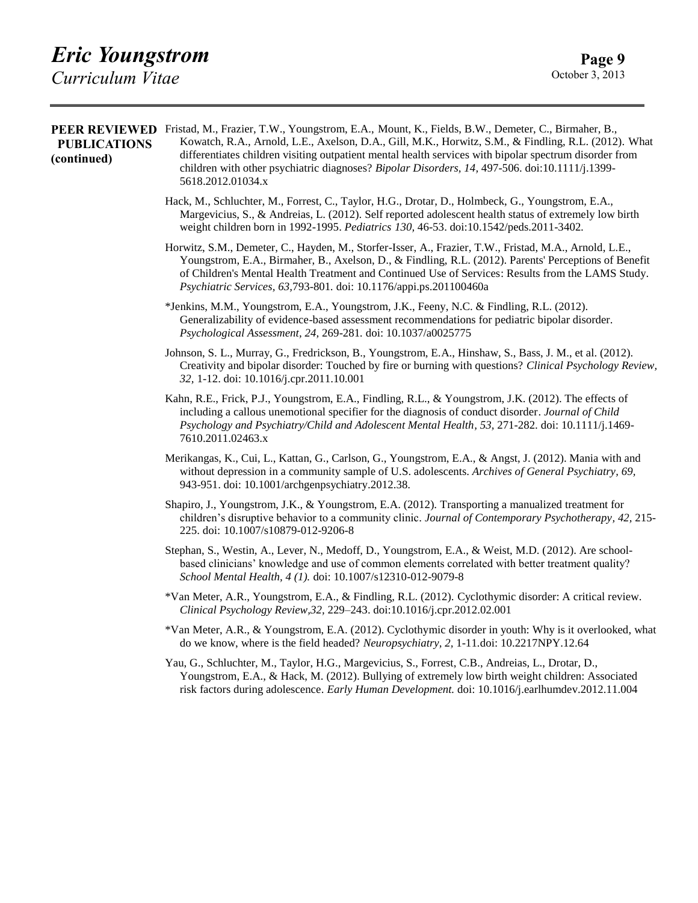| <b>PUBLICATIONS</b><br>(continued) | PEER REVIEWED Fristad, M., Frazier, T.W., Youngstrom, E.A., Mount, K., Fields, B.W., Demeter, C., Birmaher, B.,<br>Kowatch, R.A., Arnold, L.E., Axelson, D.A., Gill, M.K., Horwitz, S.M., & Findling, R.L. (2012). What<br>differentiates children visiting outpatient mental health services with bipolar spectrum disorder from<br>children with other psychiatric diagnoses? Bipolar Disorders, 14, 497-506. doi:10.1111/j.1399-<br>5618.2012.01034.x |
|------------------------------------|----------------------------------------------------------------------------------------------------------------------------------------------------------------------------------------------------------------------------------------------------------------------------------------------------------------------------------------------------------------------------------------------------------------------------------------------------------|
|                                    | Hack, M., Schluchter, M., Forrest, C., Taylor, H.G., Drotar, D., Holmbeck, G., Youngstrom, E.A.,<br>Margevicius, S., & Andreias, L. (2012). Self reported adolescent health status of extremely low birth<br>weight children born in 1992-1995. Pediatrics 130, 46-53. doi:10.1542/peds.2011-3402.                                                                                                                                                       |
|                                    | Horwitz, S.M., Demeter, C., Hayden, M., Storfer-Isser, A., Frazier, T.W., Fristad, M.A., Arnold, L.E.,<br>Youngstrom, E.A., Birmaher, B., Axelson, D., & Findling, R.L. (2012). Parents' Perceptions of Benefit<br>of Children's Mental Health Treatment and Continued Use of Services: Results from the LAMS Study.<br>Psychiatric Services, 63,793-801. doi: 10.1176/appi.ps.201100460a                                                                |
|                                    | *Jenkins, M.M., Youngstrom, E.A., Youngstrom, J.K., Feeny, N.C. & Findling, R.L. (2012).<br>Generalizability of evidence-based assessment recommendations for pediatric bipolar disorder.<br>Psychological Assessment, 24, 269-281. doi: 10.1037/a0025775                                                                                                                                                                                                |
|                                    | Johnson, S. L., Murray, G., Fredrickson, B., Youngstrom, E.A., Hinshaw, S., Bass, J. M., et al. (2012).<br>Creativity and bipolar disorder: Touched by fire or burning with questions? Clinical Psychology Review,<br>32, 1-12. doi: 10.1016/j.cpr.2011.10.001                                                                                                                                                                                           |
|                                    | Kahn, R.E., Frick, P.J., Youngstrom, E.A., Findling, R.L., & Youngstrom, J.K. (2012). The effects of<br>including a callous unemotional specifier for the diagnosis of conduct disorder. Journal of Child<br>Psychology and Psychiatry/Child and Adolescent Mental Health, 53, 271-282. doi: 10.1111/j.1469-<br>7610.2011.02463.x                                                                                                                        |
|                                    | Merikangas, K., Cui, L., Kattan, G., Carlson, G., Youngstrom, E.A., & Angst, J. (2012). Mania with and<br>without depression in a community sample of U.S. adolescents. Archives of General Psychiatry, 69,<br>943-951. doi: 10.1001/archgenpsychiatry.2012.38.                                                                                                                                                                                          |
|                                    | Shapiro, J., Youngstrom, J.K., & Youngstrom, E.A. (2012). Transporting a manualized treatment for<br>children's disruptive behavior to a community clinic. Journal of Contemporary Psychotherapy, 42, 215-<br>225. doi: 10.1007/s10879-012-9206-8                                                                                                                                                                                                        |
|                                    | Stephan, S., Westin, A., Lever, N., Medoff, D., Youngstrom, E.A., & Weist, M.D. (2012). Are school-<br>based clinicians' knowledge and use of common elements correlated with better treatment quality?<br>School Mental Health, 4 (1). doi: 10.1007/s12310-012-9079-8                                                                                                                                                                                   |
|                                    | *Van Meter, A.R., Youngstrom, E.A., & Findling, R.L. (2012). Cyclothymic disorder: A critical review.<br>Clinical Psychology Review, 32, 229-243. doi:10.1016/j.cpr.2012.02.001                                                                                                                                                                                                                                                                          |
|                                    | *Van Meter, A.R., & Youngstrom, E.A. (2012). Cyclothymic disorder in youth: Why is it overlooked, what<br>do we know, where is the field headed? Neuropsychiatry, 2, 1-11.doi: 10.2217NPY.12.64                                                                                                                                                                                                                                                          |
|                                    | Yau, G., Schluchter, M., Taylor, H.G., Margevicius, S., Forrest, C.B., Andreias, L., Drotar, D.,<br>Youngstrom, E.A., & Hack, M. (2012). Bullying of extremely low birth weight children: Associated<br>risk factors during adolescence. Early Human Development. doi: 10.1016/j.earlhumdev.2012.11.004                                                                                                                                                  |
|                                    |                                                                                                                                                                                                                                                                                                                                                                                                                                                          |
|                                    |                                                                                                                                                                                                                                                                                                                                                                                                                                                          |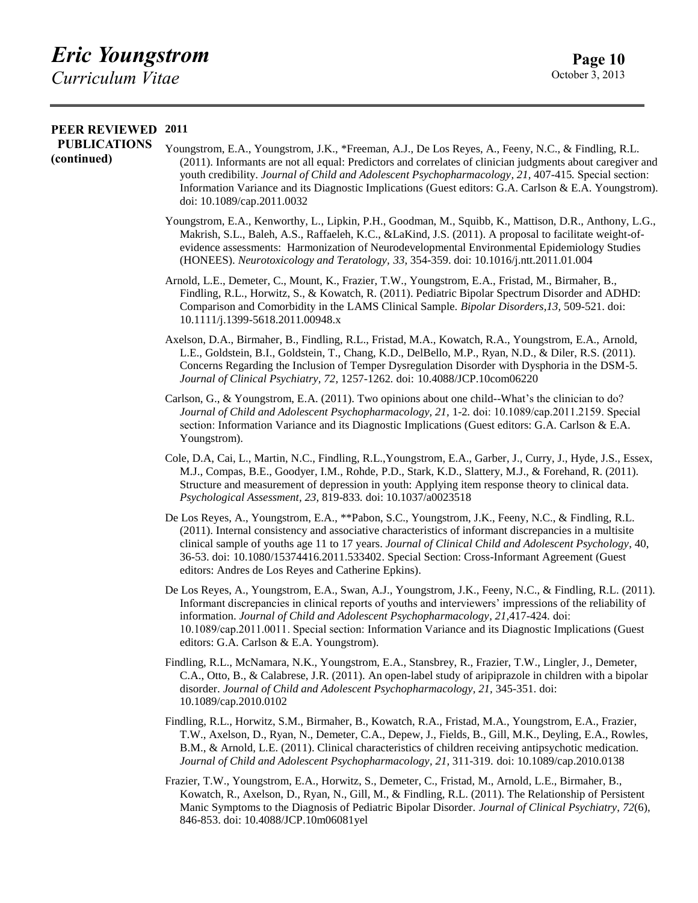#### **PUBLICATIONS (continued)**

- Youngstrom, E.A., Youngstrom, J.K., \*Freeman, A.J., De Los Reyes, A., Feeny, N.C., & Findling, R.L. (2011). Informants are not all equal: Predictors and correlates of clinician judgments about caregiver and youth credibility. *Journal of Child and Adolescent Psychopharmacology, 21,* 407-415*.* Special section: Information Variance and its Diagnostic Implications (Guest editors: G.A. Carlson & E.A. Youngstrom). doi: 10.1089/cap.2011.0032
	- Youngstrom, E.A., Kenworthy, L., Lipkin, P.H., Goodman, M., Squibb, K., Mattison, D.R., Anthony, L.G., Makrish, S.L., Baleh, A.S., Raffaeleh, K.C., &LaKind, J.S. (2011). A proposal to facilitate weight-ofevidence assessments: Harmonization of Neurodevelopmental Environmental Epidemiology Studies (HONEES). *Neurotoxicology and Teratology, 33*, 354-359. doi: 10.1016/j.ntt.2011.01.004
	- Arnold, L.E., Demeter, C., Mount, K., Frazier, T.W., Youngstrom, E.A., Fristad, M., Birmaher, B., Findling, R.L., Horwitz, S., & Kowatch, R. (2011). Pediatric Bipolar Spectrum Disorder and ADHD: Comparison and Comorbidity in the LAMS Clinical Sample. *Bipolar Disorders,13,* 509-521. doi: 10.1111/j.1399-5618.2011.00948.x
	- Axelson, D.A., Birmaher, B., Findling, R.L., Fristad, M.A., Kowatch, R.A., Youngstrom, E.A., Arnold, L.E., Goldstein, B.I., Goldstein, T., Chang, K.D., DelBello, M.P., Ryan, N.D., & Diler, R.S. (2011). Concerns Regarding the Inclusion of Temper Dysregulation Disorder with Dysphoria in the DSM-5. *Journal of Clinical Psychiatry, 72,* 1257-1262*.* doi: 10.4088/JCP.10com06220
	- Carlson, G., & Youngstrom, E.A. (2011). Two opinions about one child--What's the clinician to do? *Journal of Child and Adolescent Psychopharmacology, 21,* 1-2*.* doi: 10.1089/cap.2011.2159. Special section: Information Variance and its Diagnostic Implications (Guest editors: G.A. Carlson & E.A. Youngstrom).
	- Cole, D.A, Cai, L., Martin, N.C., Findling, R.L.,Youngstrom, E.A., Garber, J., Curry, J., Hyde, J.S., Essex, M.J., Compas, B.E., Goodyer, I.M., Rohde, P.D., Stark, K.D., Slattery, M.J., & Forehand, R. (2011). Structure and measurement of depression in youth: Applying item response theory to clinical data. *Psychological Assessment, 23,* 819-833*.* doi: 10.1037/a0023518
	- De Los Reyes, A., Youngstrom, E.A., \*\*Pabon, S.C., Youngstrom, J.K., Feeny, N.C., & Findling, R.L. (2011). Internal consistency and associative characteristics of informant discrepancies in a multisite clinical sample of youths age 11 to 17 years. *Journal of Clinical Child and Adolescent Psychology*, 40, 36-53. doi: 10.1080/15374416.2011.533402. Special Section: Cross-Informant Agreement (Guest editors: Andres de Los Reyes and Catherine Epkins).
	- De Los Reyes, A., Youngstrom, E.A., Swan, A.J., Youngstrom, J.K., Feeny, N.C., & Findling, R.L. (2011). Informant discrepancies in clinical reports of youths and interviewers' impressions of the reliability of information. *Journal of Child and Adolescent Psychopharmacology, 21,*417-424*.* doi: 10.1089/cap.2011.0011. Special section: Information Variance and its Diagnostic Implications (Guest editors: G.A. Carlson & E.A. Youngstrom).
	- Findling, R.L., McNamara, N.K., Youngstrom, E.A., Stansbrey, R., Frazier, T.W., Lingler, J., Demeter, C.A., Otto, B., & Calabrese, J.R. (2011). An open-label study of aripiprazole in children with a bipolar disorder. *Journal of Child and Adolescent Psychopharmacology, 21,* 345-351*.* doi: 10.1089/cap.2010.0102
	- Findling, R.L., Horwitz, S.M., Birmaher, B., Kowatch, R.A., Fristad, M.A., Youngstrom, E.A., Frazier, T.W., Axelson, D., Ryan, N., Demeter, C.A., Depew, J., Fields, B., Gill, M.K., Deyling, E.A., Rowles, B.M., & Arnold, L.E. (2011). Clinical characteristics of children receiving antipsychotic medication. *Journal of Child and Adolescent Psychopharmacology, 21,* 311-319. doi: 10.1089/cap.2010.0138
	- Frazier, T.W., Youngstrom, E.A., Horwitz, S., Demeter, C., Fristad, M., Arnold, L.E., Birmaher, B., Kowatch, R., Axelson, D., Ryan, N., Gill, M., & Findling, R.L. (2011). The Relationship of Persistent Manic Symptoms to the Diagnosis of Pediatric Bipolar Disorder. *Journal of Clinical Psychiatry*, *72*(6), 846-853. doi: 10.4088/JCP.10m06081yel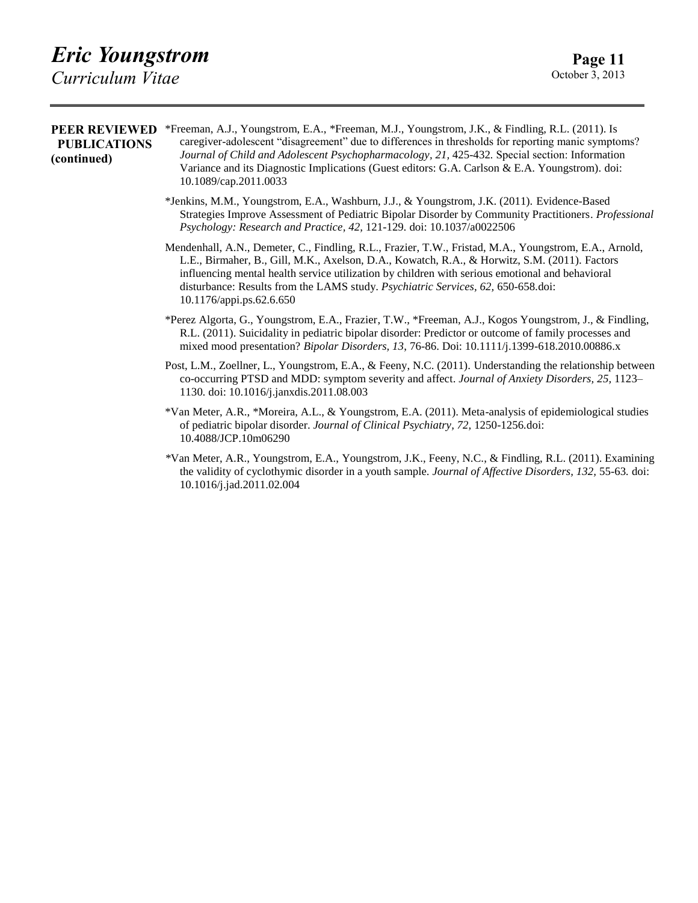#### **PEER REVIEWED PUBLICATIONS (continued)** \*Freeman, A.J., Youngstrom, E.A., \*Freeman, M.J., Youngstrom, J.K., & Findling, R.L. (2011). Is caregiver-adolescent "disagreement" due to differences in thresholds for reporting manic symptoms? *Journal of Child and Adolescent Psychopharmacology, 21,* 425-432*.* Special section: Information Variance and its Diagnostic Implications (Guest editors: G.A. Carlson & E.A. Youngstrom). doi: 10.1089/cap.2011.0033

- \*Jenkins, M.M., Youngstrom, E.A., Washburn, J.J., & Youngstrom, J.K. (2011). Evidence-Based Strategies Improve Assessment of Pediatric Bipolar Disorder by Community Practitioners. *Professional Psychology: Research and Practice, 42,* 121-129*.* doi: 10.1037/a0022506
- Mendenhall, A.N., Demeter, C., Findling, R.L., Frazier, T.W., Fristad, M.A., Youngstrom, E.A., Arnold, L.E., Birmaher, B., Gill, M.K., Axelson, D.A., Kowatch, R.A., & Horwitz, S.M. (2011). Factors influencing mental health service utilization by children with serious emotional and behavioral disturbance: Results from the LAMS study. *Psychiatric Services, 62,* 650-658*.*doi: 10.1176/appi.ps.62.6.650
- \*Perez Algorta, G., Youngstrom, E.A., Frazier, T.W., \*Freeman, A.J., Kogos Youngstrom, J., & Findling, R.L. (2011). Suicidality in pediatric bipolar disorder: Predictor or outcome of family processes and mixed mood presentation? *Bipolar Disorders, 13*, 76-86. Doi: 10.1111/j.1399-618.2010.00886.x
- Post, L.M., Zoellner, L., Youngstrom, E.A., & Feeny, N.C. (2011). Understanding the relationship between co-occurring PTSD and MDD: symptom severity and affect. *Journal of Anxiety Disorders, 25,* 1123– 1130*.* doi: 10.1016/j.janxdis.2011.08.003
- \*Van Meter, A.R., \*Moreira, A.L., & Youngstrom, E.A. (2011). Meta-analysis of epidemiological studies of pediatric bipolar disorder. *Journal of Clinical Psychiatry, 72,* 1250-1256*.*doi: 10.4088/JCP.10m06290
- *\**Van Meter, A.R., Youngstrom, E.A., Youngstrom, J.K., Feeny, N.C., & Findling, R.L. (2011). Examining the validity of cyclothymic disorder in a youth sample. *Journal of Affective Disorders, 132,* 55-63*.* doi: 10.1016/j.jad.2011.02.004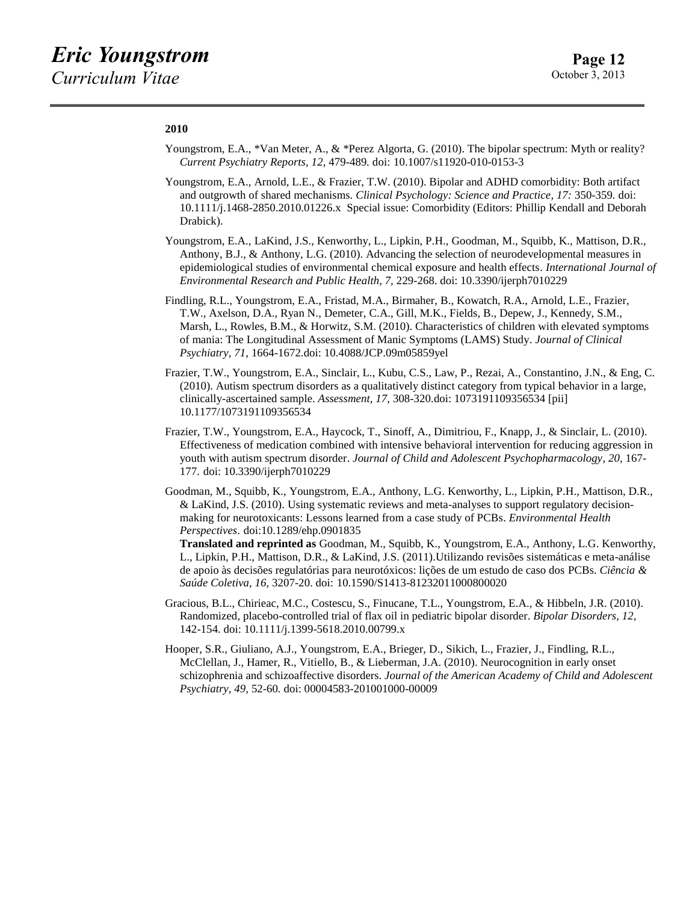#### **2010**

- Youngstrom, E.A., \*Van Meter, A., & \*Perez Algorta, G. (2010). The bipolar spectrum: Myth or reality? *Current Psychiatry Reports, 12,* 479-489*.* doi: 10.1007/s11920-010-0153-3
- Youngstrom, E.A., Arnold, L.E., & Frazier, T.W. (2010). Bipolar and ADHD comorbidity: Both artifact and outgrowth of shared mechanisms. *Clinical Psychology: Science and Practice, 17:* 350-359*.* doi: 10.1111/j.1468-2850.2010.01226.x Special issue: Comorbidity (Editors: Phillip Kendall and Deborah Drabick).
- Youngstrom, E.A., LaKind, J.S., Kenworthy, L., Lipkin, P.H., Goodman, M., Squibb, K., Mattison, D.R., Anthony, B.J., & Anthony, L.G. (2010). Advancing the selection of neurodevelopmental measures in epidemiological studies of environmental chemical exposure and health effects. *International Journal of Environmental Research and Public Health, 7,* 229-268. doi: 10.3390/ijerph7010229
- Findling, R.L., Youngstrom, E.A., Fristad, M.A., Birmaher, B., Kowatch, R.A., Arnold, L.E., Frazier, T.W., Axelson, D.A., Ryan N., Demeter, C.A., Gill, M.K., Fields, B., Depew, J., Kennedy, S.M., Marsh, L., Rowles, B.M., & Horwitz, S.M. (2010). Characteristics of children with elevated symptoms of mania: The Longitudinal Assessment of Manic Symptoms (LAMS) Study. *Journal of Clinical Psychiatry, 71,* 1664-1672*.*doi: 10.4088/JCP.09m05859yel
- Frazier, T.W., Youngstrom, E.A., Sinclair, L., Kubu, C.S., Law, P., Rezai, A., Constantino, J.N., & Eng, C. (2010). Autism spectrum disorders as a qualitatively distinct category from typical behavior in a large, clinically-ascertained sample. *Assessment, 17,* 308-320*.*doi: 1073191109356534 [pii] 10.1177/1073191109356534
- Frazier, T.W., Youngstrom, E.A., Haycock, T., Sinoff, A., Dimitriou, F., Knapp, J., & Sinclair, L. (2010). Effectiveness of medication combined with intensive behavioral intervention for reducing aggression in youth with autism spectrum disorder. *Journal of Child and Adolescent Psychopharmacology, 20,* 167- 177*.* doi: 10.3390/ijerph7010229
- Goodman, M., Squibb, K., Youngstrom, E.A., Anthony, L.G. Kenworthy, L., Lipkin, P.H., Mattison, D.R., & LaKind, J.S. (2010). Using systematic reviews and meta-analyses to support regulatory decisionmaking for neurotoxicants: Lessons learned from a case study of PCBs. *Environmental Health Perspectives*. doi:10.1289/ehp.0901835

**Translated and reprinted as** Goodman, M., Squibb, K., Youngstrom, E.A., Anthony, L.G. Kenworthy, L., Lipkin, P.H., Mattison, D.R., & LaKind, J.S. (2011).Utilizando revisões sistemáticas e meta-análise de apoio às decisões regulatórias para neurotóxicos: lições de um estudo de caso dos PCBs. *Ciência & Saúde Coletiva, 16,* 3207-20. doi: 10.1590/S1413-81232011000800020

- Gracious, B.L., Chirieac, M.C., Costescu, S., Finucane, T.L., Youngstrom, E.A., & Hibbeln, J.R. (2010). Randomized, placebo-controlled trial of flax oil in pediatric bipolar disorder. *Bipolar Disorders, 12,*  142-154*.* doi: 10.1111/j.1399-5618.2010.00799.x
- Hooper, S.R., Giuliano, A.J., Youngstrom, E.A., Brieger, D., Sikich, L., Frazier, J., Findling, R.L., McClellan, J., Hamer, R., Vitiello, B., & Lieberman, J.A. (2010). Neurocognition in early onset schizophrenia and schizoaffective disorders. *Journal of the American Academy of Child and Adolescent Psychiatry, 49,* 52-60*.* doi: 00004583-201001000-00009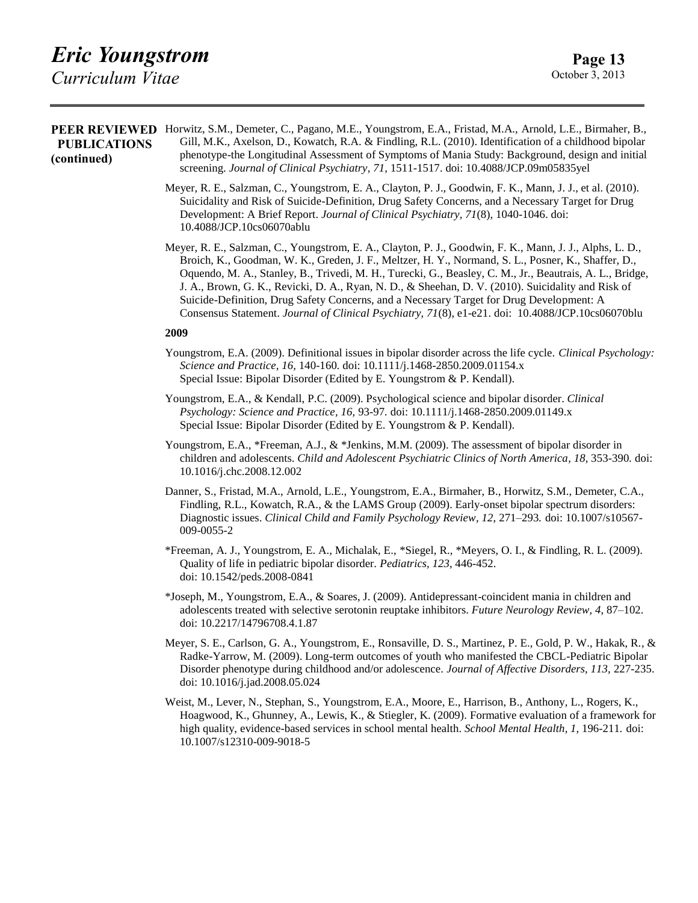| PEER REVIEWED       | Horwitz, S.M., Demeter, C., Pagano, M.E., Youngstrom, E.A., Fristad, M.A., Arnold, L.E., Birmaher, B.,                                                                                                                                                                                                                             |
|---------------------|------------------------------------------------------------------------------------------------------------------------------------------------------------------------------------------------------------------------------------------------------------------------------------------------------------------------------------|
| <b>PUBLICATIONS</b> | Gill, M.K., Axelson, D., Kowatch, R.A. & Findling, R.L. (2010). Identification of a childhood bipolar                                                                                                                                                                                                                              |
| (continued)         | phenotype-the Longitudinal Assessment of Symptoms of Mania Study: Background, design and initial<br>screening. Journal of Clinical Psychiatry, 71, 1511-1517. doi: 10.4088/JCP.09m05835yel                                                                                                                                         |
|                     | Meyer, R. E., Salzman, C., Youngstrom, E. A., Clayton, P. J., Goodwin, F. K., Mann, J. J., et al. (2010).<br>Suicidality and Risk of Suicide-Definition, Drug Safety Concerns, and a Necessary Target for Drug<br>Development: A Brief Report. Journal of Clinical Psychiatry, 71(8), 1040-1046. doi:<br>10.4088/JCP.10cs06070ablu |

Meyer, R. E., Salzman, C., Youngstrom, E. A., Clayton, P. J., Goodwin, F. K., Mann, J. J., Alphs, L. D., Broich, K., Goodman, W. K., Greden, J. F., Meltzer, H. Y., Normand, S. L., Posner, K., Shaffer, D., Oquendo, M. A., Stanley, B., Trivedi, M. H., Turecki, G., Beasley, C. M., Jr., Beautrais, A. L., Bridge, J. A., Brown, G. K., Revicki, D. A., Ryan, N. D., & Sheehan, D. V. (2010). Suicidality and Risk of Suicide-Definition, Drug Safety Concerns, and a Necessary Target for Drug Development: A Consensus Statement. *Journal of Clinical Psychiatry, 71*(8), e1-e21. doi: 10.4088/JCP.10cs06070blu

#### **2009**

- Youngstrom, E.A. (2009). Definitional issues in bipolar disorder across the life cycle. *Clinical Psychology: Science and Practice, 16,* 140-160*.* doi: 10.1111/j.1468-2850.2009.01154.x Special Issue: Bipolar Disorder (Edited by E. Youngstrom & P. Kendall).
- Youngstrom, E.A., & Kendall, P.C. (2009). Psychological science and bipolar disorder. *Clinical Psychology: Science and Practice, 16,* 93-97*.* doi: 10.1111/j.1468-2850.2009.01149.x Special Issue: Bipolar Disorder (Edited by E. Youngstrom & P. Kendall).
- Youngstrom, E.A., \*Freeman, A.J., & \*Jenkins, M.M. (2009). The assessment of bipolar disorder in children and adolescents. *Child and Adolescent Psychiatric Clinics of North America, 18,* 353-390*.* doi: 10.1016/j.chc.2008.12.002
- Danner, S., Fristad, M.A., Arnold, L.E., Youngstrom, E.A., Birmaher, B., Horwitz, S.M., Demeter, C.A., Findling, R.L., Kowatch, R.A., & the LAMS Group (2009). Early-onset bipolar spectrum disorders: Diagnostic issues. *Clinical Child and Family Psychology Review, 12*, 271–293*.* doi: 10.1007/s10567- 009-0055-2
- \*Freeman, A. J., Youngstrom, E. A., Michalak, E., \*Siegel, R., \*Meyers, O. I., & Findling, R. L. (2009). Quality of life in pediatric bipolar disorder. *Pediatrics, 123*, 446-452. doi: 10.1542/peds.2008-0841
- \*Joseph, M., Youngstrom, E.A., & Soares, J. (2009). Antidepressant-coincident mania in children and adolescents treated with selective serotonin reuptake inhibitors. *Future Neurology Review, 4*, 87–102. doi: 10.2217/14796708.4.1.87
- Meyer, S. E., Carlson, G. A., Youngstrom, E., Ronsaville, D. S., Martinez, P. E., Gold, P. W., Hakak, R., & Radke-Yarrow, M. (2009). Long-term outcomes of youth who manifested the CBCL-Pediatric Bipolar Disorder phenotype during childhood and/or adolescence. *Journal of Affective Disorders, 113,* 227-235. doi: 10.1016/j.jad.2008.05.024
- Weist, M., Lever, N., Stephan, S., Youngstrom, E.A., Moore, E., Harrison, B., Anthony, L., Rogers, K., Hoagwood, K., Ghunney, A., Lewis, K., & Stiegler, K. (2009). Formative evaluation of a framework for high quality, evidence-based services in school mental health. *School Mental Health, 1,* 196-211*.* doi: 10.1007/s12310-009-9018-5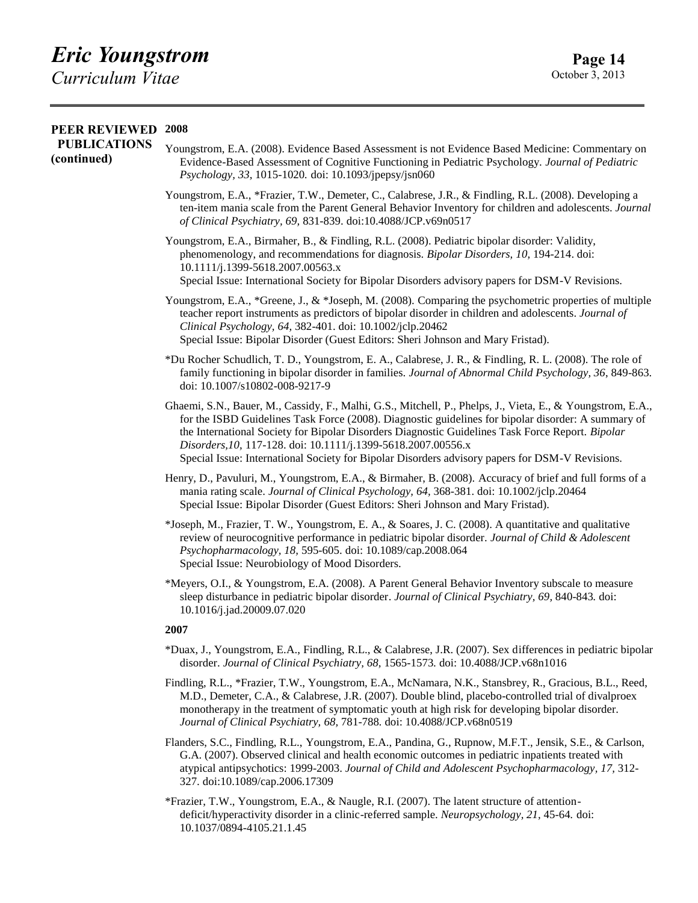**PUBLICATIONS (continued)**

- Youngstrom, E.A. (2008). Evidence Based Assessment is not Evidence Based Medicine: Commentary on Evidence-Based Assessment of Cognitive Functioning in Pediatric Psychology. *Journal of Pediatric Psychology, 33,* 1015-1020*.* doi: 10.1093/jpepsy/jsn060
	- Youngstrom, E.A., \*Frazier, T.W., Demeter, C., Calabrese, J.R., & Findling, R.L. (2008). Developing a ten-item mania scale from the Parent General Behavior Inventory for children and adolescents. *Journal of Clinical Psychiatry, 69,* 831-839. doi:10.4088/JCP.v69n0517
	- Youngstrom, E.A., Birmaher, B., & Findling, R.L. (2008). Pediatric bipolar disorder: Validity, phenomenology, and recommendations for diagnosis. *Bipolar Disorders, 10,* 194-214. doi: 10.1111/j.1399-5618.2007.00563.x Special Issue: International Society for Bipolar Disorders advisory papers for DSM-V Revisions.
	- Youngstrom, E.A., \*Greene, J., & \*Joseph, M. (2008). Comparing the psychometric properties of multiple teacher report instruments as predictors of bipolar disorder in children and adolescents. *Journal of Clinical Psychology, 64,* 382-401. doi: 10.1002/jclp.20462 Special Issue: Bipolar Disorder (Guest Editors: Sheri Johnson and Mary Fristad).
	- \*Du Rocher Schudlich, T. D., Youngstrom, E. A., Calabrese, J. R., & Findling, R. L. (2008). The role of family functioning in bipolar disorder in families. *Journal of Abnormal Child Psychology, 36*, 849-863. doi: 10.1007/s10802-008-9217-9
	- Ghaemi, S.N., Bauer, M., Cassidy, F., Malhi, G.S., Mitchell, P., Phelps, J., Vieta, E., & Youngstrom, E.A., for the ISBD Guidelines Task Force (2008). Diagnostic guidelines for bipolar disorder: A summary of the International Society for Bipolar Disorders Diagnostic Guidelines Task Force Report. *Bipolar Disorders,10,* 117-128. doi: 10.1111/j.1399-5618.2007.00556.x Special Issue: International Society for Bipolar Disorders advisory papers for DSM-V Revisions.
	- Henry, D., Pavuluri, M., Youngstrom, E.A., & Birmaher, B. (2008). Accuracy of brief and full forms of a mania rating scale. *Journal of Clinical Psychology, 64,* 368-381. doi: 10.1002/jclp.20464 Special Issue: Bipolar Disorder (Guest Editors: Sheri Johnson and Mary Fristad).
	- \*Joseph, M., Frazier, T. W., Youngstrom, E. A., & Soares, J. C. (2008). A quantitative and qualitative review of neurocognitive performance in pediatric bipolar disorder. *Journal of Child & Adolescent Psychopharmacology, 18,* 595-605. doi: 10.1089/cap.2008.064 Special Issue: Neurobiology of Mood Disorders.
	- \*Meyers, O.I., & Youngstrom, E.A. (2008). A Parent General Behavior Inventory subscale to measure sleep disturbance in pediatric bipolar disorder. *Journal of Clinical Psychiatry, 69,* 840-843*.* doi: 10.1016/j.jad.20009.07.020

#### **2007**

- \*Duax, J., Youngstrom, E.A., Findling, R.L., & Calabrese, J.R. (2007). Sex differences in pediatric bipolar disorder. *Journal of Clinical Psychiatry, 68,* 1565-1573*.* doi: 10.4088/JCP.v68n1016
- Findling, R.L., \*Frazier, T.W., Youngstrom, E.A., McNamara, N.K., Stansbrey, R., Gracious, B.L., Reed, M.D., Demeter, C.A., & Calabrese, J.R. (2007). Double blind, placebo-controlled trial of divalproex monotherapy in the treatment of symptomatic youth at high risk for developing bipolar disorder. *Journal of Clinical Psychiatry, 68,* 781-788*.* doi: 10.4088/JCP.v68n0519
- Flanders, S.C., Findling, R.L., Youngstrom, E.A., Pandina, G., Rupnow, M.F.T., Jensik, S.E., & Carlson, G.A. (2007). Observed clinical and health economic outcomes in pediatric inpatients treated with atypical antipsychotics: 1999-2003. *Journal of Child and Adolescent Psychopharmacology, 17,* 312- 327*.* doi:10.1089/cap.2006.17309
- \*Frazier, T.W., Youngstrom, E.A., & Naugle, R.I. (2007). The latent structure of attentiondeficit/hyperactivity disorder in a clinic-referred sample. *Neuropsychology, 21,* 45-64*.* doi: 10.1037/0894-4105.21.1.45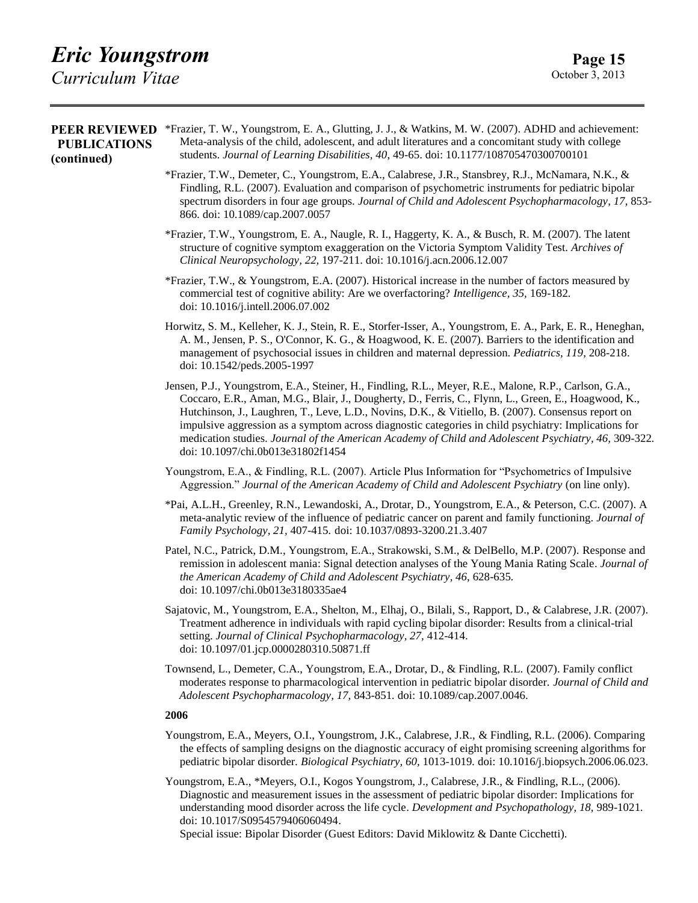| <b>PEER REVIEWED</b><br><b>PUBLICATIONS</b><br>(continued) | *Frazier, T. W., Youngstrom, E. A., Glutting, J. J., & Watkins, M. W. (2007). ADHD and achievement:<br>Meta-analysis of the child, adolescent, and adult literatures and a concomitant study with college<br>students. Journal of Learning Disabilities, 40, 49-65. doi: 10.1177/108705470300700101                                                                                                                                                                                                                                                                       |
|------------------------------------------------------------|---------------------------------------------------------------------------------------------------------------------------------------------------------------------------------------------------------------------------------------------------------------------------------------------------------------------------------------------------------------------------------------------------------------------------------------------------------------------------------------------------------------------------------------------------------------------------|
|                                                            | *Frazier, T.W., Demeter, C., Youngstrom, E.A., Calabrese, J.R., Stansbrey, R.J., McNamara, N.K., &<br>Findling, R.L. (2007). Evaluation and comparison of psychometric instruments for pediatric bipolar<br>spectrum disorders in four age groups. Journal of Child and Adolescent Psychopharmacology, 17, 853-<br>866. doi: 10.1089/cap.2007.0057                                                                                                                                                                                                                        |
|                                                            | *Frazier, T.W., Youngstrom, E. A., Naugle, R. I., Haggerty, K. A., & Busch, R. M. (2007). The latent<br>structure of cognitive symptom exaggeration on the Victoria Symptom Validity Test. Archives of<br>Clinical Neuropsychology, 22, 197-211. doi: 10.1016/j.acn.2006.12.007                                                                                                                                                                                                                                                                                           |
|                                                            | *Frazier, T.W., & Youngstrom, E.A. (2007). Historical increase in the number of factors measured by<br>commercial test of cognitive ability: Are we overfactoring? <i>Intelligence</i> , 35, 169-182.<br>doi: 10.1016/j.intell.2006.07.002                                                                                                                                                                                                                                                                                                                                |
|                                                            | Horwitz, S. M., Kelleher, K. J., Stein, R. E., Storfer-Isser, A., Youngstrom, E. A., Park, E. R., Heneghan,<br>A. M., Jensen, P. S., O'Connor, K. G., & Hoagwood, K. E. (2007). Barriers to the identification and<br>management of psychosocial issues in children and maternal depression. <i>Pediatrics</i> , 119, 208-218.<br>doi: 10.1542/peds.2005-1997                                                                                                                                                                                                             |
|                                                            | Jensen, P.J., Youngstrom, E.A., Steiner, H., Findling, R.L., Meyer, R.E., Malone, R.P., Carlson, G.A.,<br>Coccaro, E.R., Aman, M.G., Blair, J., Dougherty, D., Ferris, C., Flynn, L., Green, E., Hoagwood, K.,<br>Hutchinson, J., Laughren, T., Leve, L.D., Novins, D.K., & Vitiello, B. (2007). Consensus report on<br>impulsive aggression as a symptom across diagnostic categories in child psychiatry: Implications for<br>medication studies. Journal of the American Academy of Child and Adolescent Psychiatry, 46, 309-322.<br>doi: 10.1097/chi.0b013e31802f1454 |
|                                                            | Youngstrom, E.A., & Findling, R.L. (2007). Article Plus Information for "Psychometrics of Impulsive<br>Aggression." Journal of the American Academy of Child and Adolescent Psychiatry (on line only).                                                                                                                                                                                                                                                                                                                                                                    |
|                                                            | *Pai, A.L.H., Greenley, R.N., Lewandoski, A., Drotar, D., Youngstrom, E.A., & Peterson, C.C. (2007). A<br>meta-analytic review of the influence of pediatric cancer on parent and family functioning. Journal of<br>Family Psychology, 21, 407-415. doi: 10.1037/0893-3200.21.3.407                                                                                                                                                                                                                                                                                       |
|                                                            | Patel, N.C., Patrick, D.M., Youngstrom, E.A., Strakowski, S.M., & DelBello, M.P. (2007). Response and<br>remission in adolescent mania: Signal detection analyses of the Young Mania Rating Scale. Journal of<br>the American Academy of Child and Adolescent Psychiatry, 46, 628-635.<br>doi: 10.1097/chi.0b013e3180335ae4                                                                                                                                                                                                                                               |
|                                                            | Sajatovic, M., Youngstrom, E.A., Shelton, M., Elhaj, O., Bilali, S., Rapport, D., & Calabrese, J.R. (2007).<br>Treatment adherence in individuals with rapid cycling bipolar disorder: Results from a clinical-trial<br>setting. Journal of Clinical Psychopharmacology, 27, 412-414.<br>doi: 10.1097/01.jcp.0000280310.50871.ff                                                                                                                                                                                                                                          |
|                                                            | Townsend, L., Demeter, C.A., Youngstrom, E.A., Drotar, D., & Findling, R.L. (2007). Family conflict<br>moderates response to pharmacological intervention in pediatric bipolar disorder. Journal of Child and<br>Adolescent Psychopharmacology, 17, 843-851. doi: 10.1089/cap.2007.0046.                                                                                                                                                                                                                                                                                  |
|                                                            | 2006                                                                                                                                                                                                                                                                                                                                                                                                                                                                                                                                                                      |
|                                                            | Youngstrom, E.A., Meyers, O.I., Youngstrom, J.K., Calabrese, J.R., & Findling, R.L. (2006). Comparing<br>the effects of sampling designs on the diagnostic accuracy of eight promising screening algorithms for<br>pediatric bipolar disorder. Biological Psychiatry, 60, 1013-1019. doi: 10.1016/j.biopsych.2006.06.023.                                                                                                                                                                                                                                                 |
|                                                            | Youngstrom, E.A., *Meyers, O.I., Kogos Youngstrom, J., Calabrese, J.R., & Findling, R.L., (2006).<br>Diagnostic and measurement issues in the assessment of pediatric bipolar disorder: Implications for                                                                                                                                                                                                                                                                                                                                                                  |

Diagnostic and measurement issues in the assessment of pediatric bipolar disorder: Implications for understanding mood disorder across the life cycle. *Development and Psychopathology, 18,* 989-1021*.* doi: 10.1017/S0954579406060494.

Special issue: Bipolar Disorder (Guest Editors: David Miklowitz & Dante Cicchetti).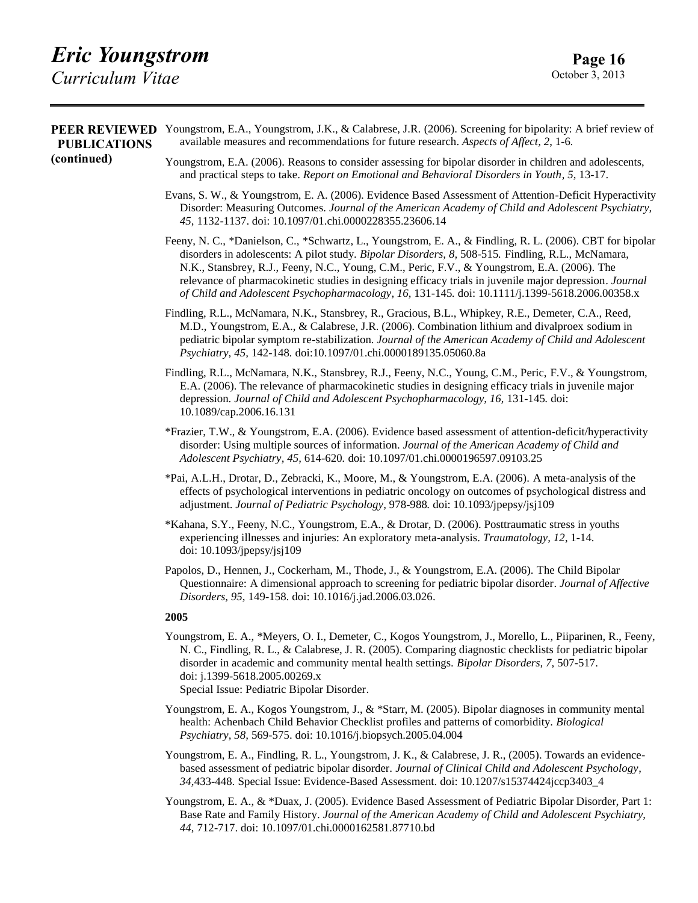| <b>PUBLICATIONS</b><br>(continued) | PEER REVIEWED Youngstrom, E.A., Youngstrom, J.K., & Calabrese, J.R. (2006). Screening for bipolarity: A brief review of<br>available measures and recommendations for future research. Aspects of Affect, 2, 1-6.                                                                                                                                                                                                                                                                                                           |
|------------------------------------|-----------------------------------------------------------------------------------------------------------------------------------------------------------------------------------------------------------------------------------------------------------------------------------------------------------------------------------------------------------------------------------------------------------------------------------------------------------------------------------------------------------------------------|
|                                    | Youngstrom, E.A. (2006). Reasons to consider assessing for bipolar disorder in children and adolescents,<br>and practical steps to take. Report on Emotional and Behavioral Disorders in Youth, 5, 13-17.                                                                                                                                                                                                                                                                                                                   |
|                                    | Evans, S. W., & Youngstrom, E. A. (2006). Evidence Based Assessment of Attention-Deficit Hyperactivity<br>Disorder: Measuring Outcomes. Journal of the American Academy of Child and Adolescent Psychiatry,<br>45, 1132-1137. doi: 10.1097/01.chi.0000228355.23606.14                                                                                                                                                                                                                                                       |
|                                    | Feeny, N. C., *Danielson, C., *Schwartz, L., Youngstrom, E. A., & Findling, R. L. (2006). CBT for bipolar<br>disorders in adolescents: A pilot study. Bipolar Disorders, 8, 508-515. Findling, R.L., McNamara,<br>N.K., Stansbrey, R.J., Feeny, N.C., Young, C.M., Peric, F.V., & Youngstrom, E.A. (2006). The<br>relevance of pharmacokinetic studies in designing efficacy trials in juvenile major depression. Journal<br>of Child and Adolescent Psychopharmacology, 16, 131-145. doi: 10.1111/j.1399-5618.2006.00358.x |
|                                    | Findling, R.L., McNamara, N.K., Stansbrey, R., Gracious, B.L., Whipkey, R.E., Demeter, C.A., Reed,<br>M.D., Youngstrom, E.A., & Calabrese, J.R. (2006). Combination lithium and divalproex sodium in<br>pediatric bipolar symptom re-stabilization. Journal of the American Academy of Child and Adolescent<br>Psychiatry, 45, 142-148. doi:10.1097/01.chi.0000189135.05060.8a                                                                                                                                              |
|                                    | Findling, R.L., McNamara, N.K., Stansbrey, R.J., Feeny, N.C., Young, C.M., Peric, F.V., & Youngstrom,<br>E.A. (2006). The relevance of pharmacokinetic studies in designing efficacy trials in juvenile major<br>depression. Journal of Child and Adolescent Psychopharmacology, 16, 131-145. doi:<br>10.1089/cap.2006.16.131                                                                                                                                                                                               |
|                                    | *Frazier, T.W., & Youngstrom, E.A. (2006). Evidence based assessment of attention-deficit/hyperactivity<br>disorder: Using multiple sources of information. Journal of the American Academy of Child and<br>Adolescent Psychiatry, 45, 614-620. doi: 10.1097/01.chi.0000196597.09103.25                                                                                                                                                                                                                                     |
|                                    | *Pai, A.L.H., Drotar, D., Zebracki, K., Moore, M., & Youngstrom, E.A. (2006). A meta-analysis of the<br>effects of psychological interventions in pediatric oncology on outcomes of psychological distress and<br>adjustment. Journal of Pediatric Psychology, 978-988. doi: 10.1093/jpepsy/jsj109                                                                                                                                                                                                                          |
|                                    | *Kahana, S.Y., Feeny, N.C., Youngstrom, E.A., & Drotar, D. (2006). Posttraumatic stress in youths<br>experiencing illnesses and injuries: An exploratory meta-analysis. Traumatology, 12, 1-14.<br>doi: 10.1093/jpepsy/jsj109                                                                                                                                                                                                                                                                                               |
|                                    | Papolos, D., Hennen, J., Cockerham, M., Thode, J., & Youngstrom, E.A. (2006). The Child Bipolar<br>Questionnaire: A dimensional approach to screening for pediatric bipolar disorder. Journal of Affective<br>Disorders, 95, 149-158. doi: 10.1016/j.jad.2006.03.026.                                                                                                                                                                                                                                                       |
|                                    | 2005                                                                                                                                                                                                                                                                                                                                                                                                                                                                                                                        |
|                                    | Youngstrom, E. A., *Meyers, O. I., Demeter, C., Kogos Youngstrom, J., Morello, L., Piiparinen, R., Feeny,<br>N. C., Findling, R. L., & Calabrese, J. R. (2005). Comparing diagnostic checklists for pediatric bipolar<br>disorder in academic and community mental health settings. Bipolar Disorders, 7, 507-517.<br>doi: j.1399-5618.2005.00269.x<br>Special Issue: Pediatric Bipolar Disorder.                                                                                                                           |
|                                    | Youngstrom, E. A., Kogos Youngstrom, J., & *Starr, M. (2005). Bipolar diagnoses in community mental<br>health: Achenbach Child Behavior Checklist profiles and patterns of comorbidity. Biological<br>Psychiatry, 58, 569-575. doi: 10.1016/j.biopsych.2005.04.004                                                                                                                                                                                                                                                          |
|                                    | Youngstrom, E. A., Findling, R. L., Youngstrom, J. K., & Calabrese, J. R., (2005). Towards an evidence-<br>based assessment of pediatric bipolar disorder. Journal of Clinical Child and Adolescent Psychology,<br>34,433-448. Special Issue: Evidence-Based Assessment. doi: 10.1207/s15374424jccp3403_4                                                                                                                                                                                                                   |

Youngstrom, E. A., & \*Duax, J. (2005). Evidence Based Assessment of Pediatric Bipolar Disorder, Part 1: Base Rate and Family History. *Journal of the American Academy of Child and Adolescent Psychiatry, 44,* 712-717. doi: 10.1097/01.chi.0000162581.87710.bd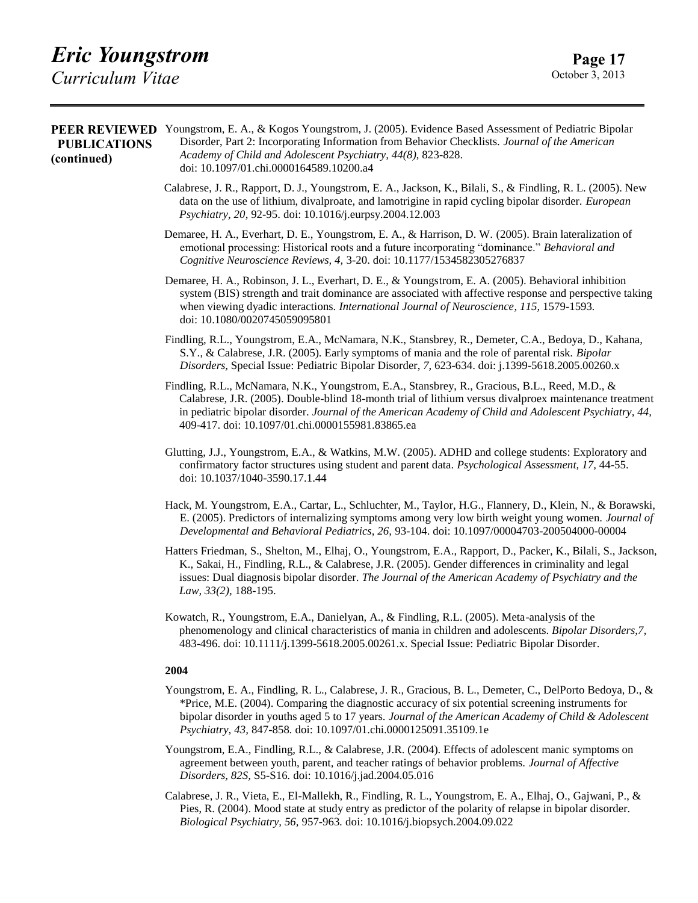| <b>PUBLICATIONS</b><br>(continued) | PEER REVIEWED Youngstrom, E. A., & Kogos Youngstrom, J. (2005). Evidence Based Assessment of Pediatric Bipolar<br>Disorder, Part 2: Incorporating Information from Behavior Checklists. Journal of the American<br>Academy of Child and Adolescent Psychiatry, 44(8), 823-828.<br>doi: 10.1097/01.chi.0000164589.10200.a4                                              |
|------------------------------------|------------------------------------------------------------------------------------------------------------------------------------------------------------------------------------------------------------------------------------------------------------------------------------------------------------------------------------------------------------------------|
|                                    | Calabrese, J. R., Rapport, D. J., Youngstrom, E. A., Jackson, K., Bilali, S., & Findling, R. L. (2005). New<br>data on the use of lithium, divalproate, and lamotrigine in rapid cycling bipolar disorder. <i>European</i><br>Psychiatry, 20, 92-95. doi: 10.1016/j.eurpsy.2004.12.003                                                                                 |
|                                    | Demaree, H. A., Everhart, D. E., Youngstrom, E. A., & Harrison, D. W. (2005). Brain lateralization of<br>emotional processing: Historical roots and a future incorporating "dominance." Behavioral and<br>Cognitive Neuroscience Reviews, 4, 3-20. doi: 10.1177/1534582305276837                                                                                       |
|                                    | Demaree, H. A., Robinson, J. L., Everhart, D. E., & Youngstrom, E. A. (2005). Behavioral inhibition<br>system (BIS) strength and trait dominance are associated with affective response and perspective taking<br>when viewing dyadic interactions. International Journal of Neuroscience, 115, 1579-1593.<br>doi: 10.1080/0020745059095801                            |
|                                    | Findling, R.L., Youngstrom, E.A., McNamara, N.K., Stansbrey, R., Demeter, C.A., Bedoya, D., Kahana,<br>S.Y., & Calabrese, J.R. (2005). Early symptoms of mania and the role of parental risk. Bipolar<br>Disorders, Special Issue: Pediatric Bipolar Disorder, 7, 623-634. doi: j.1399-5618.2005.00260.x                                                               |
|                                    | Findling, R.L., McNamara, N.K., Youngstrom, E.A., Stansbrey, R., Gracious, B.L., Reed, M.D., &<br>Calabrese, J.R. (2005). Double-blind 18-month trial of lithium versus divalproex maintenance treatment<br>in pediatric bipolar disorder. Journal of the American Academy of Child and Adolescent Psychiatry, 44,<br>409-417. doi: 10.1097/01.chi.0000155981.83865.ea |
|                                    | Glutting, J.J., Youngstrom, E.A., & Watkins, M.W. (2005). ADHD and college students: Exploratory and<br>confirmatory factor structures using student and parent data. Psychological Assessment, 17, 44-55.<br>doi: 10.1037/1040-3590.17.1.44                                                                                                                           |
|                                    | Hack, M. Youngstrom, E.A., Cartar, L., Schluchter, M., Taylor, H.G., Flannery, D., Klein, N., & Borawski,<br>E. (2005). Predictors of internalizing symptoms among very low birth weight young women. Journal of<br>Developmental and Behavioral Pediatrics, 26, 93-104. doi: 10.1097/00004703-200504000-00004                                                         |
|                                    | Hatters Friedman, S., Shelton, M., Elhaj, O., Youngstrom, E.A., Rapport, D., Packer, K., Bilali, S., Jackson,<br>K., Sakai, H., Findling, R.L., & Calabrese, J.R. (2005). Gender differences in criminality and legal<br>issues: Dual diagnosis bipolar disorder. The Journal of the American Academy of Psychiatry and the<br>Law, 33(2), 188-195.                    |
|                                    | Kowatch, R., Youngstrom, E.A., Danielyan, A., & Findling, R.L. (2005). Meta-analysis of the<br>phenomenology and clinical characteristics of mania in children and adolescents. Bipolar Disorders, 7,<br>483-496. doi: 10.1111/j.1399-5618.2005.00261.x. Special Issue: Pediatric Bipolar Disorder.                                                                    |
|                                    | 2004                                                                                                                                                                                                                                                                                                                                                                   |
|                                    |                                                                                                                                                                                                                                                                                                                                                                        |

- Youngstrom, E. A., Findling, R. L., Calabrese, J. R., Gracious, B. L., Demeter, C., DelPorto Bedoya, D., & \*Price, M.E. (2004). Comparing the diagnostic accuracy of six potential screening instruments for bipolar disorder in youths aged 5 to 17 years. *Journal of the American Academy of Child & Adolescent Psychiatry, 43,* 847-858*.* doi: 10.1097/01.chi.0000125091.35109.1e
- Youngstrom, E.A., Findling, R.L., & Calabrese, J.R. (2004). Effects of adolescent manic symptoms on agreement between youth, parent, and teacher ratings of behavior problems. *Journal of Affective Disorders, 82S,* S5-S16*.* doi: 10.1016/j.jad.2004.05.016
- Calabrese, J. R., Vieta, E., El-Mallekh, R., Findling, R. L., Youngstrom, E. A., Elhaj, O., Gajwani, P., & Pies, R. (2004). Mood state at study entry as predictor of the polarity of relapse in bipolar disorder. *Biological Psychiatry, 56,* 957-963*.* doi: 10.1016/j.biopsych.2004.09.022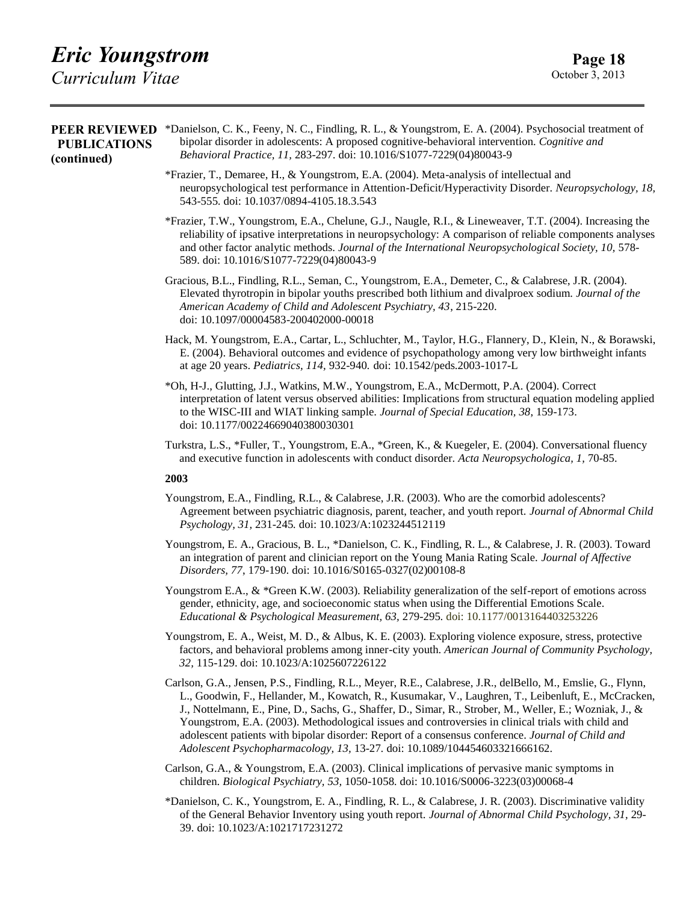| <b>PEER REVIEWED</b><br><b>PUBLICATIONS</b><br>(continued) | *Danielson, C. K., Feeny, N. C., Findling, R. L., & Youngstrom, E. A. (2004). Psychosocial treatment of<br>bipolar disorder in adolescents: A proposed cognitive-behavioral intervention. Cognitive and<br>Behavioral Practice, 11, 283-297. doi: 10.1016/S1077-7229(04)80043-9                                                                                                                                                                                                                                                                                                                                          |
|------------------------------------------------------------|--------------------------------------------------------------------------------------------------------------------------------------------------------------------------------------------------------------------------------------------------------------------------------------------------------------------------------------------------------------------------------------------------------------------------------------------------------------------------------------------------------------------------------------------------------------------------------------------------------------------------|
|                                                            | *Frazier, T., Demaree, H., & Youngstrom, E.A. (2004). Meta-analysis of intellectual and<br>neuropsychological test performance in Attention-Deficit/Hyperactivity Disorder. Neuropsychology, 18,<br>543-555. doi: 10.1037/0894-4105.18.3.543                                                                                                                                                                                                                                                                                                                                                                             |
|                                                            | *Frazier, T.W., Youngstrom, E.A., Chelune, G.J., Naugle, R.I., & Lineweaver, T.T. (2004). Increasing the<br>reliability of ipsative interpretations in neuropsychology: A comparison of reliable components analyses<br>and other factor analytic methods. Journal of the International Neuropsychological Society, 10, 578-<br>589. doi: 10.1016/S1077-7229(04)80043-9                                                                                                                                                                                                                                                  |
|                                                            | Gracious, B.L., Findling, R.L., Seman, C., Youngstrom, E.A., Demeter, C., & Calabrese, J.R. (2004).<br>Elevated thyrotropin in bipolar youths prescribed both lithium and divalproex sodium. Journal of the<br>American Academy of Child and Adolescent Psychiatry, 43, 215-220.<br>doi: 10.1097/00004583-200402000-00018                                                                                                                                                                                                                                                                                                |
|                                                            | Hack, M. Youngstrom, E.A., Cartar, L., Schluchter, M., Taylor, H.G., Flannery, D., Klein, N., & Borawski,<br>E. (2004). Behavioral outcomes and evidence of psychopathology among very low birthweight infants<br>at age 20 years. Pediatrics, 114, 932-940. doi: 10.1542/peds.2003-1017-L                                                                                                                                                                                                                                                                                                                               |
|                                                            | *Oh, H-J., Glutting, J.J., Watkins, M.W., Youngstrom, E.A., McDermott, P.A. (2004). Correct<br>interpretation of latent versus observed abilities: Implications from structural equation modeling applied<br>to the WISC-III and WIAT linking sample. Journal of Special Education, 38, 159-173.<br>doi: 10.1177/00224669040380030301                                                                                                                                                                                                                                                                                    |
|                                                            | Turkstra, L.S., *Fuller, T., Youngstrom, E.A., *Green, K., & Kuegeler, E. (2004). Conversational fluency<br>and executive function in adolescents with conduct disorder. Acta Neuropsychologica, 1, 70-85.                                                                                                                                                                                                                                                                                                                                                                                                               |
|                                                            | 2003                                                                                                                                                                                                                                                                                                                                                                                                                                                                                                                                                                                                                     |
|                                                            | Youngstrom, E.A., Findling, R.L., & Calabrese, J.R. (2003). Who are the comorbid adolescents?<br>Agreement between psychiatric diagnosis, parent, teacher, and youth report. Journal of Abnormal Child<br>Psychology, 31, 231-245. doi: 10.1023/A:1023244512119                                                                                                                                                                                                                                                                                                                                                          |
|                                                            | Youngstrom, E. A., Gracious, B. L., *Danielson, C. K., Findling, R. L., & Calabrese, J. R. (2003). Toward<br>an integration of parent and clinician report on the Young Mania Rating Scale. Journal of Affective<br>Disorders, 77, 179-190. doi: 10.1016/S0165-0327(02)00108-8                                                                                                                                                                                                                                                                                                                                           |
|                                                            | Youngstrom E.A., & *Green K.W. (2003). Reliability generalization of the self-report of emotions across<br>gender, ethnicity, age, and socioeconomic status when using the Differential Emotions Scale.<br>Educational & Psychological Measurement, 63, 279-295. doi: 10.1177/0013164403253226                                                                                                                                                                                                                                                                                                                           |
|                                                            | Youngstrom, E. A., Weist, M. D., & Albus, K. E. (2003). Exploring violence exposure, stress, protective<br>factors, and behavioral problems among inner-city youth. American Journal of Community Psychology,<br>32, 115-129. doi: 10.1023/A:1025607226122                                                                                                                                                                                                                                                                                                                                                               |
|                                                            | Carlson, G.A., Jensen, P.S., Findling, R.L., Meyer, R.E., Calabrese, J.R., delBello, M., Emslie, G., Flynn,<br>L., Goodwin, F., Hellander, M., Kowatch, R., Kusumakar, V., Laughren, T., Leibenluft, E., McCracken,<br>J., Nottelmann, E., Pine, D., Sachs, G., Shaffer, D., Simar, R., Strober, M., Weller, E.; Wozniak, J., &<br>Youngstrom, E.A. (2003). Methodological issues and controversies in clinical trials with child and<br>adolescent patients with bipolar disorder: Report of a consensus conference. Journal of Child and<br>Adolescent Psychopharmacology, 13, 13-27. doi: 10.1089/104454603321666162. |
|                                                            | Carlson, G.A., & Youngstrom, E.A. (2003). Clinical implications of pervasive manic symptoms in<br>children. Biological Psychiatry, 53, 1050-1058. doi: 10.1016/S0006-3223(03)00068-4                                                                                                                                                                                                                                                                                                                                                                                                                                     |
|                                                            |                                                                                                                                                                                                                                                                                                                                                                                                                                                                                                                                                                                                                          |

\*Danielson, C. K., Youngstrom, E. A., Findling, R. L., & Calabrese, J. R. (2003). Discriminative validity of the General Behavior Inventory using youth report. *Journal of Abnormal Child Psychology, 31,* 29- 39. doi: 10.1023/A:1021717231272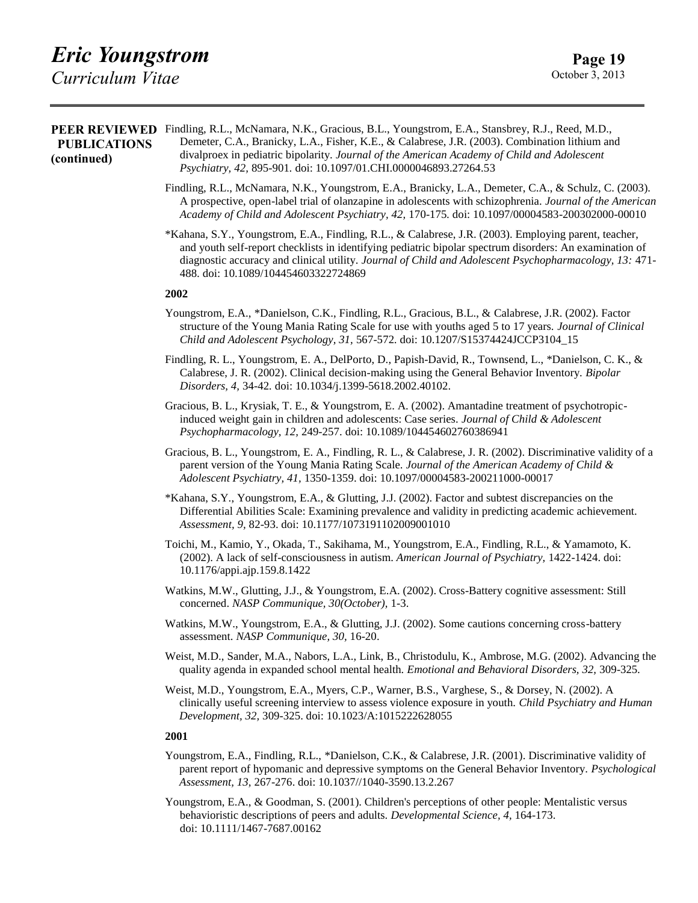#### **PEER REVIEWED**  Findling, R.L., McNamara, N.K., Gracious, B.L., Youngstrom, E.A., Stansbrey, R.J., Reed, M.D., **PUBLICATIONS (continued)** Demeter, C.A., Branicky, L.A., Fisher, K.E., & Calabrese, J.R. (2003). Combination lithium and divalproex in pediatric bipolarity. *Journal of the American Academy of Child and Adolescent Psychiatry, 42,* 895-901*.* doi: 10.1097/01.CHI.0000046893.27264.53

- Findling, R.L., McNamara, N.K., Youngstrom, E.A., Branicky, L.A., Demeter, C.A., & Schulz, C. (2003). A prospective, open-label trial of olanzapine in adolescents with schizophrenia. *Journal of the American Academy of Child and Adolescent Psychiatry, 42,* 170-175*.* doi: 10.1097/00004583-200302000-00010
- \*Kahana, S.Y., Youngstrom, E.A., Findling, R.L., & Calabrese, J.R. (2003). Employing parent, teacher, and youth self-report checklists in identifying pediatric bipolar spectrum disorders: An examination of diagnostic accuracy and clinical utility. *Journal of Child and Adolescent Psychopharmacology*, 13: 471-488*.* doi: 10.1089/104454603322724869

#### **2002**

- Youngstrom, E.A., \*Danielson, C.K., Findling, R.L., Gracious, B.L., & Calabrese, J.R. (2002). Factor structure of the Young Mania Rating Scale for use with youths aged 5 to 17 years. *Journal of Clinical Child and Adolescent Psychology, 31,* 567-572*.* doi: 10.1207/S15374424JCCP3104\_15
- Findling, R. L., Youngstrom, E. A., DelPorto, D., Papish-David, R., Townsend, L., \*Danielson, C. K., & Calabrese, J. R. (2002). Clinical decision-making using the General Behavior Inventory. *Bipolar Disorders, 4,* 34-42*.* doi: 10.1034/j.1399-5618.2002.40102.
- Gracious, B. L., Krysiak, T. E., & Youngstrom, E. A. (2002). Amantadine treatment of psychotropicinduced weight gain in children and adolescents: Case series. *Journal of Child & Adolescent Psychopharmacology, 12,* 249-257. doi: 10.1089/104454602760386941
- Gracious, B. L., Youngstrom, E. A., Findling, R. L., & Calabrese, J. R. (2002). Discriminative validity of a parent version of the Young Mania Rating Scale. *Journal of the American Academy of Child & Adolescent Psychiatry, 41,* 1350-1359. doi: 10.1097/00004583-200211000-00017
- \*Kahana, S.Y., Youngstrom, E.A., & Glutting, J.J. (2002). Factor and subtest discrepancies on the Differential Abilities Scale: Examining prevalence and validity in predicting academic achievement. *Assessment, 9,* 82-93. doi: 10.1177/1073191102009001010
- Toichi, M., Kamio, Y., Okada, T., Sakihama, M., Youngstrom, E.A., Findling, R.L., & Yamamoto, K. (2002). A lack of self-consciousness in autism. *American Journal of Psychiatry,* 1422-1424. doi: 10.1176/appi.ajp.159.8.1422
- Watkins, M.W., Glutting, J.J., & Youngstrom, E.A. (2002). Cross-Battery cognitive assessment: Still concerned. *NASP Communique, 30(October),* 1-3.
- Watkins, M.W., Youngstrom, E.A., & Glutting, J.J. (2002). Some cautions concerning cross-battery assessment. *NASP Communique, 30,* 16-20.
- Weist, M.D., Sander, M.A., Nabors, L.A., Link, B., Christodulu, K., Ambrose, M.G. (2002). Advancing the quality agenda in expanded school mental health. *Emotional and Behavioral Disorders, 32,* 309-325*.*
- Weist, M.D., Youngstrom, E.A., Myers, C.P., Warner, B.S., Varghese, S., & Dorsey, N. (2002). A clinically useful screening interview to assess violence exposure in youth. *Child Psychiatry and Human Development, 32,* 309-325. doi: 10.1023/A:1015222628055

#### **2001**

- Youngstrom, E.A., Findling, R.L., \*Danielson, C.K., & Calabrese, J.R. (2001). Discriminative validity of parent report of hypomanic and depressive symptoms on the General Behavior Inventory. *Psychological Assessment, 13,* 267-276. doi: 10.1037//1040-3590.13.2.267
- Youngstrom, E.A., & Goodman, S. (2001). Children's perceptions of other people: Mentalistic versus behavioristic descriptions of peers and adults. *Developmental Science, 4,* 164-173. doi: 10.1111/1467-7687.00162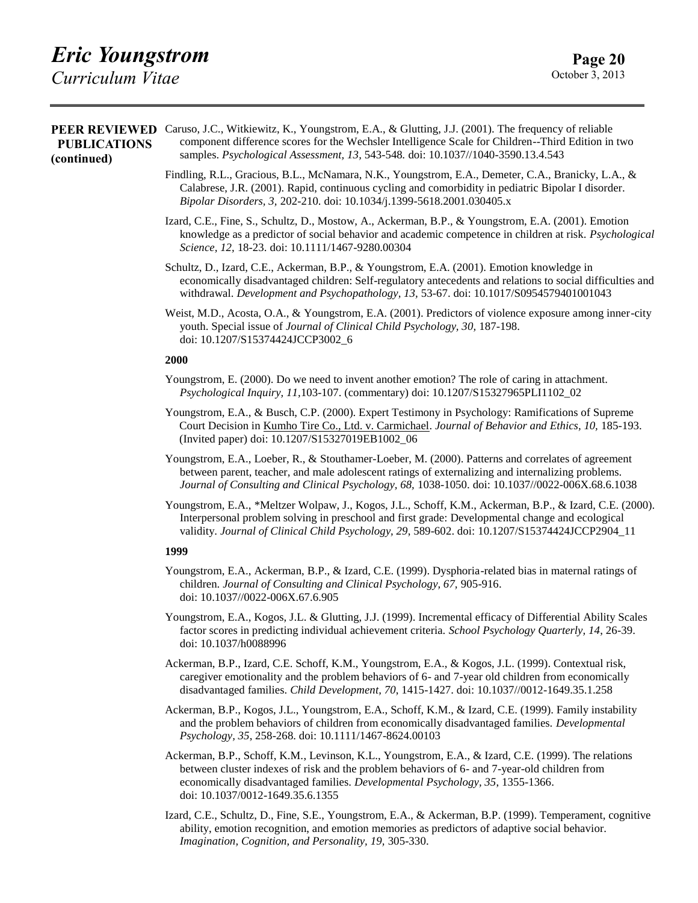| <b>PUBLICATIONS</b><br>(continued) | <b>PEER REVIEWED</b> Caruso, J.C., Witkiewitz, K., Youngstrom, E.A., & Glutting, J.J. (2001). The frequency of reliable<br>component difference scores for the Wechsler Intelligence Scale for Children--Third Edition in two<br>samples. Psychological Assessment, 13, 543-548. doi: 10.1037//1040-3590.13.4.543 |
|------------------------------------|-------------------------------------------------------------------------------------------------------------------------------------------------------------------------------------------------------------------------------------------------------------------------------------------------------------------|
|                                    | Findling, R.L., Gracious, B.L., McNamara, N.K., Youngstrom, E.A., Demeter, C.A., Branicky, L.A., &<br>Calabrese, J.R. (2001). Rapid, continuous cycling and comorbidity in pediatric Bipolar I disorder.<br>Bipolar Disorders, 3, 202-210. doi: 10.1034/j.1399-5618.2001.030405.x                                 |
|                                    | Izard, C.E., Fine, S., Schultz, D., Mostow, A., Ackerman, B.P., & Youngstrom, E.A. (2001). Emotion<br>knowledge as a predictor of social behavior and academic competence in children at risk. <i>Psychological</i><br>Science, 12, 18-23. doi: 10.1111/1467-9280.00304                                           |
|                                    | Schultz, D., Izard, C.E., Ackerman, B.P., & Youngstrom, E.A. (2001). Emotion knowledge in<br>economically disadvantaged children: Self-regulatory antecedents and relations to social difficulties and<br>withdrawal. Development and Psychopathology, 13, 53-67. doi: 10.1017/S0954579401001043                  |
|                                    | Weist, M.D., Acosta, O.A., & Youngstrom, E.A. (2001). Predictors of violence exposure among inner-city<br>youth. Special issue of <i>Journal of Clinical Child Psychology</i> , 30, 187-198.<br>doi: 10.1207/S15374424JCCP3002_6                                                                                  |
|                                    | 2000                                                                                                                                                                                                                                                                                                              |
|                                    | Youngstrom, E. (2000). Do we need to invent another emotion? The role of caring in attachment.<br>Psychological Inquiry, 11, 103-107. (commentary) doi: 10.1207/S15327965PLI1102_02                                                                                                                               |
|                                    | Youngstrom, E.A., & Busch, C.P. (2000). Expert Testimony in Psychology: Ramifications of Supreme<br>Court Decision in Kumho Tire Co., Ltd. v. Carmichael. Journal of Behavior and Ethics, 10, 185-193.<br>(Invited paper) doi: 10.1207/S15327019EB1002 06                                                         |
|                                    | Youngstrom, E.A., Loeber, R., & Stouthamer-Loeber, M. (2000). Patterns and correlates of agreement<br>between parent, teacher, and male adolescent ratings of externalizing and internalizing problems.<br>Journal of Consulting and Clinical Psychology, 68, 1038-1050. doi: 10.1037//0022-006X.68.6.1038        |
|                                    | Youngstrom, E.A., *Meltzer Wolpaw, J., Kogos, J.L., Schoff, K.M., Ackerman, B.P., & Izard, C.E. (2000).<br>Interpersonal problem solving in preschool and first grade: Developmental change and ecological<br>validity. Journal of Clinical Child Psychology, 29, 589-602. doi: 10.1207/S15374424JCCP2904_11      |
|                                    | 1999                                                                                                                                                                                                                                                                                                              |
|                                    | Youngstrom, E.A., Ackerman, B.P., & Izard, C.E. (1999). Dysphoria-related bias in maternal ratings of<br>children. Journal of Consulting and Clinical Psychology, 67, 905-916.                                                                                                                                    |

doi: 10.1037//0022-006X.67.6.905

- Youngstrom, E.A., Kogos, J.L. & Glutting, J.J. (1999). Incremental efficacy of Differential Ability Scales factor scores in predicting individual achievement criteria. *School Psychology Quarterly, 14*, 26-39. doi: 10.1037/h0088996
- Ackerman, B.P., Izard, C.E. Schoff, K.M., Youngstrom, E.A., & Kogos, J.L. (1999). Contextual risk, caregiver emotionality and the problem behaviors of 6- and 7-year old children from economically disadvantaged families. *Child Development, 70*, 1415-1427. doi: 10.1037//0012-1649.35.1.258
- Ackerman, B.P., Kogos, J.L., Youngstrom, E.A., Schoff, K.M., & Izard, C.E. (1999). Family instability and the problem behaviors of children from economically disadvantaged families. *Developmental Psychology, 35*, 258-268. doi: 10.1111/1467-8624.00103
- Ackerman, B.P., Schoff, K.M., Levinson, K.L., Youngstrom, E.A., & Izard, C.E. (1999). The relations between cluster indexes of risk and the problem behaviors of 6- and 7-year-old children from economically disadvantaged families. *Developmental Psychology, 35*, 1355-1366. doi: 10.1037/0012-1649.35.6.1355
- Izard, C.E., Schultz, D., Fine, S.E., Youngstrom, E.A., & Ackerman, B.P. (1999). Temperament, cognitive ability, emotion recognition, and emotion memories as predictors of adaptive social behavior. *Imagination, Cognition, and Personality, 19,* 305-330.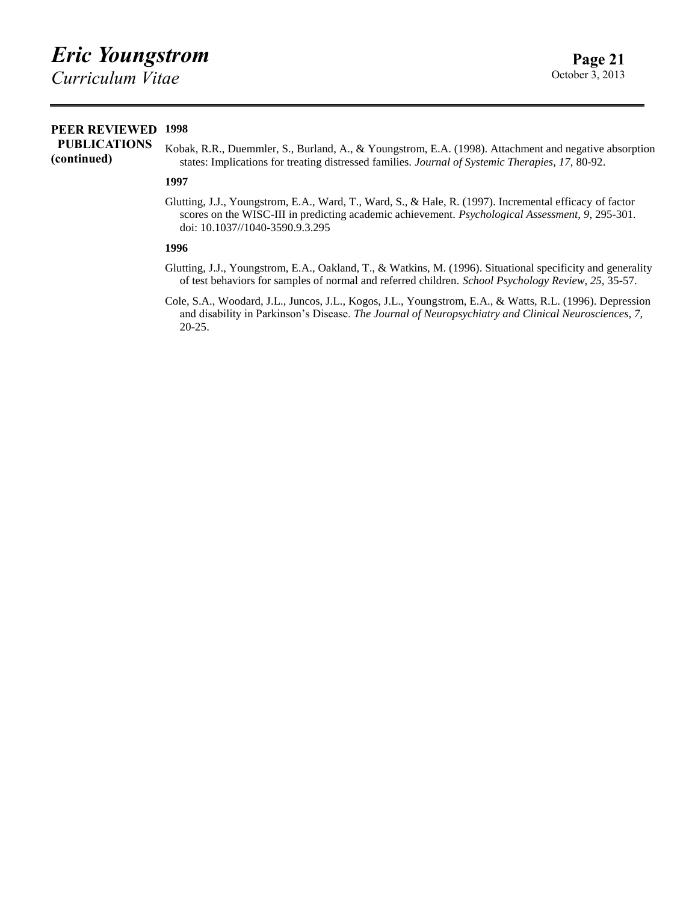**PUBLICATIONS (continued)**

Kobak, R.R., Duemmler, S., Burland, A., & Youngstrom, E.A. (1998). Attachment and negative absorption states: Implications for treating distressed families. *Journal of Systemic Therapies, 17,* 80-92.

### **1997**

Glutting, J.J., Youngstrom, E.A., Ward, T., Ward, S., & Hale, R. (1997). Incremental efficacy of factor scores on the WISC-III in predicting academic achievement. *Psychological Assessment, 9,* 295-301. doi: 10.1037//1040-3590.9.3.295

#### **1996**

- Glutting, J.J., Youngstrom, E.A., Oakland, T., & Watkins, M. (1996). Situational specificity and generality of test behaviors for samples of normal and referred children. *School Psychology Review, 25,* 35-57.
- Cole, S.A., Woodard, J.L., Juncos, J.L., Kogos, J.L., Youngstrom, E.A., & Watts, R.L. (1996). Depression and disability in Parkinson's Disease. *The Journal of Neuropsychiatry and Clinical Neurosciences, 7,* 20-25.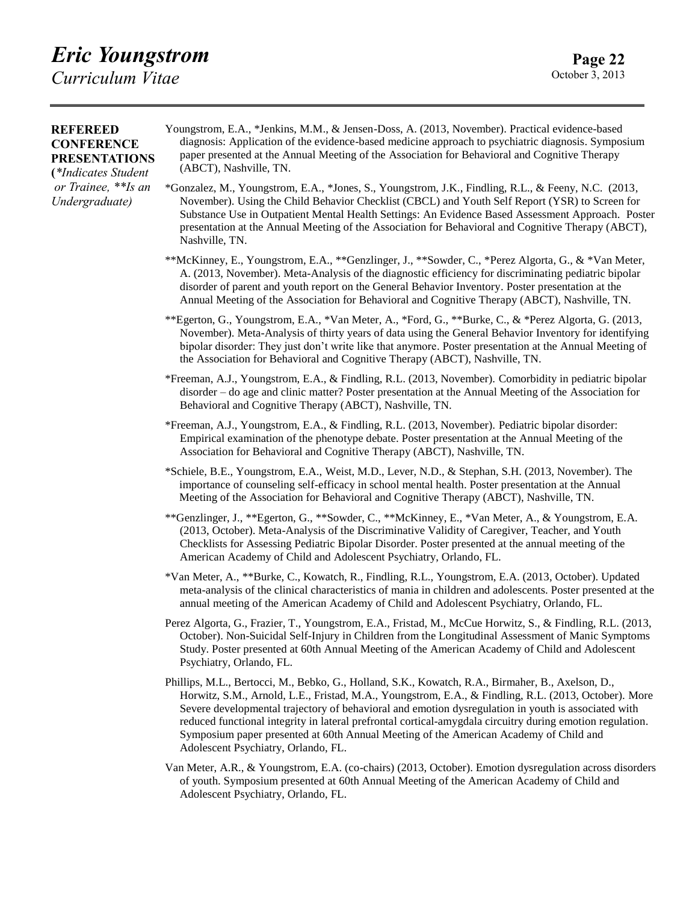#### **REFEREED CONFERENCE PRESENTATIONS**

**(***\*Indicates Student or Trainee, \*\*Is an Undergraduate)*

Youngstrom, E.A., \*Jenkins, M.M., & Jensen-Doss, A. (2013, November). Practical evidence-based diagnosis: Application of the evidence-based medicine approach to psychiatric diagnosis. Symposium paper presented at the Annual Meeting of the Association for Behavioral and Cognitive Therapy (ABCT), Nashville, TN.

- \*Gonzalez, M., Youngstrom, E.A., \*Jones, S., Youngstrom, J.K., Findling, R.L., & Feeny, N.C. (2013, November). Using the Child Behavior Checklist (CBCL) and Youth Self Report (YSR) to Screen for Substance Use in Outpatient Mental Health Settings: An Evidence Based Assessment Approach. Poster presentation at the Annual Meeting of the Association for Behavioral and Cognitive Therapy (ABCT), Nashville, TN.
- \*\*McKinney, E., Youngstrom, E.A., \*\*Genzlinger, J., \*\*Sowder, C., \*Perez Algorta, G., & \*Van Meter, A. (2013, November). Meta-Analysis of the diagnostic efficiency for discriminating pediatric bipolar disorder of parent and youth report on the General Behavior Inventory. Poster presentation at the Annual Meeting of the Association for Behavioral and Cognitive Therapy (ABCT), Nashville, TN.
- \*\*Egerton, G., Youngstrom, E.A., \*Van Meter, A., \*Ford, G., \*\*Burke, C., & \*Perez Algorta, G. (2013, November). Meta-Analysis of thirty years of data using the General Behavior Inventory for identifying bipolar disorder: They just don't write like that anymore. Poster presentation at the Annual Meeting of the Association for Behavioral and Cognitive Therapy (ABCT), Nashville, TN.
- \*Freeman, A.J., Youngstrom, E.A., & Findling, R.L. (2013, November). Comorbidity in pediatric bipolar disorder – do age and clinic matter? Poster presentation at the Annual Meeting of the Association for Behavioral and Cognitive Therapy (ABCT), Nashville, TN.
- \*Freeman, A.J., Youngstrom, E.A., & Findling, R.L. (2013, November). Pediatric bipolar disorder: Empirical examination of the phenotype debate. Poster presentation at the Annual Meeting of the Association for Behavioral and Cognitive Therapy (ABCT), Nashville, TN.
- \*Schiele, B.E., Youngstrom, E.A., Weist, M.D., Lever, N.D., & Stephan, S.H. (2013, November). The importance of counseling self-efficacy in school mental health. Poster presentation at the Annual Meeting of the Association for Behavioral and Cognitive Therapy (ABCT), Nashville, TN.
- \*\*Genzlinger, J., \*\*Egerton, G., \*\*Sowder, C., \*\*McKinney, E., \*Van Meter, A., & Youngstrom, E.A. (2013, October). Meta-Analysis of the Discriminative Validity of Caregiver, Teacher, and Youth Checklists for Assessing Pediatric Bipolar Disorder. Poster presented at the annual meeting of the American Academy of Child and Adolescent Psychiatry, Orlando, FL.
- \*Van Meter, A., \*\*Burke, C., Kowatch, R., Findling, R.L., Youngstrom, E.A. (2013, October). Updated meta-analysis of the clinical characteristics of mania in children and adolescents. Poster presented at the annual meeting of the American Academy of Child and Adolescent Psychiatry, Orlando, FL.
- Perez Algorta, G., Frazier, T., Youngstrom, E.A., Fristad, M., McCue Horwitz, S., & Findling, R.L. (2013, October). Non-Suicidal Self-Injury in Children from the Longitudinal Assessment of Manic Symptoms Study. Poster presented at 60th Annual Meeting of the American Academy of Child and Adolescent Psychiatry, Orlando, FL.
- Phillips, M.L., Bertocci, M., Bebko, G., Holland, S.K., Kowatch, R.A., Birmaher, B., Axelson, D., Horwitz, S.M., Arnold, L.E., Fristad, M.A., Youngstrom, E.A., & Findling, R.L. (2013, October). More Severe developmental trajectory of behavioral and emotion dysregulation in youth is associated with reduced functional integrity in lateral prefrontal cortical-amygdala circuitry during emotion regulation. Symposium paper presented at 60th Annual Meeting of the American Academy of Child and Adolescent Psychiatry, Orlando, FL.
- Van Meter, A.R., & Youngstrom, E.A. (co-chairs) (2013, October). Emotion dysregulation across disorders of youth. Symposium presented at 60th Annual Meeting of the American Academy of Child and Adolescent Psychiatry, Orlando, FL.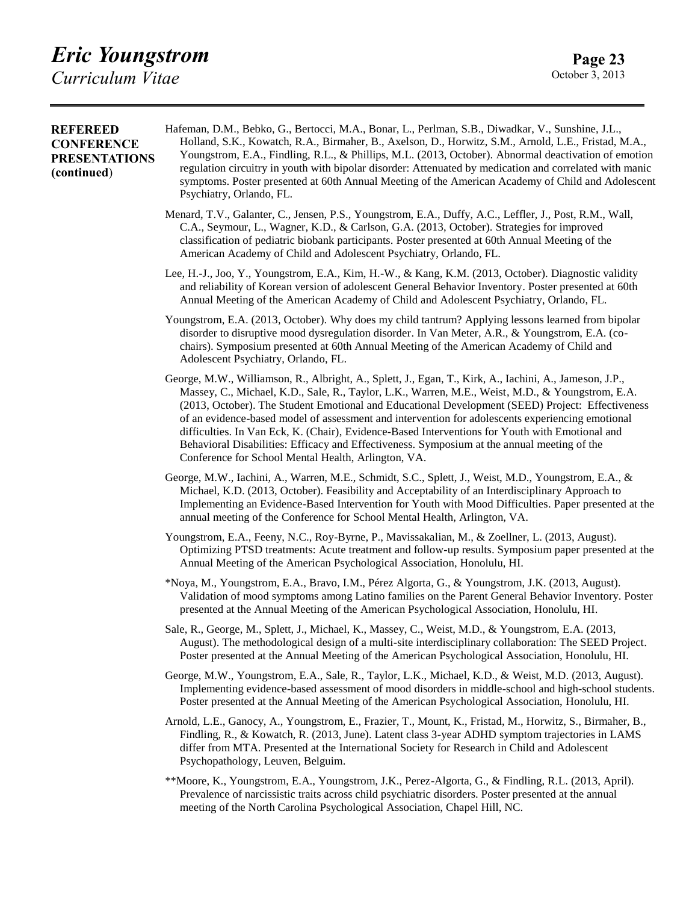| <b>REFEREED</b><br><b>CONFERENCE</b><br><b>PRESENTATIONS</b><br>(continued) | Hafeman, D.M., Bebko, G., Bertocci, M.A., Bonar, L., Perlman, S.B., Diwadkar, V., Sunshine, J.L.,<br>Holland, S.K., Kowatch, R.A., Birmaher, B., Axelson, D., Horwitz, S.M., Arnold, L.E., Fristad, M.A.,<br>Youngstrom, E.A., Findling, R.L., & Phillips, M.L. (2013, October). Abnormal deactivation of emotion<br>regulation circuitry in youth with bipolar disorder: Attenuated by medication and correlated with manic<br>symptoms. Poster presented at 60th Annual Meeting of the American Academy of Child and Adolescent<br>Psychiatry, Orlando, FL.                                                                                                                |
|-----------------------------------------------------------------------------|------------------------------------------------------------------------------------------------------------------------------------------------------------------------------------------------------------------------------------------------------------------------------------------------------------------------------------------------------------------------------------------------------------------------------------------------------------------------------------------------------------------------------------------------------------------------------------------------------------------------------------------------------------------------------|
|                                                                             | Menard, T.V., Galanter, C., Jensen, P.S., Youngstrom, E.A., Duffy, A.C., Leffler, J., Post, R.M., Wall,<br>C.A., Seymour, L., Wagner, K.D., & Carlson, G.A. (2013, October). Strategies for improved<br>classification of pediatric biobank participants. Poster presented at 60th Annual Meeting of the<br>American Academy of Child and Adolescent Psychiatry, Orlando, FL.                                                                                                                                                                                                                                                                                                |
|                                                                             | Lee, H.-J., Joo, Y., Youngstrom, E.A., Kim, H.-W., & Kang, K.M. (2013, October). Diagnostic validity<br>and reliability of Korean version of adolescent General Behavior Inventory. Poster presented at 60th<br>Annual Meeting of the American Academy of Child and Adolescent Psychiatry, Orlando, FL.                                                                                                                                                                                                                                                                                                                                                                      |
|                                                                             | Youngstrom, E.A. (2013, October). Why does my child tantrum? Applying lessons learned from bipolar<br>disorder to disruptive mood dysregulation disorder. In Van Meter, A.R., & Youngstrom, E.A. (co-<br>chairs). Symposium presented at 60th Annual Meeting of the American Academy of Child and<br>Adolescent Psychiatry, Orlando, FL.                                                                                                                                                                                                                                                                                                                                     |
|                                                                             | George, M.W., Williamson, R., Albright, A., Splett, J., Egan, T., Kirk, A., Iachini, A., Jameson, J.P.,<br>Massey, C., Michael, K.D., Sale, R., Taylor, L.K., Warren, M.E., Weist, M.D., & Youngstrom, E.A.<br>(2013, October). The Student Emotional and Educational Development (SEED) Project: Effectiveness<br>of an evidence-based model of assessment and intervention for adolescents experiencing emotional<br>difficulties. In Van Eck, K. (Chair), Evidence-Based Interventions for Youth with Emotional and<br>Behavioral Disabilities: Efficacy and Effectiveness. Symposium at the annual meeting of the<br>Conference for School Mental Health, Arlington, VA. |
|                                                                             | George, M.W., Iachini, A., Warren, M.E., Schmidt, S.C., Splett, J., Weist, M.D., Youngstrom, E.A., &<br>Michael, K.D. (2013, October). Feasibility and Acceptability of an Interdisciplinary Approach to<br>Implementing an Evidence-Based Intervention for Youth with Mood Difficulties. Paper presented at the<br>annual meeting of the Conference for School Mental Health, Arlington, VA.                                                                                                                                                                                                                                                                                |
|                                                                             | Youngstrom, E.A., Feeny, N.C., Roy-Byrne, P., Mavissakalian, M., & Zoellner, L. (2013, August).<br>Optimizing PTSD treatments: Acute treatment and follow-up results. Symposium paper presented at the<br>Annual Meeting of the American Psychological Association, Honolulu, HI.                                                                                                                                                                                                                                                                                                                                                                                            |
|                                                                             | *Noya, M., Youngstrom, E.A., Bravo, I.M., Pérez Algorta, G., & Youngstrom, J.K. (2013, August).<br>Validation of mood symptoms among Latino families on the Parent General Behavior Inventory. Poster<br>presented at the Annual Meeting of the American Psychological Association, Honolulu, HI.                                                                                                                                                                                                                                                                                                                                                                            |
|                                                                             | Sale, R., George, M., Splett, J., Michael, K., Massey, C., Weist, M.D., & Youngstrom, E.A. (2013,<br>August). The methodological design of a multi-site interdisciplinary collaboration: The SEED Project.<br>Poster presented at the Annual Meeting of the American Psychological Association, Honolulu, HI.                                                                                                                                                                                                                                                                                                                                                                |
|                                                                             | George, M.W., Youngstrom, E.A., Sale, R., Taylor, L.K., Michael, K.D., & Weist, M.D. (2013, August).<br>Implementing evidence-based assessment of mood disorders in middle-school and high-school students.<br>Poster presented at the Annual Meeting of the American Psychological Association, Honolulu, HI.                                                                                                                                                                                                                                                                                                                                                               |
|                                                                             | Arnold, L.E., Ganocy, A., Youngstrom, E., Frazier, T., Mount, K., Fristad, M., Horwitz, S., Birmaher, B.,<br>Findling, R., & Kowatch, R. (2013, June). Latent class 3-year ADHD symptom trajectories in LAMS<br>differ from MTA. Presented at the International Society for Research in Child and Adolescent<br>Psychopathology, Leuven, Belguim.                                                                                                                                                                                                                                                                                                                            |
|                                                                             | **Moore, K., Youngstrom, E.A., Youngstrom, J.K., Perez-Algorta, G., & Findling, R.L. (2013, April).<br>Prevalence of narcissistic traits across child psychiatric disorders. Poster presented at the annual<br>meeting of the North Carolina Psychological Association, Chapel Hill, NC.                                                                                                                                                                                                                                                                                                                                                                                     |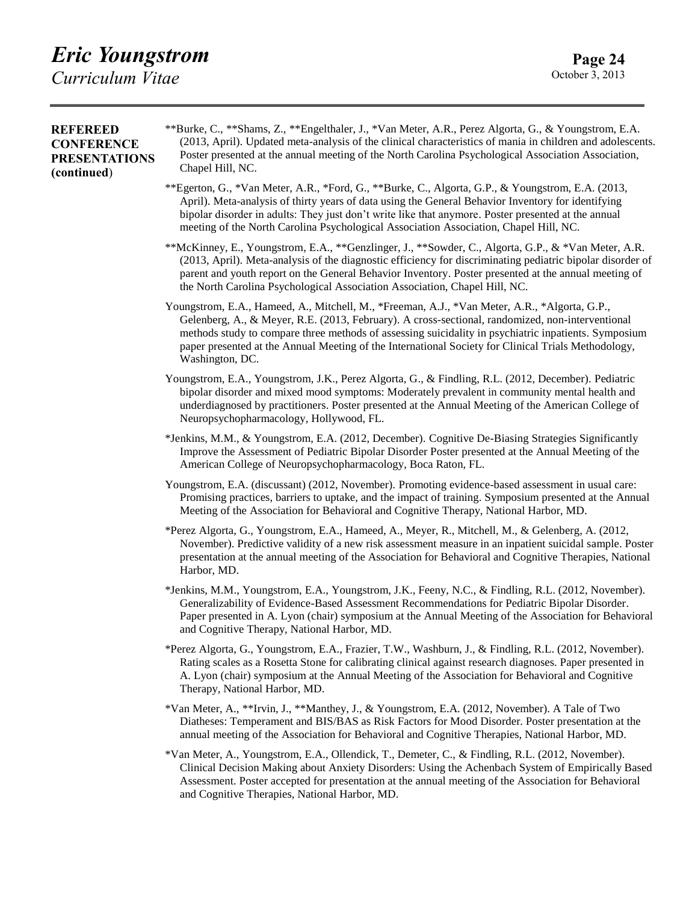| <b>REFEREED</b><br><b>CONFERENCE</b><br><b>PRESENTATIONS</b><br>(continued) | **Burke, C., **Shams, Z., **Engelthaler, J., *Van Meter, A.R., Perez Algorta, G., & Youngstrom, E.A.<br>(2013, April). Updated meta-analysis of the clinical characteristics of mania in children and adolescents.<br>Poster presented at the annual meeting of the North Carolina Psychological Association Association,<br>Chapel Hill, NC.                                                                                       |
|-----------------------------------------------------------------------------|-------------------------------------------------------------------------------------------------------------------------------------------------------------------------------------------------------------------------------------------------------------------------------------------------------------------------------------------------------------------------------------------------------------------------------------|
|                                                                             | **Egerton, G., *Van Meter, A.R., *Ford, G., **Burke, C., Algorta, G.P., & Youngstrom, E.A. (2013,<br>April). Meta-analysis of thirty years of data using the General Behavior Inventory for identifying<br>bipolar disorder in adults: They just don't write like that anymore. Poster presented at the annual<br>meeting of the North Carolina Psychological Association Association, Chapel Hill, NC.                             |
|                                                                             | **McKinney, E., Youngstrom, E.A., **Genzlinger, J., **Sowder, C., Algorta, G.P., & *Van Meter, A.R.<br>(2013, April). Meta-analysis of the diagnostic efficiency for discriminating pediatric bipolar disorder of<br>parent and youth report on the General Behavior Inventory. Poster presented at the annual meeting of<br>the North Carolina Psychological Association Association, Chapel Hill, NC.                             |
|                                                                             | Youngstrom, E.A., Hameed, A., Mitchell, M., *Freeman, A.J., *Van Meter, A.R., *Algorta, G.P.,<br>Gelenberg, A., & Meyer, R.E. (2013, February). A cross-sectional, randomized, non-interventional<br>methods study to compare three methods of assessing suicidality in psychiatric inpatients. Symposium<br>paper presented at the Annual Meeting of the International Society for Clinical Trials Methodology,<br>Washington, DC. |
|                                                                             | Youngstrom, E.A., Youngstrom, J.K., Perez Algorta, G., & Findling, R.L. (2012, December). Pediatric<br>bipolar disorder and mixed mood symptoms: Moderately prevalent in community mental health and<br>underdiagnosed by practitioners. Poster presented at the Annual Meeting of the American College of<br>Neuropsychopharmacology, Hollywood, FL.                                                                               |
|                                                                             | *Jenkins, M.M., & Youngstrom, E.A. (2012, December). Cognitive De-Biasing Strategies Significantly<br>Improve the Assessment of Pediatric Bipolar Disorder Poster presented at the Annual Meeting of the<br>American College of Neuropsychopharmacology, Boca Raton, FL.                                                                                                                                                            |
|                                                                             | Youngstrom, E.A. (discussant) (2012, November). Promoting evidence-based assessment in usual care:<br>Promising practices, barriers to uptake, and the impact of training. Symposium presented at the Annual<br>Meeting of the Association for Behavioral and Cognitive Therapy, National Harbor, MD.                                                                                                                               |
|                                                                             | *Perez Algorta, G., Youngstrom, E.A., Hameed, A., Meyer, R., Mitchell, M., & Gelenberg, A. (2012,<br>November). Predictive validity of a new risk assessment measure in an inpatient suicidal sample. Poster<br>presentation at the annual meeting of the Association for Behavioral and Cognitive Therapies, National<br>Harbor, MD.                                                                                               |
|                                                                             | *Jenkins, M.M., Youngstrom, E.A., Youngstrom, J.K., Feeny, N.C., & Findling, R.L. (2012, November).<br>Generalizability of Evidence-Based Assessment Recommendations for Pediatric Bipolar Disorder.<br>Paper presented in A. Lyon (chair) symposium at the Annual Meeting of the Association for Behavioral<br>and Cognitive Therapy, National Harbor, MD.                                                                         |
|                                                                             | *Perez Algorta, G., Youngstrom, E.A., Frazier, T.W., Washburn, J., & Findling, R.L. (2012, November).<br>Rating scales as a Rosetta Stone for calibrating clinical against research diagnoses. Paper presented in<br>A. Lyon (chair) symposium at the Annual Meeting of the Association for Behavioral and Cognitive<br>Therapy, National Harbor, MD.                                                                               |
|                                                                             | *Van Meter, A., **Irvin, J., **Manthey, J., & Youngstrom, E.A. (2012, November). A Tale of Two<br>Diatheses: Temperament and BIS/BAS as Risk Factors for Mood Disorder. Poster presentation at the<br>annual meeting of the Association for Behavioral and Cognitive Therapies, National Harbor, MD.                                                                                                                                |
|                                                                             | *Van Meter, A., Youngstrom, E.A., Ollendick, T., Demeter, C., & Findling, R.L. (2012, November).<br>Clinical Decision Making about Anxiety Disorders: Using the Achenbach System of Empirically Based<br>Assessment. Poster accepted for presentation at the annual meeting of the Association for Behavioral<br>and Cognitive Therapies, National Harbor, MD.                                                                      |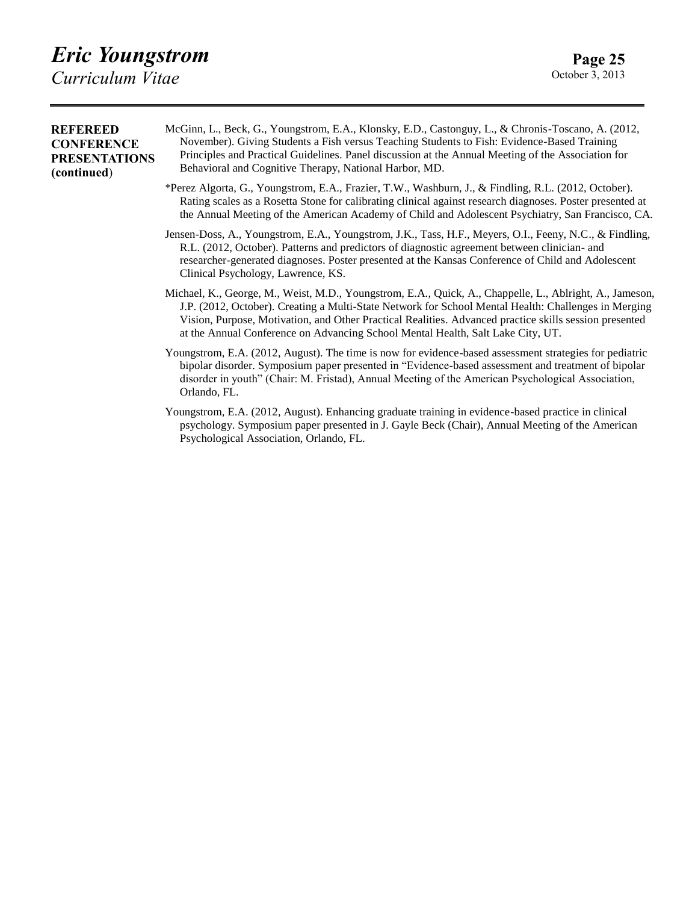| <b>REFEREED</b><br><b>CONFERENCE</b><br><b>PRESENTATIONS</b><br>(continued) | McGinn, L., Beck, G., Youngstrom, E.A., Klonsky, E.D., Castonguy, L., & Chronis-Toscano, A. (2012,<br>November). Giving Students a Fish versus Teaching Students to Fish: Evidence-Based Training<br>Principles and Practical Guidelines. Panel discussion at the Annual Meeting of the Association for<br>Behavioral and Cognitive Therapy, National Harbor, MD.                                             |
|-----------------------------------------------------------------------------|---------------------------------------------------------------------------------------------------------------------------------------------------------------------------------------------------------------------------------------------------------------------------------------------------------------------------------------------------------------------------------------------------------------|
|                                                                             | *Perez Algorta, G., Youngstrom, E.A., Frazier, T.W., Washburn, J., & Findling, R.L. (2012, October).<br>Rating scales as a Rosetta Stone for calibrating clinical against research diagnoses. Poster presented at<br>the Annual Meeting of the American Academy of Child and Adolescent Psychiatry, San Francisco, CA.                                                                                        |
|                                                                             | Jensen-Doss, A., Youngstrom, E.A., Youngstrom, J.K., Tass, H.F., Meyers, O.I., Feeny, N.C., & Findling,<br>R.L. (2012, October). Patterns and predictors of diagnostic agreement between clinician- and<br>researcher-generated diagnoses. Poster presented at the Kansas Conference of Child and Adolescent<br>Clinical Psychology, Lawrence, KS.                                                            |
|                                                                             | Michael, K., George, M., Weist, M.D., Youngstrom, E.A., Quick, A., Chappelle, L., Ablright, A., Jameson,<br>J.P. (2012, October). Creating a Multi-State Network for School Mental Health: Challenges in Merging<br>Vision, Purpose, Motivation, and Other Practical Realities. Advanced practice skills session presented<br>at the Annual Conference on Advancing School Mental Health, Salt Lake City, UT. |
|                                                                             | Youngstrom, E.A. (2012, August). The time is now for evidence-based assessment strategies for pediatric<br>bipolar disorder. Symposium paper presented in "Evidence-based assessment and treatment of bipolar<br>disorder in youth" (Chair: M. Fristad), Annual Meeting of the American Psychological Association,<br>Orlando, FL.                                                                            |
|                                                                             | Youngstrom, E.A. (2012, August). Enhancing graduate training in evidence-based practice in clinical<br>psychology. Symposium paper presented in J. Gayle Beck (Chair), Annual Meeting of the American<br>Psychological Association, Orlando, FL.                                                                                                                                                              |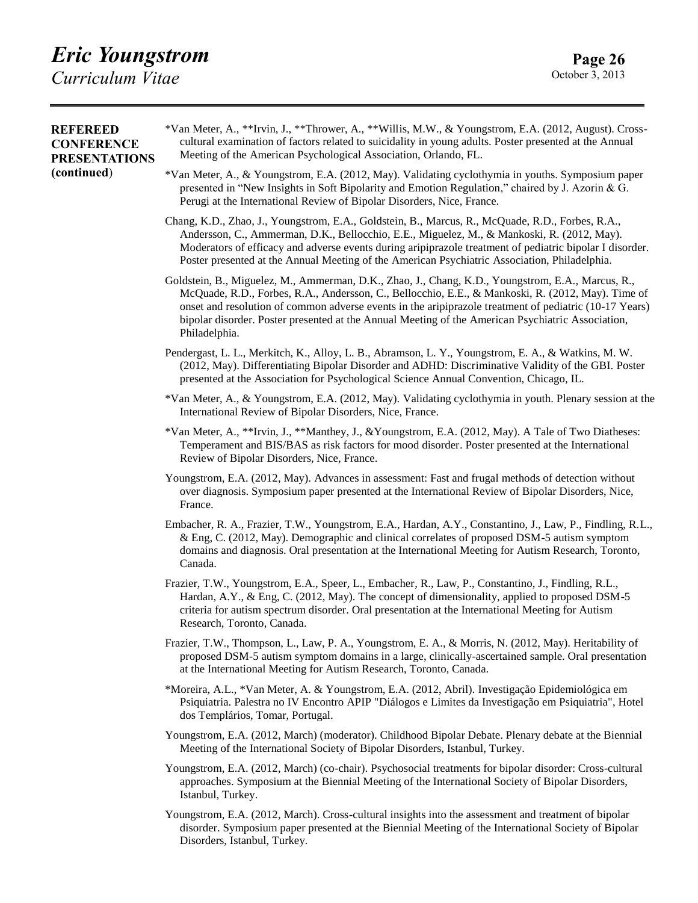| <b>REFEREED</b><br><b>CONFERENCE</b><br><b>PRESENTATIONS</b><br>(continued) | *Van Meter, A., **Irvin, J., **Thrower, A., **Willis, M.W., & Youngstrom, E.A. (2012, August). Cross-<br>cultural examination of factors related to suicidality in young adults. Poster presented at the Annual<br>Meeting of the American Psychological Association, Orlando, FL.                                                                                                                                                     |
|-----------------------------------------------------------------------------|----------------------------------------------------------------------------------------------------------------------------------------------------------------------------------------------------------------------------------------------------------------------------------------------------------------------------------------------------------------------------------------------------------------------------------------|
|                                                                             | *Van Meter, A., & Youngstrom, E.A. (2012, May). Validating cyclothymia in youths. Symposium paper<br>presented in "New Insights in Soft Bipolarity and Emotion Regulation," chaired by J. Azorin & G.<br>Perugi at the International Review of Bipolar Disorders, Nice, France.                                                                                                                                                        |
|                                                                             | Chang, K.D., Zhao, J., Youngstrom, E.A., Goldstein, B., Marcus, R., McQuade, R.D., Forbes, R.A.,<br>Andersson, C., Ammerman, D.K., Bellocchio, E.E., Miguelez, M., & Mankoski, R. (2012, May).<br>Moderators of efficacy and adverse events during aripiprazole treatment of pediatric bipolar I disorder.<br>Poster presented at the Annual Meeting of the American Psychiatric Association, Philadelphia.                            |
|                                                                             | Goldstein, B., Miguelez, M., Ammerman, D.K., Zhao, J., Chang, K.D., Youngstrom, E.A., Marcus, R.,<br>McQuade, R.D., Forbes, R.A., Andersson, C., Bellocchio, E.E., & Mankoski, R. (2012, May). Time of<br>onset and resolution of common adverse events in the aripiprazole treatment of pediatric (10-17 Years)<br>bipolar disorder. Poster presented at the Annual Meeting of the American Psychiatric Association,<br>Philadelphia. |
|                                                                             | Pendergast, L. L., Merkitch, K., Alloy, L. B., Abramson, L. Y., Youngstrom, E. A., & Watkins, M. W.<br>(2012, May). Differentiating Bipolar Disorder and ADHD: Discriminative Validity of the GBI. Poster<br>presented at the Association for Psychological Science Annual Convention, Chicago, IL.                                                                                                                                    |
|                                                                             | *Van Meter, A., & Youngstrom, E.A. (2012, May). Validating cyclothymia in youth. Plenary session at the<br>International Review of Bipolar Disorders, Nice, France.                                                                                                                                                                                                                                                                    |
|                                                                             | *Van Meter, A., **Irvin, J., **Manthey, J., &Youngstrom, E.A. (2012, May). A Tale of Two Diatheses:<br>Temperament and BIS/BAS as risk factors for mood disorder. Poster presented at the International<br>Review of Bipolar Disorders, Nice, France.                                                                                                                                                                                  |
|                                                                             | Youngstrom, E.A. (2012, May). Advances in assessment: Fast and frugal methods of detection without<br>over diagnosis. Symposium paper presented at the International Review of Bipolar Disorders, Nice,<br>France.                                                                                                                                                                                                                     |
|                                                                             | Embacher, R. A., Frazier, T.W., Youngstrom, E.A., Hardan, A.Y., Constantino, J., Law, P., Findling, R.L.,<br>& Eng, C. (2012, May). Demographic and clinical correlates of proposed DSM-5 autism symptom<br>domains and diagnosis. Oral presentation at the International Meeting for Autism Research, Toronto,<br>Canada.                                                                                                             |
|                                                                             | Frazier, T.W., Youngstrom, E.A., Speer, L., Embacher, R., Law, P., Constantino, J., Findling, R.L.,<br>Hardan, A.Y., & Eng, C. (2012, May). The concept of dimensionality, applied to proposed DSM-5<br>criteria for autism spectrum disorder. Oral presentation at the International Meeting for Autism<br>Research, Toronto, Canada.                                                                                                 |
|                                                                             | Frazier, T.W., Thompson, L., Law, P. A., Youngstrom, E. A., & Morris, N. (2012, May). Heritability of<br>proposed DSM-5 autism symptom domains in a large, clinically-ascertained sample. Oral presentation<br>at the International Meeting for Autism Research, Toronto, Canada.                                                                                                                                                      |
|                                                                             | *Moreira, A.L., *Van Meter, A. & Youngstrom, E.A. (2012, Abril). Investigação Epidemiológica em<br>Psiquiatria. Palestra no IV Encontro APIP "Diálogos e Limites da Investigação em Psiquiatria", Hotel<br>dos Templários, Tomar, Portugal.                                                                                                                                                                                            |
|                                                                             | Youngstrom, E.A. (2012, March) (moderator). Childhood Bipolar Debate. Plenary debate at the Biennial<br>Meeting of the International Society of Bipolar Disorders, Istanbul, Turkey.                                                                                                                                                                                                                                                   |
|                                                                             | Youngstrom, E.A. (2012, March) (co-chair). Psychosocial treatments for bipolar disorder: Cross-cultural<br>approaches. Symposium at the Biennial Meeting of the International Society of Bipolar Disorders,<br>Istanbul, Turkey.                                                                                                                                                                                                       |
|                                                                             | Youngstrom, E.A. (2012, March). Cross-cultural insights into the assessment and treatment of bipolar                                                                                                                                                                                                                                                                                                                                   |

disorder. Symposium paper presented at the Biennial Meeting of the International Society of Bipolar Disorders, Istanbul, Turkey.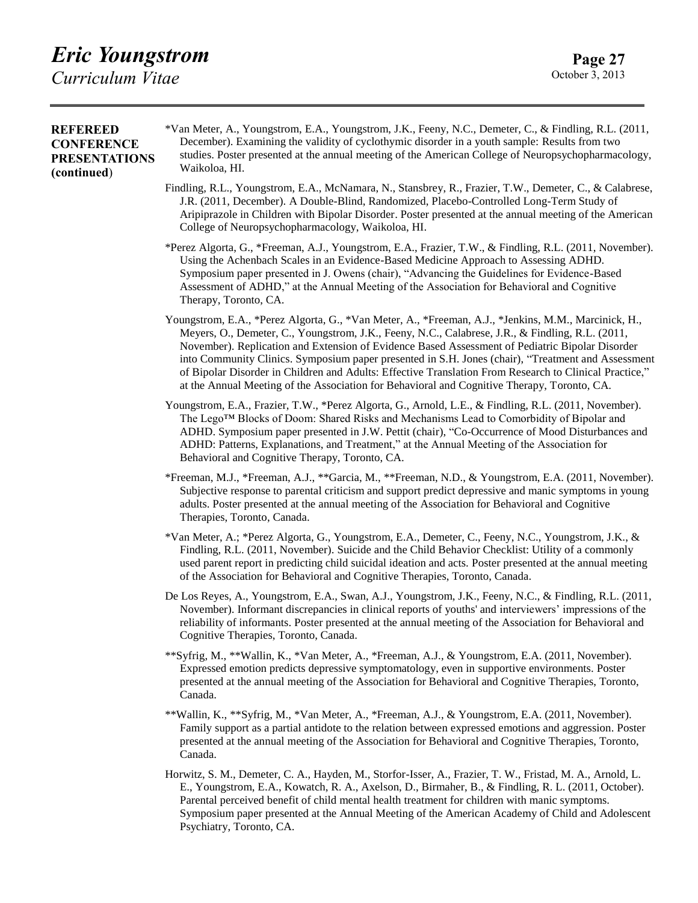| <b>REFEREED</b><br><b>CONFERENCE</b><br><b>PRESENTATIONS</b><br>(continued) | *Van Meter, A., Youngstrom, E.A., Youngstrom, J.K., Feeny, N.C., Demeter, C., & Findling, R.L. (2011,<br>December). Examining the validity of cyclothymic disorder in a youth sample: Results from two<br>studies. Poster presented at the annual meeting of the American College of Neuropsychopharmacology,<br>Waikoloa, HI.                                                                                                                                                                                                                                                                                             |
|-----------------------------------------------------------------------------|----------------------------------------------------------------------------------------------------------------------------------------------------------------------------------------------------------------------------------------------------------------------------------------------------------------------------------------------------------------------------------------------------------------------------------------------------------------------------------------------------------------------------------------------------------------------------------------------------------------------------|
|                                                                             | Findling, R.L., Youngstrom, E.A., McNamara, N., Stansbrey, R., Frazier, T.W., Demeter, C., & Calabrese,<br>J.R. (2011, December). A Double-Blind, Randomized, Placebo-Controlled Long-Term Study of<br>Aripiprazole in Children with Bipolar Disorder. Poster presented at the annual meeting of the American<br>College of Neuropsychopharmacology, Waikoloa, HI.                                                                                                                                                                                                                                                         |
|                                                                             | *Perez Algorta, G., *Freeman, A.J., Youngstrom, E.A., Frazier, T.W., & Findling, R.L. (2011, November).<br>Using the Achenbach Scales in an Evidence-Based Medicine Approach to Assessing ADHD.<br>Symposium paper presented in J. Owens (chair), "Advancing the Guidelines for Evidence-Based<br>Assessment of ADHD," at the Annual Meeting of the Association for Behavioral and Cognitive<br>Therapy, Toronto, CA.                                                                                                                                                                                                      |
|                                                                             | Youngstrom, E.A., *Perez Algorta, G., *Van Meter, A., *Freeman, A.J., *Jenkins, M.M., Marcinick, H.,<br>Meyers, O., Demeter, C., Youngstrom, J.K., Feeny, N.C., Calabrese, J.R., & Findling, R.L. (2011,<br>November). Replication and Extension of Evidence Based Assessment of Pediatric Bipolar Disorder<br>into Community Clinics. Symposium paper presented in S.H. Jones (chair), "Treatment and Assessment<br>of Bipolar Disorder in Children and Adults: Effective Translation From Research to Clinical Practice,"<br>at the Annual Meeting of the Association for Behavioral and Cognitive Therapy, Toronto, CA. |
|                                                                             | Youngstrom, E.A., Frazier, T.W., *Perez Algorta, G., Arnold, L.E., & Findling, R.L. (2011, November).<br>The Lego™ Blocks of Doom: Shared Risks and Mechanisms Lead to Comorbidity of Bipolar and<br>ADHD. Symposium paper presented in J.W. Pettit (chair), "Co-Occurrence of Mood Disturbances and<br>ADHD: Patterns, Explanations, and Treatment," at the Annual Meeting of the Association for<br>Behavioral and Cognitive Therapy, Toronto, CA.                                                                                                                                                                       |
|                                                                             | *Freeman, M.J., *Freeman, A.J., **Garcia, M., **Freeman, N.D., & Youngstrom, E.A. (2011, November).<br>Subjective response to parental criticism and support predict depressive and manic symptoms in young<br>adults. Poster presented at the annual meeting of the Association for Behavioral and Cognitive<br>Therapies, Toronto, Canada.                                                                                                                                                                                                                                                                               |
|                                                                             | *Van Meter, A.; *Perez Algorta, G., Youngstrom, E.A., Demeter, C., Feeny, N.C., Youngstrom, J.K., &<br>Findling, R.L. (2011, November). Suicide and the Child Behavior Checklist: Utility of a commonly<br>used parent report in predicting child suicidal ideation and acts. Poster presented at the annual meeting<br>of the Association for Behavioral and Cognitive Therapies, Toronto, Canada.                                                                                                                                                                                                                        |
|                                                                             | De Los Reyes, A., Youngstrom, E.A., Swan, A.J., Youngstrom, J.K., Feeny, N.C., & Findling, R.L. (2011,<br>November). Informant discrepancies in clinical reports of youths' and interviewers' impressions of the<br>reliability of informants. Poster presented at the annual meeting of the Association for Behavioral and<br>Cognitive Therapies, Toronto, Canada.                                                                                                                                                                                                                                                       |
|                                                                             | **Syfrig, M., **Wallin, K., *Van Meter, A., *Freeman, A.J., & Youngstrom, E.A. (2011, November).<br>Expressed emotion predicts depressive symptomatology, even in supportive environments. Poster<br>presented at the annual meeting of the Association for Behavioral and Cognitive Therapies, Toronto,<br>Canada.                                                                                                                                                                                                                                                                                                        |
|                                                                             | **Wallin, K., **Syfrig, M., *Van Meter, A., *Freeman, A.J., & Youngstrom, E.A. (2011, November).<br>Family support as a partial antidote to the relation between expressed emotions and aggression. Poster<br>presented at the annual meeting of the Association for Behavioral and Cognitive Therapies, Toronto,<br>Canada.                                                                                                                                                                                                                                                                                               |
|                                                                             | Horwitz, S. M., Demeter, C. A., Hayden, M., Storfor-Isser, A., Frazier, T. W., Fristad, M. A., Arnold, L.<br>E., Youngstrom, E.A., Kowatch, R. A., Axelson, D., Birmaher, B., & Findling, R. L. (2011, October).<br>Parental perceived benefit of child mental health treatment for children with manic symptoms.<br>Symposium paper presented at the Annual Meeting of the American Academy of Child and Adolescent                                                                                                                                                                                                       |

Psychiatry, Toronto, CA.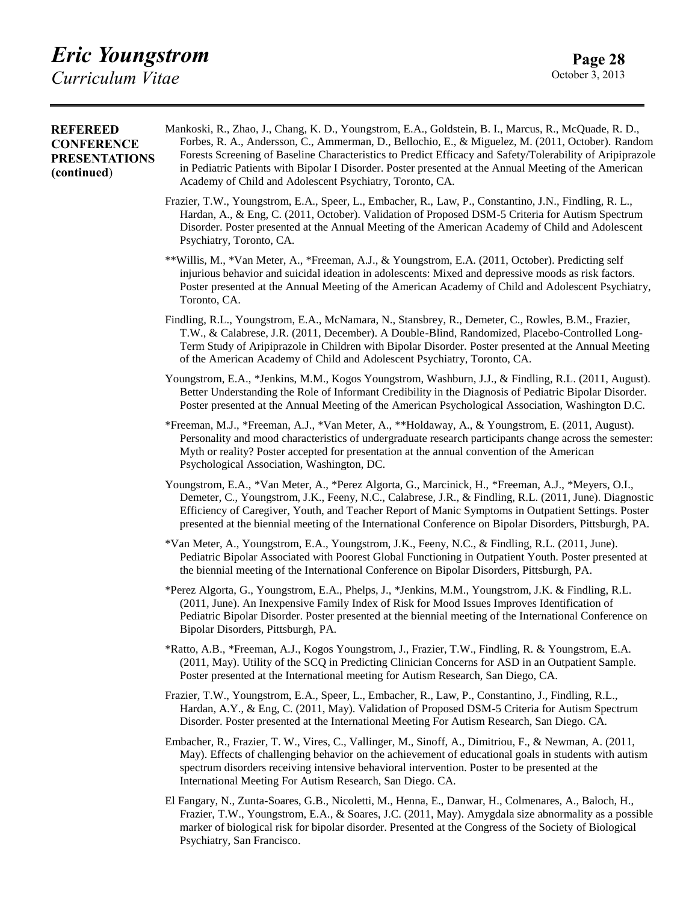| <b>REFEREED</b><br><b>CONFERENCE</b><br><b>PRESENTATIONS</b><br>(continued) | Mankoski, R., Zhao, J., Chang, K. D., Youngstrom, E.A., Goldstein, B. I., Marcus, R., McQuade, R. D.,<br>Forbes, R. A., Andersson, C., Ammerman, D., Bellochio, E., & Miguelez, M. (2011, October). Random<br>Forests Screening of Baseline Characteristics to Predict Efficacy and Safety/Tolerability of Aripiprazole<br>in Pediatric Patients with Bipolar I Disorder. Poster presented at the Annual Meeting of the American<br>Academy of Child and Adolescent Psychiatry, Toronto, CA. |
|-----------------------------------------------------------------------------|----------------------------------------------------------------------------------------------------------------------------------------------------------------------------------------------------------------------------------------------------------------------------------------------------------------------------------------------------------------------------------------------------------------------------------------------------------------------------------------------|
|                                                                             | Frazier, T.W., Youngstrom, E.A., Speer, L., Embacher, R., Law, P., Constantino, J.N., Findling, R. L.,<br>Hardan, A., & Eng, C. (2011, October). Validation of Proposed DSM-5 Criteria for Autism Spectrum<br>Disorder. Poster presented at the Annual Meeting of the American Academy of Child and Adolescent<br>Psychiatry, Toronto, CA.                                                                                                                                                   |
|                                                                             | **Willis, M., *Van Meter, A., *Freeman, A.J., & Youngstrom, E.A. (2011, October). Predicting self<br>injurious behavior and suicidal ideation in adolescents: Mixed and depressive moods as risk factors.<br>Poster presented at the Annual Meeting of the American Academy of Child and Adolescent Psychiatry,<br>Toronto, CA.                                                                                                                                                              |
|                                                                             | Findling, R.L., Youngstrom, E.A., McNamara, N., Stansbrey, R., Demeter, C., Rowles, B.M., Frazier,<br>T.W., & Calabrese, J.R. (2011, December). A Double-Blind, Randomized, Placebo-Controlled Long-<br>Term Study of Aripiprazole in Children with Bipolar Disorder. Poster presented at the Annual Meeting<br>of the American Academy of Child and Adolescent Psychiatry, Toronto, CA.                                                                                                     |
|                                                                             | Youngstrom, E.A., *Jenkins, M.M., Kogos Youngstrom, Washburn, J.J., & Findling, R.L. (2011, August).<br>Better Understanding the Role of Informant Credibility in the Diagnosis of Pediatric Bipolar Disorder.<br>Poster presented at the Annual Meeting of the American Psychological Association, Washington D.C.                                                                                                                                                                          |
|                                                                             | *Freeman, M.J., *Freeman, A.J., *Van Meter, A., **Holdaway, A., & Youngstrom, E. (2011, August).<br>Personality and mood characteristics of undergraduate research participants change across the semester:<br>Myth or reality? Poster accepted for presentation at the annual convention of the American<br>Psychological Association, Washington, DC.                                                                                                                                      |
|                                                                             | Youngstrom, E.A., *Van Meter, A., *Perez Algorta, G., Marcinick, H., *Freeman, A.J., *Meyers, O.I.,<br>Demeter, C., Youngstrom, J.K., Feeny, N.C., Calabrese, J.R., & Findling, R.L. (2011, June). Diagnostic<br>Efficiency of Caregiver, Youth, and Teacher Report of Manic Symptoms in Outpatient Settings. Poster<br>presented at the biennial meeting of the International Conference on Bipolar Disorders, Pittsburgh, PA.                                                              |
|                                                                             | *Van Meter, A., Youngstrom, E.A., Youngstrom, J.K., Feeny, N.C., & Findling, R.L. (2011, June).<br>Pediatric Bipolar Associated with Poorest Global Functioning in Outpatient Youth. Poster presented at<br>the biennial meeting of the International Conference on Bipolar Disorders, Pittsburgh, PA.                                                                                                                                                                                       |
|                                                                             | *Perez Algorta, G., Youngstrom, E.A., Phelps, J., *Jenkins, M.M., Youngstrom, J.K. & Findling, R.L.<br>(2011, June). An Inexpensive Family Index of Risk for Mood Issues Improves Identification of<br>Pediatric Bipolar Disorder. Poster presented at the biennial meeting of the International Conference on<br>Bipolar Disorders, Pittsburgh, PA.                                                                                                                                         |
|                                                                             | *Ratto, A.B., *Freeman, A.J., Kogos Youngstrom, J., Frazier, T.W., Findling, R. & Youngstrom, E.A.<br>(2011, May). Utility of the SCQ in Predicting Clinician Concerns for ASD in an Outpatient Sample.<br>Poster presented at the International meeting for Autism Research, San Diego, CA.                                                                                                                                                                                                 |
|                                                                             | Frazier, T.W., Youngstrom, E.A., Speer, L., Embacher, R., Law, P., Constantino, J., Findling, R.L.,<br>Hardan, A.Y., & Eng, C. (2011, May). Validation of Proposed DSM-5 Criteria for Autism Spectrum<br>Disorder. Poster presented at the International Meeting For Autism Research, San Diego. CA.                                                                                                                                                                                         |
|                                                                             | Embacher, R., Frazier, T. W., Vires, C., Vallinger, M., Sinoff, A., Dimitriou, F., & Newman, A. (2011,<br>May). Effects of challenging behavior on the achievement of educational goals in students with autism<br>spectrum disorders receiving intensive behavioral intervention. Poster to be presented at the<br>International Meeting For Autism Research, San Diego. CA.                                                                                                                |
|                                                                             | El Fangary, N., Zunta-Soares, G.B., Nicoletti, M., Henna, E., Danwar, H., Colmenares, A., Baloch, H.,<br>Frazier, T.W., Youngstrom, E.A., & Soares, J.C. (2011, May). Amygdala size abnormality as a possible<br>marker of biological risk for bipolar disorder. Presented at the Congress of the Society of Biological<br>Psychiatry, San Francisco.                                                                                                                                        |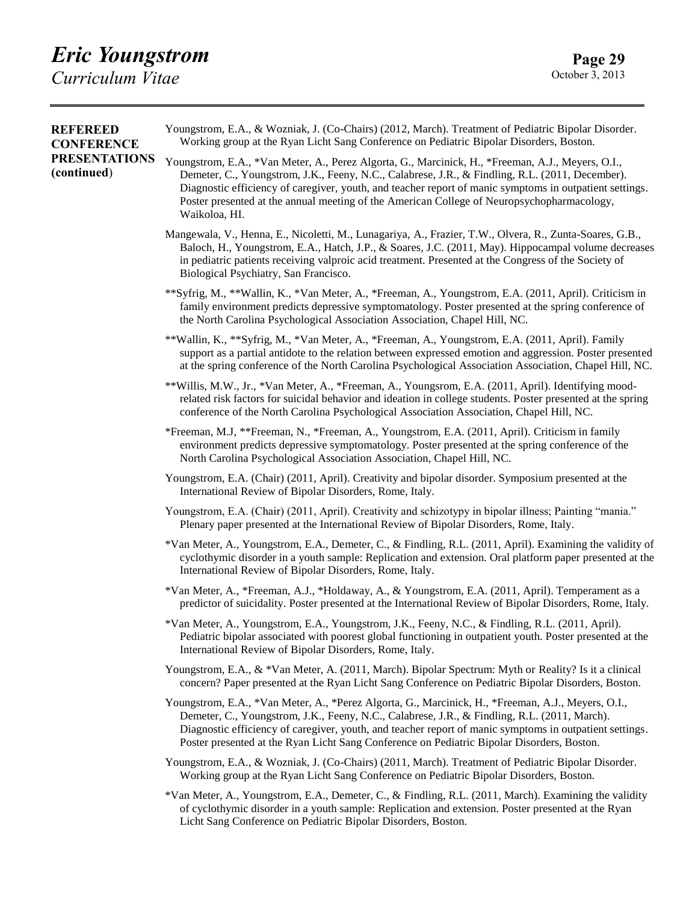| <b>REFEREED</b><br><b>CONFERENCE</b> | Youngstrom, E.A., & Wozniak, J. (Co-Chairs) (2012, March). Treatment of Pediatric Bipolar Disorder.<br>Working group at the Ryan Licht Sang Conference on Pediatric Bipolar Disorders, Boston.                                                                                                                                                                                                                                 |
|--------------------------------------|--------------------------------------------------------------------------------------------------------------------------------------------------------------------------------------------------------------------------------------------------------------------------------------------------------------------------------------------------------------------------------------------------------------------------------|
| <b>PRESENTATIONS</b><br>(continued)  | Youngstrom, E.A., *Van Meter, A., Perez Algorta, G., Marcinick, H., *Freeman, A.J., Meyers, O.I.,<br>Demeter, C., Youngstrom, J.K., Feeny, N.C., Calabrese, J.R., & Findling, R.L. (2011, December).<br>Diagnostic efficiency of caregiver, youth, and teacher report of manic symptoms in outpatient settings.<br>Poster presented at the annual meeting of the American College of Neuropsychopharmacology,<br>Waikoloa, HI. |
|                                      | Mangewala, V., Henna, E., Nicoletti, M., Lunagariya, A., Frazier, T.W., Olvera, R., Zunta-Soares, G.B.,<br>Baloch, H., Youngstrom, E.A., Hatch, J.P., & Soares, J.C. (2011, May). Hippocampal volume decreases<br>in pediatric patients receiving valproic acid treatment. Presented at the Congress of the Society of<br>Biological Psychiatry, San Francisco.                                                                |
|                                      | **Syfrig, M., **Wallin, K., *Van Meter, A., *Freeman, A., Youngstrom, E.A. (2011, April). Criticism in<br>family environment predicts depressive symptomatology. Poster presented at the spring conference of<br>the North Carolina Psychological Association Association, Chapel Hill, NC.                                                                                                                                    |
|                                      | **Wallin, K., **Syfrig, M., *Van Meter, A., *Freeman, A., Youngstrom, E.A. (2011, April). Family<br>support as a partial antidote to the relation between expressed emotion and aggression. Poster presented<br>at the spring conference of the North Carolina Psychological Association Association, Chapel Hill, NC.                                                                                                         |
|                                      | **Willis, M.W., Jr., *Van Meter, A., *Freeman, A., Youngsrom, E.A. (2011, April). Identifying mood-<br>related risk factors for suicidal behavior and ideation in college students. Poster presented at the spring<br>conference of the North Carolina Psychological Association Association, Chapel Hill, NC.                                                                                                                 |
|                                      | *Freeman, M.J, **Freeman, N., *Freeman, A., Youngstrom, E.A. (2011, April). Criticism in family<br>environment predicts depressive symptomatology. Poster presented at the spring conference of the<br>North Carolina Psychological Association Association, Chapel Hill, NC.                                                                                                                                                  |
|                                      | Youngstrom, E.A. (Chair) (2011, April). Creativity and bipolar disorder. Symposium presented at the<br>International Review of Bipolar Disorders, Rome, Italy.                                                                                                                                                                                                                                                                 |
|                                      | Youngstrom, E.A. (Chair) (2011, April). Creativity and schizotypy in bipolar illness; Painting "mania."<br>Plenary paper presented at the International Review of Bipolar Disorders, Rome, Italy.                                                                                                                                                                                                                              |
|                                      | *Van Meter, A., Youngstrom, E.A., Demeter, C., & Findling, R.L. (2011, April). Examining the validity of<br>cyclothymic disorder in a youth sample: Replication and extension. Oral platform paper presented at the<br>International Review of Bipolar Disorders, Rome, Italy.                                                                                                                                                 |
|                                      | *Van Meter, A., *Freeman, A.J., *Holdaway, A., & Youngstrom, E.A. (2011, April). Temperament as a<br>predictor of suicidality. Poster presented at the International Review of Bipolar Disorders, Rome, Italy.                                                                                                                                                                                                                 |
|                                      | *Van Meter, A., Youngstrom, E.A., Youngstrom, J.K., Feeny, N.C., & Findling, R.L. (2011, April).<br>Pediatric bipolar associated with poorest global functioning in outpatient youth. Poster presented at the<br>International Review of Bipolar Disorders, Rome, Italy.                                                                                                                                                       |
|                                      | Youngstrom, E.A., & *Van Meter, A. (2011, March). Bipolar Spectrum: Myth or Reality? Is it a clinical<br>concern? Paper presented at the Ryan Licht Sang Conference on Pediatric Bipolar Disorders, Boston.                                                                                                                                                                                                                    |
|                                      | Youngstrom, E.A., *Van Meter, A., *Perez Algorta, G., Marcinick, H., *Freeman, A.J., Meyers, O.I.,<br>Demeter, C., Youngstrom, J.K., Feeny, N.C., Calabrese, J.R., & Findling, R.L. (2011, March).<br>Diagnostic efficiency of caregiver, youth, and teacher report of manic symptoms in outpatient settings.<br>Poster presented at the Ryan Licht Sang Conference on Pediatric Bipolar Disorders, Boston.                    |
|                                      | Youngstrom, E.A., & Wozniak, J. (Co-Chairs) (2011, March). Treatment of Pediatric Bipolar Disorder.<br>Working group at the Ryan Licht Sang Conference on Pediatric Bipolar Disorders, Boston.                                                                                                                                                                                                                                 |
|                                      | *Van Meter, A., Youngstrom, E.A., Demeter, C., & Findling, R.L. (2011, March). Examining the validity<br>of cyclothymic disorder in a youth sample: Replication and extension. Poster presented at the Ryan<br>Licht Sang Conference on Pediatric Bipolar Disorders, Boston.                                                                                                                                                   |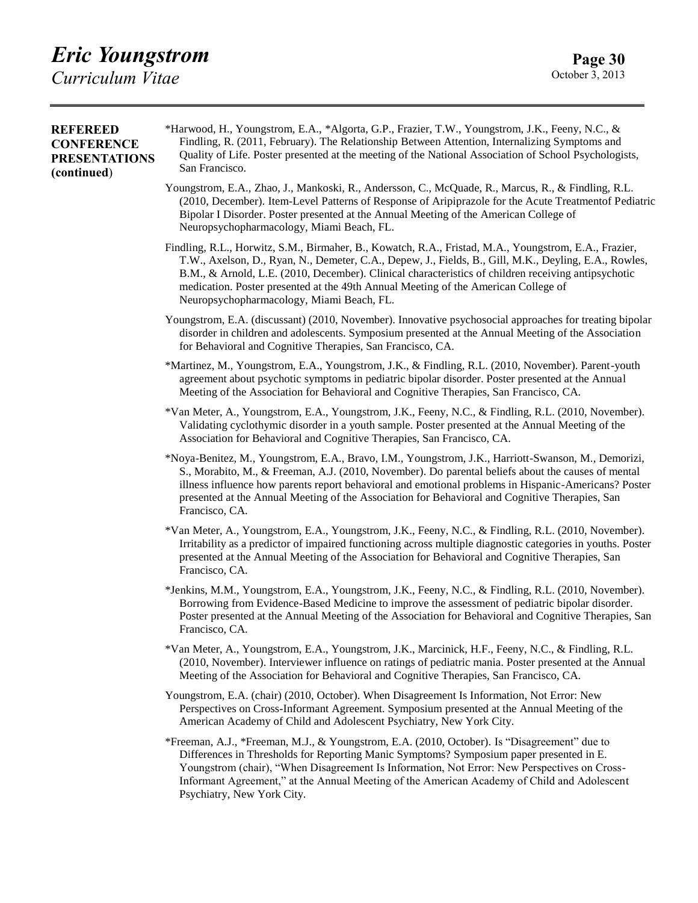| <b>REFEREED</b><br><b>CONFERENCE</b><br><b>PRESENTATIONS</b><br>(continued) | *Harwood, H., Youngstrom, E.A., *Algorta, G.P., Frazier, T.W., Youngstrom, J.K., Feeny, N.C., &<br>Findling, R. (2011, February). The Relationship Between Attention, Internalizing Symptoms and<br>Quality of Life. Poster presented at the meeting of the National Association of School Psychologists,<br>San Francisco.                                                                                                                              |
|-----------------------------------------------------------------------------|----------------------------------------------------------------------------------------------------------------------------------------------------------------------------------------------------------------------------------------------------------------------------------------------------------------------------------------------------------------------------------------------------------------------------------------------------------|
|                                                                             | Youngstrom, E.A., Zhao, J., Mankoski, R., Andersson, C., McQuade, R., Marcus, R., & Findling, R.L.<br>(2010, December). Item-Level Patterns of Response of Aripiprazole for the Acute Treatmentof Pediatric<br>Bipolar I Disorder. Poster presented at the Annual Meeting of the American College of<br>Neuropsychopharmacology, Miami Beach, FL.                                                                                                        |
|                                                                             | Findling, R.L., Horwitz, S.M., Birmaher, B., Kowatch, R.A., Fristad, M.A., Youngstrom, E.A., Frazier,<br>T.W., Axelson, D., Ryan, N., Demeter, C.A., Depew, J., Fields, B., Gill, M.K., Deyling, E.A., Rowles,<br>B.M., & Arnold, L.E. (2010, December). Clinical characteristics of children receiving antipsychotic<br>medication. Poster presented at the 49th Annual Meeting of the American College of<br>Neuropsychopharmacology, Miami Beach, FL. |
|                                                                             | Youngstrom, E.A. (discussant) (2010, November). Innovative psychosocial approaches for treating bipolar<br>disorder in children and adolescents. Symposium presented at the Annual Meeting of the Association<br>for Behavioral and Cognitive Therapies, San Francisco, CA.                                                                                                                                                                              |
|                                                                             | *Martinez, M., Youngstrom, E.A., Youngstrom, J.K., & Findling, R.L. (2010, November). Parent-youth<br>agreement about psychotic symptoms in pediatric bipolar disorder. Poster presented at the Annual<br>Meeting of the Association for Behavioral and Cognitive Therapies, San Francisco, CA.                                                                                                                                                          |
|                                                                             | *Van Meter, A., Youngstrom, E.A., Youngstrom, J.K., Feeny, N.C., & Findling, R.L. (2010, November).<br>Validating cyclothymic disorder in a youth sample. Poster presented at the Annual Meeting of the<br>Association for Behavioral and Cognitive Therapies, San Francisco, CA.                                                                                                                                                                        |
|                                                                             | *Noya-Benitez, M., Youngstrom, E.A., Bravo, I.M., Youngstrom, J.K., Harriott-Swanson, M., Demorizi,<br>S., Morabito, M., & Freeman, A.J. (2010, November). Do parental beliefs about the causes of mental<br>illness influence how parents report behavioral and emotional problems in Hispanic-Americans? Poster<br>presented at the Annual Meeting of the Association for Behavioral and Cognitive Therapies, San<br>Francisco, CA.                    |
|                                                                             | *Van Meter, A., Youngstrom, E.A., Youngstrom, J.K., Feeny, N.C., & Findling, R.L. (2010, November).<br>Irritability as a predictor of impaired functioning across multiple diagnostic categories in youths. Poster<br>presented at the Annual Meeting of the Association for Behavioral and Cognitive Therapies, San<br>Francisco, CA.                                                                                                                   |
|                                                                             | *Jenkins, M.M., Youngstrom, E.A., Youngstrom, J.K., Feeny, N.C., & Findling, R.L. (2010, November).<br>Borrowing from Evidence-Based Medicine to improve the assessment of pediatric bipolar disorder.<br>Poster presented at the Annual Meeting of the Association for Behavioral and Cognitive Therapies, San<br>Francisco, CA.                                                                                                                        |
|                                                                             | *Van Meter, A., Youngstrom, E.A., Youngstrom, J.K., Marcinick, H.F., Feeny, N.C., & Findling, R.L.<br>(2010, November). Interviewer influence on ratings of pediatric mania. Poster presented at the Annual<br>Meeting of the Association for Behavioral and Cognitive Therapies, San Francisco, CA.                                                                                                                                                     |
|                                                                             | Youngstrom, E.A. (chair) (2010, October). When Disagreement Is Information, Not Error: New<br>Perspectives on Cross-Informant Agreement. Symposium presented at the Annual Meeting of the<br>American Academy of Child and Adolescent Psychiatry, New York City.                                                                                                                                                                                         |
|                                                                             | *Freeman, A.J., *Freeman, M.J., & Youngstrom, E.A. (2010, October). Is "Disagreement" due to<br>Differences in Thresholds for Reporting Manic Symptoms? Symposium paper presented in E.<br>Youngstrom (chair), "When Disagreement Is Information, Not Error: New Perspectives on Cross-<br>Informant Agreement," at the Annual Meeting of the American Academy of Child and Adolescent<br>Psychiatry, New York City.                                     |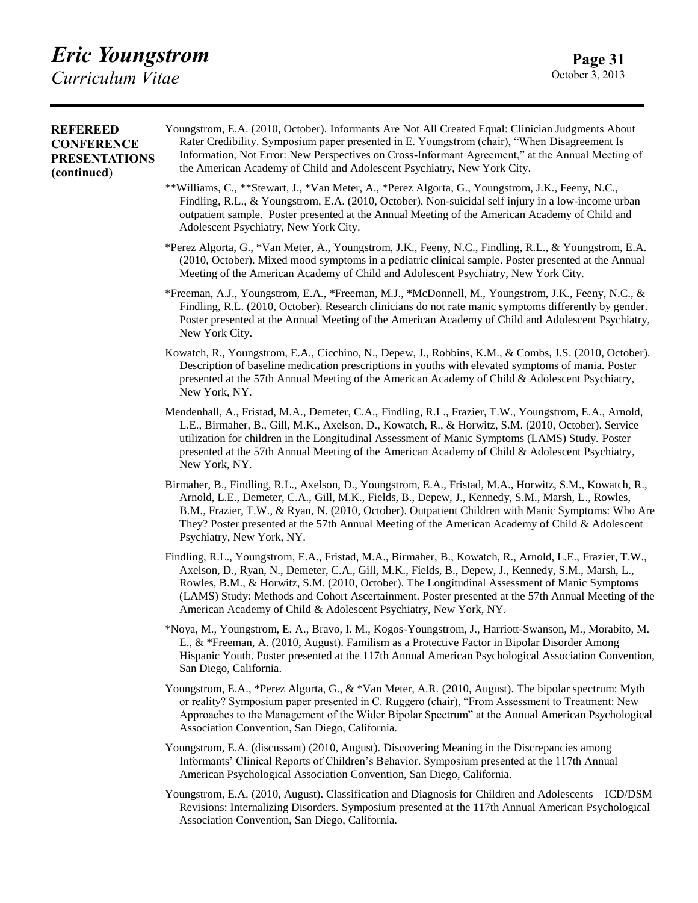| <b>REFEREED</b><br><b>CONFERENCE</b><br><b>PRESENTATIONS</b><br>(continued) | Youngstrom, E.A. (2010, October). Informants Are Not All Created Equal: Clinician Judgments About<br>Rater Credibility. Symposium paper presented in E. Youngstrom (chair), "When Disagreement Is<br>Information, Not Error: New Perspectives on Cross-Informant Agreement," at the Annual Meeting of<br>the American Academy of Child and Adolescent Psychiatry, New York City.                                                                                                         |
|-----------------------------------------------------------------------------|------------------------------------------------------------------------------------------------------------------------------------------------------------------------------------------------------------------------------------------------------------------------------------------------------------------------------------------------------------------------------------------------------------------------------------------------------------------------------------------|
|                                                                             | **Williams, C., **Stewart, J., *Van Meter, A., *Perez Algorta, G., Youngstrom, J.K., Feeny, N.C.,<br>Findling, R.L., & Youngstrom, E.A. (2010, October). Non-suicidal self injury in a low-income urban<br>outpatient sample. Poster presented at the Annual Meeting of the American Academy of Child and<br>Adolescent Psychiatry, New York City.                                                                                                                                       |
|                                                                             | *Perez Algorta, G., *Van Meter, A., Youngstrom, J.K., Feeny, N.C., Findling, R.L., & Youngstrom, E.A.<br>(2010, October). Mixed mood symptoms in a pediatric clinical sample. Poster presented at the Annual<br>Meeting of the American Academy of Child and Adolescent Psychiatry, New York City.                                                                                                                                                                                       |
|                                                                             | *Freeman, A.J., Youngstrom, E.A., *Freeman, M.J., *McDonnell, M., Youngstrom, J.K., Feeny, N.C., &<br>Findling, R.L. (2010, October). Research clinicians do not rate manic symptoms differently by gender.<br>Poster presented at the Annual Meeting of the American Academy of Child and Adolescent Psychiatry,<br>New York City.                                                                                                                                                      |
|                                                                             | Kowatch, R., Youngstrom, E.A., Cicchino, N., Depew, J., Robbins, K.M., & Combs, J.S. (2010, October).<br>Description of baseline medication prescriptions in youths with elevated symptoms of mania. Poster<br>presented at the 57th Annual Meeting of the American Academy of Child & Adolescent Psychiatry,<br>New York, NY.                                                                                                                                                           |
|                                                                             | Mendenhall, A., Fristad, M.A., Demeter, C.A., Findling, R.L., Frazier, T.W., Youngstrom, E.A., Arnold,<br>L.E., Birmaher, B., Gill, M.K., Axelson, D., Kowatch, R., & Horwitz, S.M. (2010, October). Service<br>utilization for children in the Longitudinal Assessment of Manic Symptoms (LAMS) Study. Poster<br>presented at the 57th Annual Meeting of the American Academy of Child & Adolescent Psychiatry,<br>New York, NY.                                                        |
|                                                                             | Birmaher, B., Findling, R.L., Axelson, D., Youngstrom, E.A., Fristad, M.A., Horwitz, S.M., Kowatch, R.,<br>Arnold, L.E., Demeter, C.A., Gill, M.K., Fields, B., Depew, J., Kennedy, S.M., Marsh, L., Rowles,<br>B.M., Frazier, T.W., & Ryan, N. (2010, October). Outpatient Children with Manic Symptoms: Who Are<br>They? Poster presented at the 57th Annual Meeting of the American Academy of Child & Adolescent<br>Psychiatry, New York, NY.                                        |
|                                                                             | Findling, R.L., Youngstrom, E.A., Fristad, M.A., Birmaher, B., Kowatch, R., Arnold, L.E., Frazier, T.W.,<br>Axelson, D., Ryan, N., Demeter, C.A., Gill, M.K., Fields, B., Depew, J., Kennedy, S.M., Marsh, L.,<br>Rowles, B.M., & Horwitz, S.M. (2010, October). The Longitudinal Assessment of Manic Symptoms<br>(LAMS) Study: Methods and Cohort Ascertainment. Poster presented at the 57th Annual Meeting of the<br>American Academy of Child & Adolescent Psychiatry, New York, NY. |
|                                                                             | *Noya, M., Youngstrom, E. A., Bravo, I. M., Kogos-Youngstrom, J., Harriott-Swanson, M., Morabito, M.<br>E., & *Freeman, A. (2010, August). Familism as a Protective Factor in Bipolar Disorder Among<br>Hispanic Youth. Poster presented at the 117th Annual American Psychological Association Convention,<br>San Diego, California.                                                                                                                                                    |
|                                                                             | Youngstrom, E.A., *Perez Algorta, G., & *Van Meter, A.R. (2010, August). The bipolar spectrum: Myth<br>or reality? Symposium paper presented in C. Ruggero (chair), "From Assessment to Treatment: New<br>Approaches to the Management of the Wider Bipolar Spectrum" at the Annual American Psychological<br>Association Convention, San Diego, California.                                                                                                                             |
|                                                                             | Youngstrom, E.A. (discussant) (2010, August). Discovering Meaning in the Discrepancies among<br>Informants' Clinical Reports of Children's Behavior. Symposium presented at the 117th Annual<br>American Psychological Association Convention, San Diego, California.                                                                                                                                                                                                                    |
|                                                                             | Youngstrom, E.A. (2010, August). Classification and Diagnosis for Children and Adolescents—ICD/DSM<br>Revisions: Internalizing Disorders. Symposium presented at the 117th Annual American Psychological<br>Association Convention, San Diego, California.                                                                                                                                                                                                                               |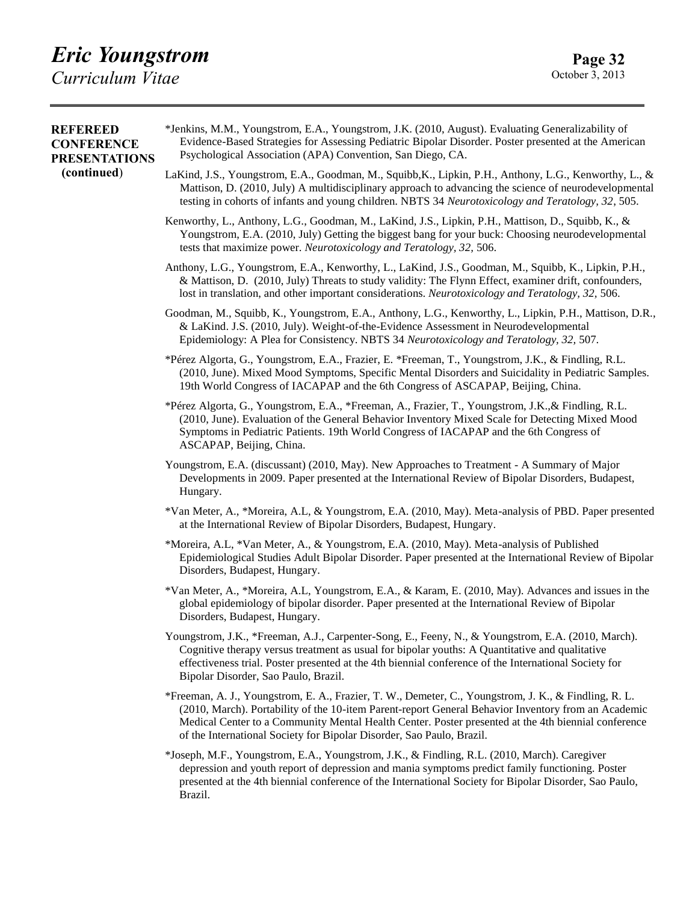| <b>REFEREED</b><br><b>CONFERENCE</b><br><b>PRESENTATIONS</b><br>(continued) | *Jenkins, M.M., Youngstrom, E.A., Youngstrom, J.K. (2010, August). Evaluating Generalizability of<br>Evidence-Based Strategies for Assessing Pediatric Bipolar Disorder. Poster presented at the American<br>Psychological Association (APA) Convention, San Diego, CA.                                                                                                                      |
|-----------------------------------------------------------------------------|----------------------------------------------------------------------------------------------------------------------------------------------------------------------------------------------------------------------------------------------------------------------------------------------------------------------------------------------------------------------------------------------|
|                                                                             | LaKind, J.S., Youngstrom, E.A., Goodman, M., Squibb, K., Lipkin, P.H., Anthony, L.G., Kenworthy, L., &<br>Mattison, D. (2010, July) A multidisciplinary approach to advancing the science of neurodevelopmental<br>testing in cohorts of infants and young children. NBTS 34 Neurotoxicology and Teratology, 32, 505.                                                                        |
|                                                                             | Kenworthy, L., Anthony, L.G., Goodman, M., LaKind, J.S., Lipkin, P.H., Mattison, D., Squibb, K., &<br>Youngstrom, E.A. (2010, July) Getting the biggest bang for your buck: Choosing neurodevelopmental<br>tests that maximize power. Neurotoxicology and Teratology, 32, 506.                                                                                                               |
|                                                                             | Anthony, L.G., Youngstrom, E.A., Kenworthy, L., LaKind, J.S., Goodman, M., Squibb, K., Lipkin, P.H.,<br>& Mattison, D. (2010, July) Threats to study validity: The Flynn Effect, examiner drift, confounders,<br>lost in translation, and other important considerations. Neurotoxicology and Teratology, 32, 506.                                                                           |
|                                                                             | Goodman, M., Squibb, K., Youngstrom, E.A., Anthony, L.G., Kenworthy, L., Lipkin, P.H., Mattison, D.R.,<br>& LaKind. J.S. (2010, July). Weight-of-the-Evidence Assessment in Neurodevelopmental<br>Epidemiology: A Plea for Consistency. NBTS 34 Neurotoxicology and Teratology, 32, 507.                                                                                                     |
|                                                                             | *Pérez Algorta, G., Youngstrom, E.A., Frazier, E. *Freeman, T., Youngstrom, J.K., & Findling, R.L.<br>(2010, June). Mixed Mood Symptoms, Specific Mental Disorders and Suicidality in Pediatric Samples.<br>19th World Congress of IACAPAP and the 6th Congress of ASCAPAP, Beijing, China.                                                                                                  |
|                                                                             | *Pérez Algorta, G., Youngstrom, E.A., *Freeman, A., Frazier, T., Youngstrom, J.K., & Findling, R.L.<br>(2010, June). Evaluation of the General Behavior Inventory Mixed Scale for Detecting Mixed Mood<br>Symptoms in Pediatric Patients. 19th World Congress of IACAPAP and the 6th Congress of<br>ASCAPAP, Beijing, China.                                                                 |
|                                                                             | Youngstrom, E.A. (discussant) (2010, May). New Approaches to Treatment - A Summary of Major<br>Developments in 2009. Paper presented at the International Review of Bipolar Disorders, Budapest,<br>Hungary.                                                                                                                                                                                 |
|                                                                             | *Van Meter, A., *Moreira, A.L., & Youngstrom, E.A. (2010, May). Meta-analysis of PBD. Paper presented<br>at the International Review of Bipolar Disorders, Budapest, Hungary.                                                                                                                                                                                                                |
|                                                                             | *Moreira, A.L, *Van Meter, A., & Youngstrom, E.A. (2010, May). Meta-analysis of Published<br>Epidemiological Studies Adult Bipolar Disorder. Paper presented at the International Review of Bipolar<br>Disorders, Budapest, Hungary.                                                                                                                                                         |
|                                                                             | *Van Meter, A., *Moreira, A.L., Youngstrom, E.A., & Karam, E. (2010, May). Advances and issues in the<br>global epidemiology of bipolar disorder. Paper presented at the International Review of Bipolar<br>Disorders, Budapest, Hungary.                                                                                                                                                    |
|                                                                             | Youngstrom, J.K., *Freeman, A.J., Carpenter-Song, E., Feeny, N., & Youngstrom, E.A. (2010, March).<br>Cognitive therapy versus treatment as usual for bipolar youths: A Quantitative and qualitative<br>effectiveness trial. Poster presented at the 4th biennial conference of the International Society for<br>Bipolar Disorder, Sao Paulo, Brazil.                                        |
|                                                                             | *Freeman, A. J., Youngstrom, E. A., Frazier, T. W., Demeter, C., Youngstrom, J. K., & Findling, R. L.<br>(2010, March). Portability of the 10-item Parent-report General Behavior Inventory from an Academic<br>Medical Center to a Community Mental Health Center. Poster presented at the 4th biennial conference<br>of the International Society for Bipolar Disorder, Sao Paulo, Brazil. |
|                                                                             | *Joseph, M.F., Youngstrom, E.A., Youngstrom, J.K., & Findling, R.L. (2010, March). Caregiver<br>depression and youth report of depression and mania symptoms predict family functioning. Poster<br>presented at the 4th biennial conference of the International Society for Bipolar Disorder, Sao Paulo,<br>Brazil.                                                                         |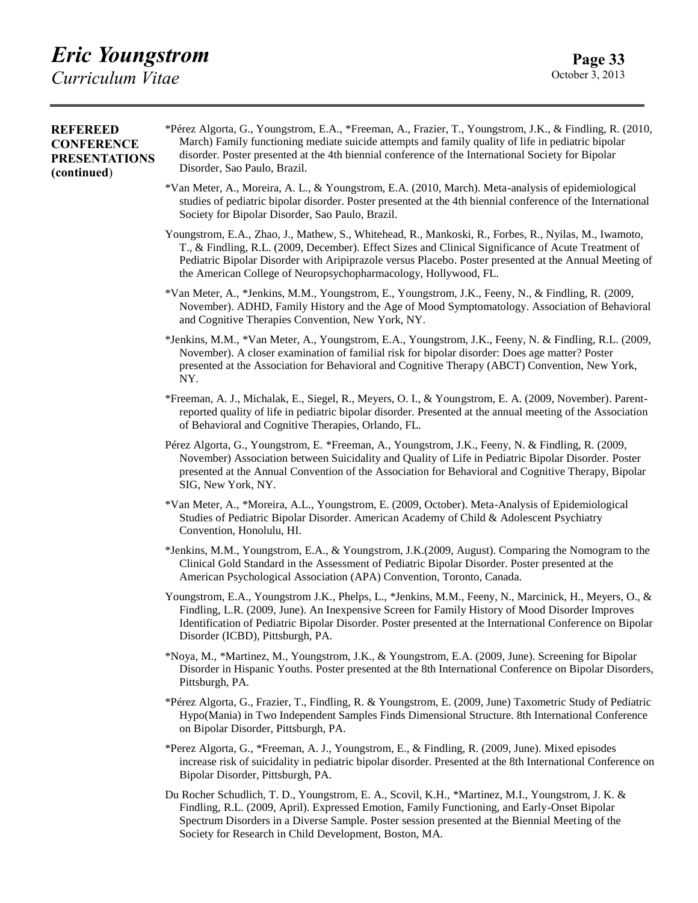| <b>REFEREED</b><br><b>CONFERENCE</b><br><b>PRESENTATIONS</b><br>(continued) | *Pérez Algorta, G., Youngstrom, E.A., *Freeman, A., Frazier, T., Youngstrom, J.K., & Findling, R. (2010,<br>March) Family functioning mediate suicide attempts and family quality of life in pediatric bipolar<br>disorder. Poster presented at the 4th biennial conference of the International Society for Bipolar<br>Disorder, Sao Paulo, Brazil.                                      |
|-----------------------------------------------------------------------------|-------------------------------------------------------------------------------------------------------------------------------------------------------------------------------------------------------------------------------------------------------------------------------------------------------------------------------------------------------------------------------------------|
|                                                                             | *Van Meter, A., Moreira, A. L., & Youngstrom, E.A. (2010, March). Meta-analysis of epidemiological<br>studies of pediatric bipolar disorder. Poster presented at the 4th biennial conference of the International<br>Society for Bipolar Disorder, Sao Paulo, Brazil.                                                                                                                     |
|                                                                             | Youngstrom, E.A., Zhao, J., Mathew, S., Whitehead, R., Mankoski, R., Forbes, R., Nyilas, M., Iwamoto,<br>T., & Findling, R.L. (2009, December). Effect Sizes and Clinical Significance of Acute Treatment of<br>Pediatric Bipolar Disorder with Aripiprazole versus Placebo. Poster presented at the Annual Meeting of<br>the American College of Neuropsychopharmacology, Hollywood, FL. |
|                                                                             | *Van Meter, A., *Jenkins, M.M., Youngstrom, E., Youngstrom, J.K., Feeny, N., & Findling, R. (2009,<br>November). ADHD, Family History and the Age of Mood Symptomatology. Association of Behavioral<br>and Cognitive Therapies Convention, New York, NY.                                                                                                                                  |
|                                                                             | *Jenkins, M.M., *Van Meter, A., Youngstrom, E.A., Youngstrom, J.K., Feeny, N. & Findling, R.L. (2009,<br>November). A closer examination of familial risk for bipolar disorder: Does age matter? Poster<br>presented at the Association for Behavioral and Cognitive Therapy (ABCT) Convention, New York,<br>NY.                                                                          |
|                                                                             | *Freeman, A. J., Michalak, E., Siegel, R., Meyers, O. I., & Youngstrom, E. A. (2009, November). Parent-<br>reported quality of life in pediatric bipolar disorder. Presented at the annual meeting of the Association<br>of Behavioral and Cognitive Therapies, Orlando, FL.                                                                                                              |
|                                                                             | Pérez Algorta, G., Youngstrom, E. *Freeman, A., Youngstrom, J.K., Feeny, N. & Findling, R. (2009,<br>November) Association between Suicidality and Quality of Life in Pediatric Bipolar Disorder. Poster<br>presented at the Annual Convention of the Association for Behavioral and Cognitive Therapy, Bipolar<br>SIG, New York, NY.                                                     |
|                                                                             | *Van Meter, A., *Moreira, A.L., Youngstrom, E. (2009, October). Meta-Analysis of Epidemiological<br>Studies of Pediatric Bipolar Disorder. American Academy of Child & Adolescent Psychiatry<br>Convention, Honolulu, HI.                                                                                                                                                                 |
|                                                                             | *Jenkins, M.M., Youngstrom, E.A., & Youngstrom, J.K. (2009, August). Comparing the Nomogram to the<br>Clinical Gold Standard in the Assessment of Pediatric Bipolar Disorder. Poster presented at the<br>American Psychological Association (APA) Convention, Toronto, Canada.                                                                                                            |
|                                                                             | Youngstrom, E.A., Youngstrom J.K., Phelps, L., *Jenkins, M.M., Feeny, N., Marcinick, H., Meyers, O., &<br>Findling, L.R. (2009, June). An Inexpensive Screen for Family History of Mood Disorder Improves<br>Identification of Pediatric Bipolar Disorder. Poster presented at the International Conference on Bipolar<br>Disorder (ICBD), Pittsburgh, PA.                                |
|                                                                             | *Noya, M., *Martinez, M., Youngstrom, J.K., & Youngstrom, E.A. (2009, June). Screening for Bipolar<br>Disorder in Hispanic Youths. Poster presented at the 8th International Conference on Bipolar Disorders,<br>Pittsburgh, PA.                                                                                                                                                          |
|                                                                             | *Pérez Algorta, G., Frazier, T., Findling, R. & Youngstrom, E. (2009, June) Taxometric Study of Pediatric<br>Hypo(Mania) in Two Independent Samples Finds Dimensional Structure. 8th International Conference<br>on Bipolar Disorder, Pittsburgh, PA.                                                                                                                                     |
|                                                                             | *Perez Algorta, G., *Freeman, A. J., Youngstrom, E., & Findling, R. (2009, June). Mixed episodes<br>increase risk of suicidality in pediatric bipolar disorder. Presented at the 8th International Conference on<br>Bipolar Disorder, Pittsburgh, PA.                                                                                                                                     |
|                                                                             | Du Rocher Schudlich, T. D., Youngstrom, E. A., Scovil, K.H., *Martinez, M.I., Youngstrom, J. K. &<br>Findling, R.L. (2009, April). Expressed Emotion, Family Functioning, and Early-Onset Bipolar<br>Spectrum Disorders in a Diverse Sample. Poster session presented at the Biennial Meeting of the<br>Society for Research in Child Development, Boston, MA.                            |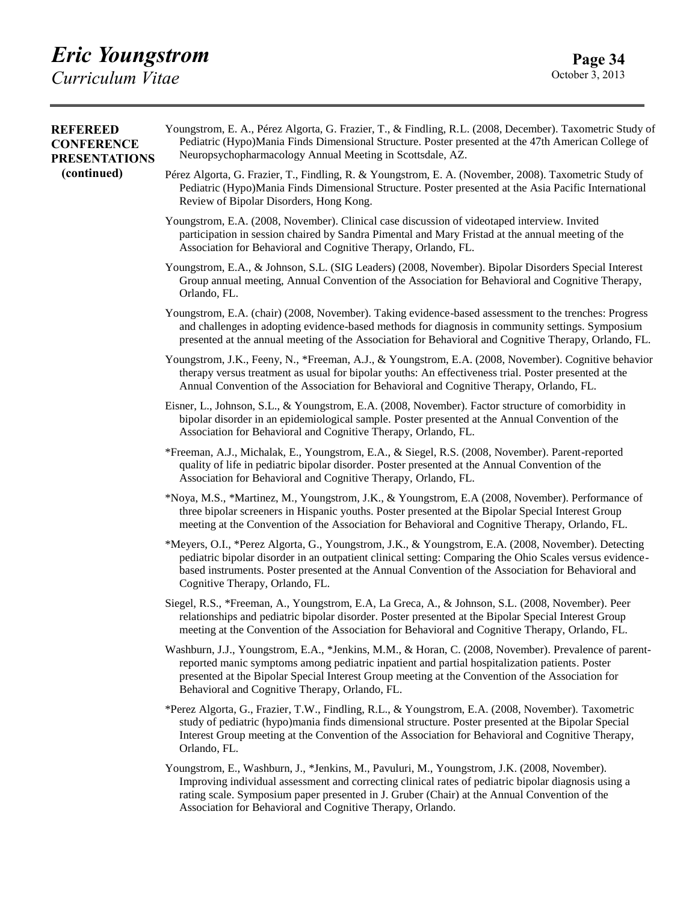| <b>REFEREED</b><br><b>CONFERENCE</b><br><b>PRESENTATIONS</b><br>(continued) | Youngstrom, E. A., Pérez Algorta, G. Frazier, T., & Findling, R.L. (2008, December). Taxometric Study of<br>Pediatric (Hypo)Mania Finds Dimensional Structure. Poster presented at the 47th American College of<br>Neuropsychopharmacology Annual Meeting in Scottsdale, AZ.                                                                                       |
|-----------------------------------------------------------------------------|--------------------------------------------------------------------------------------------------------------------------------------------------------------------------------------------------------------------------------------------------------------------------------------------------------------------------------------------------------------------|
|                                                                             | Pérez Algorta, G. Frazier, T., Findling, R. & Youngstrom, E. A. (November, 2008). Taxometric Study of<br>Pediatric (Hypo)Mania Finds Dimensional Structure. Poster presented at the Asia Pacific International<br>Review of Bipolar Disorders, Hong Kong.                                                                                                          |
|                                                                             | Youngstrom, E.A. (2008, November). Clinical case discussion of videotaped interview. Invited<br>participation in session chaired by Sandra Pimental and Mary Fristad at the annual meeting of the<br>Association for Behavioral and Cognitive Therapy, Orlando, FL.                                                                                                |
|                                                                             | Youngstrom, E.A., & Johnson, S.L. (SIG Leaders) (2008, November). Bipolar Disorders Special Interest<br>Group annual meeting, Annual Convention of the Association for Behavioral and Cognitive Therapy,<br>Orlando, FL.                                                                                                                                           |
|                                                                             | Youngstrom, E.A. (chair) (2008, November). Taking evidence-based assessment to the trenches: Progress<br>and challenges in adopting evidence-based methods for diagnosis in community settings. Symposium<br>presented at the annual meeting of the Association for Behavioral and Cognitive Therapy, Orlando, FL.                                                 |
|                                                                             | Youngstrom, J.K., Feeny, N., *Freeman, A.J., & Youngstrom, E.A. (2008, November). Cognitive behavior<br>therapy versus treatment as usual for bipolar youths: An effectiveness trial. Poster presented at the<br>Annual Convention of the Association for Behavioral and Cognitive Therapy, Orlando, FL.                                                           |
|                                                                             | Eisner, L., Johnson, S.L., & Youngstrom, E.A. (2008, November). Factor structure of comorbidity in<br>bipolar disorder in an epidemiological sample. Poster presented at the Annual Convention of the<br>Association for Behavioral and Cognitive Therapy, Orlando, FL.                                                                                            |
|                                                                             | *Freeman, A.J., Michalak, E., Youngstrom, E.A., & Siegel, R.S. (2008, November). Parent-reported<br>quality of life in pediatric bipolar disorder. Poster presented at the Annual Convention of the<br>Association for Behavioral and Cognitive Therapy, Orlando, FL.                                                                                              |
|                                                                             | *Noya, M.S., *Martinez, M., Youngstrom, J.K., & Youngstrom, E.A (2008, November). Performance of<br>three bipolar screeners in Hispanic youths. Poster presented at the Bipolar Special Interest Group<br>meeting at the Convention of the Association for Behavioral and Cognitive Therapy, Orlando, FL.                                                          |
|                                                                             | *Meyers, O.I., *Perez Algorta, G., Youngstrom, J.K., & Youngstrom, E.A. (2008, November). Detecting<br>pediatric bipolar disorder in an outpatient clinical setting: Comparing the Ohio Scales versus evidence-<br>based instruments. Poster presented at the Annual Convention of the Association for Behavioral and<br>Cognitive Therapy, Orlando, FL.           |
|                                                                             | Siegel, R.S., *Freeman, A., Youngstrom, E.A, La Greca, A., & Johnson, S.L. (2008, November). Peer<br>relationships and pediatric bipolar disorder. Poster presented at the Bipolar Special Interest Group<br>meeting at the Convention of the Association for Behavioral and Cognitive Therapy, Orlando, FL.                                                       |
|                                                                             | Washburn, J.J., Youngstrom, E.A., *Jenkins, M.M., & Horan, C. (2008, November). Prevalence of parent-<br>reported manic symptoms among pediatric inpatient and partial hospitalization patients. Poster<br>presented at the Bipolar Special Interest Group meeting at the Convention of the Association for<br>Behavioral and Cognitive Therapy, Orlando, FL.      |
|                                                                             | *Perez Algorta, G., Frazier, T.W., Findling, R.L., & Youngstrom, E.A. (2008, November). Taxometric<br>study of pediatric (hypo)mania finds dimensional structure. Poster presented at the Bipolar Special<br>Interest Group meeting at the Convention of the Association for Behavioral and Cognitive Therapy,<br>Orlando, FL.                                     |
|                                                                             | Youngstrom, E., Washburn, J., *Jenkins, M., Pavuluri, M., Youngstrom, J.K. (2008, November).<br>Improving individual assessment and correcting clinical rates of pediatric bipolar diagnosis using a<br>rating scale. Symposium paper presented in J. Gruber (Chair) at the Annual Convention of the<br>Association for Behavioral and Cognitive Therapy, Orlando. |
|                                                                             |                                                                                                                                                                                                                                                                                                                                                                    |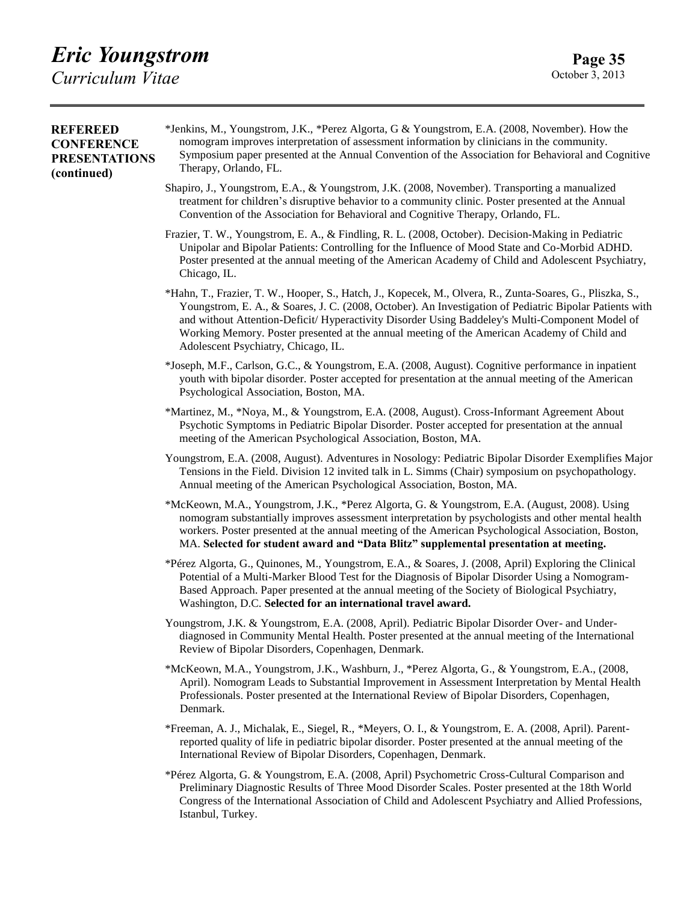| <b>REFEREED</b><br><b>CONFERENCE</b><br><b>PRESENTATIONS</b><br>(continued) | *Jenkins, M., Youngstrom, J.K., *Perez Algorta, G & Youngstrom, E.A. (2008, November). How the<br>nomogram improves interpretation of assessment information by clinicians in the community.<br>Symposium paper presented at the Annual Convention of the Association for Behavioral and Cognitive<br>Therapy, Orlando, FL.                                                                                                                                   |
|-----------------------------------------------------------------------------|---------------------------------------------------------------------------------------------------------------------------------------------------------------------------------------------------------------------------------------------------------------------------------------------------------------------------------------------------------------------------------------------------------------------------------------------------------------|
|                                                                             | Shapiro, J., Youngstrom, E.A., & Youngstrom, J.K. (2008, November). Transporting a manualized<br>treatment for children's disruptive behavior to a community clinic. Poster presented at the Annual<br>Convention of the Association for Behavioral and Cognitive Therapy, Orlando, FL.                                                                                                                                                                       |
|                                                                             | Frazier, T. W., Youngstrom, E. A., & Findling, R. L. (2008, October). Decision-Making in Pediatric<br>Unipolar and Bipolar Patients: Controlling for the Influence of Mood State and Co-Morbid ADHD.<br>Poster presented at the annual meeting of the American Academy of Child and Adolescent Psychiatry,<br>Chicago, IL.                                                                                                                                    |
|                                                                             | *Hahn, T., Frazier, T. W., Hooper, S., Hatch, J., Kopecek, M., Olvera, R., Zunta-Soares, G., Pliszka, S.,<br>Youngstrom, E. A., & Soares, J. C. (2008, October). An Investigation of Pediatric Bipolar Patients with<br>and without Attention-Deficit/ Hyperactivity Disorder Using Baddeley's Multi-Component Model of<br>Working Memory. Poster presented at the annual meeting of the American Academy of Child and<br>Adolescent Psychiatry, Chicago, IL. |
|                                                                             | *Joseph, M.F., Carlson, G.C., & Youngstrom, E.A. (2008, August). Cognitive performance in inpatient<br>youth with bipolar disorder. Poster accepted for presentation at the annual meeting of the American<br>Psychological Association, Boston, MA.                                                                                                                                                                                                          |
|                                                                             | *Martinez, M., *Noya, M., & Youngstrom, E.A. (2008, August). Cross-Informant Agreement About<br>Psychotic Symptoms in Pediatric Bipolar Disorder. Poster accepted for presentation at the annual<br>meeting of the American Psychological Association, Boston, MA.                                                                                                                                                                                            |
|                                                                             | Youngstrom, E.A. (2008, August). Adventures in Nosology: Pediatric Bipolar Disorder Exemplifies Major<br>Tensions in the Field. Division 12 invited talk in L. Simms (Chair) symposium on psychopathology.<br>Annual meeting of the American Psychological Association, Boston, MA.                                                                                                                                                                           |
|                                                                             | *McKeown, M.A., Youngstrom, J.K., *Perez Algorta, G. & Youngstrom, E.A. (August, 2008). Using<br>nomogram substantially improves assessment interpretation by psychologists and other mental health<br>workers. Poster presented at the annual meeting of the American Psychological Association, Boston,<br>MA. Selected for student award and "Data Blitz" supplemental presentation at meeting.                                                            |
|                                                                             | *Pérez Algorta, G., Quinones, M., Youngstrom, E.A., & Soares, J. (2008, April) Exploring the Clinical<br>Potential of a Multi-Marker Blood Test for the Diagnosis of Bipolar Disorder Using a Nomogram-<br>Based Approach. Paper presented at the annual meeting of the Society of Biological Psychiatry,<br>Washington, D.C. Selected for an international travel award.                                                                                     |
|                                                                             | Youngstrom, J.K. & Youngstrom, E.A. (2008, April). Pediatric Bipolar Disorder Over- and Under-<br>diagnosed in Community Mental Health. Poster presented at the annual meeting of the International<br>Review of Bipolar Disorders, Copenhagen, Denmark.                                                                                                                                                                                                      |
|                                                                             | *McKeown, M.A., Youngstrom, J.K., Washburn, J., *Perez Algorta, G., & Youngstrom, E.A., (2008,<br>April). Nomogram Leads to Substantial Improvement in Assessment Interpretation by Mental Health<br>Professionals. Poster presented at the International Review of Bipolar Disorders, Copenhagen,<br>Denmark.                                                                                                                                                |
|                                                                             | *Freeman, A. J., Michalak, E., Siegel, R., *Meyers, O. I., & Youngstrom, E. A. (2008, April). Parent-<br>reported quality of life in pediatric bipolar disorder. Poster presented at the annual meeting of the<br>International Review of Bipolar Disorders, Copenhagen, Denmark.                                                                                                                                                                             |
|                                                                             | *Pérez Algorta, G. & Youngstrom, E.A. (2008, April) Psychometric Cross-Cultural Comparison and<br>Preliminary Diagnostic Results of Three Mood Disorder Scales. Poster presented at the 18th World<br>Congress of the International Association of Child and Adolescent Psychiatry and Allied Professions,<br>Istanbul, Turkey.                                                                                                                               |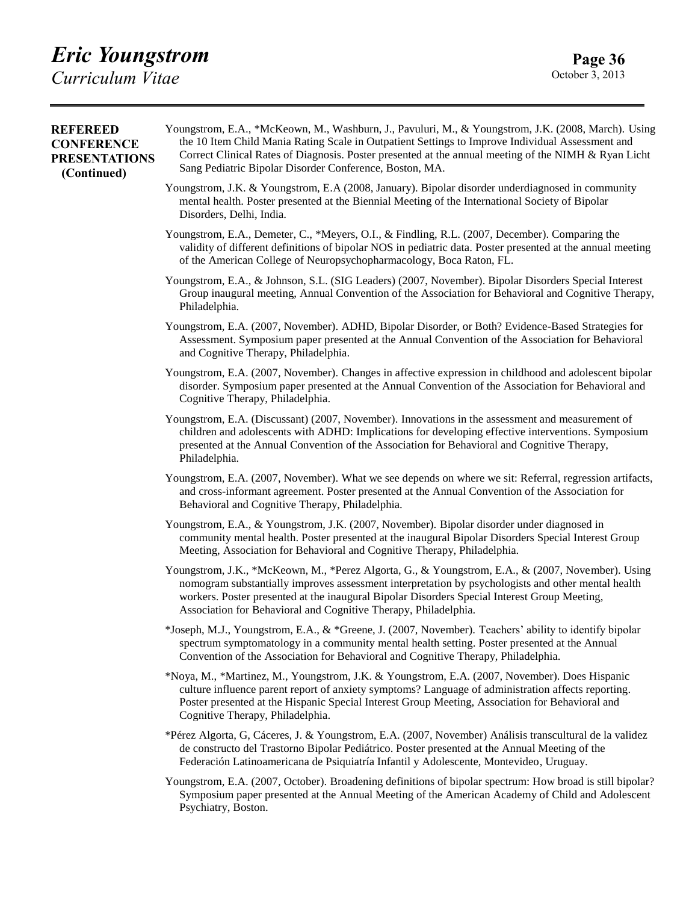| <b>REFEREED</b><br><b>CONFERENCE</b><br><b>PRESENTATIONS</b><br>(Continued) | Youngstrom, E.A., *McKeown, M., Washburn, J., Pavuluri, M., & Youngstrom, J.K. (2008, March). Using<br>the 10 Item Child Mania Rating Scale in Outpatient Settings to Improve Individual Assessment and<br>Correct Clinical Rates of Diagnosis. Poster presented at the annual meeting of the NIMH & Ryan Licht<br>Sang Pediatric Bipolar Disorder Conference, Boston, MA. |
|-----------------------------------------------------------------------------|----------------------------------------------------------------------------------------------------------------------------------------------------------------------------------------------------------------------------------------------------------------------------------------------------------------------------------------------------------------------------|
|                                                                             | Youngstrom, J.K. & Youngstrom, E.A (2008, January). Bipolar disorder underdiagnosed in community<br>mental health. Poster presented at the Biennial Meeting of the International Society of Bipolar<br>Disorders, Delhi, India.                                                                                                                                            |
|                                                                             | Youngstrom, E.A., Demeter, C., *Meyers, O.I., & Findling, R.L. (2007, December). Comparing the<br>validity of different definitions of bipolar NOS in pediatric data. Poster presented at the annual meeting<br>of the American College of Neuropsychopharmacology, Boca Raton, FL.                                                                                        |
|                                                                             | Youngstrom, E.A., & Johnson, S.L. (SIG Leaders) (2007, November). Bipolar Disorders Special Interest<br>Group inaugural meeting, Annual Convention of the Association for Behavioral and Cognitive Therapy,<br>Philadelphia.                                                                                                                                               |
|                                                                             | Youngstrom, E.A. (2007, November). ADHD, Bipolar Disorder, or Both? Evidence-Based Strategies for<br>Assessment. Symposium paper presented at the Annual Convention of the Association for Behavioral<br>and Cognitive Therapy, Philadelphia.                                                                                                                              |
|                                                                             | Youngstrom, E.A. (2007, November). Changes in affective expression in childhood and adolescent bipolar<br>disorder. Symposium paper presented at the Annual Convention of the Association for Behavioral and<br>Cognitive Therapy, Philadelphia.                                                                                                                           |
|                                                                             | Youngstrom, E.A. (Discussant) (2007, November). Innovations in the assessment and measurement of<br>children and adolescents with ADHD: Implications for developing effective interventions. Symposium<br>presented at the Annual Convention of the Association for Behavioral and Cognitive Therapy,<br>Philadelphia.                                                     |
|                                                                             | Youngstrom, E.A. (2007, November). What we see depends on where we sit: Referral, regression artifacts,<br>and cross-informant agreement. Poster presented at the Annual Convention of the Association for<br>Behavioral and Cognitive Therapy, Philadelphia.                                                                                                              |
|                                                                             | Youngstrom, E.A., & Youngstrom, J.K. (2007, November). Bipolar disorder under diagnosed in<br>community mental health. Poster presented at the inaugural Bipolar Disorders Special Interest Group<br>Meeting, Association for Behavioral and Cognitive Therapy, Philadelphia.                                                                                              |
|                                                                             | Youngstrom, J.K., *McKeown, M., *Perez Algorta, G., & Youngstrom, E.A., & (2007, November). Using<br>nomogram substantially improves assessment interpretation by psychologists and other mental health<br>workers. Poster presented at the inaugural Bipolar Disorders Special Interest Group Meeting,<br>Association for Behavioral and Cognitive Therapy, Philadelphia. |
|                                                                             | *Joseph, M.J., Youngstrom, E.A., & *Greene, J. (2007, November). Teachers' ability to identify bipolar<br>spectrum symptomatology in a community mental health setting. Poster presented at the Annual<br>Convention of the Association for Behavioral and Cognitive Therapy, Philadelphia.                                                                                |
|                                                                             | *Noya, M., *Martinez, M., Youngstrom, J.K. & Youngstrom, E.A. (2007, November). Does Hispanic<br>culture influence parent report of anxiety symptoms? Language of administration affects reporting.<br>Poster presented at the Hispanic Special Interest Group Meeting, Association for Behavioral and<br>Cognitive Therapy, Philadelphia.                                 |
|                                                                             | *Pérez Algorta, G, Cáceres, J. & Youngstrom, E.A. (2007, November) Análisis transcultural de la validez<br>de constructo del Trastorno Bipolar Pediátrico. Poster presented at the Annual Meeting of the<br>Federación Latinoamericana de Psiquiatría Infantil y Adolescente, Montevideo, Uruguay.                                                                         |
|                                                                             | Youngstrom, E.A. (2007, October). Broadening definitions of bipolar spectrum: How broad is still bipolar?<br>Symposium paper presented at the Annual Meeting of the American Academy of Child and Adolescent<br>Psychiatry, Boston.                                                                                                                                        |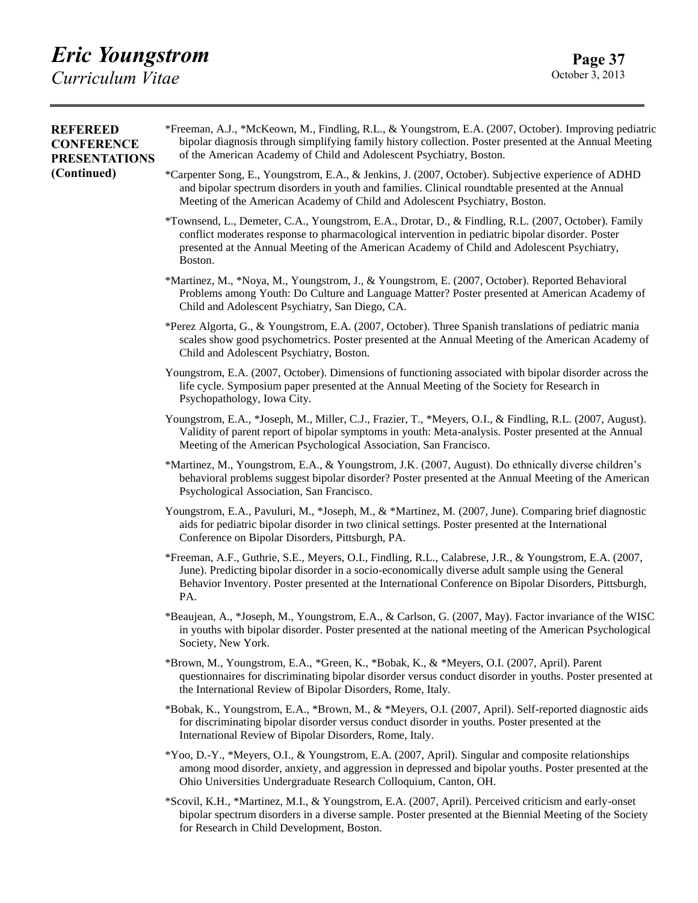| <b>REFEREED</b><br><b>CONFERENCE</b><br><b>PRESENTATIONS</b><br>(Continued) | *Freeman, A.J., *McKeown, M., Findling, R.L., & Youngstrom, E.A. (2007, October). Improving pediatric<br>bipolar diagnosis through simplifying family history collection. Poster presented at the Annual Meeting<br>of the American Academy of Child and Adolescent Psychiatry, Boston.                                       |
|-----------------------------------------------------------------------------|-------------------------------------------------------------------------------------------------------------------------------------------------------------------------------------------------------------------------------------------------------------------------------------------------------------------------------|
|                                                                             | *Carpenter Song, E., Youngstrom, E.A., & Jenkins, J. (2007, October). Subjective experience of ADHD<br>and bipolar spectrum disorders in youth and families. Clinical roundtable presented at the Annual<br>Meeting of the American Academy of Child and Adolescent Psychiatry, Boston.                                       |
|                                                                             | *Townsend, L., Demeter, C.A., Youngstrom, E.A., Drotar, D., & Findling, R.L. (2007, October). Family<br>conflict moderates response to pharmacological intervention in pediatric bipolar disorder. Poster<br>presented at the Annual Meeting of the American Academy of Child and Adolescent Psychiatry,<br>Boston.           |
|                                                                             | *Martinez, M., *Noya, M., Youngstrom, J., & Youngstrom, E. (2007, October). Reported Behavioral<br>Problems among Youth: Do Culture and Language Matter? Poster presented at American Academy of<br>Child and Adolescent Psychiatry, San Diego, CA.                                                                           |
|                                                                             | *Perez Algorta, G., & Youngstrom, E.A. (2007, October). Three Spanish translations of pediatric mania<br>scales show good psychometrics. Poster presented at the Annual Meeting of the American Academy of<br>Child and Adolescent Psychiatry, Boston.                                                                        |
|                                                                             | Youngstrom, E.A. (2007, October). Dimensions of functioning associated with bipolar disorder across the<br>life cycle. Symposium paper presented at the Annual Meeting of the Society for Research in<br>Psychopathology, Iowa City.                                                                                          |
|                                                                             | Youngstrom, E.A., *Joseph, M., Miller, C.J., Frazier, T., *Meyers, O.I., & Findling, R.L. (2007, August).<br>Validity of parent report of bipolar symptoms in youth: Meta-analysis. Poster presented at the Annual<br>Meeting of the American Psychological Association, San Francisco.                                       |
|                                                                             | *Martinez, M., Youngstrom, E.A., & Youngstrom, J.K. (2007, August). Do ethnically diverse children's<br>behavioral problems suggest bipolar disorder? Poster presented at the Annual Meeting of the American<br>Psychological Association, San Francisco.                                                                     |
|                                                                             | Youngstrom, E.A., Pavuluri, M., *Joseph, M., & *Martinez, M. (2007, June). Comparing brief diagnostic<br>aids for pediatric bipolar disorder in two clinical settings. Poster presented at the International<br>Conference on Bipolar Disorders, Pittsburgh, PA.                                                              |
|                                                                             | *Freeman, A.F., Guthrie, S.E., Meyers, O.I., Findling, R.L., Calabrese, J.R., & Youngstrom, E.A. (2007,<br>June). Predicting bipolar disorder in a socio-economically diverse adult sample using the General<br>Behavior Inventory. Poster presented at the International Conference on Bipolar Disorders, Pittsburgh,<br>PA. |
|                                                                             | *Beaujean, A., *Joseph, M., Youngstrom, E.A., & Carlson, G. (2007, May). Factor invariance of the WISC<br>in youths with bipolar disorder. Poster presented at the national meeting of the American Psychological<br>Society, New York.                                                                                       |
|                                                                             | *Brown, M., Youngstrom, E.A., *Green, K., *Bobak, K., & *Meyers, O.I. (2007, April). Parent<br>questionnaires for discriminating bipolar disorder versus conduct disorder in youths. Poster presented at<br>the International Review of Bipolar Disorders, Rome, Italy.                                                       |
|                                                                             | *Bobak, K., Youngstrom, E.A., *Brown, M., & *Meyers, O.I. (2007, April). Self-reported diagnostic aids<br>for discriminating bipolar disorder versus conduct disorder in youths. Poster presented at the<br>International Review of Bipolar Disorders, Rome, Italy.                                                           |
|                                                                             | *Yoo, D.-Y., *Meyers, O.I., & Youngstrom, E.A. (2007, April). Singular and composite relationships<br>among mood disorder, anxiety, and aggression in depressed and bipolar youths. Poster presented at the<br>Ohio Universities Undergraduate Research Colloquium, Canton, OH.                                               |
|                                                                             | *Scovil, K.H., *Martinez, M.I., & Youngstrom, E.A. (2007, April). Perceived criticism and early-onset<br>bipolar spectrum disorders in a diverse sample. Poster presented at the Biennial Meeting of the Society<br>for Research in Child Development, Boston.                                                                |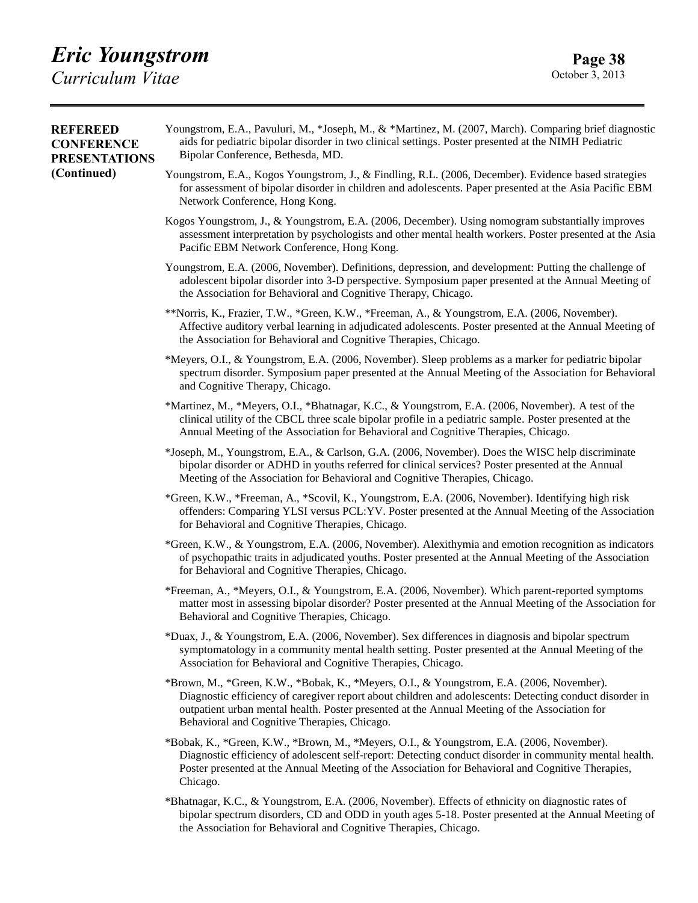| <b>REFEREED</b><br><b>CONFERENCE</b><br><b>PRESENTATIONS</b><br>(Continued) | Youngstrom, E.A., Pavuluri, M., *Joseph, M., & *Martinez, M. (2007, March). Comparing brief diagnostic<br>aids for pediatric bipolar disorder in two clinical settings. Poster presented at the NIMH Pediatric<br>Bipolar Conference, Bethesda, MD.                                                                                                   |
|-----------------------------------------------------------------------------|-------------------------------------------------------------------------------------------------------------------------------------------------------------------------------------------------------------------------------------------------------------------------------------------------------------------------------------------------------|
|                                                                             | Youngstrom, E.A., Kogos Youngstrom, J., & Findling, R.L. (2006, December). Evidence based strategies<br>for assessment of bipolar disorder in children and adolescents. Paper presented at the Asia Pacific EBM<br>Network Conference, Hong Kong.                                                                                                     |
|                                                                             | Kogos Youngstrom, J., & Youngstrom, E.A. (2006, December). Using nomogram substantially improves<br>assessment interpretation by psychologists and other mental health workers. Poster presented at the Asia<br>Pacific EBM Network Conference, Hong Kong.                                                                                            |
|                                                                             | Youngstrom, E.A. (2006, November). Definitions, depression, and development: Putting the challenge of<br>adolescent bipolar disorder into 3-D perspective. Symposium paper presented at the Annual Meeting of<br>the Association for Behavioral and Cognitive Therapy, Chicago.                                                                       |
|                                                                             | **Norris, K., Frazier, T.W., *Green, K.W., *Freeman, A., & Youngstrom, E.A. (2006, November).<br>Affective auditory verbal learning in adjudicated adolescents. Poster presented at the Annual Meeting of<br>the Association for Behavioral and Cognitive Therapies, Chicago.                                                                         |
|                                                                             | *Meyers, O.I., & Youngstrom, E.A. (2006, November). Sleep problems as a marker for pediatric bipolar<br>spectrum disorder. Symposium paper presented at the Annual Meeting of the Association for Behavioral<br>and Cognitive Therapy, Chicago.                                                                                                       |
|                                                                             | *Martinez, M., *Meyers, O.I., *Bhatnagar, K.C., & Youngstrom, E.A. (2006, November). A test of the<br>clinical utility of the CBCL three scale bipolar profile in a pediatric sample. Poster presented at the<br>Annual Meeting of the Association for Behavioral and Cognitive Therapies, Chicago.                                                   |
|                                                                             | *Joseph, M., Youngstrom, E.A., & Carlson, G.A. (2006, November). Does the WISC help discriminate<br>bipolar disorder or ADHD in youths referred for clinical services? Poster presented at the Annual<br>Meeting of the Association for Behavioral and Cognitive Therapies, Chicago.                                                                  |
|                                                                             | *Green, K.W., *Freeman, A., *Scovil, K., Youngstrom, E.A. (2006, November). Identifying high risk<br>offenders: Comparing YLSI versus PCL:YV. Poster presented at the Annual Meeting of the Association<br>for Behavioral and Cognitive Therapies, Chicago.                                                                                           |
|                                                                             | *Green, K.W., & Youngstrom, E.A. (2006, November). Alexithymia and emotion recognition as indicators<br>of psychopathic traits in adjudicated youths. Poster presented at the Annual Meeting of the Association<br>for Behavioral and Cognitive Therapies, Chicago.                                                                                   |
|                                                                             | *Freeman, A., *Meyers, O.I., & Youngstrom, E.A. (2006, November). Which parent-reported symptoms<br>matter most in assessing bipolar disorder? Poster presented at the Annual Meeting of the Association for<br>Behavioral and Cognitive Therapies, Chicago.                                                                                          |
|                                                                             | *Duax, J., & Youngstrom, E.A. (2006, November). Sex differences in diagnosis and bipolar spectrum<br>symptomatology in a community mental health setting. Poster presented at the Annual Meeting of the<br>Association for Behavioral and Cognitive Therapies, Chicago.                                                                               |
|                                                                             | *Brown, M., *Green, K.W., *Bobak, K., *Meyers, O.I., & Youngstrom, E.A. (2006, November).<br>Diagnostic efficiency of caregiver report about children and adolescents: Detecting conduct disorder in<br>outpatient urban mental health. Poster presented at the Annual Meeting of the Association for<br>Behavioral and Cognitive Therapies, Chicago. |
|                                                                             | *Bobak, K., *Green, K.W., *Brown, M., *Meyers, O.I., & Youngstrom, E.A. (2006, November).<br>Diagnostic efficiency of adolescent self-report: Detecting conduct disorder in community mental health.<br>Poster presented at the Annual Meeting of the Association for Behavioral and Cognitive Therapies,<br>Chicago.                                 |
|                                                                             | *Bhatnagar, K.C., & Youngstrom, E.A. (2006, November). Effects of ethnicity on diagnostic rates of<br>bipolar spectrum disorders, CD and ODD in youth ages 5-18. Poster presented at the Annual Meeting of<br>the Association for Behavioral and Cognitive Therapies, Chicago.                                                                        |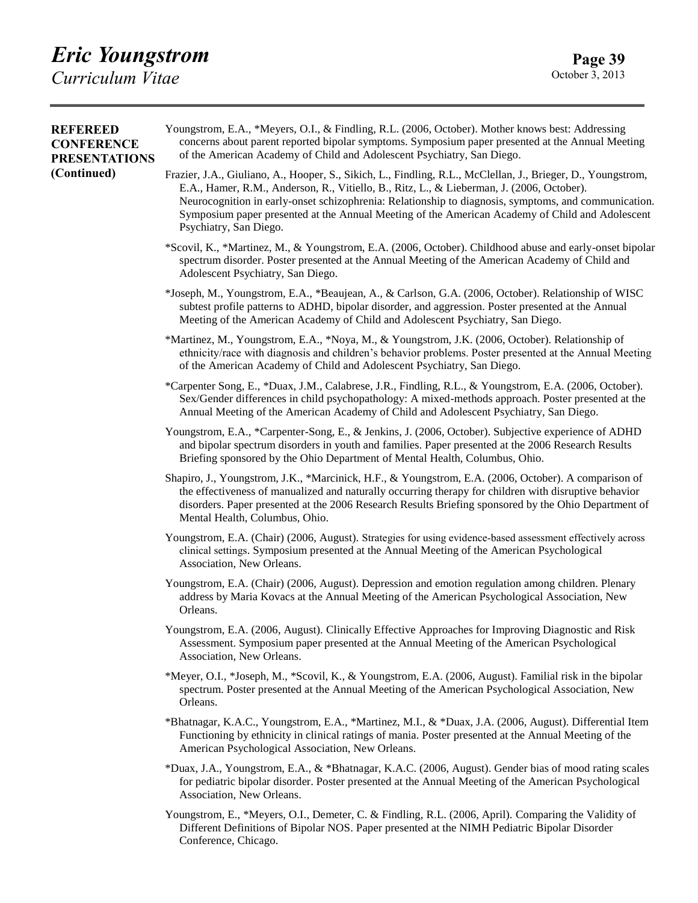| <b>REFEREED</b><br><b>CONFERENCE</b><br><b>PRESENTATIONS</b><br>(Continued) | Youngstrom, E.A., *Meyers, O.I., & Findling, R.L. (2006, October). Mother knows best: Addressing<br>concerns about parent reported bipolar symptoms. Symposium paper presented at the Annual Meeting<br>of the American Academy of Child and Adolescent Psychiatry, San Diego.                                                                                                                                                                 |
|-----------------------------------------------------------------------------|------------------------------------------------------------------------------------------------------------------------------------------------------------------------------------------------------------------------------------------------------------------------------------------------------------------------------------------------------------------------------------------------------------------------------------------------|
|                                                                             | Frazier, J.A., Giuliano, A., Hooper, S., Sikich, L., Findling, R.L., McClellan, J., Brieger, D., Youngstrom,<br>E.A., Hamer, R.M., Anderson, R., Vitiello, B., Ritz, L., & Lieberman, J. (2006, October).<br>Neurocognition in early-onset schizophrenia: Relationship to diagnosis, symptoms, and communication.<br>Symposium paper presented at the Annual Meeting of the American Academy of Child and Adolescent<br>Psychiatry, San Diego. |
|                                                                             | *Scovil, K., *Martinez, M., & Youngstrom, E.A. (2006, October). Childhood abuse and early-onset bipolar<br>spectrum disorder. Poster presented at the Annual Meeting of the American Academy of Child and<br>Adolescent Psychiatry, San Diego.                                                                                                                                                                                                 |
|                                                                             | *Joseph, M., Youngstrom, E.A., *Beaujean, A., & Carlson, G.A. (2006, October). Relationship of WISC<br>subtest profile patterns to ADHD, bipolar disorder, and aggression. Poster presented at the Annual<br>Meeting of the American Academy of Child and Adolescent Psychiatry, San Diego.                                                                                                                                                    |
|                                                                             | *Martinez, M., Youngstrom, E.A., *Noya, M., & Youngstrom, J.K. (2006, October). Relationship of<br>ethnicity/race with diagnosis and children's behavior problems. Poster presented at the Annual Meeting<br>of the American Academy of Child and Adolescent Psychiatry, San Diego.                                                                                                                                                            |
|                                                                             | *Carpenter Song, E., *Duax, J.M., Calabrese, J.R., Findling, R.L., & Youngstrom, E.A. (2006, October).<br>Sex/Gender differences in child psychopathology: A mixed-methods approach. Poster presented at the<br>Annual Meeting of the American Academy of Child and Adolescent Psychiatry, San Diego.                                                                                                                                          |
|                                                                             | Youngstrom, E.A., *Carpenter-Song, E., & Jenkins, J. (2006, October). Subjective experience of ADHD<br>and bipolar spectrum disorders in youth and families. Paper presented at the 2006 Research Results<br>Briefing sponsored by the Ohio Department of Mental Health, Columbus, Ohio.                                                                                                                                                       |
|                                                                             | Shapiro, J., Youngstrom, J.K., *Marcinick, H.F., & Youngstrom, E.A. (2006, October). A comparison of<br>the effectiveness of manualized and naturally occurring therapy for children with disruptive behavior<br>disorders. Paper presented at the 2006 Research Results Briefing sponsored by the Ohio Department of<br>Mental Health, Columbus, Ohio.                                                                                        |
|                                                                             | Youngstrom, E.A. (Chair) (2006, August). Strategies for using evidence-based assessment effectively across<br>clinical settings. Symposium presented at the Annual Meeting of the American Psychological<br>Association, New Orleans.                                                                                                                                                                                                          |
|                                                                             | Youngstrom, E.A. (Chair) (2006, August). Depression and emotion regulation among children. Plenary<br>address by Maria Kovacs at the Annual Meeting of the American Psychological Association, New<br>Orleans.                                                                                                                                                                                                                                 |
|                                                                             | Youngstrom, E.A. (2006, August). Clinically Effective Approaches for Improving Diagnostic and Risk<br>Assessment. Symposium paper presented at the Annual Meeting of the American Psychological<br>Association, New Orleans.                                                                                                                                                                                                                   |
|                                                                             | *Meyer, O.I., *Joseph, M., *Scovil, K., & Youngstrom, E.A. (2006, August). Familial risk in the bipolar<br>spectrum. Poster presented at the Annual Meeting of the American Psychological Association, New<br>Orleans.                                                                                                                                                                                                                         |
|                                                                             | *Bhatnagar, K.A.C., Youngstrom, E.A., *Martinez, M.I., & *Duax, J.A. (2006, August). Differential Item<br>Functioning by ethnicity in clinical ratings of mania. Poster presented at the Annual Meeting of the<br>American Psychological Association, New Orleans.                                                                                                                                                                             |
|                                                                             | *Duax, J.A., Youngstrom, E.A., & *Bhatnagar, K.A.C. (2006, August). Gender bias of mood rating scales<br>for pediatric bipolar disorder. Poster presented at the Annual Meeting of the American Psychological<br>Association, New Orleans.                                                                                                                                                                                                     |
|                                                                             | Youngstrom, E., *Meyers, O.I., Demeter, C. & Findling, R.L. (2006, April). Comparing the Validity of<br>Different Definitions of Bipolar NOS. Paper presented at the NIMH Pediatric Bipolar Disorder                                                                                                                                                                                                                                           |

Conference, Chicago.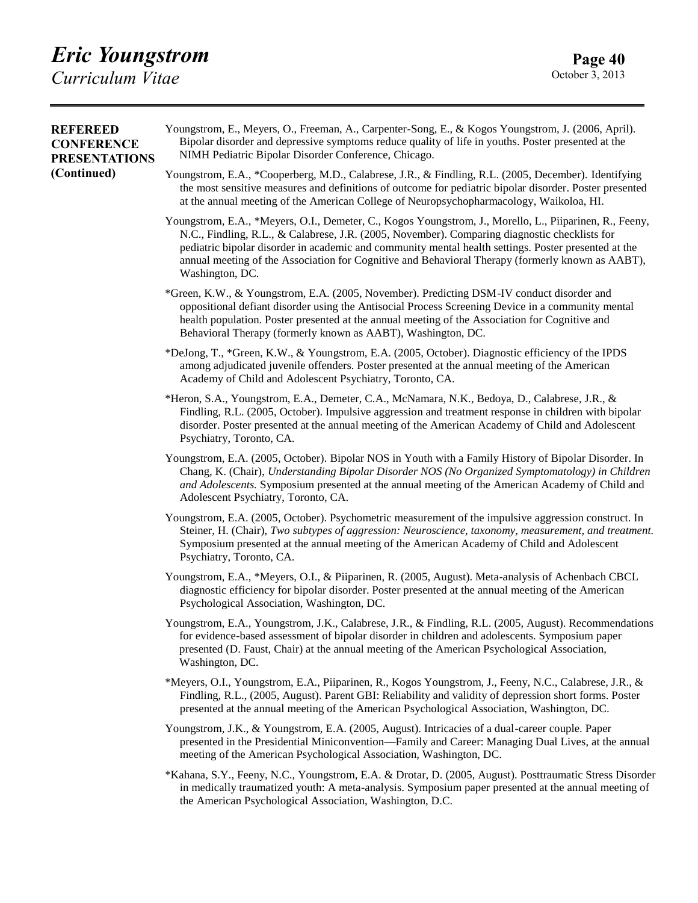| <b>REFEREED</b><br><b>CONFERENCE</b><br><b>PRESENTATIONS</b><br>(Continued) | Youngstrom, E., Meyers, O., Freeman, A., Carpenter-Song, E., & Kogos Youngstrom, J. (2006, April).<br>Bipolar disorder and depressive symptoms reduce quality of life in youths. Poster presented at the<br>NIMH Pediatric Bipolar Disorder Conference, Chicago.                                                                                                                                                                        |
|-----------------------------------------------------------------------------|-----------------------------------------------------------------------------------------------------------------------------------------------------------------------------------------------------------------------------------------------------------------------------------------------------------------------------------------------------------------------------------------------------------------------------------------|
|                                                                             | Youngstrom, E.A., *Cooperberg, M.D., Calabrese, J.R., & Findling, R.L. (2005, December). Identifying<br>the most sensitive measures and definitions of outcome for pediatric bipolar disorder. Poster presented<br>at the annual meeting of the American College of Neuropsychopharmacology, Waikoloa, HI.                                                                                                                              |
|                                                                             | Youngstrom, E.A., *Meyers, O.I., Demeter, C., Kogos Youngstrom, J., Morello, L., Piiparinen, R., Feeny,<br>N.C., Findling, R.L., & Calabrese, J.R. (2005, November). Comparing diagnostic checklists for<br>pediatric bipolar disorder in academic and community mental health settings. Poster presented at the<br>annual meeting of the Association for Cognitive and Behavioral Therapy (formerly known as AABT),<br>Washington, DC. |
|                                                                             | *Green, K.W., & Youngstrom, E.A. (2005, November). Predicting DSM-IV conduct disorder and<br>oppositional defiant disorder using the Antisocial Process Screening Device in a community mental<br>health population. Poster presented at the annual meeting of the Association for Cognitive and<br>Behavioral Therapy (formerly known as AABT), Washington, DC.                                                                        |
|                                                                             | *DeJong, T., *Green, K.W., & Youngstrom, E.A. (2005, October). Diagnostic efficiency of the IPDS<br>among adjudicated juvenile offenders. Poster presented at the annual meeting of the American<br>Academy of Child and Adolescent Psychiatry, Toronto, CA.                                                                                                                                                                            |
|                                                                             | *Heron, S.A., Youngstrom, E.A., Demeter, C.A., McNamara, N.K., Bedoya, D., Calabrese, J.R., &<br>Findling, R.L. (2005, October). Impulsive aggression and treatment response in children with bipolar<br>disorder. Poster presented at the annual meeting of the American Academy of Child and Adolescent<br>Psychiatry, Toronto, CA.                                                                                                   |
|                                                                             | Youngstrom, E.A. (2005, October). Bipolar NOS in Youth with a Family History of Bipolar Disorder. In<br>Chang, K. (Chair), Understanding Bipolar Disorder NOS (No Organized Symptomatology) in Children<br>and Adolescents. Symposium presented at the annual meeting of the American Academy of Child and<br>Adolescent Psychiatry, Toronto, CA.                                                                                       |
|                                                                             | Youngstrom, E.A. (2005, October). Psychometric measurement of the impulsive aggression construct. In<br>Steiner, H. (Chair), Two subtypes of aggression: Neuroscience, taxonomy, measurement, and treatment.<br>Symposium presented at the annual meeting of the American Academy of Child and Adolescent<br>Psychiatry, Toronto, CA.                                                                                                   |
|                                                                             | Youngstrom, E.A., *Meyers, O.I., & Piiparinen, R. (2005, August). Meta-analysis of Achenbach CBCL<br>diagnostic efficiency for bipolar disorder. Poster presented at the annual meeting of the American<br>Psychological Association, Washington, DC.                                                                                                                                                                                   |
|                                                                             | Youngstrom, E.A., Youngstrom, J.K., Calabrese, J.R., & Findling, R.L. (2005, August). Recommendations<br>for evidence-based assessment of bipolar disorder in children and adolescents. Symposium paper<br>presented (D. Faust, Chair) at the annual meeting of the American Psychological Association,<br>Washington, DC.                                                                                                              |
|                                                                             | *Meyers, O.I., Youngstrom, E.A., Piiparinen, R., Kogos Youngstrom, J., Feeny, N.C., Calabrese, J.R., &<br>Findling, R.L., (2005, August). Parent GBI: Reliability and validity of depression short forms. Poster<br>presented at the annual meeting of the American Psychological Association, Washington, DC.                                                                                                                          |
|                                                                             | Youngstrom, J.K., & Youngstrom, E.A. (2005, August). Intricacies of a dual-career couple. Paper<br>presented in the Presidential Miniconvention—Family and Career: Managing Dual Lives, at the annual<br>meeting of the American Psychological Association, Washington, DC.                                                                                                                                                             |
|                                                                             | *Kahana, S.Y., Feeny, N.C., Youngstrom, E.A. & Drotar, D. (2005, August). Posttraumatic Stress Disorder<br>in medically traumatized youth: A meta-analysis. Symposium paper presented at the annual meeting of<br>the American Psychological Association, Washington, D.C.                                                                                                                                                              |
|                                                                             |                                                                                                                                                                                                                                                                                                                                                                                                                                         |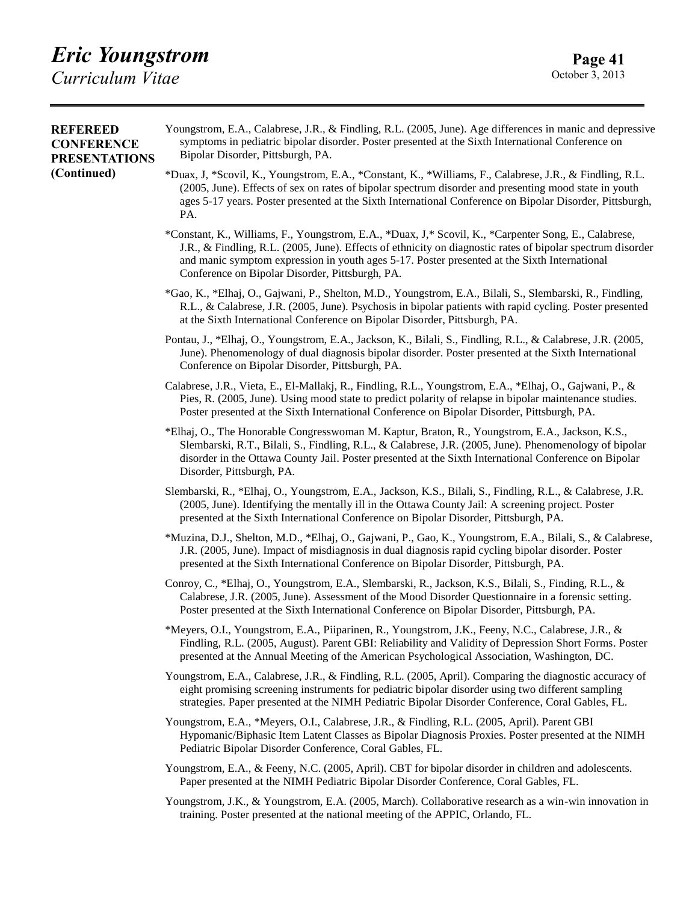| <b>REFEREED</b><br><b>CONFERENCE</b><br><b>PRESENTATIONS</b> | Youngstrom, E.A., Calabrese, J.R., & Findling, R.L. (2005, June). Age differences in manic and depressive<br>symptoms in pediatric bipolar disorder. Poster presented at the Sixth International Conference on<br>Bipolar Disorder, Pittsburgh, PA.                                                                                                                    |
|--------------------------------------------------------------|------------------------------------------------------------------------------------------------------------------------------------------------------------------------------------------------------------------------------------------------------------------------------------------------------------------------------------------------------------------------|
| (Continued)                                                  | *Duax, J, *Scovil, K., Youngstrom, E.A., *Constant, K., *Williams, F., Calabrese, J.R., & Findling, R.L.<br>(2005, June). Effects of sex on rates of bipolar spectrum disorder and presenting mood state in youth<br>ages 5-17 years. Poster presented at the Sixth International Conference on Bipolar Disorder, Pittsburgh,<br>PA.                                   |
|                                                              | *Constant, K., Williams, F., Youngstrom, E.A., *Duax, J.* Scovil, K., *Carpenter Song, E., Calabrese,<br>J.R., & Findling, R.L. (2005, June). Effects of ethnicity on diagnostic rates of bipolar spectrum disorder<br>and manic symptom expression in youth ages 5-17. Poster presented at the Sixth International<br>Conference on Bipolar Disorder, Pittsburgh, PA. |
|                                                              | *Gao, K., *Elhaj, O., Gajwani, P., Shelton, M.D., Youngstrom, E.A., Bilali, S., Slembarski, R., Findling,<br>R.L., & Calabrese, J.R. (2005, June). Psychosis in bipolar patients with rapid cycling. Poster presented<br>at the Sixth International Conference on Bipolar Disorder, Pittsburgh, PA.                                                                    |
|                                                              | Pontau, J., *Elhaj, O., Youngstrom, E.A., Jackson, K., Bilali, S., Findling, R.L., & Calabrese, J.R. (2005,<br>June). Phenomenology of dual diagnosis bipolar disorder. Poster presented at the Sixth International<br>Conference on Bipolar Disorder, Pittsburgh, PA.                                                                                                 |
|                                                              | Calabrese, J.R., Vieta, E., El-Mallakj, R., Findling, R.L., Youngstrom, E.A., *Elhaj, O., Gajwani, P., &<br>Pies, R. (2005, June). Using mood state to predict polarity of relapse in bipolar maintenance studies.<br>Poster presented at the Sixth International Conference on Bipolar Disorder, Pittsburgh, PA.                                                      |
|                                                              | *Elhaj, O., The Honorable Congresswoman M. Kaptur, Braton, R., Youngstrom, E.A., Jackson, K.S.,<br>Slembarski, R.T., Bilali, S., Findling, R.L., & Calabrese, J.R. (2005, June). Phenomenology of bipolar<br>disorder in the Ottawa County Jail. Poster presented at the Sixth International Conference on Bipolar<br>Disorder, Pittsburgh, PA.                        |
|                                                              | Slembarski, R., *Elhaj, O., Youngstrom, E.A., Jackson, K.S., Bilali, S., Findling, R.L., & Calabrese, J.R.<br>(2005, June). Identifying the mentally ill in the Ottawa County Jail: A screening project. Poster<br>presented at the Sixth International Conference on Bipolar Disorder, Pittsburgh, PA.                                                                |
|                                                              | *Muzina, D.J., Shelton, M.D., *Elhaj, O., Gajwani, P., Gao, K., Youngstrom, E.A., Bilali, S., & Calabrese,<br>J.R. (2005, June). Impact of misdiagnosis in dual diagnosis rapid cycling bipolar disorder. Poster<br>presented at the Sixth International Conference on Bipolar Disorder, Pittsburgh, PA.                                                               |
|                                                              | Conroy, C., *Elhaj, O., Youngstrom, E.A., Slembarski, R., Jackson, K.S., Bilali, S., Finding, R.L., &<br>Calabrese, J.R. (2005, June). Assessment of the Mood Disorder Questionnaire in a forensic setting.<br>Poster presented at the Sixth International Conference on Bipolar Disorder, Pittsburgh, PA.                                                             |
|                                                              | *Meyers, O.I., Youngstrom, E.A., Piiparinen, R., Youngstrom, J.K., Feeny, N.C., Calabrese, J.R., &<br>Findling, R.L. (2005, August). Parent GBI: Reliability and Validity of Depression Short Forms. Poster<br>presented at the Annual Meeting of the American Psychological Association, Washington, DC.                                                              |
|                                                              | Youngstrom, E.A., Calabrese, J.R., & Findling, R.L. (2005, April). Comparing the diagnostic accuracy of<br>eight promising screening instruments for pediatric bipolar disorder using two different sampling<br>strategies. Paper presented at the NIMH Pediatric Bipolar Disorder Conference, Coral Gables, FL.                                                       |
|                                                              | Youngstrom, E.A., *Meyers, O.I., Calabrese, J.R., & Findling, R.L. (2005, April). Parent GBI<br>Hypomanic/Biphasic Item Latent Classes as Bipolar Diagnosis Proxies. Poster presented at the NIMH<br>Pediatric Bipolar Disorder Conference, Coral Gables, FL.                                                                                                          |
|                                                              | Youngstrom, E.A., & Feeny, N.C. (2005, April). CBT for bipolar disorder in children and adolescents.<br>Paper presented at the NIMH Pediatric Bipolar Disorder Conference, Coral Gables, FL.                                                                                                                                                                           |
|                                                              | Youngstrom, J.K., & Youngstrom, E.A. (2005, March). Collaborative research as a win-win innovation in<br>training. Poster presented at the national meeting of the APPIC, Orlando, FL.                                                                                                                                                                                 |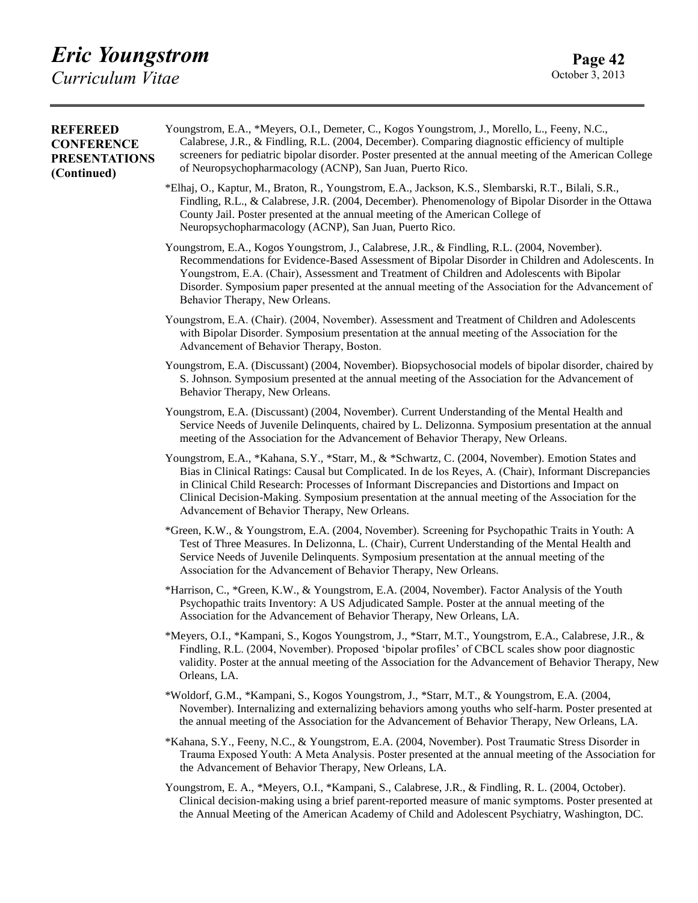| <b>REFEREED</b><br><b>CONFERENCE</b><br><b>PRESENTATIONS</b><br>(Continued) | Youngstrom, E.A., *Meyers, O.I., Demeter, C., Kogos Youngstrom, J., Morello, L., Feeny, N.C.,<br>Calabrese, J.R., & Findling, R.L. (2004, December). Comparing diagnostic efficiency of multiple<br>screeners for pediatric bipolar disorder. Poster presented at the annual meeting of the American College<br>of Neuropsychopharmacology (ACNP), San Juan, Puerto Rico.                                                                                           |
|-----------------------------------------------------------------------------|---------------------------------------------------------------------------------------------------------------------------------------------------------------------------------------------------------------------------------------------------------------------------------------------------------------------------------------------------------------------------------------------------------------------------------------------------------------------|
|                                                                             | *Elhaj, O., Kaptur, M., Braton, R., Youngstrom, E.A., Jackson, K.S., Slembarski, R.T., Bilali, S.R.,<br>Findling, R.L., & Calabrese, J.R. (2004, December). Phenomenology of Bipolar Disorder in the Ottawa<br>County Jail. Poster presented at the annual meeting of the American College of<br>Neuropsychopharmacology (ACNP), San Juan, Puerto Rico.                                                                                                             |
|                                                                             | Youngstrom, E.A., Kogos Youngstrom, J., Calabrese, J.R., & Findling, R.L. (2004, November).<br>Recommendations for Evidence-Based Assessment of Bipolar Disorder in Children and Adolescents. In<br>Youngstrom, E.A. (Chair), Assessment and Treatment of Children and Adolescents with Bipolar<br>Disorder. Symposium paper presented at the annual meeting of the Association for the Advancement of<br>Behavior Therapy, New Orleans.                            |
|                                                                             | Youngstrom, E.A. (Chair). (2004, November). Assessment and Treatment of Children and Adolescents<br>with Bipolar Disorder. Symposium presentation at the annual meeting of the Association for the<br>Advancement of Behavior Therapy, Boston.                                                                                                                                                                                                                      |
|                                                                             | Youngstrom, E.A. (Discussant) (2004, November). Biopsychosocial models of bipolar disorder, chaired by<br>S. Johnson. Symposium presented at the annual meeting of the Association for the Advancement of<br>Behavior Therapy, New Orleans.                                                                                                                                                                                                                         |
|                                                                             | Youngstrom, E.A. (Discussant) (2004, November). Current Understanding of the Mental Health and<br>Service Needs of Juvenile Delinquents, chaired by L. Delizonna. Symposium presentation at the annual<br>meeting of the Association for the Advancement of Behavior Therapy, New Orleans.                                                                                                                                                                          |
|                                                                             | Youngstrom, E.A., *Kahana, S.Y., *Starr, M., & *Schwartz, C. (2004, November). Emotion States and<br>Bias in Clinical Ratings: Causal but Complicated. In de los Reyes, A. (Chair), Informant Discrepancies<br>in Clinical Child Research: Processes of Informant Discrepancies and Distortions and Impact on<br>Clinical Decision-Making. Symposium presentation at the annual meeting of the Association for the<br>Advancement of Behavior Therapy, New Orleans. |
|                                                                             | *Green, K.W., & Youngstrom, E.A. (2004, November). Screening for Psychopathic Traits in Youth: A<br>Test of Three Measures. In Delizonna, L. (Chair), Current Understanding of the Mental Health and<br>Service Needs of Juvenile Delinquents. Symposium presentation at the annual meeting of the<br>Association for the Advancement of Behavior Therapy, New Orleans.                                                                                             |
|                                                                             | *Harrison, C., *Green, K.W., & Youngstrom, E.A. (2004, November). Factor Analysis of the Youth<br>Psychopathic traits Inventory: A US Adjudicated Sample. Poster at the annual meeting of the<br>Association for the Advancement of Behavior Therapy, New Orleans, LA.                                                                                                                                                                                              |
|                                                                             | *Meyers, O.I., *Kampani, S., Kogos Youngstrom, J., *Starr, M.T., Youngstrom, E.A., Calabrese, J.R., &<br>Findling, R.L. (2004, November). Proposed 'bipolar profiles' of CBCL scales show poor diagnostic<br>validity. Poster at the annual meeting of the Association for the Advancement of Behavior Therapy, New<br>Orleans, LA.                                                                                                                                 |
|                                                                             | *Woldorf, G.M., *Kampani, S., Kogos Youngstrom, J., *Starr, M.T., & Youngstrom, E.A. (2004,<br>November). Internalizing and externalizing behaviors among youths who self-harm. Poster presented at<br>the annual meeting of the Association for the Advancement of Behavior Therapy, New Orleans, LA.                                                                                                                                                              |
|                                                                             | *Kahana, S.Y., Feeny, N.C., & Youngstrom, E.A. (2004, November). Post Traumatic Stress Disorder in<br>Trauma Exposed Youth: A Meta Analysis. Poster presented at the annual meeting of the Association for<br>the Advancement of Behavior Therapy, New Orleans, LA.                                                                                                                                                                                                 |
|                                                                             | Youngstrom, E. A., *Meyers, O.I., *Kampani, S., Calabrese, J.R., & Findling, R. L. (2004, October).<br>Clinical decision-making using a brief parent-reported measure of manic symptoms. Poster presented at<br>the Annual Meeting of the American Academy of Child and Adolescent Psychiatry, Washington, DC.                                                                                                                                                      |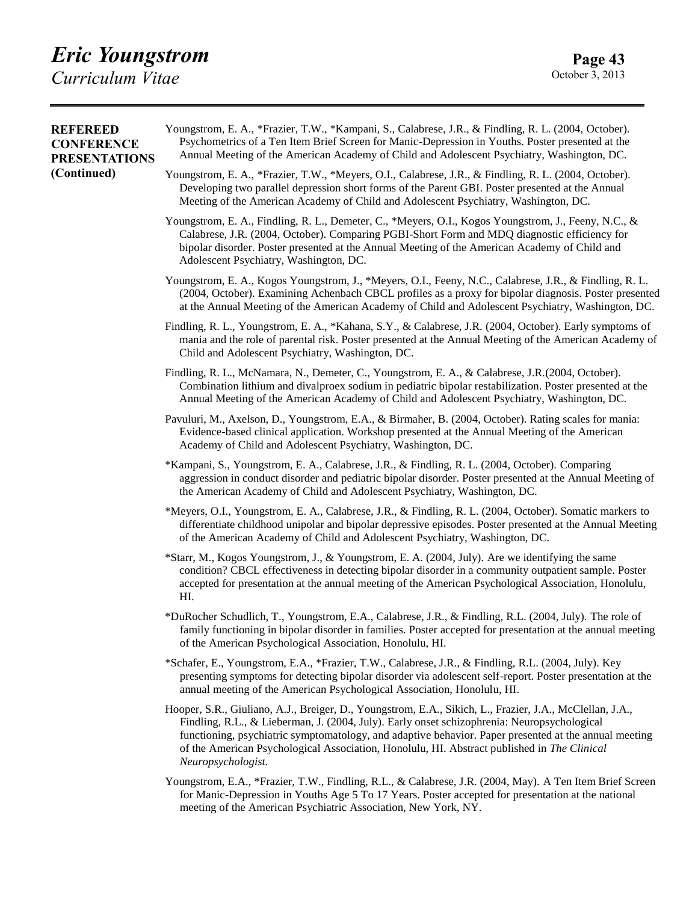| <b>REFEREED</b><br><b>CONFERENCE</b><br><b>PRESENTATIONS</b><br>(Continued) | Youngstrom, E. A., *Frazier, T.W., *Kampani, S., Calabrese, J.R., & Findling, R. L. (2004, October).<br>Psychometrics of a Ten Item Brief Screen for Manic-Depression in Youths. Poster presented at the<br>Annual Meeting of the American Academy of Child and Adolescent Psychiatry, Washington, DC.                                                                                                                                |
|-----------------------------------------------------------------------------|---------------------------------------------------------------------------------------------------------------------------------------------------------------------------------------------------------------------------------------------------------------------------------------------------------------------------------------------------------------------------------------------------------------------------------------|
|                                                                             | Youngstrom, E. A., *Frazier, T.W., *Meyers, O.I., Calabrese, J.R., & Findling, R. L. (2004, October).<br>Developing two parallel depression short forms of the Parent GBI. Poster presented at the Annual<br>Meeting of the American Academy of Child and Adolescent Psychiatry, Washington, DC.                                                                                                                                      |
|                                                                             | Youngstrom, E. A., Findling, R. L., Demeter, C., *Meyers, O.I., Kogos Youngstrom, J., Feeny, N.C., &<br>Calabrese, J.R. (2004, October). Comparing PGBI-Short Form and MDQ diagnostic efficiency for<br>bipolar disorder. Poster presented at the Annual Meeting of the American Academy of Child and<br>Adolescent Psychiatry, Washington, DC.                                                                                       |
|                                                                             | Youngstrom, E. A., Kogos Youngstrom, J., *Meyers, O.I., Feeny, N.C., Calabrese, J.R., & Findling, R. L.<br>(2004, October). Examining Achenbach CBCL profiles as a proxy for bipolar diagnosis. Poster presented<br>at the Annual Meeting of the American Academy of Child and Adolescent Psychiatry, Washington, DC.                                                                                                                 |
|                                                                             | Findling, R. L., Youngstrom, E. A., *Kahana, S.Y., & Calabrese, J.R. (2004, October). Early symptoms of<br>mania and the role of parental risk. Poster presented at the Annual Meeting of the American Academy of<br>Child and Adolescent Psychiatry, Washington, DC.                                                                                                                                                                 |
|                                                                             | Findling, R. L., McNamara, N., Demeter, C., Youngstrom, E. A., & Calabrese, J.R. (2004, October).<br>Combination lithium and divalproex sodium in pediatric bipolar restabilization. Poster presented at the<br>Annual Meeting of the American Academy of Child and Adolescent Psychiatry, Washington, DC.                                                                                                                            |
|                                                                             | Pavuluri, M., Axelson, D., Youngstrom, E.A., & Birmaher, B. (2004, October). Rating scales for mania:<br>Evidence-based clinical application. Workshop presented at the Annual Meeting of the American<br>Academy of Child and Adolescent Psychiatry, Washington, DC.                                                                                                                                                                 |
|                                                                             | *Kampani, S., Youngstrom, E. A., Calabrese, J.R., & Findling, R. L. (2004, October). Comparing<br>aggression in conduct disorder and pediatric bipolar disorder. Poster presented at the Annual Meeting of<br>the American Academy of Child and Adolescent Psychiatry, Washington, DC.                                                                                                                                                |
|                                                                             | *Meyers, O.I., Youngstrom, E. A., Calabrese, J.R., & Findling, R. L. (2004, October). Somatic markers to<br>differentiate childhood unipolar and bipolar depressive episodes. Poster presented at the Annual Meeting<br>of the American Academy of Child and Adolescent Psychiatry, Washington, DC.                                                                                                                                   |
|                                                                             | *Starr, M., Kogos Youngstrom, J., & Youngstrom, E. A. (2004, July). Are we identifying the same<br>condition? CBCL effectiveness in detecting bipolar disorder in a community outpatient sample. Poster<br>accepted for presentation at the annual meeting of the American Psychological Association, Honolulu,<br>HI.                                                                                                                |
|                                                                             | *DuRocher Schudlich, T., Youngstrom, E.A., Calabrese, J.R., & Findling, R.L. (2004, July). The role of<br>family functioning in bipolar disorder in families. Poster accepted for presentation at the annual meeting<br>of the American Psychological Association, Honolulu, HI.                                                                                                                                                      |
|                                                                             | *Schafer, E., Youngstrom, E.A., *Frazier, T.W., Calabrese, J.R., & Findling, R.L. (2004, July). Key<br>presenting symptoms for detecting bipolar disorder via adolescent self-report. Poster presentation at the<br>annual meeting of the American Psychological Association, Honolulu, HI.                                                                                                                                           |
|                                                                             | Hooper, S.R., Giuliano, A.J., Breiger, D., Youngstrom, E.A., Sikich, L., Frazier, J.A., McClellan, J.A.,<br>Findling, R.L., & Lieberman, J. (2004, July). Early onset schizophrenia: Neuropsychological<br>functioning, psychiatric symptomatology, and adaptive behavior. Paper presented at the annual meeting<br>of the American Psychological Association, Honolulu, HI. Abstract published in The Clinical<br>Neuropsychologist. |
|                                                                             | Youngstrom, E.A., *Frazier, T.W., Findling, R.L., & Calabrese, J.R. (2004, May). A Ten Item Brief Screen<br>for Manic-Depression in Youths Age 5 To 17 Years. Poster accepted for presentation at the national<br>meeting of the American Psychiatric Association, New York, NY.                                                                                                                                                      |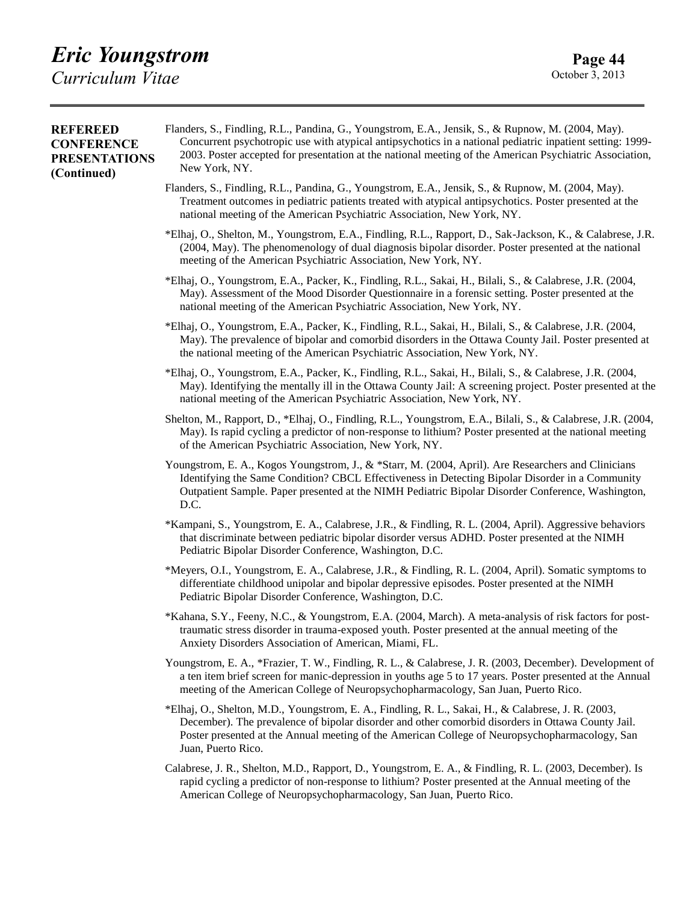| Concurrent psychotropic use with atypical antipsychotics in a national pediatric inpatient setting: 1999-<br><b>CONFERENCE</b><br>2003. Poster accepted for presentation at the national meeting of the American Psychiatric Association,<br><b>PRESENTATIONS</b><br>New York, NY.<br>(Continued)                                |  |
|----------------------------------------------------------------------------------------------------------------------------------------------------------------------------------------------------------------------------------------------------------------------------------------------------------------------------------|--|
| Flanders, S., Findling, R.L., Pandina, G., Youngstrom, E.A., Jensik, S., & Rupnow, M. (2004, May).<br>Treatment outcomes in pediatric patients treated with atypical antipsychotics. Poster presented at the<br>national meeting of the American Psychiatric Association, New York, NY.                                          |  |
| *Elhaj, O., Shelton, M., Youngstrom, E.A., Findling, R.L., Rapport, D., Sak-Jackson, K., & Calabrese, J.R.<br>(2004, May). The phenomenology of dual diagnosis bipolar disorder. Poster presented at the national<br>meeting of the American Psychiatric Association, New York, NY.                                              |  |
| *Elhaj, O., Youngstrom, E.A., Packer, K., Findling, R.L., Sakai, H., Bilali, S., & Calabrese, J.R. (2004,<br>May). Assessment of the Mood Disorder Questionnaire in a forensic setting. Poster presented at the<br>national meeting of the American Psychiatric Association, New York, NY.                                       |  |
| *Elhaj, O., Youngstrom, E.A., Packer, K., Findling, R.L., Sakai, H., Bilali, S., & Calabrese, J.R. (2004,<br>May). The prevalence of bipolar and comorbid disorders in the Ottawa County Jail. Poster presented at<br>the national meeting of the American Psychiatric Association, New York, NY.                                |  |
| *Elhaj, O., Youngstrom, E.A., Packer, K., Findling, R.L., Sakai, H., Bilali, S., & Calabrese, J.R. (2004,<br>May). Identifying the mentally ill in the Ottawa County Jail: A screening project. Poster presented at the<br>national meeting of the American Psychiatric Association, New York, NY.                               |  |
| Shelton, M., Rapport, D., *Elhaj, O., Findling, R.L., Youngstrom, E.A., Bilali, S., & Calabrese, J.R. (2004,<br>May). Is rapid cycling a predictor of non-response to lithium? Poster presented at the national meeting<br>of the American Psychiatric Association, New York, NY.                                                |  |
| Youngstrom, E. A., Kogos Youngstrom, J., & *Starr, M. (2004, April). Are Researchers and Clinicians<br>Identifying the Same Condition? CBCL Effectiveness in Detecting Bipolar Disorder in a Community<br>Outpatient Sample. Paper presented at the NIMH Pediatric Bipolar Disorder Conference, Washington,<br>D.C.              |  |
| *Kampani, S., Youngstrom, E. A., Calabrese, J.R., & Findling, R. L. (2004, April). Aggressive behaviors<br>that discriminate between pediatric bipolar disorder versus ADHD. Poster presented at the NIMH<br>Pediatric Bipolar Disorder Conference, Washington, D.C.                                                             |  |
| *Meyers, O.I., Youngstrom, E. A., Calabrese, J.R., & Findling, R. L. (2004, April). Somatic symptoms to<br>differentiate childhood unipolar and bipolar depressive episodes. Poster presented at the NIMH<br>Pediatric Bipolar Disorder Conference, Washington, D.C.                                                             |  |
| *Kahana, S.Y., Feeny, N.C., & Youngstrom, E.A. (2004, March). A meta-analysis of risk factors for post-<br>traumatic stress disorder in trauma-exposed youth. Poster presented at the annual meeting of the<br>Anxiety Disorders Association of American, Miami, FL.                                                             |  |
| Youngstrom, E. A., *Frazier, T. W., Findling, R. L., & Calabrese, J. R. (2003, December). Development of<br>a ten item brief screen for manic-depression in youths age 5 to 17 years. Poster presented at the Annual<br>meeting of the American College of Neuropsychopharmacology, San Juan, Puerto Rico.                       |  |
| *Elhaj, O., Shelton, M.D., Youngstrom, E. A., Findling, R. L., Sakai, H., & Calabrese, J. R. (2003,<br>December). The prevalence of bipolar disorder and other comorbid disorders in Ottawa County Jail.<br>Poster presented at the Annual meeting of the American College of Neuropsychopharmacology, San<br>Juan, Puerto Rico. |  |
| Calabrese, J. R., Shelton, M.D., Rapport, D., Youngstrom, E. A., & Findling, R. L. (2003, December). Is<br>rapid cycling a predictor of non-response to lithium? Poster presented at the Annual meeting of the<br>American College of Neuropsychopharmacology, San Juan, Puerto Rico.                                            |  |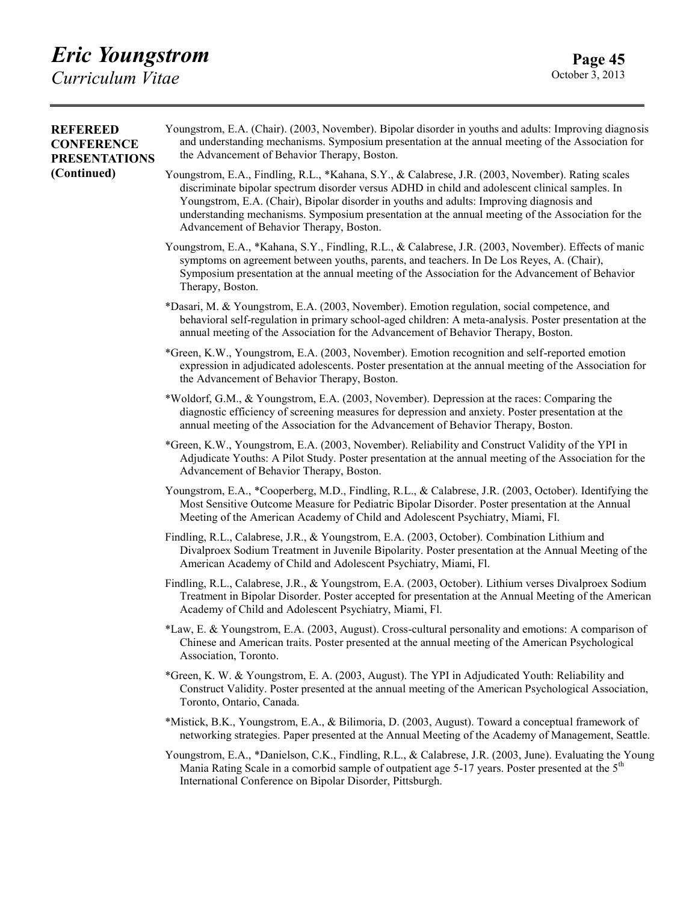# *Eric Youngstrom*

| <b>REFEREED</b><br><b>CONFERENCE</b><br><b>PRESENTATIONS</b> | Youngstrom, E.A. (Chair). (2003, November). Bipolar disorder in youths and adults: Improving diagnosis<br>and understanding mechanisms. Symposium presentation at the annual meeting of the Association for<br>the Advancement of Behavior Therapy, Boston.                                                                                                                                                                                        |
|--------------------------------------------------------------|----------------------------------------------------------------------------------------------------------------------------------------------------------------------------------------------------------------------------------------------------------------------------------------------------------------------------------------------------------------------------------------------------------------------------------------------------|
| (Continued)                                                  | Youngstrom, E.A., Findling, R.L., *Kahana, S.Y., & Calabrese, J.R. (2003, November). Rating scales<br>discriminate bipolar spectrum disorder versus ADHD in child and adolescent clinical samples. In<br>Youngstrom, E.A. (Chair), Bipolar disorder in youths and adults: Improving diagnosis and<br>understanding mechanisms. Symposium presentation at the annual meeting of the Association for the<br>Advancement of Behavior Therapy, Boston. |
|                                                              | Youngstrom, E.A., *Kahana, S.Y., Findling, R.L., & Calabrese, J.R. (2003, November). Effects of manic<br>symptoms on agreement between youths, parents, and teachers. In De Los Reyes, A. (Chair),<br>Symposium presentation at the annual meeting of the Association for the Advancement of Behavior<br>Therapy, Boston.                                                                                                                          |
|                                                              | *Dasari, M. & Youngstrom, E.A. (2003, November). Emotion regulation, social competence, and<br>behavioral self-regulation in primary school-aged children: A meta-analysis. Poster presentation at the<br>annual meeting of the Association for the Advancement of Behavior Therapy, Boston.                                                                                                                                                       |
|                                                              | *Green, K.W., Youngstrom, E.A. (2003, November). Emotion recognition and self-reported emotion<br>expression in adjudicated adolescents. Poster presentation at the annual meeting of the Association for<br>the Advancement of Behavior Therapy, Boston.                                                                                                                                                                                          |
|                                                              | *Woldorf, G.M., & Youngstrom, E.A. (2003, November). Depression at the races: Comparing the<br>diagnostic efficiency of screening measures for depression and anxiety. Poster presentation at the<br>annual meeting of the Association for the Advancement of Behavior Therapy, Boston.                                                                                                                                                            |
|                                                              | *Green, K.W., Youngstrom, E.A. (2003, November). Reliability and Construct Validity of the YPI in<br>Adjudicate Youths: A Pilot Study. Poster presentation at the annual meeting of the Association for the<br>Advancement of Behavior Therapy, Boston.                                                                                                                                                                                            |
|                                                              | Youngstrom, E.A., *Cooperberg, M.D., Findling, R.L., & Calabrese, J.R. (2003, October). Identifying the<br>Most Sensitive Outcome Measure for Pediatric Bipolar Disorder. Poster presentation at the Annual<br>Meeting of the American Academy of Child and Adolescent Psychiatry, Miami, Fl.                                                                                                                                                      |
|                                                              | Findling, R.L., Calabrese, J.R., & Youngstrom, E.A. (2003, October). Combination Lithium and<br>Divalproex Sodium Treatment in Juvenile Bipolarity. Poster presentation at the Annual Meeting of the<br>American Academy of Child and Adolescent Psychiatry, Miami, Fl.                                                                                                                                                                            |
|                                                              | Findling, R.L., Calabrese, J.R., & Youngstrom, E.A. (2003, October). Lithium verses Divalproex Sodium<br>Treatment in Bipolar Disorder. Poster accepted for presentation at the Annual Meeting of the American<br>Academy of Child and Adolescent Psychiatry, Miami, Fl.                                                                                                                                                                           |
|                                                              | *Law, E. & Youngstrom, E.A. (2003, August). Cross-cultural personality and emotions: A comparison of<br>Chinese and American traits. Poster presented at the annual meeting of the American Psychological<br>Association, Toronto.                                                                                                                                                                                                                 |
|                                                              | *Green, K. W. & Youngstrom, E. A. (2003, August). The YPI in Adjudicated Youth: Reliability and<br>Construct Validity. Poster presented at the annual meeting of the American Psychological Association,<br>Toronto, Ontario, Canada.                                                                                                                                                                                                              |
|                                                              | *Mistick, B.K., Youngstrom, E.A., & Bilimoria, D. (2003, August). Toward a conceptual framework of<br>networking strategies. Paper presented at the Annual Meeting of the Academy of Management, Seattle.                                                                                                                                                                                                                                          |
|                                                              | Youngstrom, E.A., *Danielson, C.K., Findling, R.L., & Calabrese, J.R. (2003, June). Evaluating the Young<br>Mania Rating Scale in a comorbid sample of outpatient age 5-17 years. Poster presented at the 5 <sup>th</sup><br>International Conference on Bipolar Disorder, Pittsburgh.                                                                                                                                                             |
|                                                              |                                                                                                                                                                                                                                                                                                                                                                                                                                                    |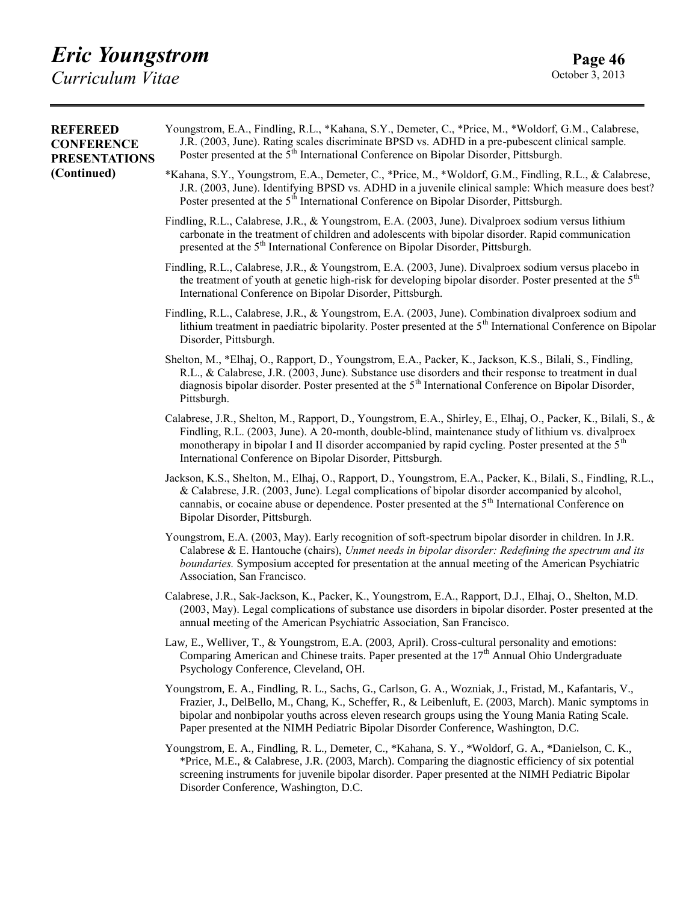| <b>REFEREED</b><br><b>CONFERENCE</b><br><b>PRESENTATIONS</b> | Youngstrom, E.A., Findling, R.L., *Kahana, S.Y., Demeter, C., *Price, M., *Woldorf, G.M., Calabrese,<br>J.R. (2003, June). Rating scales discriminate BPSD vs. ADHD in a pre-pubescent clinical sample.<br>Poster presented at the 5 <sup>th</sup> International Conference on Bipolar Disorder, Pittsburgh.                                                                                                |
|--------------------------------------------------------------|-------------------------------------------------------------------------------------------------------------------------------------------------------------------------------------------------------------------------------------------------------------------------------------------------------------------------------------------------------------------------------------------------------------|
| (Continued)                                                  | *Kahana, S.Y., Youngstrom, E.A., Demeter, C., *Price, M., *Woldorf, G.M., Findling, R.L., & Calabrese,<br>J.R. (2003, June). Identifying BPSD vs. ADHD in a juvenile clinical sample: Which measure does best?<br>Poster presented at the 5 <sup>th</sup> International Conference on Bipolar Disorder, Pittsburgh.                                                                                         |
|                                                              | Findling, R.L., Calabrese, J.R., & Youngstrom, E.A. (2003, June). Divalproex sodium versus lithium<br>carbonate in the treatment of children and adolescents with bipolar disorder. Rapid communication<br>presented at the 5 <sup>th</sup> International Conference on Bipolar Disorder, Pittsburgh.                                                                                                       |
|                                                              | Findling, R.L., Calabrese, J.R., & Youngstrom, E.A. (2003, June). Divalproex sodium versus placebo in<br>the treatment of youth at genetic high-risk for developing bipolar disorder. Poster presented at the 5 <sup>th</sup><br>International Conference on Bipolar Disorder, Pittsburgh.                                                                                                                  |
|                                                              | Findling, R.L., Calabrese, J.R., & Youngstrom, E.A. (2003, June). Combination divalproex sodium and<br>lithium treatment in paediatric bipolarity. Poster presented at the 5 <sup>th</sup> International Conference on Bipolar<br>Disorder, Pittsburgh.                                                                                                                                                     |
|                                                              | Shelton, M., *Elhaj, O., Rapport, D., Youngstrom, E.A., Packer, K., Jackson, K.S., Bilali, S., Findling,<br>R.L., & Calabrese, J.R. (2003, June). Substance use disorders and their response to treatment in dual<br>diagnosis bipolar disorder. Poster presented at the 5 <sup>th</sup> International Conference on Bipolar Disorder,<br>Pittsburgh.                                                       |
|                                                              | Calabrese, J.R., Shelton, M., Rapport, D., Youngstrom, E.A., Shirley, E., Elhaj, O., Packer, K., Bilali, S., &<br>Findling, R.L. (2003, June). A 20-month, double-blind, maintenance study of lithium vs. divalproex<br>monotherapy in bipolar I and II disorder accompanied by rapid cycling. Poster presented at the 5 <sup>th</sup><br>International Conference on Bipolar Disorder, Pittsburgh.         |
|                                                              | Jackson, K.S., Shelton, M., Elhaj, O., Rapport, D., Youngstrom, E.A., Packer, K., Bilali, S., Findling, R.L.,<br>& Calabrese, J.R. (2003, June). Legal complications of bipolar disorder accompanied by alcohol,<br>cannabis, or cocaine abuse or dependence. Poster presented at the 5 <sup>th</sup> International Conference on<br>Bipolar Disorder, Pittsburgh.                                          |
|                                                              | Youngstrom, E.A. (2003, May). Early recognition of soft-spectrum bipolar disorder in children. In J.R.<br>Calabrese & E. Hantouche (chairs), Unmet needs in bipolar disorder: Redefining the spectrum and its<br>boundaries. Symposium accepted for presentation at the annual meeting of the American Psychiatric<br>Association, San Francisco.                                                           |
|                                                              | Calabrese, J.R., Sak-Jackson, K., Packer, K., Youngstrom, E.A., Rapport, D.J., Elhaj, O., Shelton, M.D.<br>(2003, May). Legal complications of substance use disorders in bipolar disorder. Poster presented at the<br>annual meeting of the American Psychiatric Association, San Francisco.                                                                                                               |
|                                                              | Law, E., Welliver, T., & Youngstrom, E.A. (2003, April). Cross-cultural personality and emotions:<br>Comparing American and Chinese traits. Paper presented at the 17 <sup>th</sup> Annual Ohio Undergraduate<br>Psychology Conference, Cleveland, OH.                                                                                                                                                      |
|                                                              | Youngstrom, E. A., Findling, R. L., Sachs, G., Carlson, G. A., Wozniak, J., Fristad, M., Kafantaris, V.,<br>Frazier, J., DelBello, M., Chang, K., Scheffer, R., & Leibenluft, E. (2003, March). Manic symptoms in<br>bipolar and nonbipolar youths across eleven research groups using the Young Mania Rating Scale.<br>Paper presented at the NIMH Pediatric Bipolar Disorder Conference, Washington, D.C. |
|                                                              | Youngstrom, E. A., Findling, R. L., Demeter, C., *Kahana, S. Y., *Woldorf, G. A., *Danielson, C. K.,<br>*Price, M.E., & Calabrese, J.R. (2003, March). Comparing the diagnostic efficiency of six potential<br>screening instruments for juvenile bipolar disorder. Paper presented at the NIMH Pediatric Bipolar<br>Disorder Conference, Washington, D.C.                                                  |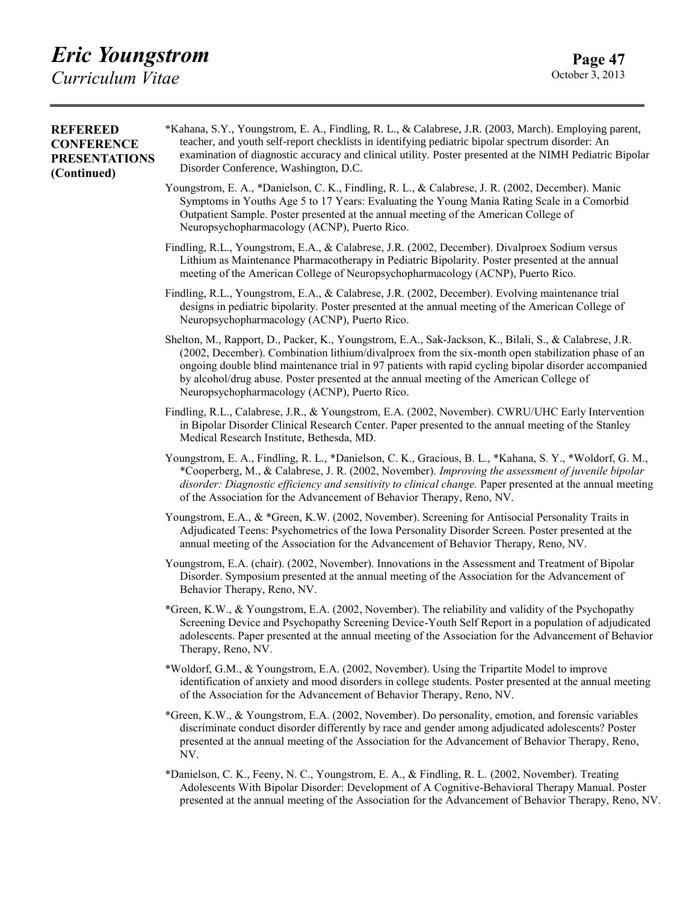| <b>REFEREED</b><br><b>CONFERENCE</b><br><b>PRESENTATIONS</b><br>(Continued) | *Kahana, S.Y., Youngstrom, E. A., Findling, R. L., & Calabrese, J.R. (2003, March). Employing parent,<br>teacher, and youth self-report checklists in identifying pediatric bipolar spectrum disorder: An<br>examination of diagnostic accuracy and clinical utility. Poster presented at the NIMH Pediatric Bipolar<br>Disorder Conference, Washington, D.C.                                                                                                     |
|-----------------------------------------------------------------------------|-------------------------------------------------------------------------------------------------------------------------------------------------------------------------------------------------------------------------------------------------------------------------------------------------------------------------------------------------------------------------------------------------------------------------------------------------------------------|
|                                                                             | Youngstrom, E. A., *Danielson, C. K., Findling, R. L., & Calabrese, J. R. (2002, December). Manic<br>Symptoms in Youths Age 5 to 17 Years: Evaluating the Young Mania Rating Scale in a Comorbid<br>Outpatient Sample. Poster presented at the annual meeting of the American College of<br>Neuropsychopharmacology (ACNP), Puerto Rico.                                                                                                                          |
|                                                                             | Findling, R.L., Youngstrom, E.A., & Calabrese, J.R. (2002, December). Divalproex Sodium versus<br>Lithium as Maintenance Pharmacotherapy in Pediatric Bipolarity. Poster presented at the annual<br>meeting of the American College of Neuropsychopharmacology (ACNP), Puerto Rico.                                                                                                                                                                               |
|                                                                             | Findling, R.L., Youngstrom, E.A., & Calabrese, J.R. (2002, December). Evolving maintenance trial<br>designs in pediatric bipolarity. Poster presented at the annual meeting of the American College of<br>Neuropsychopharmacology (ACNP), Puerto Rico.                                                                                                                                                                                                            |
|                                                                             | Shelton, M., Rapport, D., Packer, K., Youngstrom, E.A., Sak-Jackson, K., Bilali, S., & Calabrese, J.R.<br>(2002, December). Combination lithium/divalproex from the six-month open stabilization phase of an<br>ongoing double blind maintenance trial in 97 patients with rapid cycling bipolar disorder accompanied<br>by alcohol/drug abuse. Poster presented at the annual meeting of the American College of<br>Neuropsychopharmacology (ACNP), Puerto Rico. |
|                                                                             | Findling, R.L., Calabrese, J.R., & Youngstrom, E.A. (2002, November). CWRU/UHC Early Intervention<br>in Bipolar Disorder Clinical Research Center. Paper presented to the annual meeting of the Stanley<br>Medical Research Institute, Bethesda, MD.                                                                                                                                                                                                              |
|                                                                             | Youngstrom, E. A., Findling, R. L., *Danielson, C. K., Gracious, B. L., *Kahana, S. Y., *Woldorf, G. M.,<br>*Cooperberg, M., & Calabrese, J. R. (2002, November). Improving the assessment of juvenile bipolar<br>disorder: Diagnostic efficiency and sensitivity to clinical change. Paper presented at the annual meeting<br>of the Association for the Advancement of Behavior Therapy, Reno, NV.                                                              |
|                                                                             | Youngstrom, E.A., & *Green, K.W. (2002, November). Screening for Antisocial Personality Traits in<br>Adjudicated Teens: Psychometrics of the Iowa Personality Disorder Screen. Poster presented at the<br>annual meeting of the Association for the Advancement of Behavior Therapy, Reno, NV.                                                                                                                                                                    |
|                                                                             | Youngstrom, E.A. (chair). (2002, November). Innovations in the Assessment and Treatment of Bipolar<br>Disorder. Symposium presented at the annual meeting of the Association for the Advancement of<br>Behavior Therapy, Reno, NV.                                                                                                                                                                                                                                |
|                                                                             | *Green, K.W., & Youngstrom, E.A. (2002, November). The reliability and validity of the Psychopathy<br>Screening Device and Psychopathy Screening Device-Youth Self Report in a population of adjudicated<br>adolescents. Paper presented at the annual meeting of the Association for the Advancement of Behavior<br>Therapy, Reno, NV.                                                                                                                           |
|                                                                             | *Woldorf, G.M., & Youngstrom, E.A. (2002, November). Using the Tripartite Model to improve<br>identification of anxiety and mood disorders in college students. Poster presented at the annual meeting<br>of the Association for the Advancement of Behavior Therapy, Reno, NV.                                                                                                                                                                                   |
|                                                                             | *Green, K.W., & Youngstrom, E.A. (2002, November). Do personality, emotion, and forensic variables<br>discriminate conduct disorder differently by race and gender among adjudicated adolescents? Poster<br>presented at the annual meeting of the Association for the Advancement of Behavior Therapy, Reno,<br>NV.                                                                                                                                              |
|                                                                             | *Danielson, C. K., Feeny, N. C., Youngstrom, E. A., & Findling, R. L. (2002, November). Treating<br>Adolescents With Bipolar Disorder: Development of A Cognitive-Behavioral Therapy Manual. Poster<br>presented at the annual meeting of the Association for the Advancement of Behavior Therapy, Reno, NV.                                                                                                                                                      |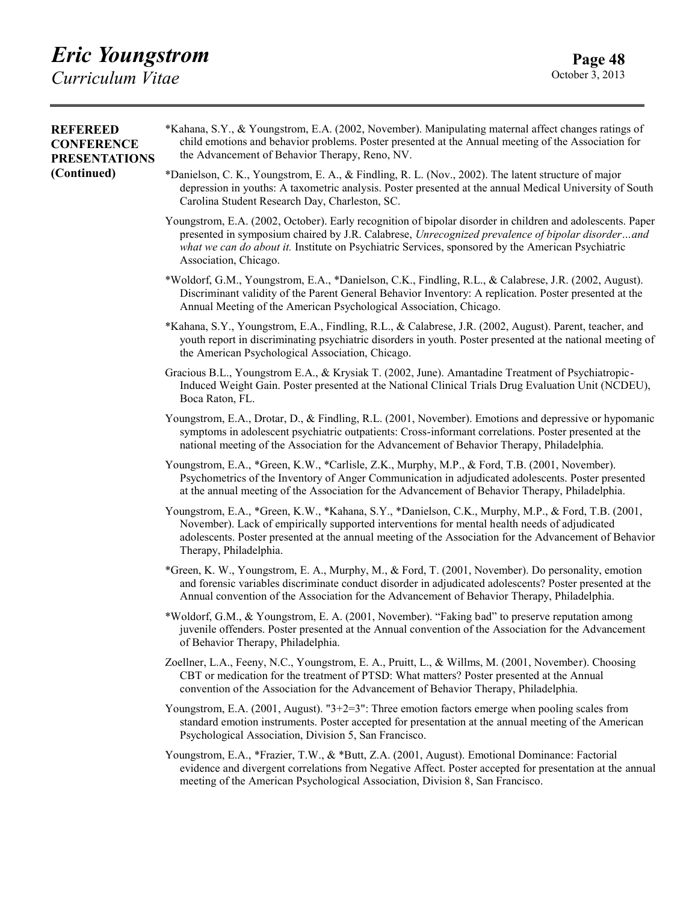| <b>REFEREED</b><br><b>CONFERENCE</b><br><b>PRESENTATIONS</b> | *Kahana, S.Y., & Youngstrom, E.A. (2002, November). Manipulating maternal affect changes ratings of<br>child emotions and behavior problems. Poster presented at the Annual meeting of the Association for<br>the Advancement of Behavior Therapy, Reno, NV.                                                                                 |
|--------------------------------------------------------------|----------------------------------------------------------------------------------------------------------------------------------------------------------------------------------------------------------------------------------------------------------------------------------------------------------------------------------------------|
| (Continued)                                                  | *Danielson, C. K., Youngstrom, E. A., & Findling, R. L. (Nov., 2002). The latent structure of major<br>depression in youths: A taxometric analysis. Poster presented at the annual Medical University of South<br>Carolina Student Research Day, Charleston, SC.                                                                             |
|                                                              | Youngstrom, E.A. (2002, October). Early recognition of bipolar disorder in children and adolescents. Paper<br>presented in symposium chaired by J.R. Calabrese, Unrecognized prevalence of bipolar disorderand<br>what we can do about it. Institute on Psychiatric Services, sponsored by the American Psychiatric<br>Association, Chicago. |
|                                                              | *Woldorf, G.M., Youngstrom, E.A., *Danielson, C.K., Findling, R.L., & Calabrese, J.R. (2002, August).<br>Discriminant validity of the Parent General Behavior Inventory: A replication. Poster presented at the<br>Annual Meeting of the American Psychological Association, Chicago.                                                        |
|                                                              | *Kahana, S.Y., Youngstrom, E.A., Findling, R.L., & Calabrese, J.R. (2002, August). Parent, teacher, and<br>youth report in discriminating psychiatric disorders in youth. Poster presented at the national meeting of<br>the American Psychological Association, Chicago.                                                                    |
|                                                              | Gracious B.L., Youngstrom E.A., & Krysiak T. (2002, June). Amantadine Treatment of Psychiatropic-<br>Induced Weight Gain. Poster presented at the National Clinical Trials Drug Evaluation Unit (NCDEU),<br>Boca Raton, FL.                                                                                                                  |
|                                                              | Youngstrom, E.A., Drotar, D., & Findling, R.L. (2001, November). Emotions and depressive or hypomanic<br>symptoms in adolescent psychiatric outpatients: Cross-informant correlations. Poster presented at the<br>national meeting of the Association for the Advancement of Behavior Therapy, Philadelphia.                                 |
|                                                              | Youngstrom, E.A., *Green, K.W., *Carlisle, Z.K., Murphy, M.P., & Ford, T.B. (2001, November).<br>Psychometrics of the Inventory of Anger Communication in adjudicated adolescents. Poster presented<br>at the annual meeting of the Association for the Advancement of Behavior Therapy, Philadelphia.                                       |
|                                                              | Youngstrom, E.A., *Green, K.W., *Kahana, S.Y., *Danielson, C.K., Murphy, M.P., & Ford, T.B. (2001,<br>November). Lack of empirically supported interventions for mental health needs of adjudicated<br>adolescents. Poster presented at the annual meeting of the Association for the Advancement of Behavior<br>Therapy, Philadelphia.      |
|                                                              | *Green, K. W., Youngstrom, E. A., Murphy, M., & Ford, T. (2001, November). Do personality, emotion<br>and forensic variables discriminate conduct disorder in adjudicated adolescents? Poster presented at the<br>Annual convention of the Association for the Advancement of Behavior Therapy, Philadelphia.                                |
|                                                              | *Woldorf, G.M., & Youngstrom, E. A. (2001, November). "Faking bad" to preserve reputation among<br>juvenile offenders. Poster presented at the Annual convention of the Association for the Advancement<br>of Behavior Therapy, Philadelphia.                                                                                                |
|                                                              | Zoellner, L.A., Feeny, N.C., Youngstrom, E. A., Pruitt, L., & Willms, M. (2001, November). Choosing<br>CBT or medication for the treatment of PTSD: What matters? Poster presented at the Annual<br>convention of the Association for the Advancement of Behavior Therapy, Philadelphia.                                                     |
|                                                              | Youngstrom, E.A. (2001, August). "3+2=3": Three emotion factors emerge when pooling scales from<br>standard emotion instruments. Poster accepted for presentation at the annual meeting of the American<br>Psychological Association, Division 5, San Francisco.                                                                             |
|                                                              | Youngstrom, E.A., *Frazier, T.W., & *Butt, Z.A. (2001, August). Emotional Dominance: Factorial<br>evidence and divergent correlations from Negative Affect. Poster accepted for presentation at the annual<br>meeting of the American Psychological Association, Division 8, San Francisco.                                                  |
|                                                              |                                                                                                                                                                                                                                                                                                                                              |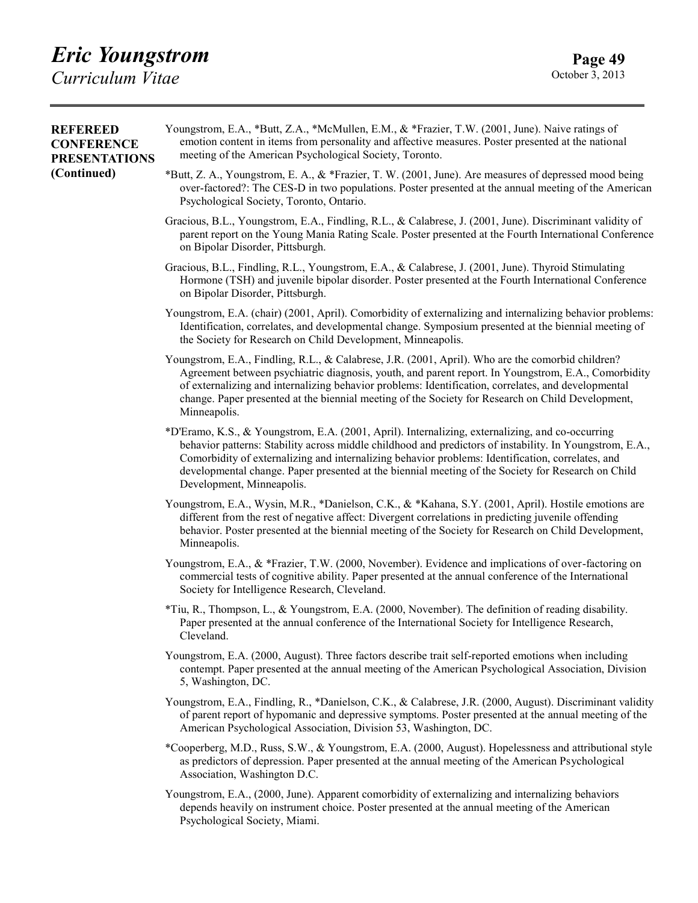÷

| <b>REFEREED</b><br><b>CONFERENCE</b><br><b>PRESENTATIONS</b><br>(Continued) | Youngstrom, E.A., *Butt, Z.A., *McMullen, E.M., & *Frazier, T.W. (2001, June). Naive ratings of<br>emotion content in items from personality and affective measures. Poster presented at the national<br>meeting of the American Psychological Society, Toronto.                                                                                                                                                                                     |
|-----------------------------------------------------------------------------|------------------------------------------------------------------------------------------------------------------------------------------------------------------------------------------------------------------------------------------------------------------------------------------------------------------------------------------------------------------------------------------------------------------------------------------------------|
|                                                                             | *Butt, Z. A., Youngstrom, E. A., & *Frazier, T. W. (2001, June). Are measures of depressed mood being<br>over-factored?: The CES-D in two populations. Poster presented at the annual meeting of the American<br>Psychological Society, Toronto, Ontario.                                                                                                                                                                                            |
|                                                                             | Gracious, B.L., Youngstrom, E.A., Findling, R.L., & Calabrese, J. (2001, June). Discriminant validity of<br>parent report on the Young Mania Rating Scale. Poster presented at the Fourth International Conference<br>on Bipolar Disorder, Pittsburgh.                                                                                                                                                                                               |
|                                                                             | Gracious, B.L., Findling, R.L., Youngstrom, E.A., & Calabrese, J. (2001, June). Thyroid Stimulating<br>Hormone (TSH) and juvenile bipolar disorder. Poster presented at the Fourth International Conference<br>on Bipolar Disorder, Pittsburgh.                                                                                                                                                                                                      |
|                                                                             | Youngstrom, E.A. (chair) (2001, April). Comorbidity of externalizing and internalizing behavior problems:<br>Identification, correlates, and developmental change. Symposium presented at the biennial meeting of<br>the Society for Research on Child Development, Minneapolis.                                                                                                                                                                     |
|                                                                             | Youngstrom, E.A., Findling, R.L., & Calabrese, J.R. (2001, April). Who are the comorbid children?<br>Agreement between psychiatric diagnosis, youth, and parent report. In Youngstrom, E.A., Comorbidity<br>of externalizing and internalizing behavior problems: Identification, correlates, and developmental<br>change. Paper presented at the biennial meeting of the Society for Research on Child Development,<br>Minneapolis.                 |
|                                                                             | *D'Eramo, K.S., & Youngstrom, E.A. (2001, April). Internalizing, externalizing, and co-occurring<br>behavior patterns: Stability across middle childhood and predictors of instability. In Youngstrom, E.A.,<br>Comorbidity of externalizing and internalizing behavior problems: Identification, correlates, and<br>developmental change. Paper presented at the biennial meeting of the Society for Research on Child<br>Development, Minneapolis. |
|                                                                             | Youngstrom, E.A., Wysin, M.R., *Danielson, C.K., & *Kahana, S.Y. (2001, April). Hostile emotions are<br>different from the rest of negative affect: Divergent correlations in predicting juvenile offending<br>behavior. Poster presented at the biennial meeting of the Society for Research on Child Development,<br>Minneapolis.                                                                                                                  |
|                                                                             | Youngstrom, E.A., & *Frazier, T.W. (2000, November). Evidence and implications of over-factoring on<br>commercial tests of cognitive ability. Paper presented at the annual conference of the International<br>Society for Intelligence Research, Cleveland.                                                                                                                                                                                         |
|                                                                             | *Tiu, R., Thompson, L., & Youngstrom, E.A. (2000, November). The definition of reading disability.<br>Paper presented at the annual conference of the International Society for Intelligence Research,<br>Cleveland.                                                                                                                                                                                                                                 |
|                                                                             | Youngstrom, E.A. (2000, August). Three factors describe trait self-reported emotions when including<br>contempt. Paper presented at the annual meeting of the American Psychological Association, Division<br>5, Washington, DC.                                                                                                                                                                                                                     |
|                                                                             | Youngstrom, E.A., Findling, R., *Danielson, C.K., & Calabrese, J.R. (2000, August). Discriminant validity<br>of parent report of hypomanic and depressive symptoms. Poster presented at the annual meeting of the<br>American Psychological Association, Division 53, Washington, DC.                                                                                                                                                                |
|                                                                             | *Cooperberg, M.D., Russ, S.W., & Youngstrom, E.A. (2000, August). Hopelessness and attributional style<br>as predictors of depression. Paper presented at the annual meeting of the American Psychological<br>Association, Washington D.C.                                                                                                                                                                                                           |
|                                                                             | Youngstrom, E.A., (2000, June). Apparent comorbidity of externalizing and internalizing behaviors<br>depends heavily on instrument choice. Poster presented at the annual meeting of the American<br>Psychological Society, Miami.                                                                                                                                                                                                                   |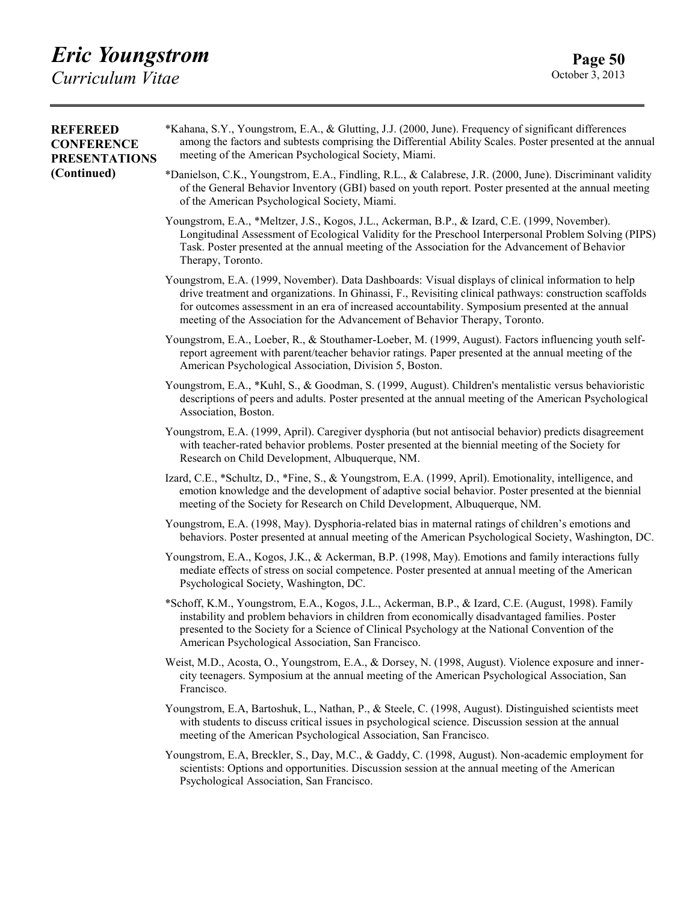| <b>REFEREED</b><br><b>CONFERENCE</b><br><b>PRESENTATIONS</b> | *Kahana, S.Y., Youngstrom, E.A., & Glutting, J.J. (2000, June). Frequency of significant differences<br>among the factors and subtests comprising the Differential Ability Scales. Poster presented at the annual<br>meeting of the American Psychological Society, Miami.                                                                                                                          |
|--------------------------------------------------------------|-----------------------------------------------------------------------------------------------------------------------------------------------------------------------------------------------------------------------------------------------------------------------------------------------------------------------------------------------------------------------------------------------------|
| (Continued)                                                  | *Danielson, C.K., Youngstrom, E.A., Findling, R.L., & Calabrese, J.R. (2000, June). Discriminant validity<br>of the General Behavior Inventory (GBI) based on youth report. Poster presented at the annual meeting<br>of the American Psychological Society, Miami.                                                                                                                                 |
|                                                              | Youngstrom, E.A., *Meltzer, J.S., Kogos, J.L., Ackerman, B.P., & Izard, C.E. (1999, November).<br>Longitudinal Assessment of Ecological Validity for the Preschool Interpersonal Problem Solving (PIPS)<br>Task. Poster presented at the annual meeting of the Association for the Advancement of Behavior<br>Therapy, Toronto.                                                                     |
|                                                              | Youngstrom, E.A. (1999, November). Data Dashboards: Visual displays of clinical information to help<br>drive treatment and organizations. In Ghinassi, F., Revisiting clinical pathways: construction scaffolds<br>for outcomes assessment in an era of increased accountability. Symposium presented at the annual<br>meeting of the Association for the Advancement of Behavior Therapy, Toronto. |
|                                                              | Youngstrom, E.A., Loeber, R., & Stouthamer-Loeber, M. (1999, August). Factors influencing youth self-<br>report agreement with parent/teacher behavior ratings. Paper presented at the annual meeting of the<br>American Psychological Association, Division 5, Boston.                                                                                                                             |
|                                                              | Youngstrom, E.A., *Kuhl, S., & Goodman, S. (1999, August). Children's mentalistic versus behavioristic<br>descriptions of peers and adults. Poster presented at the annual meeting of the American Psychological<br>Association, Boston.                                                                                                                                                            |
|                                                              | Youngstrom, E.A. (1999, April). Caregiver dysphoria (but not antisocial behavior) predicts disagreement<br>with teacher-rated behavior problems. Poster presented at the biennial meeting of the Society for<br>Research on Child Development, Albuquerque, NM.                                                                                                                                     |
|                                                              | Izard, C.E., *Schultz, D., *Fine, S., & Youngstrom, E.A. (1999, April). Emotionality, intelligence, and<br>emotion knowledge and the development of adaptive social behavior. Poster presented at the biennial<br>meeting of the Society for Research on Child Development, Albuquerque, NM.                                                                                                        |
|                                                              | Youngstrom, E.A. (1998, May). Dysphoria-related bias in maternal ratings of children's emotions and<br>behaviors. Poster presented at annual meeting of the American Psychological Society, Washington, DC.                                                                                                                                                                                         |
|                                                              | Youngstrom, E.A., Kogos, J.K., & Ackerman, B.P. (1998, May). Emotions and family interactions fully<br>mediate effects of stress on social competence. Poster presented at annual meeting of the American<br>Psychological Society, Washington, DC.                                                                                                                                                 |
|                                                              | *Schoff, K.M., Youngstrom, E.A., Kogos, J.L., Ackerman, B.P., & Izard, C.E. (August, 1998). Family<br>instability and problem behaviors in children from economically disadvantaged families. Poster<br>presented to the Society for a Science of Clinical Psychology at the National Convention of the<br>American Psychological Association, San Francisco.                                       |
|                                                              | Weist, M.D., Acosta, O., Youngstrom, E.A., & Dorsey, N. (1998, August). Violence exposure and inner-<br>city teenagers. Symposium at the annual meeting of the American Psychological Association, San<br>Francisco.                                                                                                                                                                                |
|                                                              | Youngstrom, E.A. Bartoshuk, L., Nathan, P., & Steele, C. (1998, August). Distinguished scientists meet<br>with students to discuss critical issues in psychological science. Discussion session at the annual<br>meeting of the American Psychological Association, San Francisco.                                                                                                                  |
|                                                              | Youngstrom, E.A, Breckler, S., Day, M.C., & Gaddy, C. (1998, August). Non-academic employment for<br>scientists: Options and opportunities. Discussion session at the annual meeting of the American<br>Psychological Association, San Francisco.                                                                                                                                                   |
|                                                              |                                                                                                                                                                                                                                                                                                                                                                                                     |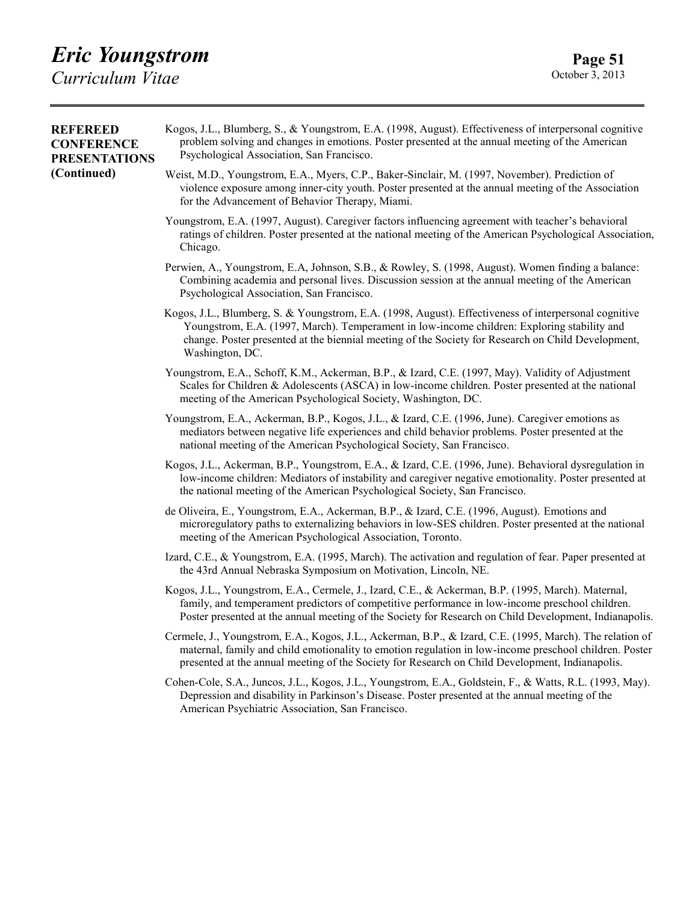| <b>REFEREED</b><br><b>CONFERENCE</b><br><b>PRESENTATIONS</b><br>(Continued) | Kogos, J.L., Blumberg, S., & Youngstrom, E.A. (1998, August). Effectiveness of interpersonal cognitive<br>problem solving and changes in emotions. Poster presented at the annual meeting of the American<br>Psychological Association, San Francisco.                                                                        |
|-----------------------------------------------------------------------------|-------------------------------------------------------------------------------------------------------------------------------------------------------------------------------------------------------------------------------------------------------------------------------------------------------------------------------|
|                                                                             | Weist, M.D., Youngstrom, E.A., Myers, C.P., Baker-Sinclair, M. (1997, November). Prediction of<br>violence exposure among inner-city youth. Poster presented at the annual meeting of the Association<br>for the Advancement of Behavior Therapy, Miami.                                                                      |
|                                                                             | Youngstrom, E.A. (1997, August). Caregiver factors influencing agreement with teacher's behavioral<br>ratings of children. Poster presented at the national meeting of the American Psychological Association,<br>Chicago.                                                                                                    |
|                                                                             | Perwien, A., Youngstrom, E.A, Johnson, S.B., & Rowley, S. (1998, August). Women finding a balance:<br>Combining academia and personal lives. Discussion session at the annual meeting of the American<br>Psychological Association, San Francisco.                                                                            |
|                                                                             | Kogos, J.L., Blumberg, S. & Youngstrom, E.A. (1998, August). Effectiveness of interpersonal cognitive<br>Youngstrom, E.A. (1997, March). Temperament in low-income children: Exploring stability and<br>change. Poster presented at the biennial meeting of the Society for Research on Child Development,<br>Washington, DC. |
|                                                                             | Youngstrom, E.A., Schoff, K.M., Ackerman, B.P., & Izard, C.E. (1997, May). Validity of Adjustment<br>Scales for Children & Adolescents (ASCA) in low-income children. Poster presented at the national<br>meeting of the American Psychological Society, Washington, DC.                                                      |
|                                                                             | Youngstrom, E.A., Ackerman, B.P., Kogos, J.L., & Izard, C.E. (1996, June). Caregiver emotions as<br>mediators between negative life experiences and child behavior problems. Poster presented at the<br>national meeting of the American Psychological Society, San Francisco.                                                |
|                                                                             | Kogos, J.L., Ackerman, B.P., Youngstrom, E.A., & Izard, C.E. (1996, June). Behavioral dysregulation in<br>low-income children: Mediators of instability and caregiver negative emotionality. Poster presented at<br>the national meeting of the American Psychological Society, San Francisco.                                |
|                                                                             | de Oliveira, E., Youngstrom, E.A., Ackerman, B.P., & Izard, C.E. (1996, August). Emotions and<br>microregulatory paths to externalizing behaviors in low-SES children. Poster presented at the national<br>meeting of the American Psychological Association, Toronto.                                                        |
|                                                                             | Izard, C.E., & Youngstrom, E.A. (1995, March). The activation and regulation of fear. Paper presented at<br>the 43rd Annual Nebraska Symposium on Motivation, Lincoln, NE.                                                                                                                                                    |
|                                                                             | Kogos, J.L., Youngstrom, E.A., Cermele, J., Izard, C.E., & Ackerman, B.P. (1995, March). Maternal,<br>family, and temperament predictors of competitive performance in low-income preschool children.<br>Poster presented at the annual meeting of the Society for Research on Child Development, Indianapolis.               |
|                                                                             | Cermele, J., Youngstrom, E.A., Kogos, J.L., Ackerman, B.P., & Izard, C.E. (1995, March). The relation of<br>maternal, family and child emotionality to emotion regulation in low-income preschool children. Poster<br>presented at the annual meeting of the Society for Research on Child Development, Indianapolis.         |
|                                                                             | Cohen-Cole, S.A., Juncos, J.L., Kogos, J.L., Youngstrom, E.A., Goldstein, F., & Watts, R.L. (1993, May).<br>Depression and disability in Parkinson's Disease. Poster presented at the annual meeting of the<br>American Psychiatric Association, San Francisco.                                                               |
|                                                                             |                                                                                                                                                                                                                                                                                                                               |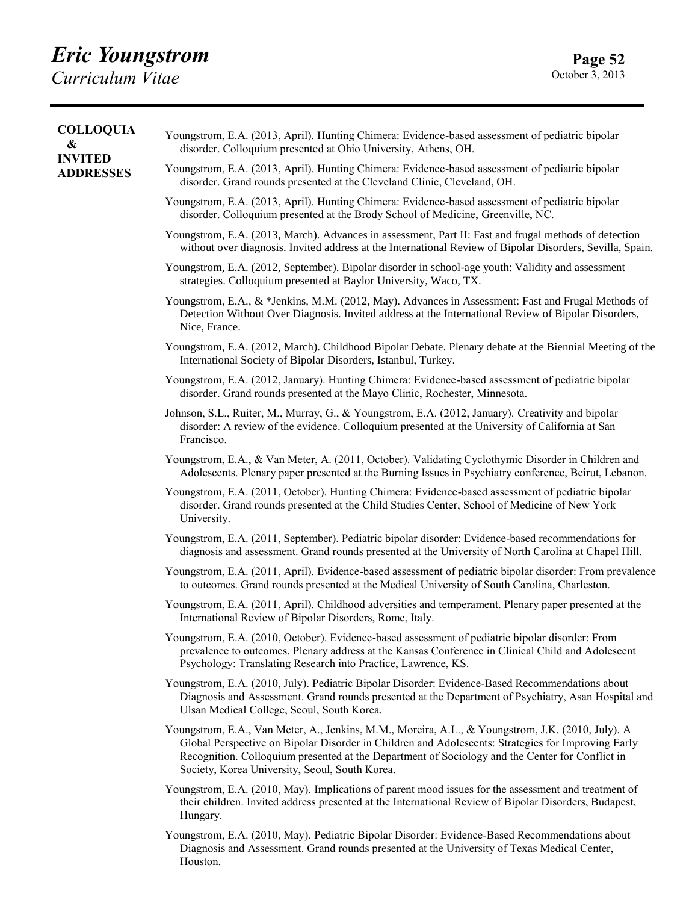| <b>COLLOQUIA</b><br>&<br><b>INVITED</b><br><b>ADDRESSES</b> | Youngstrom, E.A. (2013, April). Hunting Chimera: Evidence-based assessment of pediatric bipolar<br>disorder. Colloquium presented at Ohio University, Athens, OH.                                                                                                                                                                                            |
|-------------------------------------------------------------|--------------------------------------------------------------------------------------------------------------------------------------------------------------------------------------------------------------------------------------------------------------------------------------------------------------------------------------------------------------|
|                                                             | Youngstrom, E.A. (2013, April). Hunting Chimera: Evidence-based assessment of pediatric bipolar<br>disorder. Grand rounds presented at the Cleveland Clinic, Cleveland, OH.                                                                                                                                                                                  |
|                                                             | Youngstrom, E.A. (2013, April). Hunting Chimera: Evidence-based assessment of pediatric bipolar<br>disorder. Colloquium presented at the Brody School of Medicine, Greenville, NC.                                                                                                                                                                           |
|                                                             | Youngstrom, E.A. (2013, March). Advances in assessment, Part II: Fast and frugal methods of detection<br>without over diagnosis. Invited address at the International Review of Bipolar Disorders, Sevilla, Spain.                                                                                                                                           |
|                                                             | Youngstrom, E.A. (2012, September). Bipolar disorder in school-age youth: Validity and assessment<br>strategies. Colloquium presented at Baylor University, Waco, TX.                                                                                                                                                                                        |
|                                                             | Youngstrom, E.A., & *Jenkins, M.M. (2012, May). Advances in Assessment: Fast and Frugal Methods of<br>Detection Without Over Diagnosis. Invited address at the International Review of Bipolar Disorders,<br>Nice, France.                                                                                                                                   |
|                                                             | Youngstrom, E.A. (2012, March). Childhood Bipolar Debate. Plenary debate at the Biennial Meeting of the<br>International Society of Bipolar Disorders, Istanbul, Turkey.                                                                                                                                                                                     |
|                                                             | Youngstrom, E.A. (2012, January). Hunting Chimera: Evidence-based assessment of pediatric bipolar<br>disorder. Grand rounds presented at the Mayo Clinic, Rochester, Minnesota.                                                                                                                                                                              |
|                                                             | Johnson, S.L., Ruiter, M., Murray, G., & Youngstrom, E.A. (2012, January). Creativity and bipolar<br>disorder: A review of the evidence. Colloquium presented at the University of California at San<br>Francisco.                                                                                                                                           |
|                                                             | Youngstrom, E.A., & Van Meter, A. (2011, October). Validating Cyclothymic Disorder in Children and<br>Adolescents. Plenary paper presented at the Burning Issues in Psychiatry conference, Beirut, Lebanon.                                                                                                                                                  |
|                                                             | Youngstrom, E.A. (2011, October). Hunting Chimera: Evidence-based assessment of pediatric bipolar<br>disorder. Grand rounds presented at the Child Studies Center, School of Medicine of New York<br>University.                                                                                                                                             |
|                                                             | Youngstrom, E.A. (2011, September). Pediatric bipolar disorder: Evidence-based recommendations for<br>diagnosis and assessment. Grand rounds presented at the University of North Carolina at Chapel Hill.                                                                                                                                                   |
|                                                             | Youngstrom, E.A. (2011, April). Evidence-based assessment of pediatric bipolar disorder: From prevalence<br>to outcomes. Grand rounds presented at the Medical University of South Carolina, Charleston.                                                                                                                                                     |
|                                                             | Youngstrom, E.A. (2011, April). Childhood adversities and temperament. Plenary paper presented at the<br>International Review of Bipolar Disorders, Rome, Italy.                                                                                                                                                                                             |
|                                                             | Youngstrom, E.A. (2010, October). Evidence-based assessment of pediatric bipolar disorder: From<br>prevalence to outcomes. Plenary address at the Kansas Conference in Clinical Child and Adolescent<br>Psychology: Translating Research into Practice, Lawrence, KS.                                                                                        |
|                                                             | Youngstrom, E.A. (2010, July). Pediatric Bipolar Disorder: Evidence-Based Recommendations about<br>Diagnosis and Assessment. Grand rounds presented at the Department of Psychiatry, Asan Hospital and<br>Ulsan Medical College, Seoul, South Korea.                                                                                                         |
|                                                             | Youngstrom, E.A., Van Meter, A., Jenkins, M.M., Moreira, A.L., & Youngstrom, J.K. (2010, July). A<br>Global Perspective on Bipolar Disorder in Children and Adolescents: Strategies for Improving Early<br>Recognition. Colloquium presented at the Department of Sociology and the Center for Conflict in<br>Society, Korea University, Seoul, South Korea. |
|                                                             | Youngstrom, E.A. (2010, May). Implications of parent mood issues for the assessment and treatment of<br>their children. Invited address presented at the International Review of Bipolar Disorders, Budapest,<br>Hungary.                                                                                                                                    |
|                                                             | Youngstrom, E.A. (2010, May). Pediatric Bipolar Disorder: Evidence-Based Recommendations about                                                                                                                                                                                                                                                               |

Diagnosis and Assessment. Grand rounds presented at the University of Texas Medical Center,

Houston.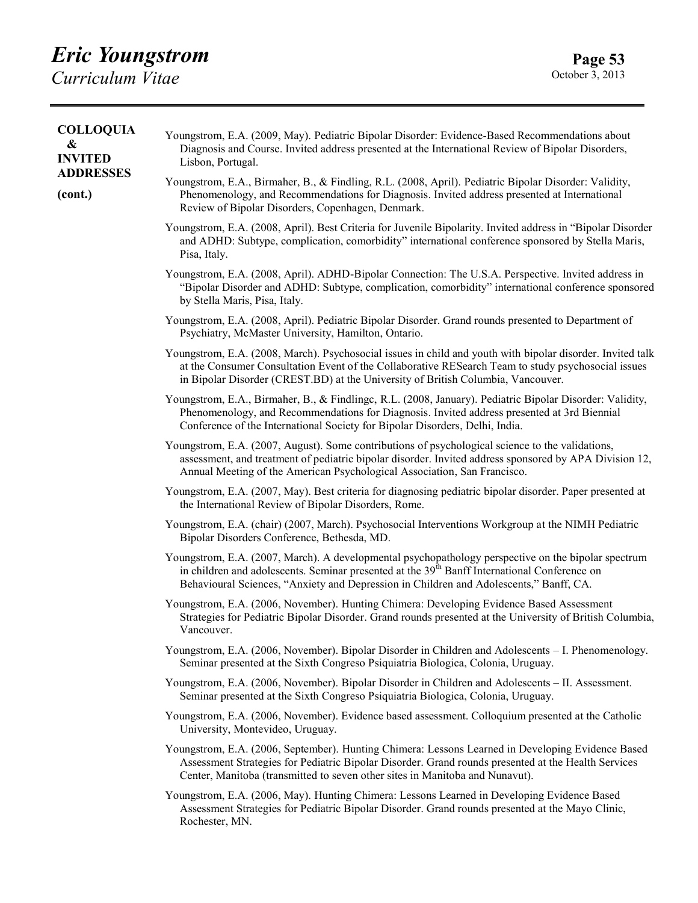$\equiv$ 

| <b>COLLOQUIA</b><br>&<br><b>INVITED</b><br><b>ADDRESSES</b><br>(cont.) | Youngstrom, E.A. (2009, May). Pediatric Bipolar Disorder: Evidence-Based Recommendations about<br>Diagnosis and Course. Invited address presented at the International Review of Bipolar Disorders,<br>Lisbon, Portugal.<br>Youngstrom, E.A., Birmaher, B., & Findling, R.L. (2008, April). Pediatric Bipolar Disorder: Validity,<br>Phenomenology, and Recommendations for Diagnosis. Invited address presented at International<br>Review of Bipolar Disorders, Copenhagen, Denmark. |
|------------------------------------------------------------------------|----------------------------------------------------------------------------------------------------------------------------------------------------------------------------------------------------------------------------------------------------------------------------------------------------------------------------------------------------------------------------------------------------------------------------------------------------------------------------------------|
|                                                                        | Youngstrom, E.A. (2008, April). Best Criteria for Juvenile Bipolarity. Invited address in "Bipolar Disorder<br>and ADHD: Subtype, complication, comorbidity" international conference sponsored by Stella Maris,<br>Pisa, Italy.                                                                                                                                                                                                                                                       |
|                                                                        | Youngstrom, E.A. (2008, April). ADHD-Bipolar Connection: The U.S.A. Perspective. Invited address in<br>"Bipolar Disorder and ADHD: Subtype, complication, comorbidity" international conference sponsored<br>by Stella Maris, Pisa, Italy.                                                                                                                                                                                                                                             |
|                                                                        | Youngstrom, E.A. (2008, April). Pediatric Bipolar Disorder. Grand rounds presented to Department of<br>Psychiatry, McMaster University, Hamilton, Ontario.                                                                                                                                                                                                                                                                                                                             |
|                                                                        | Youngstrom, E.A. (2008, March). Psychosocial issues in child and youth with bipolar disorder. Invited talk<br>at the Consumer Consultation Event of the Collaborative RESearch Team to study psychosocial issues<br>in Bipolar Disorder (CREST.BD) at the University of British Columbia, Vancouver.                                                                                                                                                                                   |
|                                                                        | Youngstrom, E.A., Birmaher, B., & Findlingc, R.L. (2008, January). Pediatric Bipolar Disorder: Validity,<br>Phenomenology, and Recommendations for Diagnosis. Invited address presented at 3rd Biennial<br>Conference of the International Society for Bipolar Disorders, Delhi, India.                                                                                                                                                                                                |
|                                                                        | Youngstrom, E.A. (2007, August). Some contributions of psychological science to the validations,<br>assessment, and treatment of pediatric bipolar disorder. Invited address sponsored by APA Division 12,<br>Annual Meeting of the American Psychological Association, San Francisco.                                                                                                                                                                                                 |
|                                                                        | Youngstrom, E.A. (2007, May). Best criteria for diagnosing pediatric bipolar disorder. Paper presented at<br>the International Review of Bipolar Disorders, Rome.                                                                                                                                                                                                                                                                                                                      |
|                                                                        | Youngstrom, E.A. (chair) (2007, March). Psychosocial Interventions Workgroup at the NIMH Pediatric<br>Bipolar Disorders Conference, Bethesda, MD.                                                                                                                                                                                                                                                                                                                                      |
|                                                                        | Youngstrom, E.A. (2007, March). A developmental psychopathology perspective on the bipolar spectrum<br>in children and adolescents. Seminar presented at the 39 <sup>th</sup> Banff International Conference on<br>Behavioural Sciences, "Anxiety and Depression in Children and Adolescents," Banff, CA.                                                                                                                                                                              |
|                                                                        | Youngstrom, E.A. (2006, November). Hunting Chimera: Developing Evidence Based Assessment<br>Strategies for Pediatric Bipolar Disorder. Grand rounds presented at the University of British Columbia,<br>Vancouver.                                                                                                                                                                                                                                                                     |
|                                                                        | Youngstrom, E.A. (2006, November). Bipolar Disorder in Children and Adolescents – I. Phenomenology.<br>Seminar presented at the Sixth Congreso Psiquiatria Biologica, Colonia, Uruguay.                                                                                                                                                                                                                                                                                                |
|                                                                        | Youngstrom, E.A. (2006, November). Bipolar Disorder in Children and Adolescents – II. Assessment.<br>Seminar presented at the Sixth Congreso Psiquiatria Biologica, Colonia, Uruguay.                                                                                                                                                                                                                                                                                                  |
|                                                                        | Youngstrom, E.A. (2006, November). Evidence based assessment. Colloquium presented at the Catholic<br>University, Montevideo, Uruguay.                                                                                                                                                                                                                                                                                                                                                 |
|                                                                        | Youngstrom, E.A. (2006, September). Hunting Chimera: Lessons Learned in Developing Evidence Based<br>Assessment Strategies for Pediatric Bipolar Disorder. Grand rounds presented at the Health Services<br>Center, Manitoba (transmitted to seven other sites in Manitoba and Nunavut).                                                                                                                                                                                               |
|                                                                        | Youngstrom, E.A. (2006, May). Hunting Chimera: Lessons Learned in Developing Evidence Based<br>Assessment Strategies for Pediatric Bipolar Disorder. Grand rounds presented at the Mayo Clinic,<br>Rochester, MN.                                                                                                                                                                                                                                                                      |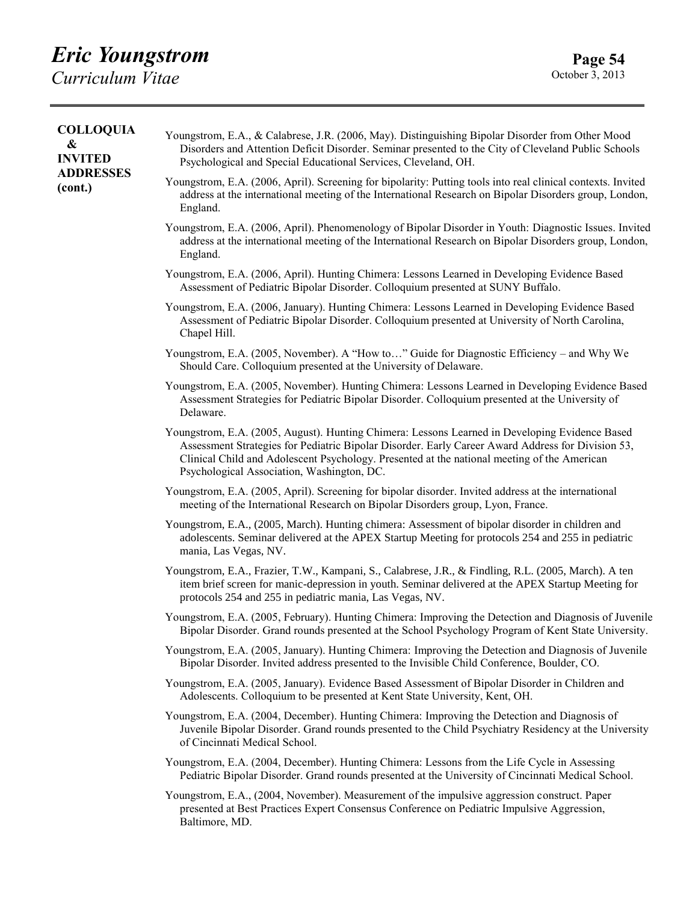| <b>COLLOQUIA</b><br>&<br><b>INVITED</b><br><b>ADDRESSES</b><br>(cont.) | Youngstrom, E.A., & Calabrese, J.R. (2006, May). Distinguishing Bipolar Disorder from Other Mood<br>Disorders and Attention Deficit Disorder. Seminar presented to the City of Cleveland Public Schools<br>Psychological and Special Educational Services, Cleveland, OH.                                                                        |
|------------------------------------------------------------------------|--------------------------------------------------------------------------------------------------------------------------------------------------------------------------------------------------------------------------------------------------------------------------------------------------------------------------------------------------|
|                                                                        | Youngstrom, E.A. (2006, April). Screening for bipolarity: Putting tools into real clinical contexts. Invited<br>address at the international meeting of the International Research on Bipolar Disorders group, London,<br>England.                                                                                                               |
|                                                                        | Youngstrom, E.A. (2006, April). Phenomenology of Bipolar Disorder in Youth: Diagnostic Issues. Invited<br>address at the international meeting of the International Research on Bipolar Disorders group, London,<br>England.                                                                                                                     |
|                                                                        | Youngstrom, E.A. (2006, April). Hunting Chimera: Lessons Learned in Developing Evidence Based<br>Assessment of Pediatric Bipolar Disorder. Colloquium presented at SUNY Buffalo.                                                                                                                                                                 |
|                                                                        | Youngstrom, E.A. (2006, January). Hunting Chimera: Lessons Learned in Developing Evidence Based<br>Assessment of Pediatric Bipolar Disorder. Colloquium presented at University of North Carolina,<br>Chapel Hill.                                                                                                                               |
|                                                                        | Youngstrom, E.A. (2005, November). A "How to" Guide for Diagnostic Efficiency – and Why We<br>Should Care. Colloquium presented at the University of Delaware.                                                                                                                                                                                   |
|                                                                        | Youngstrom, E.A. (2005, November). Hunting Chimera: Lessons Learned in Developing Evidence Based<br>Assessment Strategies for Pediatric Bipolar Disorder. Colloquium presented at the University of<br>Delaware.                                                                                                                                 |
|                                                                        | Youngstrom, E.A. (2005, August). Hunting Chimera: Lessons Learned in Developing Evidence Based<br>Assessment Strategies for Pediatric Bipolar Disorder. Early Career Award Address for Division 53,<br>Clinical Child and Adolescent Psychology. Presented at the national meeting of the American<br>Psychological Association, Washington, DC. |
|                                                                        | Youngstrom, E.A. (2005, April). Screening for bipolar disorder. Invited address at the international<br>meeting of the International Research on Bipolar Disorders group, Lyon, France.                                                                                                                                                          |
|                                                                        | Youngstrom, E.A., (2005, March). Hunting chimera: Assessment of bipolar disorder in children and<br>adolescents. Seminar delivered at the APEX Startup Meeting for protocols 254 and 255 in pediatric<br>mania, Las Vegas, NV.                                                                                                                   |
|                                                                        | Youngstrom, E.A., Frazier, T.W., Kampani, S., Calabrese, J.R., & Findling, R.L. (2005, March). A ten<br>item brief screen for manic-depression in youth. Seminar delivered at the APEX Startup Meeting for<br>protocols 254 and 255 in pediatric mania, Las Vegas, NV.                                                                           |
|                                                                        | Youngstrom, E.A. (2005, February). Hunting Chimera: Improving the Detection and Diagnosis of Juvenile<br>Bipolar Disorder. Grand rounds presented at the School Psychology Program of Kent State University.                                                                                                                                     |
|                                                                        | Youngstrom, E.A. (2005, January). Hunting Chimera: Improving the Detection and Diagnosis of Juvenile<br>Bipolar Disorder. Invited address presented to the Invisible Child Conference, Boulder, CO.                                                                                                                                              |
|                                                                        | Youngstrom, E.A. (2005, January). Evidence Based Assessment of Bipolar Disorder in Children and<br>Adolescents. Colloquium to be presented at Kent State University, Kent, OH.                                                                                                                                                                   |
|                                                                        | Youngstrom, E.A. (2004, December). Hunting Chimera: Improving the Detection and Diagnosis of<br>Juvenile Bipolar Disorder. Grand rounds presented to the Child Psychiatry Residency at the University<br>of Cincinnati Medical School.                                                                                                           |
|                                                                        | Youngstrom, E.A. (2004, December). Hunting Chimera: Lessons from the Life Cycle in Assessing<br>Pediatric Bipolar Disorder. Grand rounds presented at the University of Cincinnati Medical School.                                                                                                                                               |
|                                                                        | Youngstrom, E.A., (2004, November). Measurement of the impulsive aggression construct. Paper<br>presented at Best Practices Expert Consensus Conference on Pediatric Impulsive Aggression,<br>Baltimore, MD.                                                                                                                                     |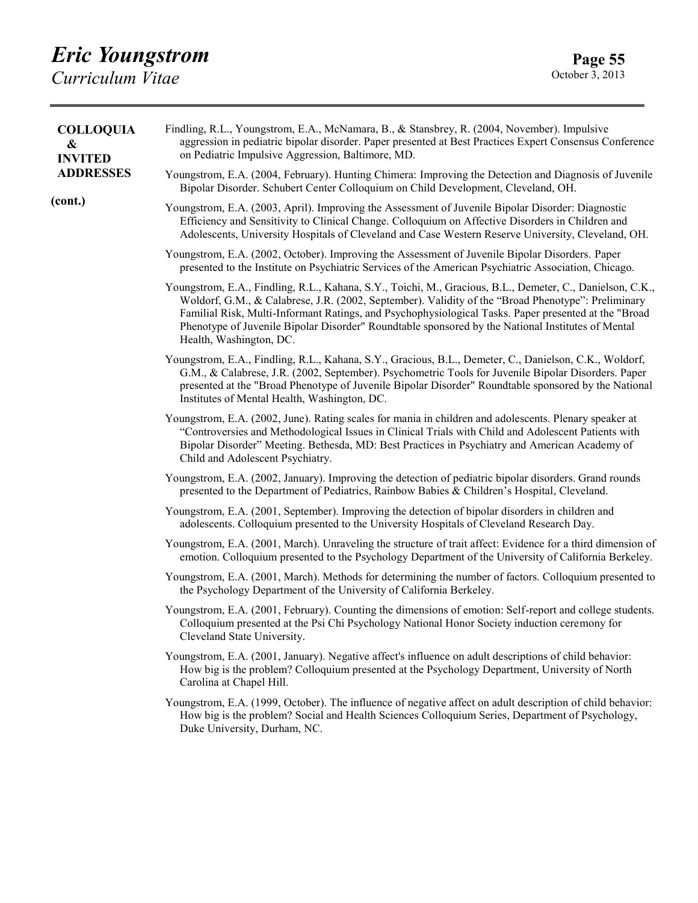| <b>COLLOQUIA</b><br>&<br><b>INVITED</b><br><b>ADDRESSES</b><br>(cont.) | Findling, R.L., Youngstrom, E.A., McNamara, B., & Stansbrey, R. (2004, November). Impulsive<br>aggression in pediatric bipolar disorder. Paper presented at Best Practices Expert Consensus Conference<br>on Pediatric Impulsive Aggression, Baltimore, MD.                                                                                                                                                                                             |
|------------------------------------------------------------------------|---------------------------------------------------------------------------------------------------------------------------------------------------------------------------------------------------------------------------------------------------------------------------------------------------------------------------------------------------------------------------------------------------------------------------------------------------------|
|                                                                        | Youngstrom, E.A. (2004, February). Hunting Chimera: Improving the Detection and Diagnosis of Juvenile<br>Bipolar Disorder. Schubert Center Colloquium on Child Development, Cleveland, OH.                                                                                                                                                                                                                                                              |
|                                                                        | Youngstrom, E.A. (2003, April). Improving the Assessment of Juvenile Bipolar Disorder: Diagnostic<br>Efficiency and Sensitivity to Clinical Change. Colloquium on Affective Disorders in Children and<br>Adolescents, University Hospitals of Cleveland and Case Western Reserve University, Cleveland, OH.                                                                                                                                             |
|                                                                        | Youngstrom, E.A. (2002, October). Improving the Assessment of Juvenile Bipolar Disorders. Paper<br>presented to the Institute on Psychiatric Services of the American Psychiatric Association, Chicago.                                                                                                                                                                                                                                                 |
|                                                                        | Youngstrom, E.A., Findling, R.L., Kahana, S.Y., Toichi, M., Gracious, B.L., Demeter, C., Danielson, C.K.,<br>Woldorf, G.M., & Calabrese, J.R. (2002, September). Validity of the "Broad Phenotype": Preliminary<br>Familial Risk, Multi-Informant Ratings, and Psychophysiological Tasks. Paper presented at the "Broad<br>Phenotype of Juvenile Bipolar Disorder" Roundtable sponsored by the National Institutes of Mental<br>Health, Washington, DC. |
|                                                                        | Youngstrom, E.A., Findling, R.L., Kahana, S.Y., Gracious, B.L., Demeter, C., Danielson, C.K., Woldorf,<br>G.M., & Calabrese, J.R. (2002, September). Psychometric Tools for Juvenile Bipolar Disorders. Paper<br>presented at the "Broad Phenotype of Juvenile Bipolar Disorder" Roundtable sponsored by the National<br>Institutes of Mental Health, Washington, DC.                                                                                   |
|                                                                        | Youngstrom, E.A. (2002, June). Rating scales for mania in children and adolescents. Plenary speaker at<br>"Controversies and Methodological Issues in Clinical Trials with Child and Adolescent Patients with<br>Bipolar Disorder" Meeting. Bethesda, MD: Best Practices in Psychiatry and American Academy of<br>Child and Adolescent Psychiatry.                                                                                                      |
|                                                                        | Youngstrom, E.A. (2002, January). Improving the detection of pediatric bipolar disorders. Grand rounds<br>presented to the Department of Pediatrics, Rainbow Babies & Children's Hospital, Cleveland.                                                                                                                                                                                                                                                   |
|                                                                        | Youngstrom, E.A. (2001, September). Improving the detection of bipolar disorders in children and<br>adolescents. Colloquium presented to the University Hospitals of Cleveland Research Day.                                                                                                                                                                                                                                                            |
|                                                                        | Youngstrom, E.A. (2001, March). Unraveling the structure of trait affect: Evidence for a third dimension of<br>emotion. Colloquium presented to the Psychology Department of the University of California Berkeley.                                                                                                                                                                                                                                     |
|                                                                        | Youngstrom, E.A. (2001, March). Methods for determining the number of factors. Colloquium presented to<br>the Psychology Department of the University of California Berkeley.                                                                                                                                                                                                                                                                           |
|                                                                        | Youngstrom, E.A. (2001, February). Counting the dimensions of emotion: Self-report and college students.<br>Colloquium presented at the Psi Chi Psychology National Honor Society induction ceremony for<br>Cleveland State University.                                                                                                                                                                                                                 |
|                                                                        | Youngstrom, E.A. (2001, January). Negative affect's influence on adult descriptions of child behavior:<br>How big is the problem? Colloquium presented at the Psychology Department, University of North<br>Carolina at Chapel Hill.                                                                                                                                                                                                                    |
|                                                                        | Youngstrom, E.A. (1999, October). The influence of negative affect on adult description of child behavior:<br>How big is the problem? Social and Health Sciences Colloquium Series, Department of Psychology,<br>Duke University, Durham, NC.                                                                                                                                                                                                           |
|                                                                        |                                                                                                                                                                                                                                                                                                                                                                                                                                                         |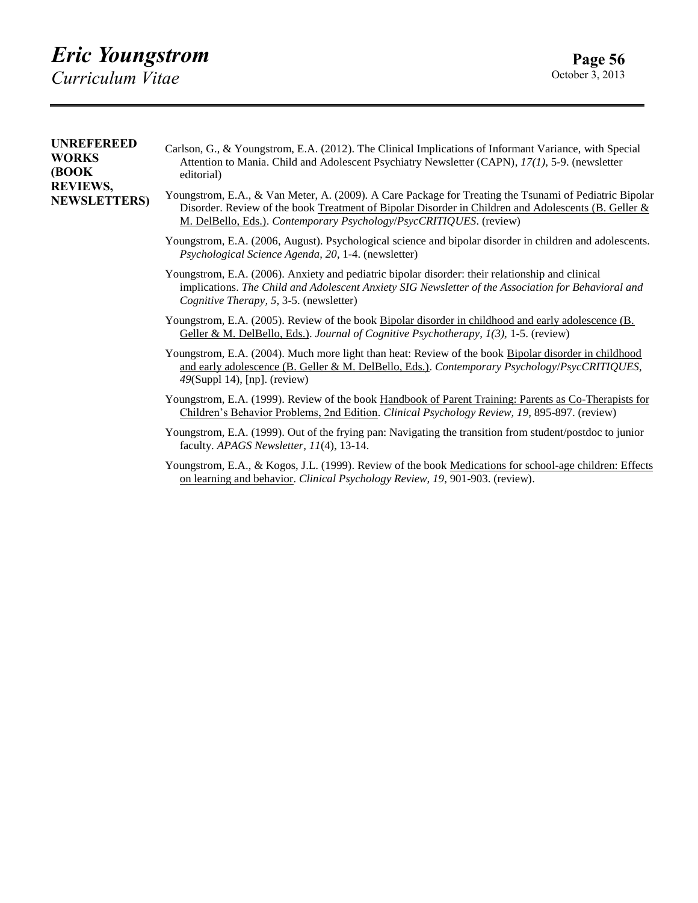| <b>UNREFEREED</b><br><b>WORKS</b><br>(BOOK<br><b>REVIEWS,</b><br><b>NEWSLETTERS</b> | Carlson, G., & Youngstrom, E.A. (2012). The Clinical Implications of Informant Variance, with Special<br>Attention to Mania. Child and Adolescent Psychiatry Newsletter (CAPN), 17(1), 5-9. (newsletter<br>editorial)                                                                |
|-------------------------------------------------------------------------------------|--------------------------------------------------------------------------------------------------------------------------------------------------------------------------------------------------------------------------------------------------------------------------------------|
|                                                                                     | Youngstrom, E.A., & Van Meter, A. (2009). A Care Package for Treating the Tsunami of Pediatric Bipolar<br>Disorder. Review of the book Treatment of Bipolar Disorder in Children and Adolescents (B. Geller &<br>M. DelBello, Eds.). Contemporary Psychology/PsycCRITIQUES. (review) |
|                                                                                     | Youngstrom, E.A. (2006, August). Psychological science and bipolar disorder in children and adolescents.<br>Psychological Science Agenda, 20, 1-4. (newsletter)                                                                                                                      |
|                                                                                     | Youngstrom, E.A. (2006). Anxiety and pediatric bipolar disorder: their relationship and clinical<br>implications. The Child and Adolescent Anxiety SIG Newsletter of the Association for Behavioral and<br>Cognitive Therapy, 5, 3-5. (newsletter)                                   |
|                                                                                     | Youngstrom, E.A. (2005). Review of the book Bipolar disorder in childhood and early adolescence (B.<br>Geller & M. DelBello, Eds.). Journal of Cognitive Psychotherapy, $1(3)$ , 1-5. (review)                                                                                       |
|                                                                                     | Youngstrom, E.A. (2004). Much more light than heat: Review of the book Bipolar disorder in childhood<br>and early adolescence (B. Geller & M. DelBello, Eds.). Contemporary Psychology/PsycCRITIQUES,<br>$49(Suppl 14)$ , [np]. (review)                                             |
|                                                                                     | Youngstrom, E.A. (1999). Review of the book Handbook of Parent Training: Parents as Co-Therapists for<br>Children's Behavior Problems, 2nd Edition. Clinical Psychology Review, 19, 895-897. (review)                                                                                |
|                                                                                     | Youngstrom, E.A. (1999). Out of the frying pan: Navigating the transition from student/postdoc to junior<br>faculty. APAGS Newsletter, 11(4), 13-14.                                                                                                                                 |
|                                                                                     |                                                                                                                                                                                                                                                                                      |

Youngstrom, E.A., & Kogos, J.L. (1999). Review of the book Medications for school-age children: Effects on learning and behavior. *Clinical Psychology Review, 19*, 901-903. (review).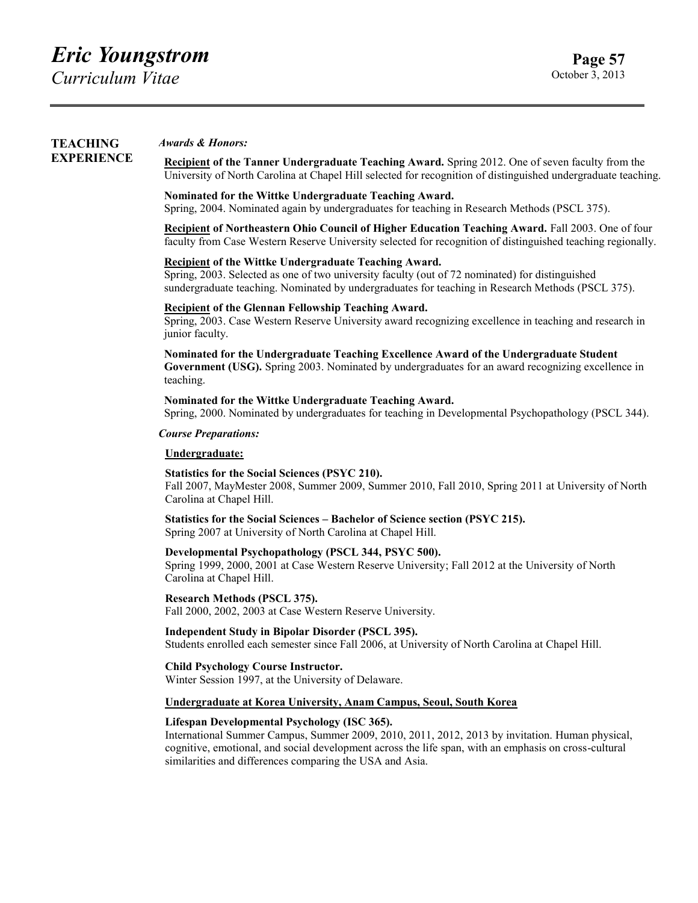#### **TEACHING EXPERIENCE**

*Awards & Honors:*

**Recipient of the Tanner Undergraduate Teaching Award.** Spring 2012. One of seven faculty from the University of North Carolina at Chapel Hill selected for recognition of distinguished undergraduate teaching.

#### **Nominated for the Wittke Undergraduate Teaching Award.**

Spring, 2004. Nominated again by undergraduates for teaching in Research Methods (PSCL 375).

**Recipient of Northeastern Ohio Council of Higher Education Teaching Award.** Fall 2003. One of four faculty from Case Western Reserve University selected for recognition of distinguished teaching regionally.

#### **Recipient of the Wittke Undergraduate Teaching Award.**

Spring, 2003. Selected as one of two university faculty (out of 72 nominated) for distinguished sundergraduate teaching. Nominated by undergraduates for teaching in Research Methods (PSCL 375).

#### **Recipient of the Glennan Fellowship Teaching Award.**

Spring, 2003. Case Western Reserve University award recognizing excellence in teaching and research in junior faculty.

**Nominated for the Undergraduate Teaching Excellence Award of the Undergraduate Student Government (USG).** Spring 2003. Nominated by undergraduates for an award recognizing excellence in teaching.

#### **Nominated for the Wittke Undergraduate Teaching Award.**

Spring, 2000. Nominated by undergraduates for teaching in Developmental Psychopathology (PSCL 344).

#### *Course Preparations:*

#### **Undergraduate:**

#### **Statistics for the Social Sciences (PSYC 210).**

Fall 2007, MayMester 2008, Summer 2009, Summer 2010, Fall 2010, Spring 2011 at University of North Carolina at Chapel Hill.

#### **Statistics for the Social Sciences – Bachelor of Science section (PSYC 215).**

Spring 2007 at University of North Carolina at Chapel Hill.

#### **Developmental Psychopathology (PSCL 344, PSYC 500).**

Spring 1999, 2000, 2001 at Case Western Reserve University; Fall 2012 at the University of North Carolina at Chapel Hill.

**Research Methods (PSCL 375).** 

Fall 2000, 2002, 2003 at Case Western Reserve University.

#### **Independent Study in Bipolar Disorder (PSCL 395).**

Students enrolled each semester since Fall 2006, at University of North Carolina at Chapel Hill.

#### **Child Psychology Course Instructor.**

Winter Session 1997, at the University of Delaware.

#### **Undergraduate at Korea University, Anam Campus, Seoul, South Korea**

### **Lifespan Developmental Psychology (ISC 365).**

International Summer Campus, Summer 2009, 2010, 2011, 2012, 2013 by invitation. Human physical, cognitive, emotional, and social development across the life span, with an emphasis on cross-cultural similarities and differences comparing the USA and Asia.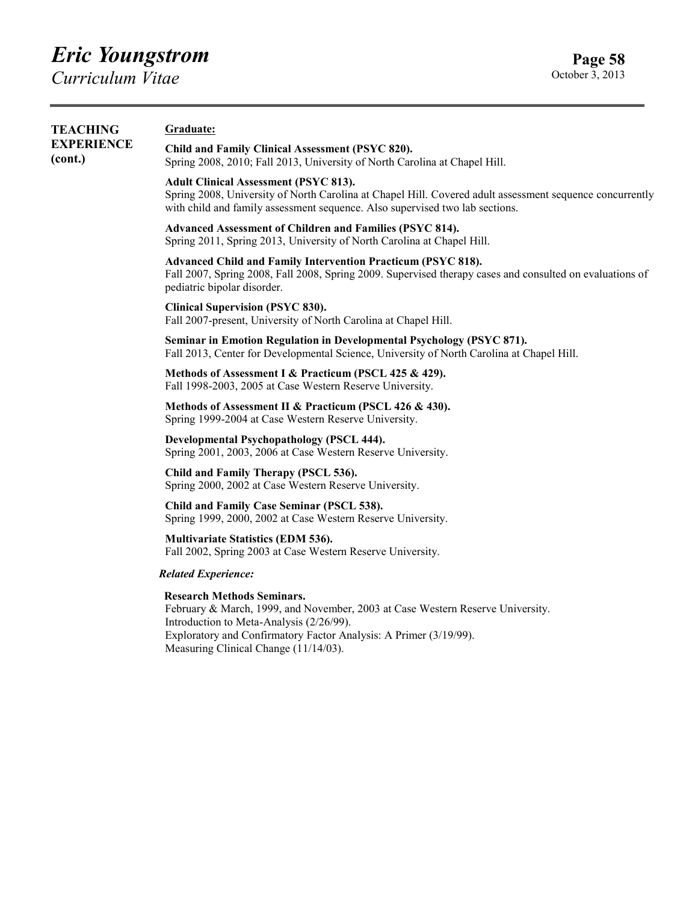| <b>TEACHING</b>              | Graduate:                                                                                                                                                                                                                                                                     |
|------------------------------|-------------------------------------------------------------------------------------------------------------------------------------------------------------------------------------------------------------------------------------------------------------------------------|
| <b>EXPERIENCE</b><br>(cont.) | Child and Family Clinical Assessment (PSYC 820).<br>Spring 2008, 2010; Fall 2013, University of North Carolina at Chapel Hill.                                                                                                                                                |
|                              | <b>Adult Clinical Assessment (PSYC 813).</b><br>Spring 2008, University of North Carolina at Chapel Hill. Covered adult assessment sequence concurrently<br>with child and family assessment sequence. Also supervised two lab sections.                                      |
|                              | Advanced Assessment of Children and Families (PSYC 814).<br>Spring 2011, Spring 2013, University of North Carolina at Chapel Hill.                                                                                                                                            |
|                              | <b>Advanced Child and Family Intervention Practicum (PSYC 818).</b><br>Fall 2007, Spring 2008, Fall 2008, Spring 2009. Supervised therapy cases and consulted on evaluations of<br>pediatric bipolar disorder.                                                                |
|                              | <b>Clinical Supervision (PSYC 830).</b><br>Fall 2007-present, University of North Carolina at Chapel Hill.                                                                                                                                                                    |
|                              | Seminar in Emotion Regulation in Developmental Psychology (PSYC 871).<br>Fall 2013, Center for Developmental Science, University of North Carolina at Chapel Hill.                                                                                                            |
|                              | Methods of Assessment I & Practicum (PSCL 425 & 429).<br>Fall 1998-2003, 2005 at Case Western Reserve University.                                                                                                                                                             |
|                              | Methods of Assessment II & Practicum (PSCL 426 & 430).<br>Spring 1999-2004 at Case Western Reserve University.                                                                                                                                                                |
|                              | Developmental Psychopathology (PSCL 444).<br>Spring 2001, 2003, 2006 at Case Western Reserve University.                                                                                                                                                                      |
|                              | Child and Family Therapy (PSCL 536).<br>Spring 2000, 2002 at Case Western Reserve University.                                                                                                                                                                                 |
|                              | Child and Family Case Seminar (PSCL 538).<br>Spring 1999, 2000, 2002 at Case Western Reserve University.                                                                                                                                                                      |
|                              | <b>Multivariate Statistics (EDM 536).</b><br>Fall 2002, Spring 2003 at Case Western Reserve University.                                                                                                                                                                       |
|                              | <b>Related Experience:</b>                                                                                                                                                                                                                                                    |
|                              | <b>Research Methods Seminars.</b><br>February & March, 1999, and November, 2003 at Case Western Reserve University.<br>Introduction to Meta-Analysis (2/26/99).<br>Exploratory and Confirmatory Factor Analysis: A Primer (3/19/99).<br>Measuring Clinical Change (11/14/03). |
|                              |                                                                                                                                                                                                                                                                               |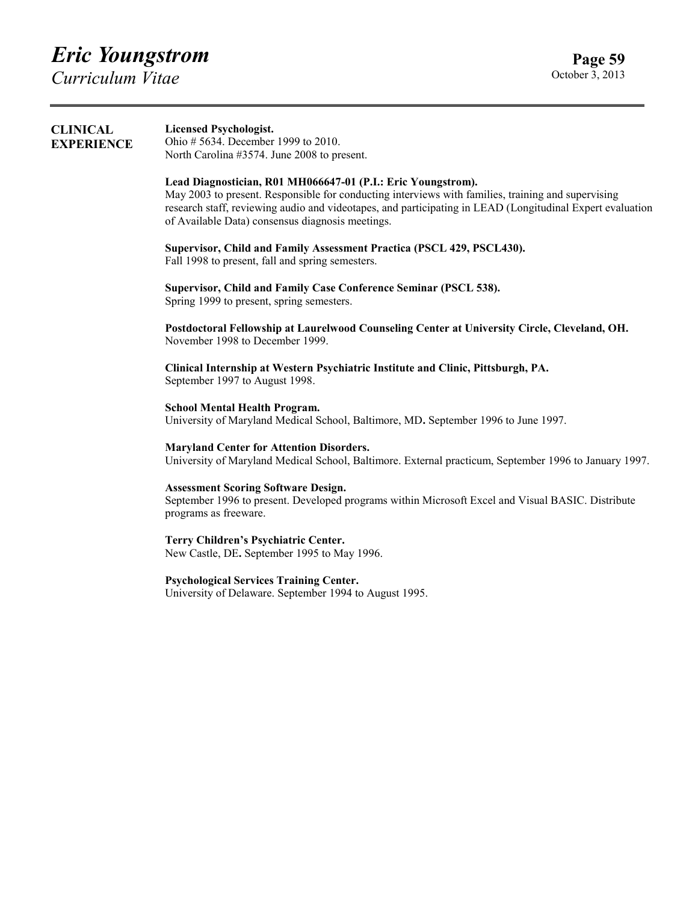**EXPERIENCE**

#### **CLINICAL Licensed Psychologist.**

Ohio # 5634. December 1999 to 2010. North Carolina #3574. June 2008 to present.

#### **Lead Diagnostician, R01 MH066647-01 (P.I.: Eric Youngstrom).**

May 2003 to present. Responsible for conducting interviews with families, training and supervising research staff, reviewing audio and videotapes, and participating in LEAD (Longitudinal Expert evaluation of Available Data) consensus diagnosis meetings.

**Supervisor, Child and Family Assessment Practica (PSCL 429, PSCL430).** Fall 1998 to present, fall and spring semesters.

**Supervisor, Child and Family Case Conference Seminar (PSCL 538).** Spring 1999 to present, spring semesters.

**Postdoctoral Fellowship at Laurelwood Counseling Center at University Circle, Cleveland, OH.**  November 1998 to December 1999.

**Clinical Internship at Western Psychiatric Institute and Clinic, Pittsburgh, PA.** September 1997 to August 1998.

#### **School Mental Health Program.**

University of Maryland Medical School, Baltimore, MD**.** September 1996 to June 1997.

#### **Maryland Center for Attention Disorders.**

University of Maryland Medical School, Baltimore. External practicum, September 1996 to January 1997.

#### **Assessment Scoring Software Design.**

September 1996 to present. Developed programs within Microsoft Excel and Visual BASIC. Distribute programs as freeware.

#### **Terry Children's Psychiatric Center.**

New Castle, DE**.** September 1995 to May 1996.

#### **Psychological Services Training Center.**

University of Delaware. September 1994 to August 1995.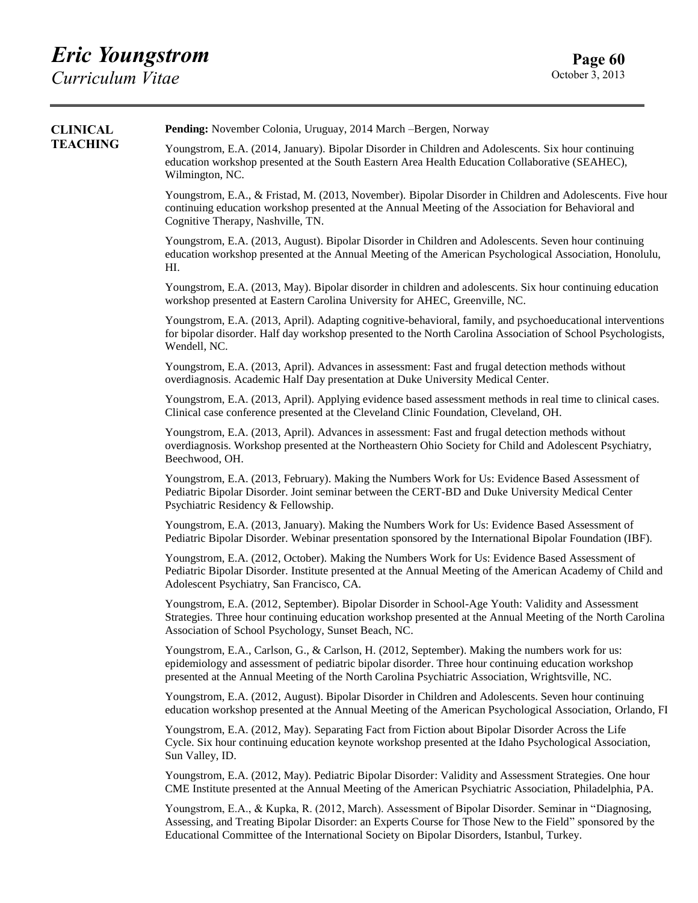| <b>CLINICAL</b><br><b>TEACHING</b> | <b>Pending:</b> November Colonia, Uruguay, 2014 March – Bergen, Norway                                                                                                                                                                                                                                     |
|------------------------------------|------------------------------------------------------------------------------------------------------------------------------------------------------------------------------------------------------------------------------------------------------------------------------------------------------------|
|                                    | Youngstrom, E.A. (2014, January). Bipolar Disorder in Children and Adolescents. Six hour continuing<br>education workshop presented at the South Eastern Area Health Education Collaborative (SEAHEC),<br>Wilmington, NC.                                                                                  |
|                                    | Youngstrom, E.A., & Fristad, M. (2013, November). Bipolar Disorder in Children and Adolescents. Five hour<br>continuing education workshop presented at the Annual Meeting of the Association for Behavioral and<br>Cognitive Therapy, Nashville, TN.                                                      |
|                                    | Youngstrom, E.A. (2013, August). Bipolar Disorder in Children and Adolescents. Seven hour continuing<br>education workshop presented at the Annual Meeting of the American Psychological Association, Honolulu,<br>HI.                                                                                     |
|                                    | Youngstrom, E.A. (2013, May). Bipolar disorder in children and adolescents. Six hour continuing education<br>workshop presented at Eastern Carolina University for AHEC, Greenville, NC.                                                                                                                   |
|                                    | Youngstrom, E.A. (2013, April). Adapting cognitive-behavioral, family, and psychoeducational interventions<br>for bipolar disorder. Half day workshop presented to the North Carolina Association of School Psychologists,<br>Wendell, NC.                                                                 |
|                                    | Youngstrom, E.A. (2013, April). Advances in assessment: Fast and frugal detection methods without<br>overdiagnosis. Academic Half Day presentation at Duke University Medical Center.                                                                                                                      |
|                                    | Youngstrom, E.A. (2013, April). Applying evidence based assessment methods in real time to clinical cases.<br>Clinical case conference presented at the Cleveland Clinic Foundation, Cleveland, OH.                                                                                                        |
|                                    | Youngstrom, E.A. (2013, April). Advances in assessment: Fast and frugal detection methods without<br>overdiagnosis. Workshop presented at the Northeastern Ohio Society for Child and Adolescent Psychiatry,<br>Beechwood, OH.                                                                             |
|                                    | Youngstrom, E.A. (2013, February). Making the Numbers Work for Us: Evidence Based Assessment of<br>Pediatric Bipolar Disorder. Joint seminar between the CERT-BD and Duke University Medical Center<br>Psychiatric Residency & Fellowship.                                                                 |
|                                    | Youngstrom, E.A. (2013, January). Making the Numbers Work for Us: Evidence Based Assessment of<br>Pediatric Bipolar Disorder. Webinar presentation sponsored by the International Bipolar Foundation (IBF).                                                                                                |
|                                    | Youngstrom, E.A. (2012, October). Making the Numbers Work for Us: Evidence Based Assessment of<br>Pediatric Bipolar Disorder. Institute presented at the Annual Meeting of the American Academy of Child and<br>Adolescent Psychiatry, San Francisco, CA.                                                  |
|                                    | Youngstrom, E.A. (2012, September). Bipolar Disorder in School-Age Youth: Validity and Assessment<br>Strategies. Three hour continuing education workshop presented at the Annual Meeting of the North Carolina<br>Association of School Psychology, Sunset Beach, NC.                                     |
|                                    | Youngstrom, E.A., Carlson, G., & Carlson, H. (2012, September). Making the numbers work for us:<br>epidemiology and assessment of pediatric bipolar disorder. Three hour continuing education workshop<br>presented at the Annual Meeting of the North Carolina Psychiatric Association, Wrightsville, NC. |
|                                    | Youngstrom, E.A. (2012, August). Bipolar Disorder in Children and Adolescents. Seven hour continuing<br>education workshop presented at the Annual Meeting of the American Psychological Association, Orlando, FI                                                                                          |
|                                    | Youngstrom, E.A. (2012, May). Separating Fact from Fiction about Bipolar Disorder Across the Life<br>Cycle. Six hour continuing education keynote workshop presented at the Idaho Psychological Association,<br>Sun Valley, ID.                                                                            |
|                                    | Youngstrom, E.A. (2012, May). Pediatric Bipolar Disorder: Validity and Assessment Strategies. One hour<br>CME Institute presented at the Annual Meeting of the American Psychiatric Association, Philadelphia, PA.                                                                                         |
|                                    | Youngstrom, E.A., & Kupka, R. (2012, March). Assessment of Bipolar Disorder. Seminar in "Diagnosing,<br>Assessing, and Treating Bipolar Disorder: an Experts Course for Those New to the Field" sponsored by the                                                                                           |

Educational Committee of the International Society on Bipolar Disorders, Istanbul, Turkey.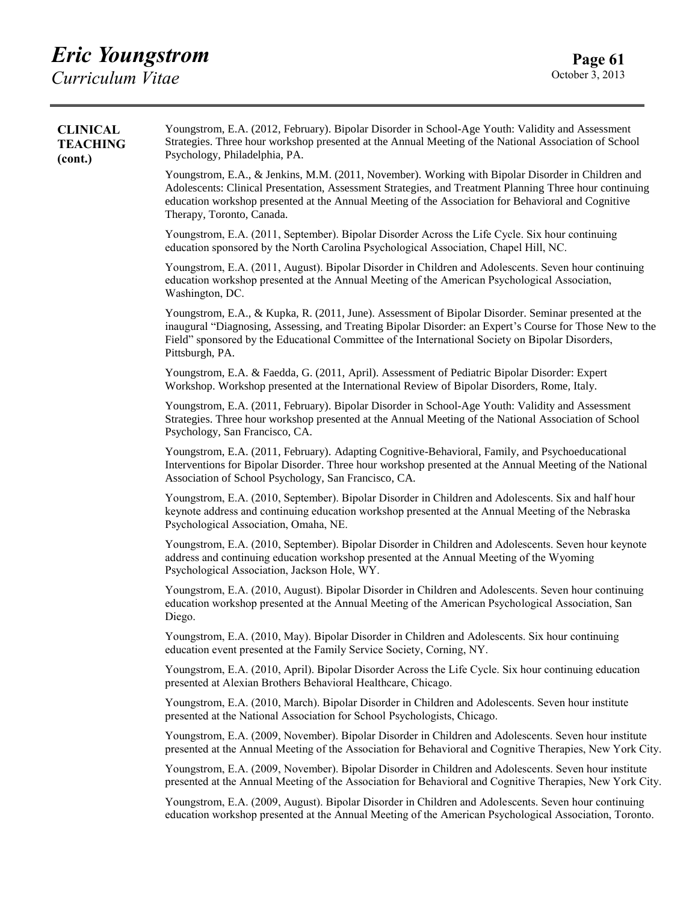| <b>CLINICAL</b><br><b>TEACHING</b><br>(cont.) | Youngstrom, E.A. (2012, February). Bipolar Disorder in School-Age Youth: Validity and Assessment<br>Strategies. Three hour workshop presented at the Annual Meeting of the National Association of School<br>Psychology, Philadelphia, PA.                                                                                                      |
|-----------------------------------------------|-------------------------------------------------------------------------------------------------------------------------------------------------------------------------------------------------------------------------------------------------------------------------------------------------------------------------------------------------|
|                                               | Youngstrom, E.A., & Jenkins, M.M. (2011, November). Working with Bipolar Disorder in Children and<br>Adolescents: Clinical Presentation, Assessment Strategies, and Treatment Planning Three hour continuing<br>education workshop presented at the Annual Meeting of the Association for Behavioral and Cognitive<br>Therapy, Toronto, Canada. |
|                                               | Youngstrom, E.A. (2011, September). Bipolar Disorder Across the Life Cycle. Six hour continuing<br>education sponsored by the North Carolina Psychological Association, Chapel Hill, NC.                                                                                                                                                        |
|                                               | Youngstrom, E.A. (2011, August). Bipolar Disorder in Children and Adolescents. Seven hour continuing<br>education workshop presented at the Annual Meeting of the American Psychological Association,<br>Washington, DC.                                                                                                                        |
|                                               | Youngstrom, E.A., & Kupka, R. (2011, June). Assessment of Bipolar Disorder. Seminar presented at the<br>inaugural "Diagnosing, Assessing, and Treating Bipolar Disorder: an Expert's Course for Those New to the<br>Field" sponsored by the Educational Committee of the International Society on Bipolar Disorders,<br>Pittsburgh, PA.         |
|                                               | Youngstrom, E.A. & Faedda, G. (2011, April). Assessment of Pediatric Bipolar Disorder: Expert<br>Workshop. Workshop presented at the International Review of Bipolar Disorders, Rome, Italy.                                                                                                                                                    |
|                                               | Youngstrom, E.A. (2011, February). Bipolar Disorder in School-Age Youth: Validity and Assessment<br>Strategies. Three hour workshop presented at the Annual Meeting of the National Association of School<br>Psychology, San Francisco, CA.                                                                                                     |
|                                               | Youngstrom, E.A. (2011, February). Adapting Cognitive-Behavioral, Family, and Psychoeducational<br>Interventions for Bipolar Disorder. Three hour workshop presented at the Annual Meeting of the National<br>Association of School Psychology, San Francisco, CA.                                                                              |
|                                               | Youngstrom, E.A. (2010, September). Bipolar Disorder in Children and Adolescents. Six and half hour<br>keynote address and continuing education workshop presented at the Annual Meeting of the Nebraska<br>Psychological Association, Omaha, NE.                                                                                               |
|                                               | Youngstrom, E.A. (2010, September). Bipolar Disorder in Children and Adolescents. Seven hour keynote<br>address and continuing education workshop presented at the Annual Meeting of the Wyoming<br>Psychological Association, Jackson Hole, WY.                                                                                                |
|                                               | Youngstrom, E.A. (2010, August). Bipolar Disorder in Children and Adolescents. Seven hour continuing<br>education workshop presented at the Annual Meeting of the American Psychological Association, San<br>Diego.                                                                                                                             |
|                                               | Youngstrom, E.A. (2010, May). Bipolar Disorder in Children and Adolescents. Six hour continuing<br>education event presented at the Family Service Society, Corning, NY.                                                                                                                                                                        |
|                                               | Youngstrom, E.A. (2010, April). Bipolar Disorder Across the Life Cycle. Six hour continuing education<br>presented at Alexian Brothers Behavioral Healthcare, Chicago.                                                                                                                                                                          |
|                                               | Youngstrom, E.A. (2010, March). Bipolar Disorder in Children and Adolescents. Seven hour institute<br>presented at the National Association for School Psychologists, Chicago.                                                                                                                                                                  |
|                                               | Youngstrom, E.A. (2009, November). Bipolar Disorder in Children and Adolescents. Seven hour institute<br>presented at the Annual Meeting of the Association for Behavioral and Cognitive Therapies, New York City.                                                                                                                              |
|                                               | Youngstrom, E.A. (2009, November). Bipolar Disorder in Children and Adolescents. Seven hour institute<br>presented at the Annual Meeting of the Association for Behavioral and Cognitive Therapies, New York City.                                                                                                                              |
|                                               | Youngstrom, E.A. (2009, August). Bipolar Disorder in Children and Adolescents. Seven hour continuing<br>education workshop presented at the Annual Meeting of the American Psychological Association, Toronto.                                                                                                                                  |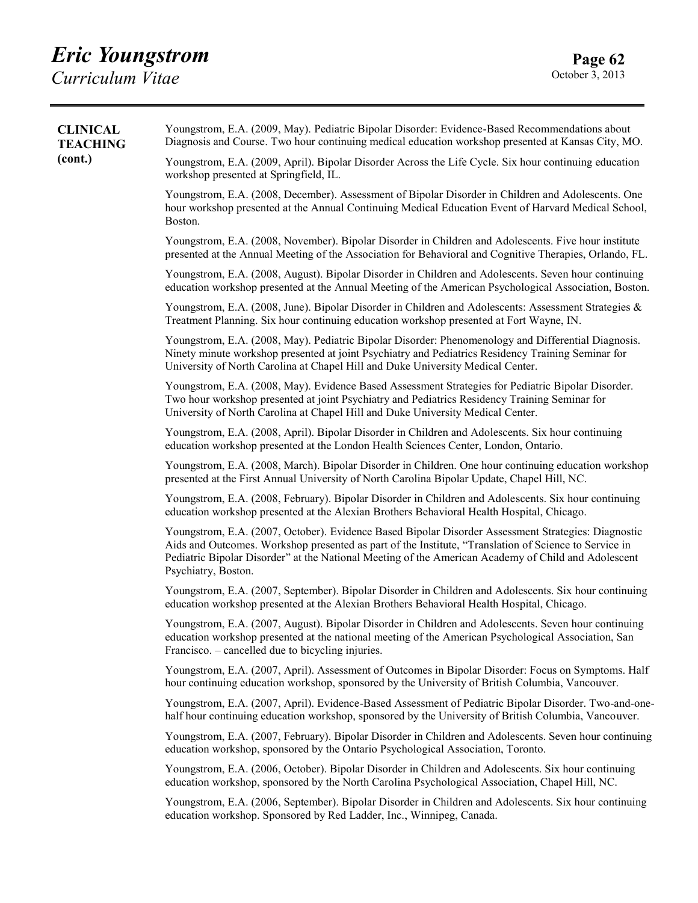| <b>CLINICAL</b><br><b>TEACHING</b> | Youngstrom, E.A. (2009, May). Pediatric Bipolar Disorder: Evidence-Based Recommendations about<br>Diagnosis and Course. Two hour continuing medical education workshop presented at Kansas City, MO.                                                                                                                                       |
|------------------------------------|--------------------------------------------------------------------------------------------------------------------------------------------------------------------------------------------------------------------------------------------------------------------------------------------------------------------------------------------|
| (cont.)                            | Youngstrom, E.A. (2009, April). Bipolar Disorder Across the Life Cycle. Six hour continuing education<br>workshop presented at Springfield, IL.                                                                                                                                                                                            |
|                                    | Youngstrom, E.A. (2008, December). Assessment of Bipolar Disorder in Children and Adolescents. One<br>hour workshop presented at the Annual Continuing Medical Education Event of Harvard Medical School,<br>Boston.                                                                                                                       |
|                                    | Youngstrom, E.A. (2008, November). Bipolar Disorder in Children and Adolescents. Five hour institute<br>presented at the Annual Meeting of the Association for Behavioral and Cognitive Therapies, Orlando, FL.                                                                                                                            |
|                                    | Youngstrom, E.A. (2008, August). Bipolar Disorder in Children and Adolescents. Seven hour continuing<br>education workshop presented at the Annual Meeting of the American Psychological Association, Boston.                                                                                                                              |
|                                    | Youngstrom, E.A. (2008, June). Bipolar Disorder in Children and Adolescents: Assessment Strategies &<br>Treatment Planning. Six hour continuing education workshop presented at Fort Wayne, IN.                                                                                                                                            |
|                                    | Youngstrom, E.A. (2008, May). Pediatric Bipolar Disorder: Phenomenology and Differential Diagnosis.<br>Ninety minute workshop presented at joint Psychiatry and Pediatrics Residency Training Seminar for<br>University of North Carolina at Chapel Hill and Duke University Medical Center.                                               |
|                                    | Youngstrom, E.A. (2008, May). Evidence Based Assessment Strategies for Pediatric Bipolar Disorder.<br>Two hour workshop presented at joint Psychiatry and Pediatrics Residency Training Seminar for<br>University of North Carolina at Chapel Hill and Duke University Medical Center.                                                     |
|                                    | Youngstrom, E.A. (2008, April). Bipolar Disorder in Children and Adolescents. Six hour continuing<br>education workshop presented at the London Health Sciences Center, London, Ontario.                                                                                                                                                   |
|                                    | Youngstrom, E.A. (2008, March). Bipolar Disorder in Children. One hour continuing education workshop<br>presented at the First Annual University of North Carolina Bipolar Update, Chapel Hill, NC.                                                                                                                                        |
|                                    | Youngstrom, E.A. (2008, February). Bipolar Disorder in Children and Adolescents. Six hour continuing<br>education workshop presented at the Alexian Brothers Behavioral Health Hospital, Chicago.                                                                                                                                          |
|                                    | Youngstrom, E.A. (2007, October). Evidence Based Bipolar Disorder Assessment Strategies: Diagnostic<br>Aids and Outcomes. Workshop presented as part of the Institute, "Translation of Science to Service in<br>Pediatric Bipolar Disorder" at the National Meeting of the American Academy of Child and Adolescent<br>Psychiatry, Boston. |
|                                    | Youngstrom, E.A. (2007, September). Bipolar Disorder in Children and Adolescents. Six hour continuing<br>education workshop presented at the Alexian Brothers Behavioral Health Hospital, Chicago.                                                                                                                                         |
|                                    | Youngstrom, E.A. (2007, August). Bipolar Disorder in Children and Adolescents. Seven hour continuing<br>education workshop presented at the national meeting of the American Psychological Association, San<br>Francisco. – cancelled due to bicycling injuries.                                                                           |
|                                    | Youngstrom, E.A. (2007, April). Assessment of Outcomes in Bipolar Disorder: Focus on Symptoms. Half<br>hour continuing education workshop, sponsored by the University of British Columbia, Vancouver.                                                                                                                                     |
|                                    | Youngstrom, E.A. (2007, April). Evidence-Based Assessment of Pediatric Bipolar Disorder. Two-and-one-<br>half hour continuing education workshop, sponsored by the University of British Columbia, Vancouver.                                                                                                                              |
|                                    | Youngstrom, E.A. (2007, February). Bipolar Disorder in Children and Adolescents. Seven hour continuing<br>education workshop, sponsored by the Ontario Psychological Association, Toronto.                                                                                                                                                 |
|                                    | Youngstrom, E.A. (2006, October). Bipolar Disorder in Children and Adolescents. Six hour continuing<br>education workshop, sponsored by the North Carolina Psychological Association, Chapel Hill, NC.                                                                                                                                     |
|                                    | Youngstrom, E.A. (2006, September). Bipolar Disorder in Children and Adolescents. Six hour continuing<br>education workshop. Sponsored by Red Ladder, Inc., Winnipeg, Canada.                                                                                                                                                              |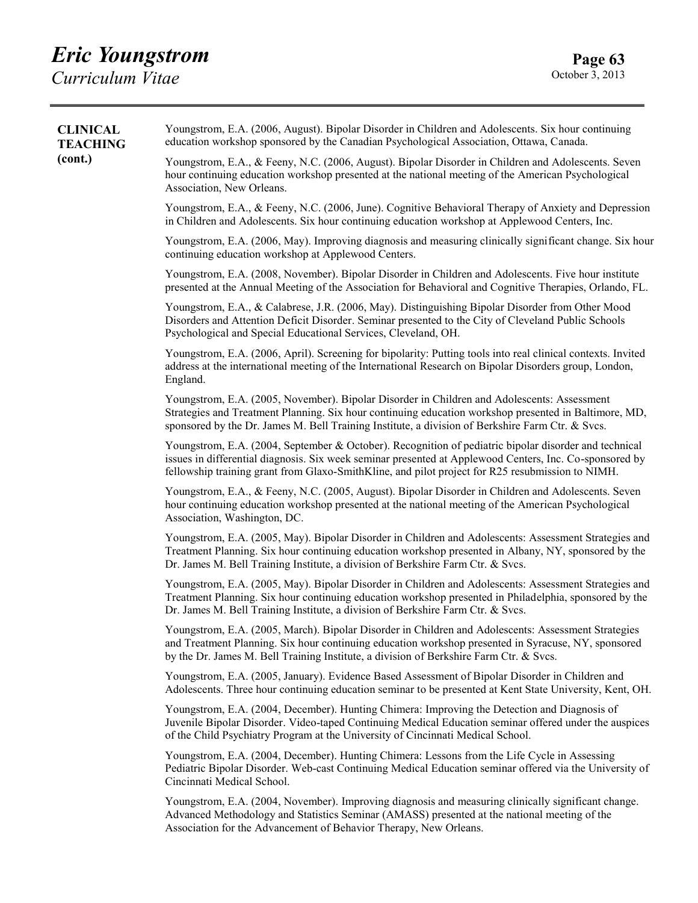| <b>CLINICAL</b><br><b>TEACHING</b><br>(cont.) | Youngstrom, E.A. (2006, August). Bipolar Disorder in Children and Adolescents. Six hour continuing<br>education workshop sponsored by the Canadian Psychological Association, Ottawa, Canada.                                                                                                                        |
|-----------------------------------------------|----------------------------------------------------------------------------------------------------------------------------------------------------------------------------------------------------------------------------------------------------------------------------------------------------------------------|
|                                               | Youngstrom, E.A., & Feeny, N.C. (2006, August). Bipolar Disorder in Children and Adolescents. Seven<br>hour continuing education workshop presented at the national meeting of the American Psychological<br>Association, New Orleans.                                                                               |
|                                               | Youngstrom, E.A., & Feeny, N.C. (2006, June). Cognitive Behavioral Therapy of Anxiety and Depression<br>in Children and Adolescents. Six hour continuing education workshop at Applewood Centers, Inc.                                                                                                               |
|                                               | Youngstrom, E.A. (2006, May). Improving diagnosis and measuring clinically significant change. Six hour<br>continuing education workshop at Applewood Centers.                                                                                                                                                       |
|                                               | Youngstrom, E.A. (2008, November). Bipolar Disorder in Children and Adolescents. Five hour institute<br>presented at the Annual Meeting of the Association for Behavioral and Cognitive Therapies, Orlando, FL.                                                                                                      |
|                                               | Youngstrom, E.A., & Calabrese, J.R. (2006, May). Distinguishing Bipolar Disorder from Other Mood<br>Disorders and Attention Deficit Disorder. Seminar presented to the City of Cleveland Public Schools<br>Psychological and Special Educational Services, Cleveland, OH.                                            |
|                                               | Youngstrom, E.A. (2006, April). Screening for bipolarity: Putting tools into real clinical contexts. Invited<br>address at the international meeting of the International Research on Bipolar Disorders group, London,<br>England.                                                                                   |
|                                               | Youngstrom, E.A. (2005, November). Bipolar Disorder in Children and Adolescents: Assessment<br>Strategies and Treatment Planning. Six hour continuing education workshop presented in Baltimore, MD,<br>sponsored by the Dr. James M. Bell Training Institute, a division of Berkshire Farm Ctr. & Svcs.             |
|                                               | Youngstrom, E.A. (2004, September & October). Recognition of pediatric bipolar disorder and technical<br>issues in differential diagnosis. Six week seminar presented at Applewood Centers, Inc. Co-sponsored by<br>fellowship training grant from Glaxo-SmithKline, and pilot project for R25 resubmission to NIMH. |
|                                               | Youngstrom, E.A., & Feeny, N.C. (2005, August). Bipolar Disorder in Children and Adolescents. Seven<br>hour continuing education workshop presented at the national meeting of the American Psychological<br>Association, Washington, DC.                                                                            |
|                                               | Youngstrom, E.A. (2005, May). Bipolar Disorder in Children and Adolescents: Assessment Strategies and<br>Treatment Planning. Six hour continuing education workshop presented in Albany, NY, sponsored by the<br>Dr. James M. Bell Training Institute, a division of Berkshire Farm Ctr. & Svcs.                     |
|                                               | Youngstrom, E.A. (2005, May). Bipolar Disorder in Children and Adolescents: Assessment Strategies and<br>Treatment Planning. Six hour continuing education workshop presented in Philadelphia, sponsored by the<br>Dr. James M. Bell Training Institute, a division of Berkshire Farm Ctr. & Svcs.                   |
|                                               | Youngstrom, E.A. (2005, March). Bipolar Disorder in Children and Adolescents: Assessment Strategies<br>and Treatment Planning. Six hour continuing education workshop presented in Syracuse, NY, sponsored<br>by the Dr. James M. Bell Training Institute, a division of Berkshire Farm Ctr. & Svcs.                 |
|                                               | Youngstrom, E.A. (2005, January). Evidence Based Assessment of Bipolar Disorder in Children and<br>Adolescents. Three hour continuing education seminar to be presented at Kent State University, Kent, OH.                                                                                                          |
|                                               | Youngstrom, E.A. (2004, December). Hunting Chimera: Improving the Detection and Diagnosis of<br>Juvenile Bipolar Disorder. Video-taped Continuing Medical Education seminar offered under the auspices<br>of the Child Psychiatry Program at the University of Cincinnati Medical School.                            |
|                                               | Youngstrom, E.A. (2004, December). Hunting Chimera: Lessons from the Life Cycle in Assessing<br>Pediatric Bipolar Disorder. Web-cast Continuing Medical Education seminar offered via the University of<br>Cincinnati Medical School.                                                                                |
|                                               | Youngstrom, E.A. (2004, November). Improving diagnosis and measuring clinically significant change.<br>Advanced Methodology and Statistics Seminar (AMASS) presented at the national meeting of the<br>Association for the Advancement of Behavior Therapy, New Orleans.                                             |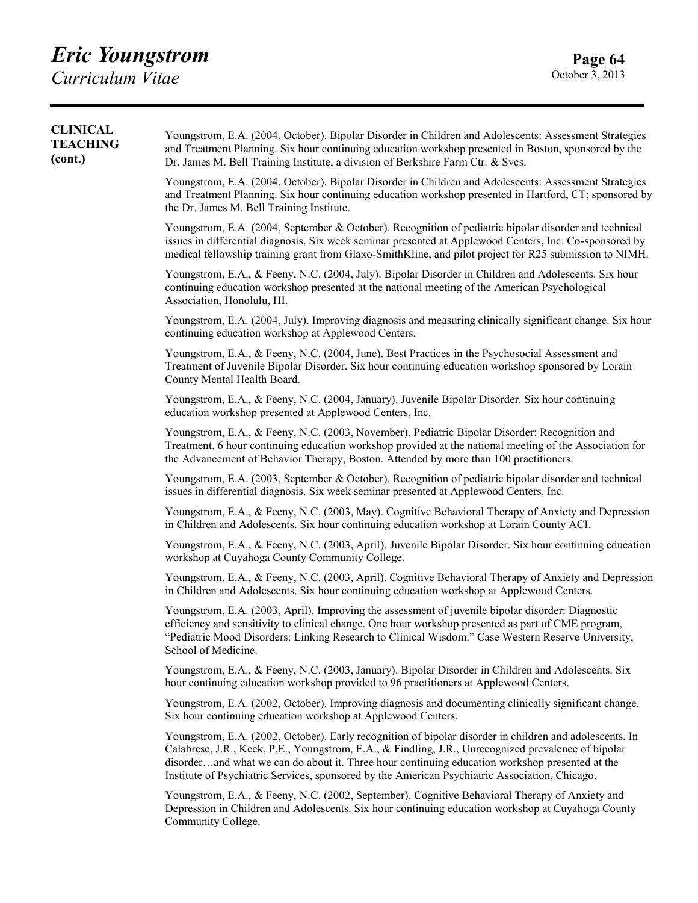### **CLINICAL TEACHING (cont.)** Youngstrom, E.A. (2004, October). Bipolar Disorder in Children and Adolescents: Assessment Strategies and Treatment Planning. Six hour continuing education workshop presented in Boston, sponsored by the Dr. James M. Bell Training Institute, a division of Berkshire Farm Ctr. & Svcs. Youngstrom, E.A. (2004, October). Bipolar Disorder in Children and Adolescents: Assessment Strategies and Treatment Planning. Six hour continuing education workshop presented in Hartford, CT; sponsored by the Dr. James M. Bell Training Institute. Youngstrom, E.A. (2004, September & October). Recognition of pediatric bipolar disorder and technical issues in differential diagnosis. Six week seminar presented at Applewood Centers, Inc. Co-sponsored by medical fellowship training grant from Glaxo-SmithKline, and pilot project for R25 submission to NIMH. Youngstrom, E.A., & Feeny, N.C. (2004, July). Bipolar Disorder in Children and Adolescents. Six hour continuing education workshop presented at the national meeting of the American Psychological Association, Honolulu, HI. Youngstrom, E.A. (2004, July). Improving diagnosis and measuring clinically significant change. Six hour continuing education workshop at Applewood Centers. Youngstrom, E.A., & Feeny, N.C. (2004, June). Best Practices in the Psychosocial Assessment and Treatment of Juvenile Bipolar Disorder. Six hour continuing education workshop sponsored by Lorain County Mental Health Board. Youngstrom, E.A., & Feeny, N.C. (2004, January). Juvenile Bipolar Disorder. Six hour continuing education workshop presented at Applewood Centers, Inc. Youngstrom, E.A., & Feeny, N.C. (2003, November). Pediatric Bipolar Disorder: Recognition and Treatment. 6 hour continuing education workshop provided at the national meeting of the Association for the Advancement of Behavior Therapy, Boston. Attended by more than 100 practitioners. Youngstrom, E.A. (2003, September & October). Recognition of pediatric bipolar disorder and technical issues in differential diagnosis. Six week seminar presented at Applewood Centers, Inc. Youngstrom, E.A., & Feeny, N.C. (2003, May). Cognitive Behavioral Therapy of Anxiety and Depression in Children and Adolescents. Six hour continuing education workshop at Lorain County ACI. Youngstrom, E.A., & Feeny, N.C. (2003, April). Juvenile Bipolar Disorder. Six hour continuing education workshop at Cuyahoga County Community College. Youngstrom, E.A., & Feeny, N.C. (2003, April). Cognitive Behavioral Therapy of Anxiety and Depression in Children and Adolescents. Six hour continuing education workshop at Applewood Centers. Youngstrom, E.A. (2003, April). Improving the assessment of juvenile bipolar disorder: Diagnostic efficiency and sensitivity to clinical change. One hour workshop presented as part of CME program, "Pediatric Mood Disorders: Linking Research to Clinical Wisdom." Case Western Reserve University, School of Medicine. Youngstrom, E.A., & Feeny, N.C. (2003, January). Bipolar Disorder in Children and Adolescents. Six hour continuing education workshop provided to 96 practitioners at Applewood Centers. Youngstrom, E.A. (2002, October). Improving diagnosis and documenting clinically significant change. Six hour continuing education workshop at Applewood Centers. Youngstrom, E.A. (2002, October). Early recognition of bipolar disorder in children and adolescents. In Calabrese, J.R., Keck, P.E., Youngstrom, E.A., & Findling, J.R., Unrecognized prevalence of bipolar disorder…and what we can do about it. Three hour continuing education workshop presented at the Institute of Psychiatric Services, sponsored by the American Psychiatric Association, Chicago. Youngstrom, E.A., & Feeny, N.C. (2002, September). Cognitive Behavioral Therapy of Anxiety and Depression in Children and Adolescents. Six hour continuing education workshop at Cuyahoga County Community College.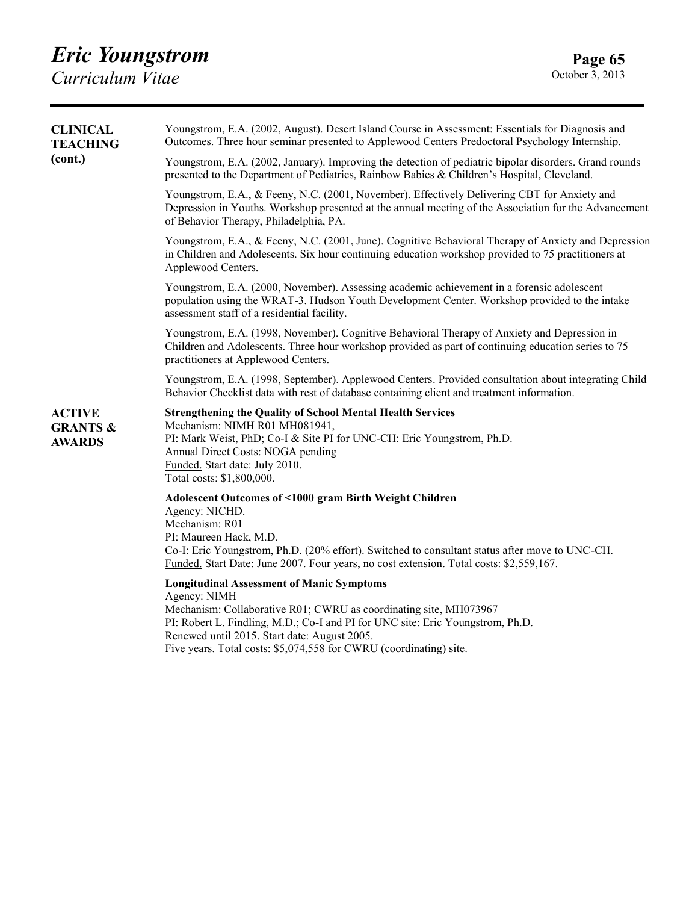| <b>CLINICAL</b><br><b>TEACHING</b>                    | Youngstrom, E.A. (2002, August). Desert Island Course in Assessment: Essentials for Diagnosis and<br>Outcomes. Three hour seminar presented to Applewood Centers Predoctoral Psychology Internship.                                                                                                                                           |
|-------------------------------------------------------|-----------------------------------------------------------------------------------------------------------------------------------------------------------------------------------------------------------------------------------------------------------------------------------------------------------------------------------------------|
| (cont.)                                               | Youngstrom, E.A. (2002, January). Improving the detection of pediatric bipolar disorders. Grand rounds<br>presented to the Department of Pediatrics, Rainbow Babies & Children's Hospital, Cleveland.                                                                                                                                         |
|                                                       | Youngstrom, E.A., & Feeny, N.C. (2001, November). Effectively Delivering CBT for Anxiety and<br>Depression in Youths. Workshop presented at the annual meeting of the Association for the Advancement<br>of Behavior Therapy, Philadelphia, PA.                                                                                               |
|                                                       | Youngstrom, E.A., & Feeny, N.C. (2001, June). Cognitive Behavioral Therapy of Anxiety and Depression<br>in Children and Adolescents. Six hour continuing education workshop provided to 75 practitioners at<br>Applewood Centers.                                                                                                             |
|                                                       | Youngstrom, E.A. (2000, November). Assessing academic achievement in a forensic adolescent<br>population using the WRAT-3. Hudson Youth Development Center. Workshop provided to the intake<br>assessment staff of a residential facility.                                                                                                    |
|                                                       | Youngstrom, E.A. (1998, November). Cognitive Behavioral Therapy of Anxiety and Depression in<br>Children and Adolescents. Three hour workshop provided as part of continuing education series to 75<br>practitioners at Applewood Centers.                                                                                                    |
|                                                       | Youngstrom, E.A. (1998, September). Applewood Centers. Provided consultation about integrating Child<br>Behavior Checklist data with rest of database containing client and treatment information.                                                                                                                                            |
| <b>ACTIVE</b><br><b>GRANTS &amp;</b><br><b>AWARDS</b> | <b>Strengthening the Quality of School Mental Health Services</b><br>Mechanism: NIMH R01 MH081941,<br>PI: Mark Weist, PhD; Co-I & Site PI for UNC-CH: Eric Youngstrom, Ph.D.<br>Annual Direct Costs: NOGA pending<br>Funded. Start date: July 2010.<br>Total costs: \$1,800,000.                                                              |
|                                                       | Adolescent Outcomes of <1000 gram Birth Weight Children<br>Agency: NICHD.<br>Mechanism: R01<br>PI: Maureen Hack, M.D.<br>Co-I: Eric Youngstrom, Ph.D. (20% effort). Switched to consultant status after move to UNC-CH.<br>Funded. Start Date: June 2007. Four years, no cost extension. Total costs: \$2,559,167.                            |
|                                                       | <b>Longitudinal Assessment of Manic Symptoms</b><br>Agency: NIMH<br>Mechanism: Collaborative R01; CWRU as coordinating site, MH073967<br>PI: Robert L. Findling, M.D.; Co-I and PI for UNC site: Eric Youngstrom, Ph.D.<br>Renewed until 2015. Start date: August 2005.<br>Five years. Total costs: \$5,074,558 for CWRU (coordinating) site. |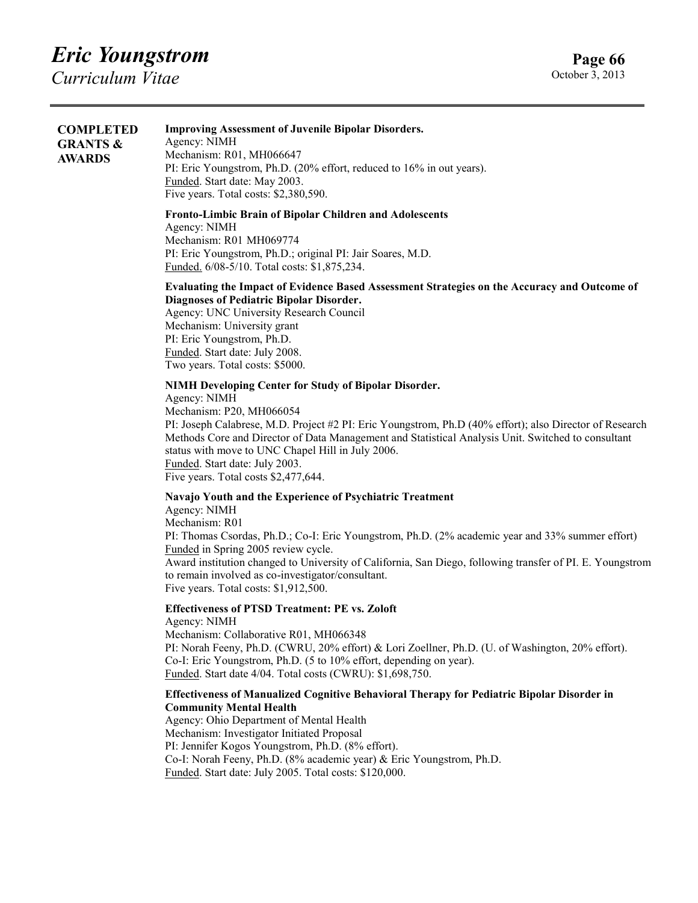| <b>COMPLETED</b><br><b>GRANTS &amp;</b><br><b>AWARDS</b> | <b>Improving Assessment of Juvenile Bipolar Disorders.</b><br>Agency: NIMH<br>Mechanism: R01, MH066647<br>PI: Eric Youngstrom, Ph.D. (20% effort, reduced to 16% in out years).<br>Funded. Start date: May 2003.<br>Five years. Total costs: \$2,380,590.                                                                                                                                                                                               |
|----------------------------------------------------------|---------------------------------------------------------------------------------------------------------------------------------------------------------------------------------------------------------------------------------------------------------------------------------------------------------------------------------------------------------------------------------------------------------------------------------------------------------|
|                                                          | Fronto-Limbic Brain of Bipolar Children and Adolescents<br>Agency: NIMH<br>Mechanism: R01 MH069774<br>PI: Eric Youngstrom, Ph.D.; original PI: Jair Soares, M.D.<br>Funded. 6/08-5/10. Total costs: \$1,875,234.                                                                                                                                                                                                                                        |
|                                                          | Evaluating the Impact of Evidence Based Assessment Strategies on the Accuracy and Outcome of<br>Diagnoses of Pediatric Bipolar Disorder.<br>Agency: UNC University Research Council<br>Mechanism: University grant<br>PI: Eric Youngstrom, Ph.D.<br>Funded. Start date: July 2008.<br>Two years. Total costs: \$5000.                                                                                                                                   |
|                                                          | NIMH Developing Center for Study of Bipolar Disorder.                                                                                                                                                                                                                                                                                                                                                                                                   |
|                                                          | Agency: NIMH<br>Mechanism: P20, MH066054<br>PI: Joseph Calabrese, M.D. Project #2 PI: Eric Youngstrom, Ph.D (40% effort); also Director of Research<br>Methods Core and Director of Data Management and Statistical Analysis Unit. Switched to consultant<br>status with move to UNC Chapel Hill in July 2006.<br>Funded. Start date: July 2003.<br>Five years. Total costs \$2,477,644.                                                                |
|                                                          | Navajo Youth and the Experience of Psychiatric Treatment<br>Agency: NIMH<br>Mechanism: R01<br>PI: Thomas Csordas, Ph.D.; Co-I: Eric Youngstrom, Ph.D. (2% academic year and 33% summer effort)<br><b>Funded</b> in Spring 2005 review cycle.<br>Award institution changed to University of California, San Diego, following transfer of PI. E. Youngstrom<br>to remain involved as co-investigator/consultant.<br>Five years. Total costs: \$1,912,500. |
|                                                          | <b>Effectiveness of PTSD Treatment: PE vs. Zoloft</b><br>Agency: NIMH<br>Mechanism: Collaborative R01, MH066348<br>PI: Norah Feeny, Ph.D. (CWRU, 20% effort) & Lori Zoellner, Ph.D. (U. of Washington, 20% effort).<br>Co-I: Eric Youngstrom, Ph.D. (5 to 10% effort, depending on year).<br>Funded. Start date 4/04. Total costs (CWRU): \$1,698,750.                                                                                                  |
|                                                          | <b>Effectiveness of Manualized Cognitive Behavioral Therapy for Pediatric Bipolar Disorder in</b><br><b>Community Mental Health</b><br>Agency: Ohio Department of Mental Health<br>Mechanism: Investigator Initiated Proposal<br>PI: Jennifer Kogos Youngstrom, Ph.D. (8% effort).<br>Co-I: Norah Feeny, Ph.D. (8% academic year) & Eric Youngstrom, Ph.D.<br>Funded. Start date: July 2005. Total costs: \$120,000.                                    |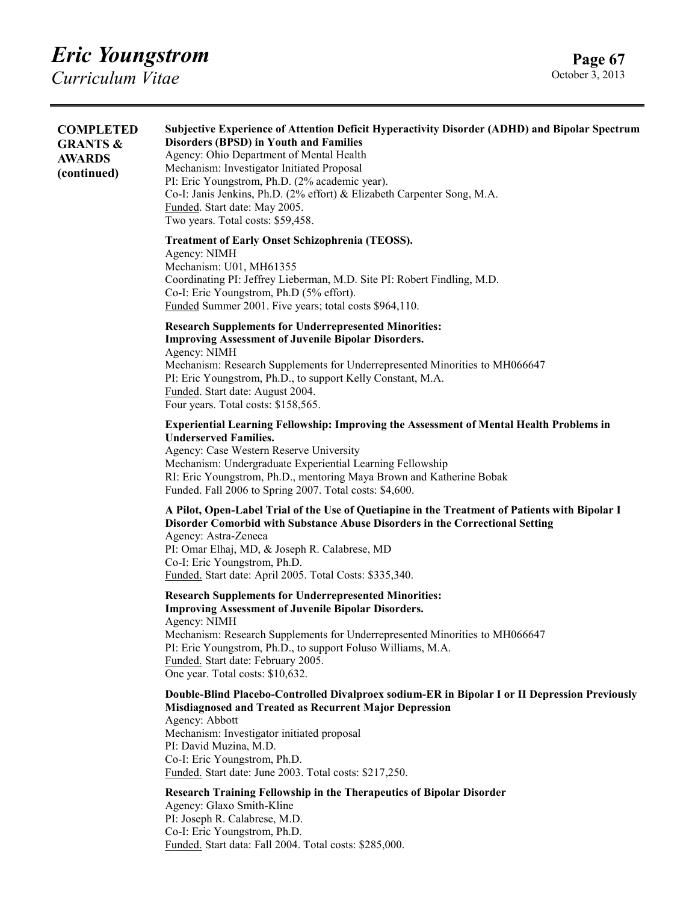| <b>COMPLETED</b><br><b>GRANTS &amp;</b><br><b>AWARDS</b><br>(continued) | Subjective Experience of Attention Deficit Hyperactivity Disorder (ADHD) and Bipolar Spectrum<br><b>Disorders (BPSD) in Youth and Families</b><br>Agency: Ohio Department of Mental Health<br>Mechanism: Investigator Initiated Proposal<br>PI: Eric Youngstrom, Ph.D. (2% academic year).<br>Co-I: Janis Jenkins, Ph.D. (2% effort) & Elizabeth Carpenter Song, M.A.<br>Funded. Start date: May 2005.<br>Two years. Total costs: \$59,458. |
|-------------------------------------------------------------------------|---------------------------------------------------------------------------------------------------------------------------------------------------------------------------------------------------------------------------------------------------------------------------------------------------------------------------------------------------------------------------------------------------------------------------------------------|
|                                                                         | <b>Treatment of Early Onset Schizophrenia (TEOSS).</b><br>Agency: NIMH<br>Mechanism: U01, MH61355<br>Coordinating PI: Jeffrey Lieberman, M.D. Site PI: Robert Findling, M.D.<br>Co-I: Eric Youngstrom, Ph.D (5% effort).<br>Funded Summer 2001. Five years; total costs \$964,110.                                                                                                                                                          |
|                                                                         | <b>Research Supplements for Underrepresented Minorities:</b><br><b>Improving Assessment of Juvenile Bipolar Disorders.</b><br>Agency: NIMH<br>Mechanism: Research Supplements for Underrepresented Minorities to MH066647<br>PI: Eric Youngstrom, Ph.D., to support Kelly Constant, M.A.<br>Funded. Start date: August 2004.<br>Four years. Total costs: \$158,565.                                                                         |
|                                                                         | Experiential Learning Fellowship: Improving the Assessment of Mental Health Problems in<br><b>Underserved Families.</b><br>Agency: Case Western Reserve University<br>Mechanism: Undergraduate Experiential Learning Fellowship<br>RI: Eric Youngstrom, Ph.D., mentoring Maya Brown and Katherine Bobak<br>Funded. Fall 2006 to Spring 2007. Total costs: \$4,600.                                                                          |
|                                                                         | A Pilot, Open-Label Trial of the Use of Quetiapine in the Treatment of Patients with Bipolar I<br>Disorder Comorbid with Substance Abuse Disorders in the Correctional Setting<br>Agency: Astra-Zeneca<br>PI: Omar Elhaj, MD, & Joseph R. Calabrese, MD<br>Co-I: Eric Youngstrom, Ph.D.<br>Funded. Start date: April 2005. Total Costs: \$335,340.                                                                                          |
|                                                                         | <b>Research Supplements for Underrepresented Minorities:</b><br><b>Improving Assessment of Juvenile Bipolar Disorders.</b><br>Agency: NIMH<br>Mechanism: Research Supplements for Underrepresented Minorities to MH066647<br>PI: Eric Youngstrom, Ph.D., to support Foluso Williams, M.A.<br>Funded. Start date: February 2005.<br>One year. Total costs: \$10,632.                                                                         |
|                                                                         | Double-Blind Placebo-Controlled Divalproex sodium-ER in Bipolar I or II Depression Previously<br><b>Misdiagnosed and Treated as Recurrent Major Depression</b><br>Agency: Abbott<br>Mechanism: Investigator initiated proposal<br>PI: David Muzina, M.D.<br>Co-I: Eric Youngstrom, Ph.D.<br>Funded. Start date: June 2003. Total costs: \$217,250.                                                                                          |
|                                                                         | Research Training Fellowship in the Therapeutics of Bipolar Disorder<br>Agency: Glaxo Smith-Kline<br>PI: Joseph R. Calabrese, M.D.<br>Co-I: Eric Youngstrom, Ph.D.                                                                                                                                                                                                                                                                          |

Funded. Start data: Fall 2004. Total costs: \$285,000.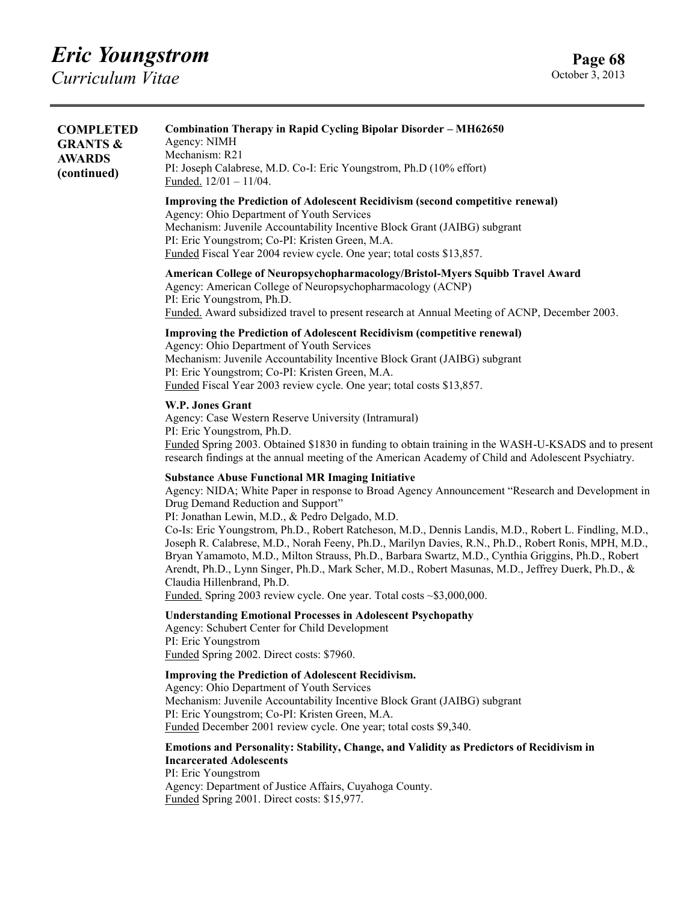| <b>COMPLETED</b><br><b>GRANTS &amp;</b><br><b>AWARDS</b><br>(continued) | Combination Therapy in Rapid Cycling Bipolar Disorder - MH62650<br>Agency: NIMH<br>Mechanism: R21<br>PI: Joseph Calabrese, M.D. Co-I: Eric Youngstrom, Ph.D (10% effort)<br>Funded. $12/01 - 11/04$ .                                                                                                                                                                                                                                                                                                                                                                                                                                                                                                                                                                                   |
|-------------------------------------------------------------------------|-----------------------------------------------------------------------------------------------------------------------------------------------------------------------------------------------------------------------------------------------------------------------------------------------------------------------------------------------------------------------------------------------------------------------------------------------------------------------------------------------------------------------------------------------------------------------------------------------------------------------------------------------------------------------------------------------------------------------------------------------------------------------------------------|
|                                                                         | Improving the Prediction of Adolescent Recidivism (second competitive renewal)<br>Agency: Ohio Department of Youth Services<br>Mechanism: Juvenile Accountability Incentive Block Grant (JAIBG) subgrant<br>PI: Eric Youngstrom; Co-PI: Kristen Green, M.A.<br>Funded Fiscal Year 2004 review cycle. One year; total costs \$13,857.                                                                                                                                                                                                                                                                                                                                                                                                                                                    |
|                                                                         | <b>American College of Neuropsychopharmacology/Bristol-Myers Squibb Travel Award</b><br>Agency: American College of Neuropsychopharmacology (ACNP)<br>PI: Eric Youngstrom, Ph.D.<br>Funded. Award subsidized travel to present research at Annual Meeting of ACNP, December 2003.                                                                                                                                                                                                                                                                                                                                                                                                                                                                                                       |
|                                                                         | Improving the Prediction of Adolescent Recidivism (competitive renewal)<br>Agency: Ohio Department of Youth Services<br>Mechanism: Juvenile Accountability Incentive Block Grant (JAIBG) subgrant<br>PI: Eric Youngstrom; Co-PI: Kristen Green, M.A.<br>Funded Fiscal Year 2003 review cycle. One year; total costs \$13,857.                                                                                                                                                                                                                                                                                                                                                                                                                                                           |
|                                                                         | W.P. Jones Grant<br>Agency: Case Western Reserve University (Intramural)<br>PI: Eric Youngstrom, Ph.D.<br>Funded Spring 2003. Obtained \$1830 in funding to obtain training in the WASH-U-KSADS and to present<br>research findings at the annual meeting of the American Academy of Child and Adolescent Psychiatry.                                                                                                                                                                                                                                                                                                                                                                                                                                                                   |
|                                                                         | <b>Substance Abuse Functional MR Imaging Initiative</b><br>Agency: NIDA; White Paper in response to Broad Agency Announcement "Research and Development in<br>Drug Demand Reduction and Support"<br>PI: Jonathan Lewin, M.D., & Pedro Delgado, M.D.<br>Co-Is: Eric Youngstrom, Ph.D., Robert Ratcheson, M.D., Dennis Landis, M.D., Robert L. Findling, M.D.,<br>Joseph R. Calabrese, M.D., Norah Feeny, Ph.D., Marilyn Davies, R.N., Ph.D., Robert Ronis, MPH, M.D.,<br>Bryan Yamamoto, M.D., Milton Strauss, Ph.D., Barbara Swartz, M.D., Cynthia Griggins, Ph.D., Robert<br>Arendt, Ph.D., Lynn Singer, Ph.D., Mark Scher, M.D., Robert Masunas, M.D., Jeffrey Duerk, Ph.D., &<br>Claudia Hillenbrand, Ph.D.<br>Funded. Spring 2003 review cycle. One year. Total costs ~\$3,000,000. |
|                                                                         | <b>Understanding Emotional Processes in Adolescent Psychopathy</b><br>Agency: Schubert Center for Child Development<br>PI: Eric Youngstrom<br>Funded Spring 2002. Direct costs: \$7960.                                                                                                                                                                                                                                                                                                                                                                                                                                                                                                                                                                                                 |
|                                                                         | <b>Improving the Prediction of Adolescent Recidivism.</b><br>Agency: Ohio Department of Youth Services<br>Mechanism: Juvenile Accountability Incentive Block Grant (JAIBG) subgrant<br>PI: Eric Youngstrom; Co-PI: Kristen Green, M.A.<br>Funded December 2001 review cycle. One year; total costs \$9,340.                                                                                                                                                                                                                                                                                                                                                                                                                                                                             |
|                                                                         | Emotions and Personality: Stability, Change, and Validity as Predictors of Recidivism in<br><b>Incarcerated Adolescents</b><br>PI: Eric Youngstrom<br>Agency: Department of Justice Affairs, Cuyahoga County.<br>Funded Spring 2001. Direct costs: \$15,977.                                                                                                                                                                                                                                                                                                                                                                                                                                                                                                                            |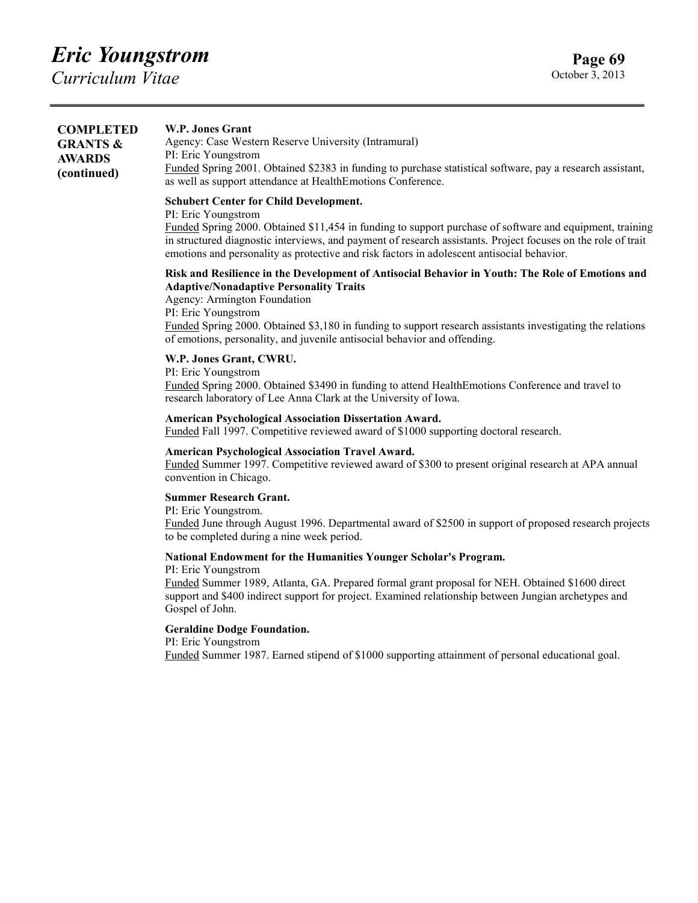#### **COMPLETED W.P. Jones Grant**

**GRANTS & AWARDS (continued)**

Agency: Case Western Reserve University (Intramural) PI: Eric Youngstrom Funded Spring 2001. Obtained \$2383 in funding to purchase statistical software, pay a research assistant, as well as support attendance at HealthEmotions Conference.

#### **Schubert Center for Child Development.**

PI: Eric Youngstrom Funded Spring 2000. Obtained \$11,454 in funding to support purchase of software and equipment, training in structured diagnostic interviews, and payment of research assistants. Project focuses on the role of trait emotions and personality as protective and risk factors in adolescent antisocial behavior.

#### **Risk and Resilience in the Development of Antisocial Behavior in Youth: The Role of Emotions and Adaptive/Nonadaptive Personality Traits**

Agency: Armington Foundation PI: Eric Youngstrom Funded Spring 2000. Obtained \$3,180 in funding to support research assistants investigating the relations of emotions, personality, and juvenile antisocial behavior and offending.

#### **W.P. Jones Grant, CWRU.**

PI: Eric Youngstrom

Funded Spring 2000. Obtained \$3490 in funding to attend HealthEmotions Conference and travel to research laboratory of Lee Anna Clark at the University of Iowa.

#### **American Psychological Association Dissertation Award.**

Funded Fall 1997. Competitive reviewed award of \$1000 supporting doctoral research.

#### **American Psychological Association Travel Award.**

Funded Summer 1997. Competitive reviewed award of \$300 to present original research at APA annual convention in Chicago.

#### **Summer Research Grant.**

PI: Eric Youngstrom.

Funded June through August 1996. Departmental award of \$2500 in support of proposed research projects to be completed during a nine week period.

#### **National Endowment for the Humanities Younger Scholar's Program.**

PI: Eric Youngstrom Funded Summer 1989, Atlanta, GA. Prepared formal grant proposal for NEH. Obtained \$1600 direct support and \$400 indirect support for project. Examined relationship between Jungian archetypes and Gospel of John.

#### **Geraldine Dodge Foundation.**

PI: Eric Youngstrom Funded Summer 1987. Earned stipend of \$1000 supporting attainment of personal educational goal.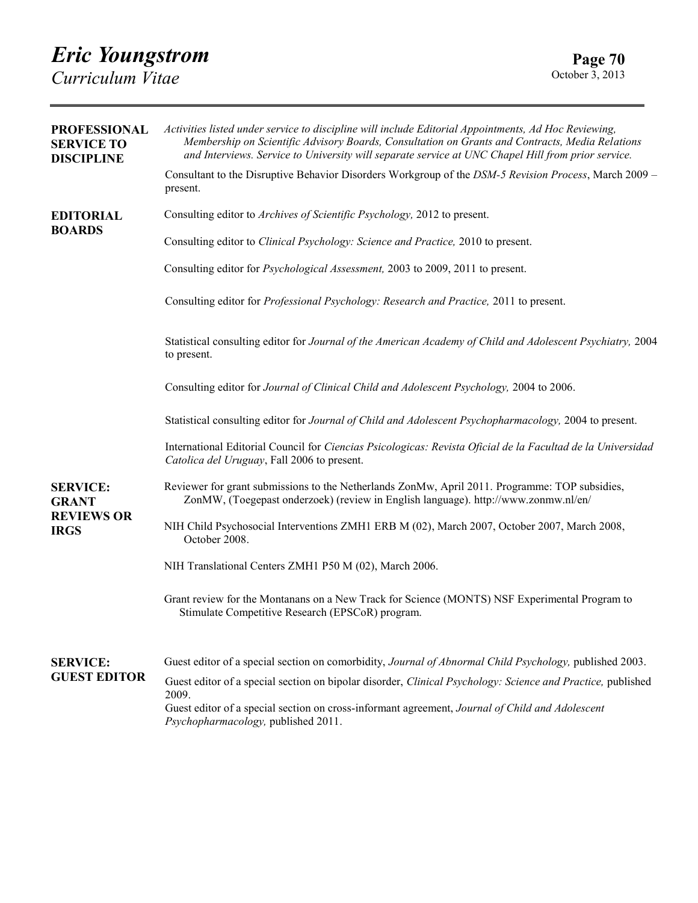| <b>PROFESSIONAL</b><br><b>SERVICE TO</b><br><b>DISCIPLINE</b>       | Activities listed under service to discipline will include Editorial Appointments, Ad Hoc Reviewing,<br>Membership on Scientific Advisory Boards, Consultation on Grants and Contracts, Media Relations<br>and Interviews. Service to University will separate service at UNC Chapel Hill from prior service. |
|---------------------------------------------------------------------|---------------------------------------------------------------------------------------------------------------------------------------------------------------------------------------------------------------------------------------------------------------------------------------------------------------|
|                                                                     | Consultant to the Disruptive Behavior Disorders Workgroup of the DSM-5 Revision Process, March 2009 -<br>present.                                                                                                                                                                                             |
| <b>EDITORIAL</b><br><b>BOARDS</b>                                   | Consulting editor to Archives of Scientific Psychology, 2012 to present.                                                                                                                                                                                                                                      |
|                                                                     | Consulting editor to Clinical Psychology: Science and Practice, 2010 to present.                                                                                                                                                                                                                              |
|                                                                     | Consulting editor for <i>Psychological Assessment</i> , 2003 to 2009, 2011 to present.                                                                                                                                                                                                                        |
|                                                                     | Consulting editor for Professional Psychology: Research and Practice, 2011 to present.                                                                                                                                                                                                                        |
|                                                                     | Statistical consulting editor for Journal of the American Academy of Child and Adolescent Psychiatry, 2004<br>to present.                                                                                                                                                                                     |
|                                                                     | Consulting editor for Journal of Clinical Child and Adolescent Psychology, 2004 to 2006.                                                                                                                                                                                                                      |
|                                                                     | Statistical consulting editor for Journal of Child and Adolescent Psychopharmacology, 2004 to present.                                                                                                                                                                                                        |
|                                                                     | International Editorial Council for Ciencias Psicologicas: Revista Oficial de la Facultad de la Universidad<br>Catolica del Uruguay, Fall 2006 to present.                                                                                                                                                    |
| <b>SERVICE:</b><br><b>GRANT</b><br><b>REVIEWS OR</b><br><b>IRGS</b> | Reviewer for grant submissions to the Netherlands ZonMw, April 2011. Programme: TOP subsidies,<br>ZonMW, (Toegepast onderzoek) (review in English language). http://www.zonmw.nl/en/                                                                                                                          |
|                                                                     | NIH Child Psychosocial Interventions ZMH1 ERB M (02), March 2007, October 2007, March 2008,<br>October 2008.                                                                                                                                                                                                  |
|                                                                     | NIH Translational Centers ZMH1 P50 M (02), March 2006.                                                                                                                                                                                                                                                        |
|                                                                     | Grant review for the Montanans on a New Track for Science (MONTS) NSF Experimental Program to<br>Stimulate Competitive Research (EPSCoR) program.                                                                                                                                                             |
| <b>SERVICE:</b><br><b>GUEST EDITOR</b>                              | Guest editor of a special section on comorbidity, Journal of Abnormal Child Psychology, published 2003.                                                                                                                                                                                                       |
|                                                                     | Guest editor of a special section on bipolar disorder, Clinical Psychology: Science and Practice, published<br>2009.                                                                                                                                                                                          |
|                                                                     | Guest editor of a special section on cross-informant agreement, Journal of Child and Adolescent<br>Psychopharmacology, published 2011.                                                                                                                                                                        |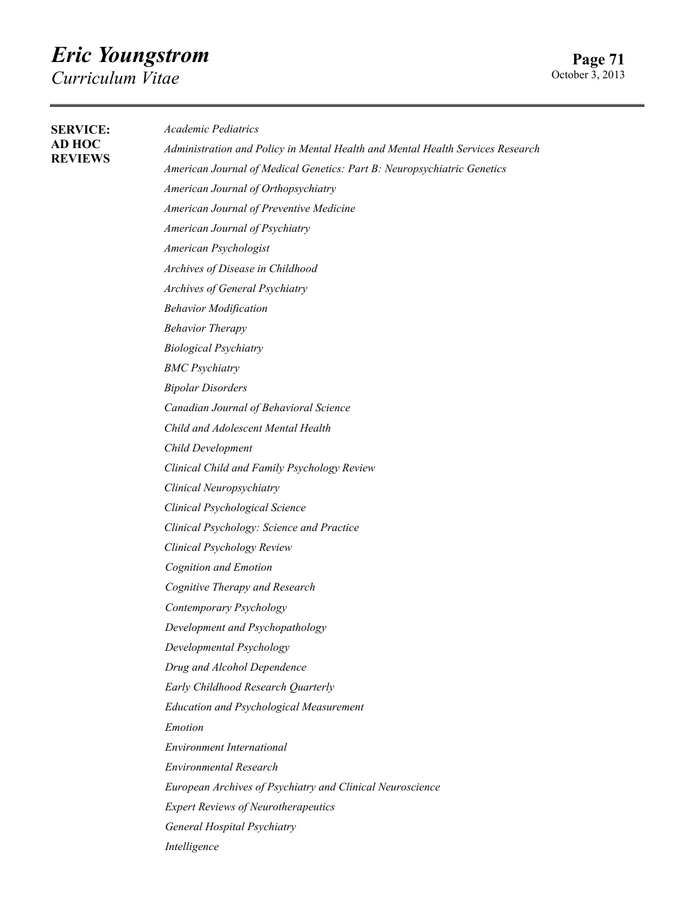**SERVICE: AD HOC REVIEWS** *Academic Pediatrics Administration and Policy in Mental Health and Mental Health Services Research American Journal of Medical Genetics: Part B: Neuropsychiatric Genetics American Journal of Orthopsychiatry American Journal of Preventive Medicine American Journal of Psychiatry American Psychologist Archives of Disease in Childhood Archives of General Psychiatry Behavior Modification Behavior Therapy Biological Psychiatry BMC Psychiatry Bipolar Disorders Canadian Journal of Behavioral Science Child and Adolescent Mental Health Child Development Clinical Child and Family Psychology Review Clinical Neuropsychiatry Clinical Psychological Science Clinical Psychology: Science and Practice Clinical Psychology Review Cognition and Emotion Cognitive Therapy and Research Contemporary Psychology Development and Psychopathology Developmental Psychology Drug and Alcohol Dependence Early Childhood Research Quarterly Education and Psychological Measurement Emotion Environment International Environmental Research European Archives of Psychiatry and Clinical Neuroscience Expert Reviews of Neurotherapeutics General Hospital Psychiatry Intelligence*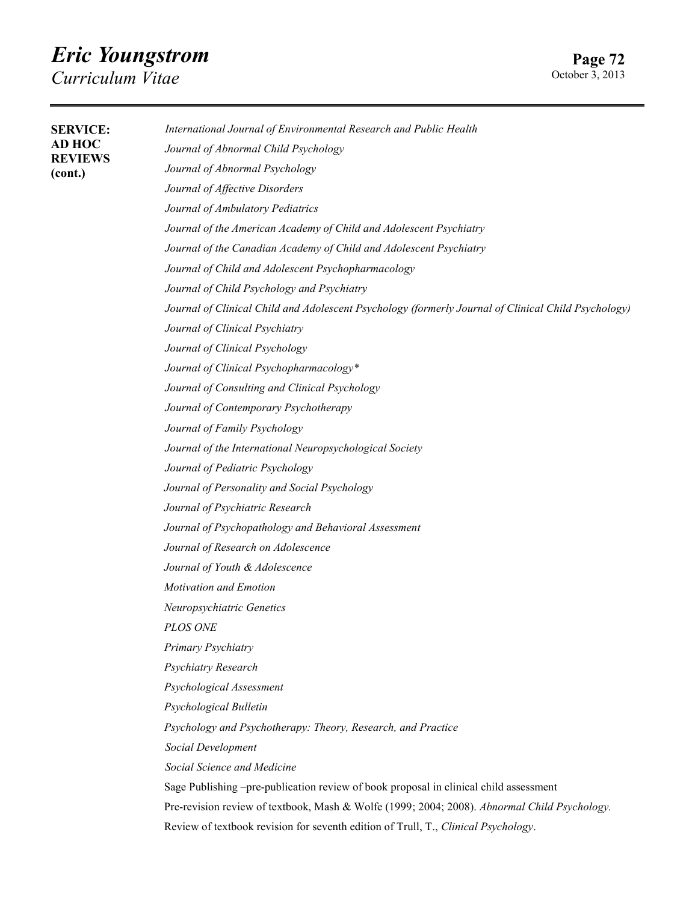| <b>SERVICE:</b>                     | International Journal of Environmental Research and Public Health                                   |
|-------------------------------------|-----------------------------------------------------------------------------------------------------|
| AD HOC<br><b>REVIEWS</b><br>(cont.) | Journal of Abnormal Child Psychology                                                                |
|                                     | Journal of Abnormal Psychology                                                                      |
|                                     | Journal of Affective Disorders                                                                      |
|                                     | Journal of Ambulatory Pediatrics                                                                    |
|                                     | Journal of the American Academy of Child and Adolescent Psychiatry                                  |
|                                     | Journal of the Canadian Academy of Child and Adolescent Psychiatry                                  |
|                                     | Journal of Child and Adolescent Psychopharmacology                                                  |
|                                     | Journal of Child Psychology and Psychiatry                                                          |
|                                     | Journal of Clinical Child and Adolescent Psychology (formerly Journal of Clinical Child Psychology) |
|                                     | Journal of Clinical Psychiatry                                                                      |
|                                     | Journal of Clinical Psychology                                                                      |
|                                     | Journal of Clinical Psychopharmacology*                                                             |
|                                     | Journal of Consulting and Clinical Psychology                                                       |
|                                     | Journal of Contemporary Psychotherapy                                                               |
|                                     | Journal of Family Psychology                                                                        |
|                                     | Journal of the International Neuropsychological Society                                             |
|                                     | Journal of Pediatric Psychology                                                                     |
|                                     | Journal of Personality and Social Psychology                                                        |
|                                     | Journal of Psychiatric Research                                                                     |
|                                     | Journal of Psychopathology and Behavioral Assessment                                                |
|                                     | Journal of Research on Adolescence                                                                  |
|                                     | Journal of Youth & Adolescence                                                                      |
|                                     | <b>Motivation and Emotion</b>                                                                       |
|                                     | Neuropsychiatric Genetics                                                                           |
|                                     | <b>PLOS ONE</b>                                                                                     |
|                                     | Primary Psychiatry                                                                                  |
|                                     | Psychiatry Research                                                                                 |
|                                     | Psychological Assessment                                                                            |
|                                     | Psychological Bulletin                                                                              |
|                                     | Psychology and Psychotherapy: Theory, Research, and Practice                                        |
|                                     | Social Development                                                                                  |
|                                     | Social Science and Medicine                                                                         |
|                                     | Sage Publishing -pre-publication review of book proposal in clinical child assessment               |
|                                     | Pre-revision review of textbook, Mash & Wolfe (1999; 2004; 2008). Abnormal Child Psychology.        |
|                                     | Review of textbook revision for seventh edition of Trull, T., Clinical Psychology.                  |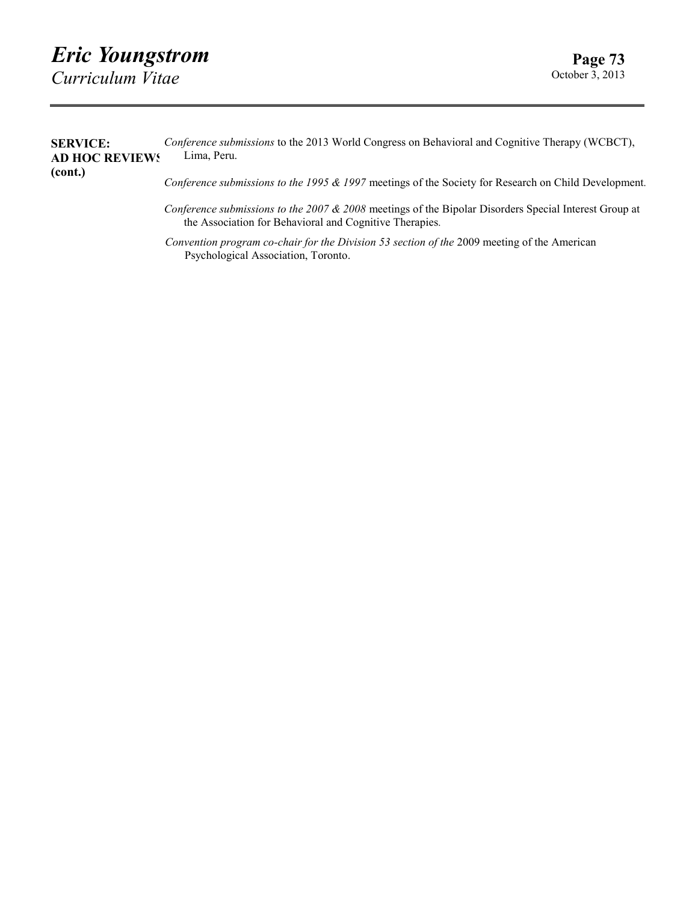**SERVICE: AD HOC REVIEWS (cont.)** *Conference submissions* to the 2013 World Congress on Behavioral and Cognitive Therapy (WCBCT), Lima, Peru.

*Conference submissions to the 1995 & 1997* meetings of the Society for Research on Child Development*.*

*Conference submissions to the 2007 & 2008* meetings of the Bipolar Disorders Special Interest Group at the Association for Behavioral and Cognitive Therapies*.*

*Convention program co-chair for the Division 53 section of the* 2009 meeting of the American Psychological Association, Toronto.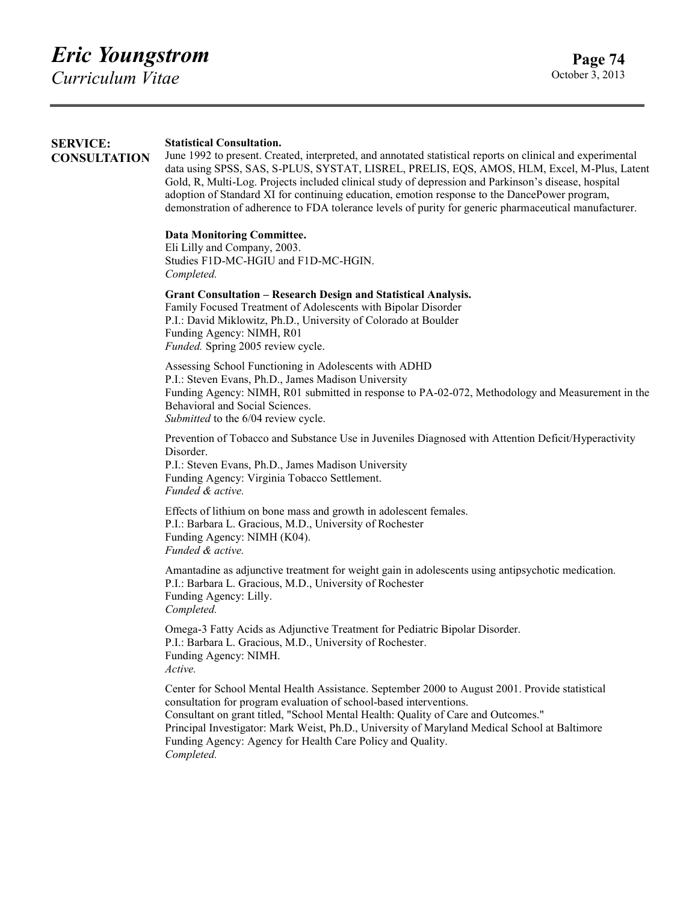# **SERVICE: CONSULTATION**

# **Statistical Consultation.**

June 1992 to present. Created, interpreted, and annotated statistical reports on clinical and experimental data using SPSS, SAS, S-PLUS, SYSTAT, LISREL, PRELIS, EQS, AMOS, HLM, Excel, M-Plus, Latent Gold, R, Multi-Log. Projects included clinical study of depression and Parkinson's disease, hospital adoption of Standard XI for continuing education, emotion response to the DancePower program, demonstration of adherence to FDA tolerance levels of purity for generic pharmaceutical manufacturer.

### **Data Monitoring Committee.**

Eli Lilly and Company, 2003. Studies F1D-MC-HGIU and F1D-MC-HGIN. *Completed.*

**Grant Consultation – Research Design and Statistical Analysis.** Family Focused Treatment of Adolescents with Bipolar Disorder P.I.: David Miklowitz, Ph.D., University of Colorado at Boulder Funding Agency: NIMH, R01 *Funded.* Spring 2005 review cycle.

Assessing School Functioning in Adolescents with ADHD P.I.: Steven Evans, Ph.D., James Madison University Funding Agency: NIMH, R01 submitted in response to PA-02-072, Methodology and Measurement in the Behavioral and Social Sciences. *Submitted* to the 6/04 review cycle.

Prevention of Tobacco and Substance Use in Juveniles Diagnosed with Attention Deficit/Hyperactivity Disorder.

P.I.: Steven Evans, Ph.D., James Madison University Funding Agency: Virginia Tobacco Settlement. *Funded & active.*

Effects of lithium on bone mass and growth in adolescent females. P.I.: Barbara L. Gracious, M.D., University of Rochester Funding Agency: NIMH (K04). *Funded & active.*

Amantadine as adjunctive treatment for weight gain in adolescents using antipsychotic medication. P.I.: Barbara L. Gracious, M.D., University of Rochester Funding Agency: Lilly. *Completed.*

Omega-3 Fatty Acids as Adjunctive Treatment for Pediatric Bipolar Disorder. P.I.: Barbara L. Gracious, M.D., University of Rochester. Funding Agency: NIMH. *Active.*

Center for School Mental Health Assistance. September 2000 to August 2001. Provide statistical consultation for program evaluation of school-based interventions. Consultant on grant titled, "School Mental Health: Quality of Care and Outcomes." Principal Investigator: Mark Weist, Ph.D., University of Maryland Medical School at Baltimore Funding Agency: Agency for Health Care Policy and Quality. *Completed.*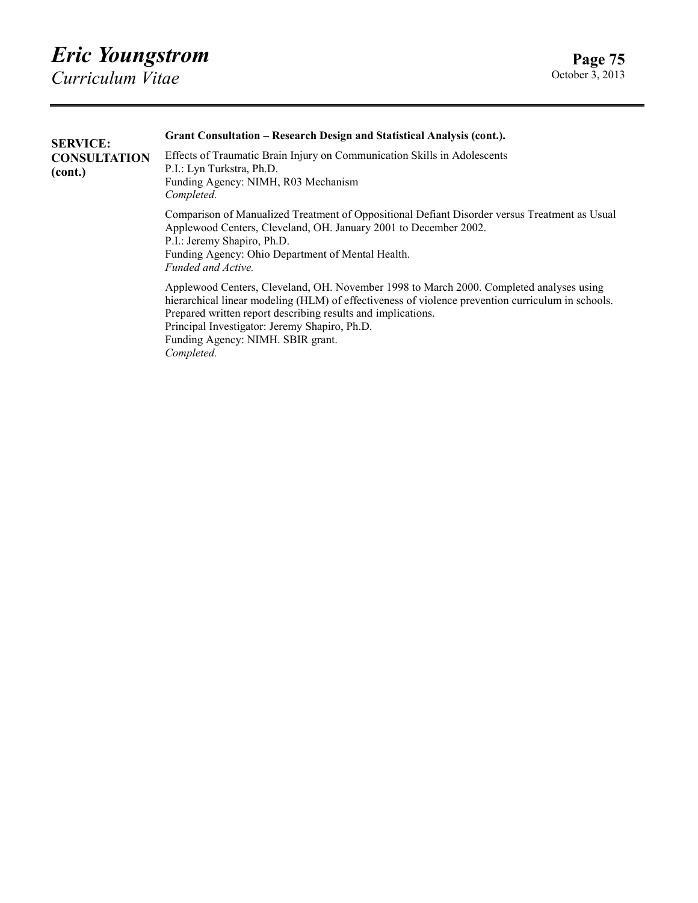| <b>SERVICE:</b><br><b>CONSULTATION</b><br>(cont.) | Grant Consultation – Research Design and Statistical Analysis (cont.).                                                                                                                                                                                                                                                                                           |
|---------------------------------------------------|------------------------------------------------------------------------------------------------------------------------------------------------------------------------------------------------------------------------------------------------------------------------------------------------------------------------------------------------------------------|
|                                                   | Effects of Traumatic Brain Injury on Communication Skills in Adolescents<br>P.I.: Lyn Turkstra, Ph.D.<br>Funding Agency: NIMH, R03 Mechanism<br>Completed.                                                                                                                                                                                                       |
|                                                   | Comparison of Manualized Treatment of Oppositional Defiant Disorder versus Treatment as Usual<br>Applewood Centers, Cleveland, OH. January 2001 to December 2002.<br>P.I.: Jeremy Shapiro, Ph.D.<br>Funding Agency: Ohio Department of Mental Health.<br>Funded and Active.                                                                                      |
|                                                   | Applewood Centers, Cleveland, OH. November 1998 to March 2000. Completed analyses using<br>hierarchical linear modeling (HLM) of effectiveness of violence prevention curriculum in schools.<br>Prepared written report describing results and implications.<br>Principal Investigator: Jeremy Shapiro, Ph.D.<br>Funding Agency: NIMH. SBIR grant.<br>Completed. |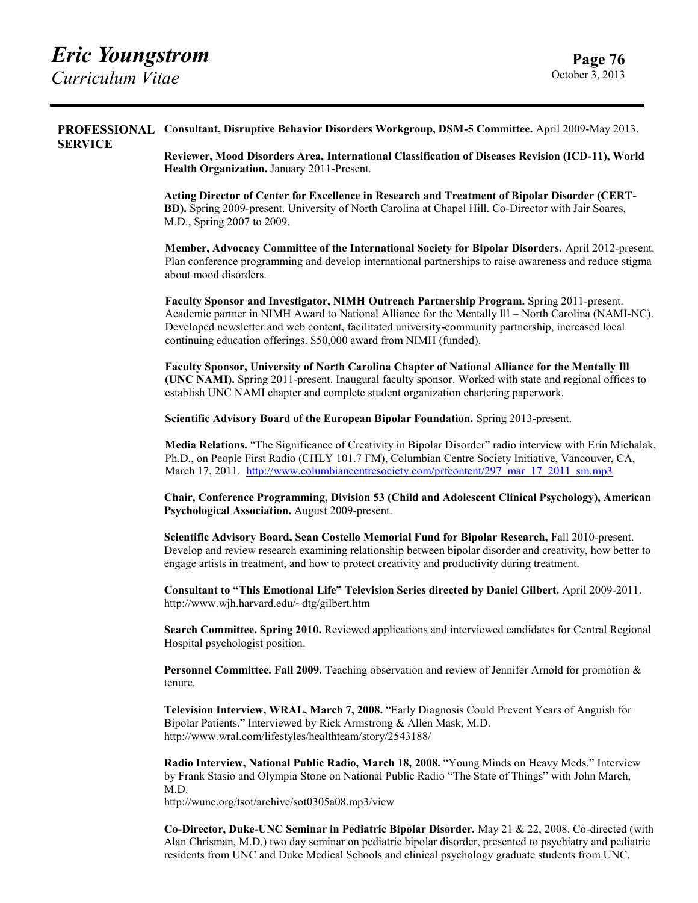# **PROFESSIONAL Consultant, Disruptive Behavior Disorders Workgroup, DSM-5 Committee.** April 2009-May 2013. **SERVICE**

**Reviewer, Mood Disorders Area, International Classification of Diseases Revision (ICD-11), World Health Organization.** January 2011-Present.

**Acting Director of Center for Excellence in Research and Treatment of Bipolar Disorder (CERT-BD).** Spring 2009-present. University of North Carolina at Chapel Hill. Co-Director with Jair Soares, M.D., Spring 2007 to 2009.

**Member, Advocacy Committee of the International Society for Bipolar Disorders.** April 2012-present. Plan conference programming and develop international partnerships to raise awareness and reduce stigma about mood disorders.

**Faculty Sponsor and Investigator, NIMH Outreach Partnership Program.** Spring 2011-present. Academic partner in NIMH Award to National Alliance for the Mentally Ill – North Carolina (NAMI-NC). Developed newsletter and web content, facilitated university-community partnership, increased local continuing education offerings. \$50,000 award from NIMH (funded).

**Faculty Sponsor, University of North Carolina Chapter of National Alliance for the Mentally Ill (UNC NAMI).** Spring 2011-present. Inaugural faculty sponsor. Worked with state and regional offices to establish UNC NAMI chapter and complete student organization chartering paperwork.

**Scientific Advisory Board of the European Bipolar Foundation.** Spring 2013-present.

**Media Relations.** "The Significance of Creativity in Bipolar Disorder" radio interview with Erin Michalak, Ph.D., on People First Radio (CHLY 101.7 FM), Columbian Centre Society Initiative, Vancouver, CA, March 17, 2011. [http://www.columbiancentresociety.com/prfcontent/297\\_mar\\_17\\_2011\\_sm.mp3](http://www.columbiancentresociety.com/prfcontent/297_mar_17_2011_sm.mp3)

**Chair, Conference Programming, Division 53 (Child and Adolescent Clinical Psychology), American Psychological Association.** August 2009-present.

**Scientific Advisory Board, Sean Costello Memorial Fund for Bipolar Research,** Fall 2010-present. Develop and review research examining relationship between bipolar disorder and creativity, how better to engage artists in treatment, and how to protect creativity and productivity during treatment.

**Consultant to "This Emotional Life" Television Series directed by Daniel Gilbert.** April 2009-2011. http://www.wjh.harvard.edu/~dtg/gilbert.htm

**Search Committee. Spring 2010.** Reviewed applications and interviewed candidates for Central Regional Hospital psychologist position.

**Personnel Committee. Fall 2009.** Teaching observation and review of Jennifer Arnold for promotion & tenure.

**Television Interview, WRAL, March 7, 2008.** "Early Diagnosis Could Prevent Years of Anguish for Bipolar Patients." Interviewed by Rick Armstrong & Allen Mask, M.D. http://www.wral.com/lifestyles/healthteam/story/2543188/

**Radio Interview, National Public Radio, March 18, 2008.** "Young Minds on Heavy Meds." Interview by Frank Stasio and Olympia Stone on National Public Radio "The State of Things" with John March, M.D.

http://wunc.org/tsot/archive/sot0305a08.mp3/view

**Co-Director, Duke-UNC Seminar in Pediatric Bipolar Disorder.** May 21 & 22, 2008. Co-directed (with Alan Chrisman, M.D.) two day seminar on pediatric bipolar disorder, presented to psychiatry and pediatric residents from UNC and Duke Medical Schools and clinical psychology graduate students from UNC.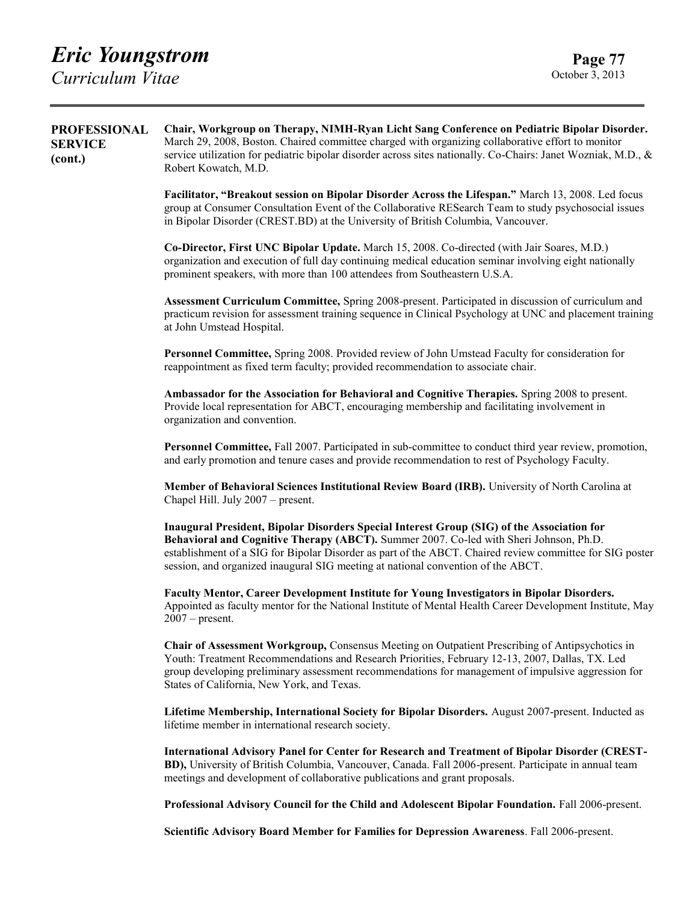# **PROFESSIONAL SERVICE (cont.) Chair, Workgroup on Therapy, NIMH-Ryan Licht Sang Conference on Pediatric Bipolar Disorder.**  March 29, 2008, Boston. Chaired committee charged with organizing collaborative effort to monitor service utilization for pediatric bipolar disorder across sites nationally. Co-Chairs: Janet Wozniak, M.D., & Robert Kowatch, M.D. **Facilitator, "Breakout session on Bipolar Disorder Across the Lifespan."** March 13, 2008. Led focus group at Consumer Consultation Event of the Collaborative RESearch Team to study psychosocial issues in Bipolar Disorder (CREST.BD) at the University of British Columbia, Vancouver. **Co-Director, First UNC Bipolar Update.** March 15, 2008. Co-directed (with Jair Soares, M.D.) organization and execution of full day continuing medical education seminar involving eight nationally prominent speakers, with more than 100 attendees from Southeastern U.S.A. **Assessment Curriculum Committee,** Spring 2008-present. Participated in discussion of curriculum and practicum revision for assessment training sequence in Clinical Psychology at UNC and placement training at John Umstead Hospital. **Personnel Committee,** Spring 2008. Provided review of John Umstead Faculty for consideration for reappointment as fixed term faculty; provided recommendation to associate chair. **Ambassador for the Association for Behavioral and Cognitive Therapies.** Spring 2008 to present. Provide local representation for ABCT, encouraging membership and facilitating involvement in organization and convention. **Personnel Committee,** Fall 2007. Participated in sub-committee to conduct third year review, promotion, and early promotion and tenure cases and provide recommendation to rest of Psychology Faculty. **Member of Behavioral Sciences Institutional Review Board (IRB).** University of North Carolina at Chapel Hill. July 2007 – present. **Inaugural President, Bipolar Disorders Special Interest Group (SIG) of the Association for Behavioral and Cognitive Therapy (ABCT).** Summer 2007. Co-led with Sheri Johnson, Ph.D. establishment of a SIG for Bipolar Disorder as part of the ABCT. Chaired review committee for SIG poster session, and organized inaugural SIG meeting at national convention of the ABCT. **Faculty Mentor, Career Development Institute for Young Investigators in Bipolar Disorders.**  Appointed as faculty mentor for the National Institute of Mental Health Career Development Institute, May 2007 – present. **Chair of Assessment Workgroup,** Consensus Meeting on Outpatient Prescribing of Antipsychotics in Youth: Treatment Recommendations and Research Priorities, February 12-13, 2007, Dallas, TX. Led group developing preliminary assessment recommendations for management of impulsive aggression for States of California, New York, and Texas. **Lifetime Membership, International Society for Bipolar Disorders.** August 2007-present. Inducted as lifetime member in international research society. **International Advisory Panel for Center for Research and Treatment of Bipolar Disorder (CREST-BD),** University of British Columbia, Vancouver, Canada. Fall 2006-present. Participate in annual team meetings and development of collaborative publications and grant proposals.

**Professional Advisory Council for the Child and Adolescent Bipolar Foundation.** Fall 2006-present.

**Scientific Advisory Board Member for Families for Depression Awareness**. Fall 2006-present.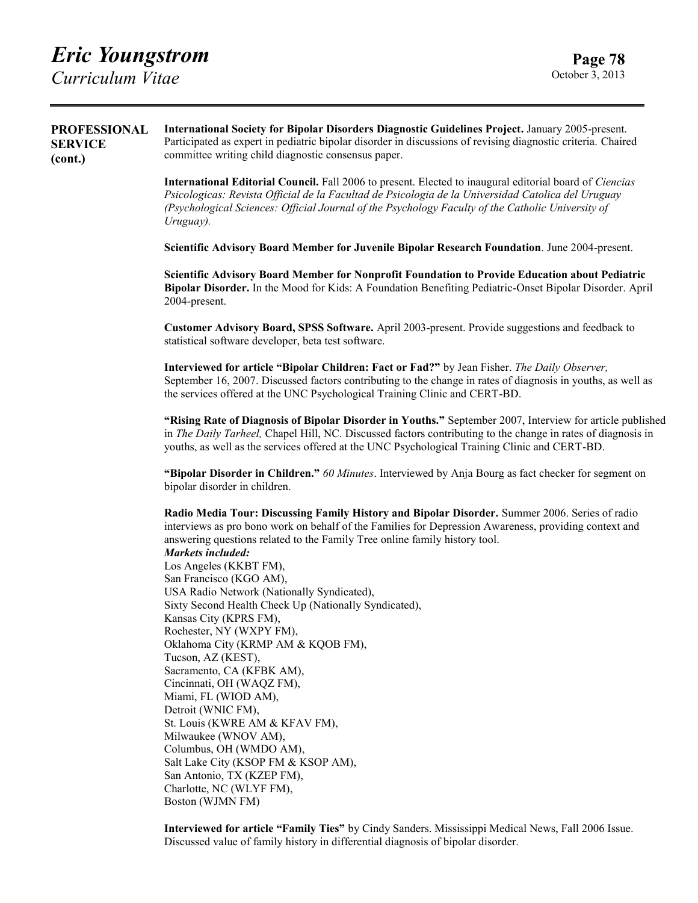#### **PROFESSIONAL SERVICE (cont.) International Society for Bipolar Disorders Diagnostic Guidelines Project.** January 2005-present. Participated as expert in pediatric bipolar disorder in discussions of revising diagnostic criteria. Chaired committee writing child diagnostic consensus paper.

**International Editorial Council.** Fall 2006 to present. Elected to inaugural editorial board of *Ciencias Psicologicas: Revista Official de la Facultad de Psicologia de la Universidad Catolica del Uruguay (Psychological Sciences: Official Journal of the Psychology Faculty of the Catholic University of Uruguay).*

**Scientific Advisory Board Member for Juvenile Bipolar Research Foundation**. June 2004-present.

**Scientific Advisory Board Member for Nonprofit Foundation to Provide Education about Pediatric Bipolar Disorder.** In the Mood for Kids: A Foundation Benefiting Pediatric-Onset Bipolar Disorder. April 2004-present.

**Customer Advisory Board, SPSS Software.** April 2003-present. Provide suggestions and feedback to statistical software developer, beta test software.

**Interviewed for article "Bipolar Children: Fact or Fad?"** by Jean Fisher. *The Daily Observer,* September 16, 2007. Discussed factors contributing to the change in rates of diagnosis in youths, as well as the services offered at the UNC Psychological Training Clinic and CERT-BD.

**"Rising Rate of Diagnosis of Bipolar Disorder in Youths."** September 2007, Interview for article published in *The Daily Tarheel,* Chapel Hill, NC. Discussed factors contributing to the change in rates of diagnosis in youths, as well as the services offered at the UNC Psychological Training Clinic and CERT-BD.

**"Bipolar Disorder in Children."** *60 Minutes*. Interviewed by Anja Bourg as fact checker for segment on bipolar disorder in children.

**Radio Media Tour: Discussing Family History and Bipolar Disorder.** Summer 2006. Series of radio interviews as pro bono work on behalf of the Families for Depression Awareness, providing context and answering questions related to the Family Tree online family history tool.

### *Markets included:*

Los Angeles (KKBT FM), San Francisco (KGO AM), USA Radio Network (Nationally Syndicated), Sixty Second Health Check Up (Nationally Syndicated), Kansas City (KPRS FM), Rochester, NY (WXPY FM), Oklahoma City (KRMP AM & KQOB FM), Tucson, AZ (KEST), Sacramento, CA (KFBK AM), Cincinnati, OH (WAQZ FM), Miami, FL (WIOD AM), Detroit (WNIC FM), St. Louis (KWRE AM & KFAV FM), Milwaukee (WNOV AM), Columbus, OH (WMDO AM), Salt Lake City (KSOP FM & KSOP AM), San Antonio, TX (KZEP FM), Charlotte, NC (WLYF FM), Boston (WJMN FM)

**Interviewed for article "Family Ties"** by Cindy Sanders. Mississippi Medical News, Fall 2006 Issue. Discussed value of family history in differential diagnosis of bipolar disorder.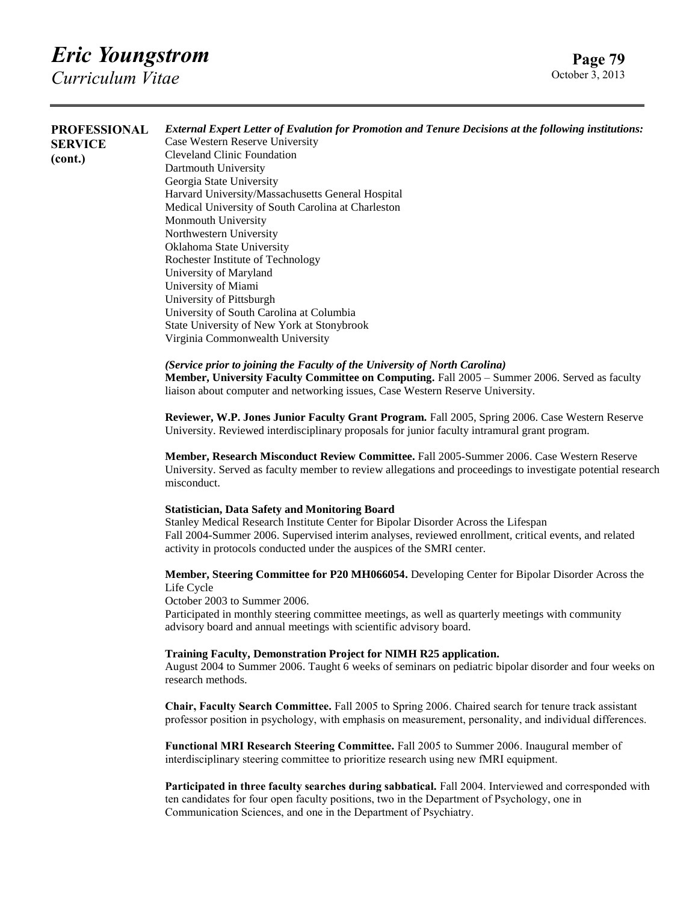| <b>PROFESSIONAL</b><br><b>SERVICE</b><br>(cont.) | External Expert Letter of Evalution for Promotion and Tenure Decisions at the following institutions:<br>Case Western Reserve University<br><b>Cleveland Clinic Foundation</b><br>Dartmouth University<br>Georgia State University<br>Harvard University/Massachusetts General Hospital<br>Medical University of South Carolina at Charleston<br>Monmouth University<br>Northwestern University<br>Oklahoma State University<br>Rochester Institute of Technology<br>University of Maryland<br>University of Miami<br>University of Pittsburgh<br>University of South Carolina at Columbia<br>State University of New York at Stonybrook<br>Virginia Commonwealth University |
|--------------------------------------------------|------------------------------------------------------------------------------------------------------------------------------------------------------------------------------------------------------------------------------------------------------------------------------------------------------------------------------------------------------------------------------------------------------------------------------------------------------------------------------------------------------------------------------------------------------------------------------------------------------------------------------------------------------------------------------|
|                                                  | (Service prior to joining the Faculty of the University of North Carolina)<br>Member, University Faculty Committee on Computing. Fall 2005 - Summer 2006. Served as faculty<br>liaison about computer and networking issues, Case Western Reserve University.                                                                                                                                                                                                                                                                                                                                                                                                                |
|                                                  | Reviewer, W.P. Jones Junior Faculty Grant Program. Fall 2005, Spring 2006. Case Western Reserve<br>University. Reviewed interdisciplinary proposals for junior faculty intramural grant program.                                                                                                                                                                                                                                                                                                                                                                                                                                                                             |
|                                                  | Member, Research Misconduct Review Committee. Fall 2005-Summer 2006. Case Western Reserve<br>University. Served as faculty member to review allegations and proceedings to investigate potential research<br>misconduct.                                                                                                                                                                                                                                                                                                                                                                                                                                                     |
|                                                  | <b>Statistician, Data Safety and Monitoring Board</b><br>Stanley Medical Research Institute Center for Bipolar Disorder Across the Lifespan<br>Fall 2004-Summer 2006. Supervised interim analyses, reviewed enrollment, critical events, and related<br>activity in protocols conducted under the auspices of the SMRI center.                                                                                                                                                                                                                                                                                                                                               |
|                                                  | Member, Steering Committee for P20 MH066054. Developing Center for Bipolar Disorder Across the<br>Life Cycle<br>October 2003 to Summer 2006.<br>Participated in monthly steering committee meetings, as well as quarterly meetings with community                                                                                                                                                                                                                                                                                                                                                                                                                            |
|                                                  | advisory board and annual meetings with scientific advisory board.<br>Training Faculty, Demonstration Project for NIMH R25 application.<br>August 2004 to Summer 2006. Taught 6 weeks of seminars on pediatric bipolar disorder and four weeks on<br>research methods.                                                                                                                                                                                                                                                                                                                                                                                                       |
|                                                  | Chair, Faculty Search Committee. Fall 2005 to Spring 2006. Chaired search for tenure track assistant<br>professor position in psychology, with emphasis on measurement, personality, and individual differences.                                                                                                                                                                                                                                                                                                                                                                                                                                                             |
|                                                  | Functional MRI Research Steering Committee. Fall 2005 to Summer 2006. Inaugural member of<br>interdisciplinary steering committee to prioritize research using new fMRI equipment.                                                                                                                                                                                                                                                                                                                                                                                                                                                                                           |
|                                                  | Participated in three faculty searches during sabbatical. Fall 2004. Interviewed and corresponded with<br>ten candidates for four open faculty positions, two in the Department of Psychology, one in<br>Communication Sciences, and one in the Department of Psychiatry.                                                                                                                                                                                                                                                                                                                                                                                                    |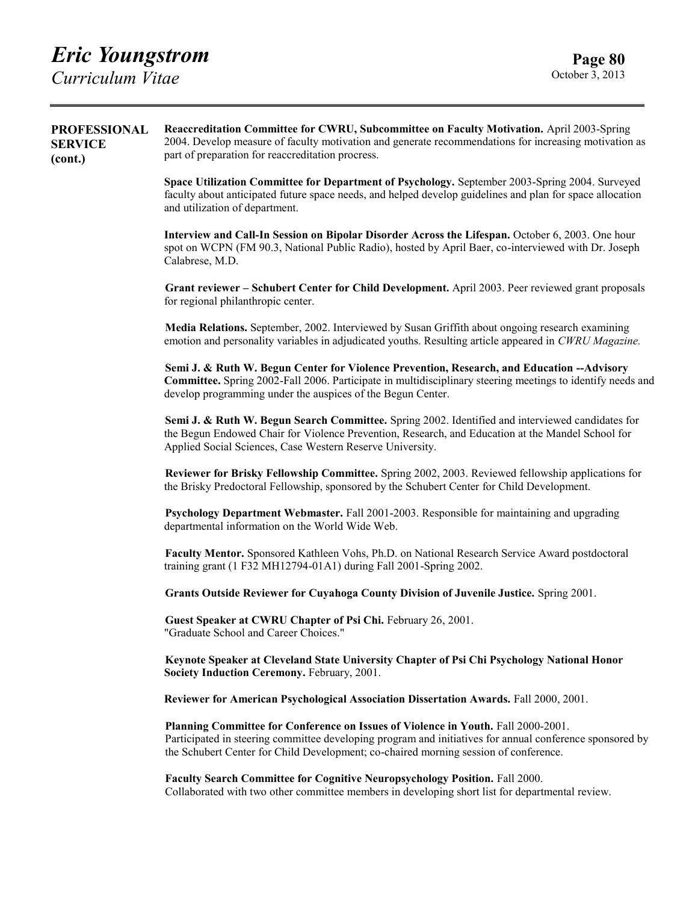#### **PROFESSIONAL SERVICE (cont.) Reaccreditation Committee for CWRU, Subcommittee on Faculty Motivation.** April 2003-Spring 2004. Develop measure of faculty motivation and generate recommendations for increasing motivation as part of preparation for reaccreditation procress.

**Space Utilization Committee for Department of Psychology.** September 2003-Spring 2004. Surveyed faculty about anticipated future space needs, and helped develop guidelines and plan for space allocation and utilization of department.

**Interview and Call-In Session on Bipolar Disorder Across the Lifespan.** October 6, 2003. One hour spot on WCPN (FM 90.3, National Public Radio), hosted by April Baer, co-interviewed with Dr. Joseph Calabrese, M.D.

**Grant reviewer – Schubert Center for Child Development.** April 2003. Peer reviewed grant proposals for regional philanthropic center.

**Media Relations.** September, 2002. Interviewed by Susan Griffith about ongoing research examining emotion and personality variables in adjudicated youths. Resulting article appeared in *CWRU Magazine.*

**Semi J. & Ruth W. Begun Center for Violence Prevention, Research, and Education --Advisory Committee.** Spring 2002-Fall 2006. Participate in multidisciplinary steering meetings to identify needs and develop programming under the auspices of the Begun Center.

**Semi J. & Ruth W. Begun Search Committee.** Spring 2002. Identified and interviewed candidates for the Begun Endowed Chair for Violence Prevention, Research, and Education at the Mandel School for Applied Social Sciences, Case Western Reserve University.

**Reviewer for Brisky Fellowship Committee.** Spring 2002, 2003. Reviewed fellowship applications for the Brisky Predoctoral Fellowship, sponsored by the Schubert Center for Child Development.

**Psychology Department Webmaster.** Fall 2001-2003. Responsible for maintaining and upgrading departmental information on the World Wide Web.

**Faculty Mentor.** Sponsored Kathleen Vohs, Ph.D. on National Research Service Award postdoctoral training grant (1 F32 MH12794-01A1) during Fall 2001-Spring 2002.

**Grants Outside Reviewer for Cuyahoga County Division of Juvenile Justice.** Spring 2001.

**Guest Speaker at CWRU Chapter of Psi Chi.** February 26, 2001. "Graduate School and Career Choices."

**Keynote Speaker at Cleveland State University Chapter of Psi Chi Psychology National Honor Society Induction Ceremony.** February, 2001.

**Reviewer for American Psychological Association Dissertation Awards.** Fall 2000, 2001.

**Planning Committee for Conference on Issues of Violence in Youth.** Fall 2000-2001. Participated in steering committee developing program and initiatives for annual conference sponsored by the Schubert Center for Child Development; co-chaired morning session of conference.

**Faculty Search Committee for Cognitive Neuropsychology Position.** Fall 2000. Collaborated with two other committee members in developing short list for departmental review.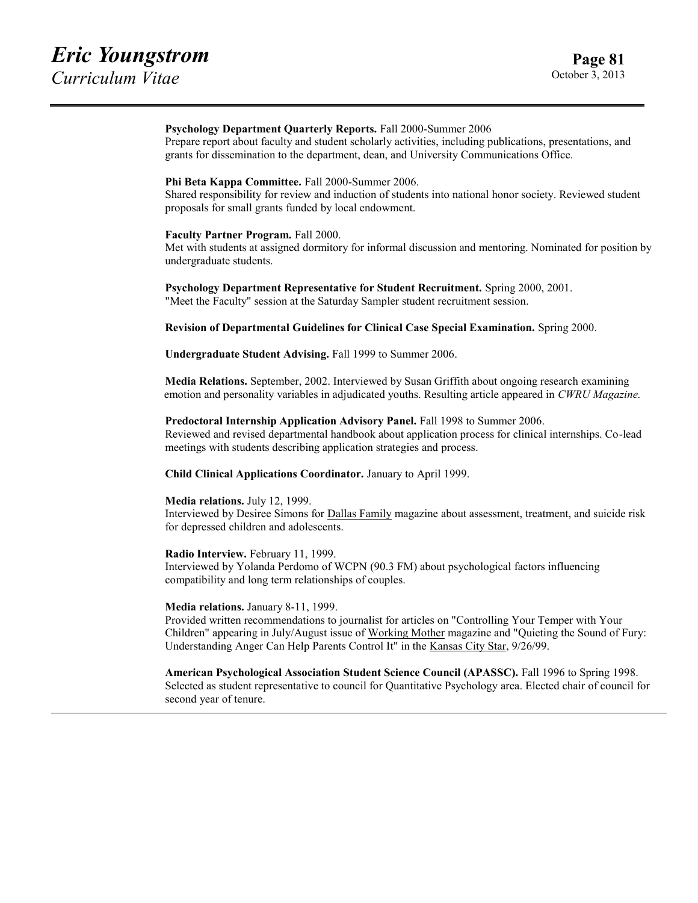### **Psychology Department Quarterly Reports.** Fall 2000-Summer 2006

Prepare report about faculty and student scholarly activities, including publications, presentations, and grants for dissemination to the department, dean, and University Communications Office.

# **Phi Beta Kappa Committee.** Fall 2000-Summer 2006.

Shared responsibility for review and induction of students into national honor society. Reviewed student proposals for small grants funded by local endowment.

#### **Faculty Partner Program.** Fall 2000.

Met with students at assigned dormitory for informal discussion and mentoring. Nominated for position by undergraduate students.

**Psychology Department Representative for Student Recruitment.** Spring 2000, 2001. "Meet the Faculty" session at the Saturday Sampler student recruitment session.

**Revision of Departmental Guidelines for Clinical Case Special Examination.** Spring 2000.

**Undergraduate Student Advising.** Fall 1999 to Summer 2006.

**Media Relations.** September, 2002. Interviewed by Susan Griffith about ongoing research examining emotion and personality variables in adjudicated youths. Resulting article appeared in *CWRU Magazine.*

#### **Predoctoral Internship Application Advisory Panel.** Fall 1998 to Summer 2006.

Reviewed and revised departmental handbook about application process for clinical internships. Co-lead meetings with students describing application strategies and process.

#### **Child Clinical Applications Coordinator.** January to April 1999.

#### **Media relations.** July 12, 1999.

Interviewed by Desiree Simons for Dallas Family magazine about assessment, treatment, and suicide risk for depressed children and adolescents.

#### **Radio Interview.** February 11, 1999.

Interviewed by Yolanda Perdomo of WCPN (90.3 FM) about psychological factors influencing compatibility and long term relationships of couples.

### **Media relations.** January 8-11, 1999.

Provided written recommendations to journalist for articles on "Controlling Your Temper with Your Children" appearing in July/August issue of Working Mother magazine and "Quieting the Sound of Fury: Understanding Anger Can Help Parents Control It" in the Kansas City Star, 9/26/99.

**American Psychological Association Student Science Council (APASSC).** Fall 1996 to Spring 1998. Selected as student representative to council for Quantitative Psychology area. Elected chair of council for second year of tenure.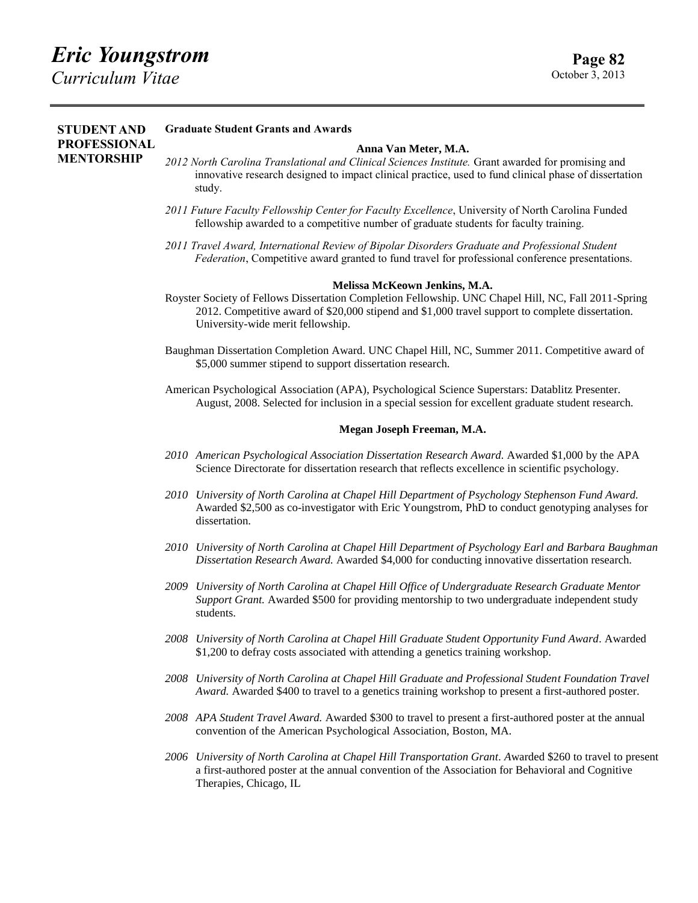| <b>STUDENT AND</b>                       | <b>Graduate Student Grants and Awards</b>                                                                                                                                                                                                                                      |
|------------------------------------------|--------------------------------------------------------------------------------------------------------------------------------------------------------------------------------------------------------------------------------------------------------------------------------|
| <b>PROFESSIONAL</b><br><b>MENTORSHIP</b> | Anna Van Meter, M.A.<br>2012 North Carolina Translational and Clinical Sciences Institute. Grant awarded for promising and<br>innovative research designed to impact clinical practice, used to fund clinical phase of dissertation<br>study.                                  |
|                                          | 2011 Future Faculty Fellowship Center for Faculty Excellence, University of North Carolina Funded<br>fellowship awarded to a competitive number of graduate students for faculty training.                                                                                     |
|                                          | 2011 Travel Award, International Review of Bipolar Disorders Graduate and Professional Student<br>Federation, Competitive award granted to fund travel for professional conference presentations.                                                                              |
|                                          | Melissa McKeown Jenkins, M.A.<br>Royster Society of Fellows Dissertation Completion Fellowship. UNC Chapel Hill, NC, Fall 2011-Spring<br>2012. Competitive award of \$20,000 stipend and \$1,000 travel support to complete dissertation.<br>University-wide merit fellowship. |
|                                          | Baughman Dissertation Completion Award. UNC Chapel Hill, NC, Summer 2011. Competitive award of<br>\$5,000 summer stipend to support dissertation research.                                                                                                                     |
|                                          | American Psychological Association (APA), Psychological Science Superstars: Datablitz Presenter.<br>August, 2008. Selected for inclusion in a special session for excellent graduate student research.                                                                         |
|                                          | Megan Joseph Freeman, M.A.                                                                                                                                                                                                                                                     |
|                                          | 2010 American Psychological Association Dissertation Research Award. Awarded \$1,000 by the APA<br>Science Directorate for dissertation research that reflects excellence in scientific psychology.                                                                            |
|                                          | 2010 University of North Carolina at Chapel Hill Department of Psychology Stephenson Fund Award.<br>Awarded \$2,500 as co-investigator with Eric Youngstrom, PhD to conduct genotyping analyses for<br>dissertation.                                                           |
|                                          | 2010 University of North Carolina at Chapel Hill Department of Psychology Earl and Barbara Baughman<br>Dissertation Research Award. Awarded \$4,000 for conducting innovative dissertation research.                                                                           |
|                                          | 2009 University of North Carolina at Chapel Hill Office of Undergraduate Research Graduate Mentor<br>Support Grant. Awarded \$500 for providing mentorship to two undergraduate independent study<br>students.                                                                 |
|                                          | 2008 University of North Carolina at Chapel Hill Graduate Student Opportunity Fund Award. Awarded<br>\$1,200 to defray costs associated with attending a genetics training workshop.                                                                                           |
|                                          | 2008 University of North Carolina at Chapel Hill Graduate and Professional Student Foundation Travel<br>Award. Awarded \$400 to travel to a genetics training workshop to present a first-authored poster.                                                                     |
|                                          | 2008 APA Student Travel Award. Awarded \$300 to travel to present a first-authored poster at the annual<br>convention of the American Psychological Association, Boston, MA.                                                                                                   |
|                                          | 2006 University of North Carolina at Chapel Hill Transportation Grant. Awarded \$260 to travel to present<br>a first-authored poster at the annual convention of the Association for Behavioral and Cognitive<br>Therapies, Chicago, IL                                        |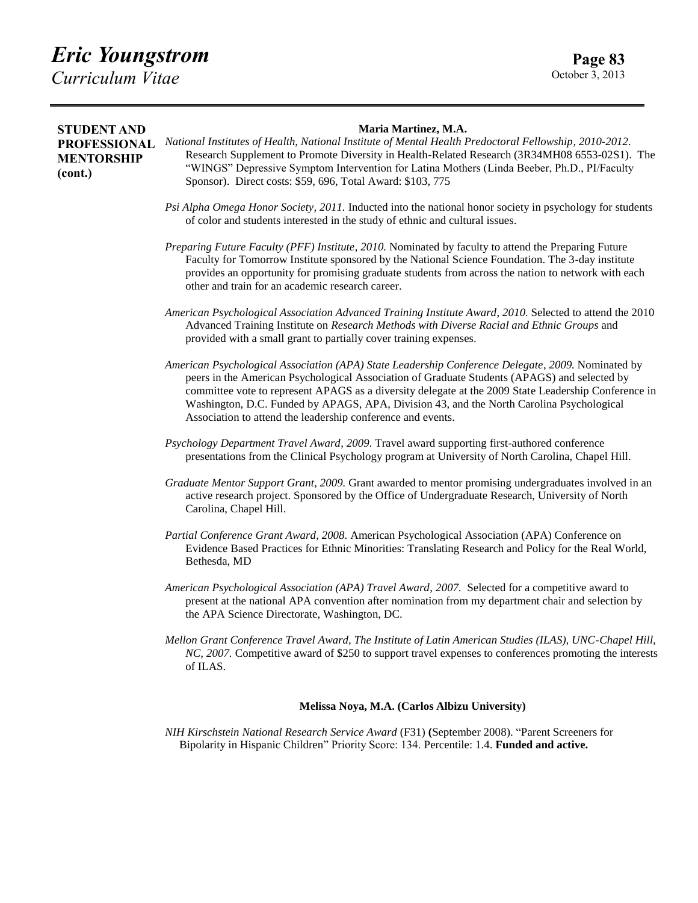| <b>STUDENT AND</b>                                  | Maria Martinez, M.A.                                                                                                                                                                                                                                                                                                                                                                                                                                                 |
|-----------------------------------------------------|----------------------------------------------------------------------------------------------------------------------------------------------------------------------------------------------------------------------------------------------------------------------------------------------------------------------------------------------------------------------------------------------------------------------------------------------------------------------|
| <b>PROFESSIONAL</b><br><b>MENTORSHIP</b><br>(cont.) | National Institutes of Health, National Institute of Mental Health Predoctoral Fellowship, 2010-2012.<br>Research Supplement to Promote Diversity in Health-Related Research (3R34MH08 6553-02S1). The<br>"WINGS" Depressive Symptom Intervention for Latina Mothers (Linda Beeber, Ph.D., PI/Faculty<br>Sponsor). Direct costs: \$59, 696, Total Award: \$103, 775                                                                                                  |
|                                                     | Psi Alpha Omega Honor Society, 2011. Inducted into the national honor society in psychology for students<br>of color and students interested in the study of ethnic and cultural issues.                                                                                                                                                                                                                                                                             |
|                                                     | Preparing Future Faculty (PFF) Institute, 2010. Nominated by faculty to attend the Preparing Future<br>Faculty for Tomorrow Institute sponsored by the National Science Foundation. The 3-day institute<br>provides an opportunity for promising graduate students from across the nation to network with each<br>other and train for an academic research career.                                                                                                   |
|                                                     | American Psychological Association Advanced Training Institute Award, 2010. Selected to attend the 2010<br>Advanced Training Institute on Research Methods with Diverse Racial and Ethnic Groups and<br>provided with a small grant to partially cover training expenses.                                                                                                                                                                                            |
|                                                     | American Psychological Association (APA) State Leadership Conference Delegate, 2009. Nominated by<br>peers in the American Psychological Association of Graduate Students (APAGS) and selected by<br>committee vote to represent APAGS as a diversity delegate at the 2009 State Leadership Conference in<br>Washington, D.C. Funded by APAGS, APA, Division 43, and the North Carolina Psychological<br>Association to attend the leadership conference and events. |
|                                                     | Psychology Department Travel Award, 2009. Travel award supporting first-authored conference<br>presentations from the Clinical Psychology program at University of North Carolina, Chapel Hill.                                                                                                                                                                                                                                                                      |
|                                                     | Graduate Mentor Support Grant, 2009. Grant awarded to mentor promising undergraduates involved in an<br>active research project. Sponsored by the Office of Undergraduate Research, University of North<br>Carolina, Chapel Hill.                                                                                                                                                                                                                                    |
|                                                     | Partial Conference Grant Award, 2008. American Psychological Association (APA) Conference on<br>Evidence Based Practices for Ethnic Minorities: Translating Research and Policy for the Real World,<br>Bethesda, MD                                                                                                                                                                                                                                                  |
|                                                     | American Psychological Association (APA) Travel Award, 2007. Selected for a competitive award to<br>present at the national APA convention after nomination from my department chair and selection by<br>the APA Science Directorate, Washington, DC.                                                                                                                                                                                                                |
|                                                     | Mellon Grant Conference Travel Award, The Institute of Latin American Studies (ILAS), UNC-Chapel Hill,<br>NC, 2007. Competitive award of \$250 to support travel expenses to conferences promoting the interests<br>of ILAS.                                                                                                                                                                                                                                         |
|                                                     | Melissa Noya, M.A. (Carlos Albizu University)                                                                                                                                                                                                                                                                                                                                                                                                                        |
|                                                     | NIH Kirschstein National Research Service Award (F31) (September 2008). "Parent Screeners for<br>Bipolarity in Hispanic Children" Priority Score: 134. Percentile: 1.4. Funded and active.                                                                                                                                                                                                                                                                           |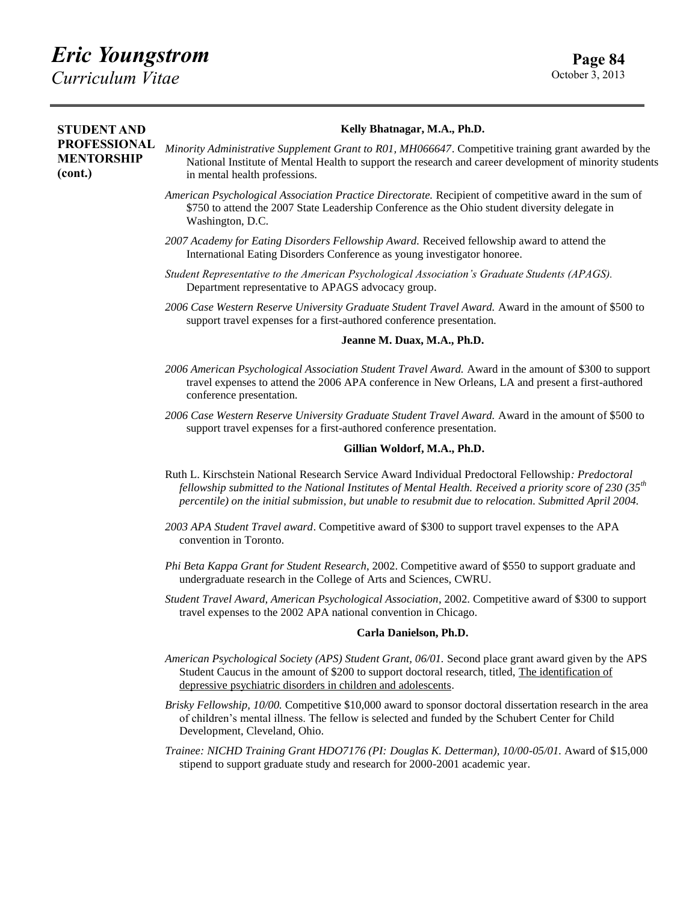| <b>STUDENT AND</b>                                  | Kelly Bhatnagar, M.A., Ph.D.                                                                                                                                                                                                                                                                                                         |
|-----------------------------------------------------|--------------------------------------------------------------------------------------------------------------------------------------------------------------------------------------------------------------------------------------------------------------------------------------------------------------------------------------|
| <b>PROFESSIONAL</b><br><b>MENTORSHIP</b><br>(cont.) | Minority Administrative Supplement Grant to R01, MH066647. Competitive training grant awarded by the<br>National Institute of Mental Health to support the research and career development of minority students<br>in mental health professions.                                                                                     |
|                                                     | American Psychological Association Practice Directorate. Recipient of competitive award in the sum of<br>\$750 to attend the 2007 State Leadership Conference as the Ohio student diversity delegate in<br>Washington, D.C.                                                                                                          |
|                                                     | 2007 Academy for Eating Disorders Fellowship Award. Received fellowship award to attend the<br>International Eating Disorders Conference as young investigator honoree.                                                                                                                                                              |
|                                                     | Student Representative to the American Psychological Association's Graduate Students (APAGS).<br>Department representative to APAGS advocacy group.                                                                                                                                                                                  |
|                                                     | 2006 Case Western Reserve University Graduate Student Travel Award. Award in the amount of \$500 to<br>support travel expenses for a first-authored conference presentation.                                                                                                                                                         |
|                                                     | Jeanne M. Duax, M.A., Ph.D.                                                                                                                                                                                                                                                                                                          |
|                                                     | 2006 American Psychological Association Student Travel Award. Award in the amount of \$300 to support<br>travel expenses to attend the 2006 APA conference in New Orleans, LA and present a first-authored<br>conference presentation.                                                                                               |
|                                                     | 2006 Case Western Reserve University Graduate Student Travel Award. Award in the amount of \$500 to<br>support travel expenses for a first-authored conference presentation.                                                                                                                                                         |
|                                                     | Gillian Woldorf, M.A., Ph.D.                                                                                                                                                                                                                                                                                                         |
|                                                     | Ruth L. Kirschstein National Research Service Award Individual Predoctoral Fellowship: Predoctoral<br>fellowship submitted to the National Institutes of Mental Health. Received a priority score of 230 (35 <sup>th</sup><br>percentile) on the initial submission, but unable to resubmit due to relocation. Submitted April 2004. |
|                                                     | 2003 APA Student Travel award. Competitive award of \$300 to support travel expenses to the APA<br>convention in Toronto.                                                                                                                                                                                                            |
|                                                     | Phi Beta Kappa Grant for Student Research, 2002. Competitive award of \$550 to support graduate and<br>undergraduate research in the College of Arts and Sciences, CWRU.                                                                                                                                                             |
|                                                     | Student Travel Award, American Psychological Association, 2002. Competitive award of \$300 to support<br>travel expenses to the 2002 APA national convention in Chicago.                                                                                                                                                             |
|                                                     | Carla Danielson, Ph.D.                                                                                                                                                                                                                                                                                                               |
|                                                     | American Psychological Society (APS) Student Grant, 06/01. Second place grant award given by the APS<br>Student Caucus in the amount of \$200 to support doctoral research, titled, The identification of<br>depressive psychiatric disorders in children and adolescents.                                                           |
|                                                     | Brisky Fellowship, 10/00. Competitive \$10,000 award to sponsor doctoral dissertation research in the area<br>of children's mental illness. The fellow is selected and funded by the Schubert Center for Child<br>Development, Cleveland, Ohio.                                                                                      |
|                                                     | Trainee: NICHD Training Grant HDO7176 (PI: Douglas K. Detterman), 10/00-05/01. Award of \$15,000<br>stipend to support graduate study and research for 2000-2001 academic year.                                                                                                                                                      |
|                                                     |                                                                                                                                                                                                                                                                                                                                      |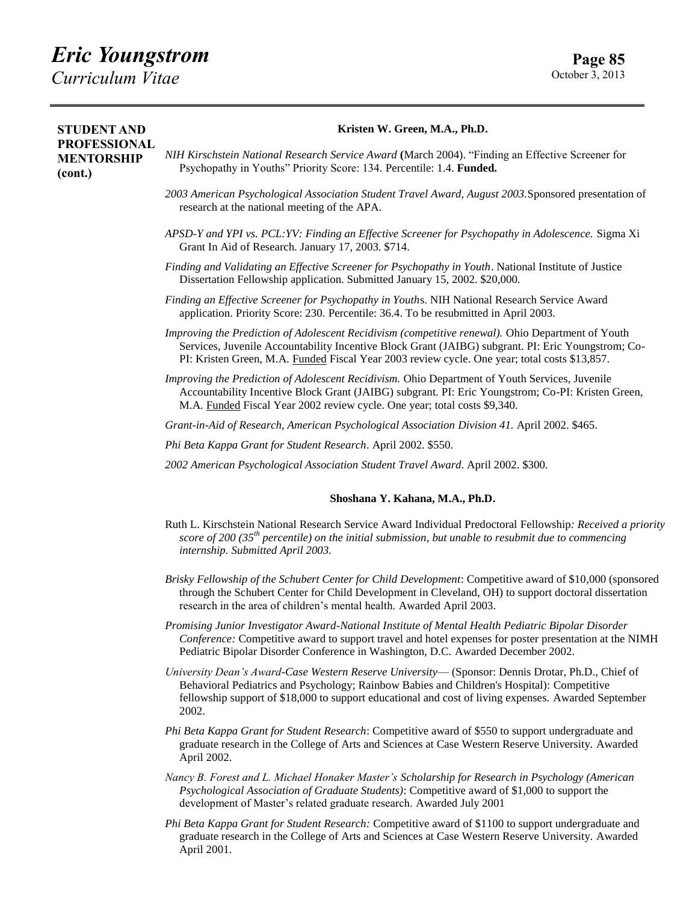| <b>STUDENT AND</b><br><b>PROFESSIONAL</b><br><b>MENTORSHIP</b><br>(cont.) | Kristen W. Green, M.A., Ph.D.                                                                                                                                                                                                                                                                                    |
|---------------------------------------------------------------------------|------------------------------------------------------------------------------------------------------------------------------------------------------------------------------------------------------------------------------------------------------------------------------------------------------------------|
|                                                                           | NIH Kirschstein National Research Service Award (March 2004). "Finding an Effective Screener for<br>Psychopathy in Youths" Priority Score: 134. Percentile: 1.4. Funded.                                                                                                                                         |
|                                                                           | 2003 American Psychological Association Student Travel Award, August 2003. Sponsored presentation of<br>research at the national meeting of the APA.                                                                                                                                                             |
|                                                                           | APSD-Y and YPI vs. PCL:YV: Finding an Effective Screener for Psychopathy in Adolescence. Sigma Xi<br>Grant In Aid of Research. January 17, 2003. \$714.                                                                                                                                                          |
|                                                                           | Finding and Validating an Effective Screener for Psychopathy in Youth. National Institute of Justice<br>Dissertation Fellowship application. Submitted January 15, 2002. \$20,000.                                                                                                                               |
|                                                                           | Finding an Effective Screener for Psychopathy in Youths. NIH National Research Service Award<br>application. Priority Score: 230. Percentile: 36.4. To be resubmitted in April 2003.                                                                                                                             |
|                                                                           | Improving the Prediction of Adolescent Recidivism (competitive renewal). Ohio Department of Youth<br>Services, Juvenile Accountability Incentive Block Grant (JAIBG) subgrant. PI: Eric Youngstrom; Co-<br>PI: Kristen Green, M.A. Funded Fiscal Year 2003 review cycle. One year; total costs \$13,857.         |
|                                                                           | Improving the Prediction of Adolescent Recidivism. Ohio Department of Youth Services, Juvenile<br>Accountability Incentive Block Grant (JAIBG) subgrant. PI: Eric Youngstrom; Co-PI: Kristen Green,<br>M.A. Funded Fiscal Year 2002 review cycle. One year; total costs \$9,340.                                 |
|                                                                           | Grant-in-Aid of Research, American Psychological Association Division 41. April 2002. \$465.                                                                                                                                                                                                                     |
|                                                                           | Phi Beta Kappa Grant for Student Research. April 2002. \$550.                                                                                                                                                                                                                                                    |
|                                                                           | 2002 American Psychological Association Student Travel Award. April 2002. \$300.                                                                                                                                                                                                                                 |
|                                                                           | Shoshana Y. Kahana, M.A., Ph.D.                                                                                                                                                                                                                                                                                  |
|                                                                           | Ruth L. Kirschstein National Research Service Award Individual Predoctoral Fellowship: Received a priority<br>score of 200 (35 <sup>th</sup> percentile) on the initial submission, but unable to resubmit due to commencing<br>internship. Submitted April 2003.                                                |
|                                                                           | Brisky Fellowship of the Schubert Center for Child Development: Competitive award of \$10,000 (sponsored<br>through the Schubert Center for Child Development in Cleveland, OH) to support doctoral dissertation<br>research in the area of children's mental health. Awarded April 2003.                        |
|                                                                           | Promising Junior Investigator Award-National Institute of Mental Health Pediatric Bipolar Disorder<br>Conference: Competitive award to support travel and hotel expenses for poster presentation at the NIMH<br>Pediatric Bipolar Disorder Conference in Washington, D.C. Awarded December 2002.                 |
|                                                                           | University Dean's Award-Case Western Reserve University- (Sponsor: Dennis Drotar, Ph.D., Chief of<br>Behavioral Pediatrics and Psychology; Rainbow Babies and Children's Hospital): Competitive<br>fellowship support of \$18,000 to support educational and cost of living expenses. Awarded September<br>2002. |
|                                                                           | Phi Beta Kappa Grant for Student Research: Competitive award of \$550 to support undergraduate and<br>graduate research in the College of Arts and Sciences at Case Western Reserve University. Awarded<br>April 2002.                                                                                           |
|                                                                           | Nancy B. Forest and L. Michael Honaker Master's Scholarship for Research in Psychology (American<br>Psychological Association of Graduate Students): Competitive award of \$1,000 to support the<br>development of Master's related graduate research. Awarded July 2001                                         |
|                                                                           |                                                                                                                                                                                                                                                                                                                  |

*Phi Beta Kappa Grant for Student Research:* Competitive award of \$1100 to support undergraduate and graduate research in the College of Arts and Sciences at Case Western Reserve University. Awarded April 2001.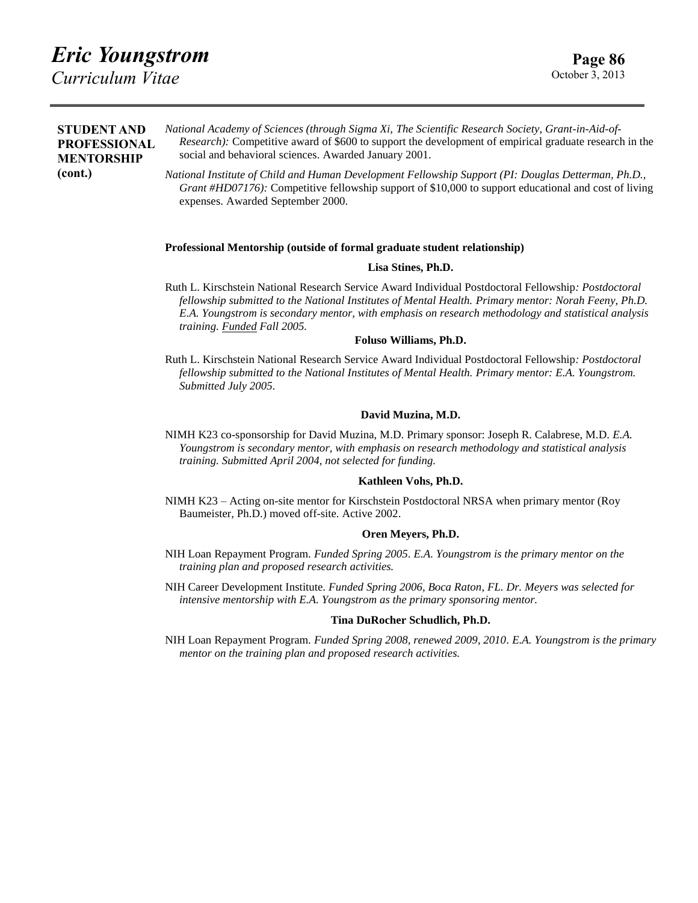| <b>STUDENT AND</b><br><b>PROFESSIONAL</b><br><b>MENTORSHIP</b><br>(cont.) | National Academy of Sciences (through Sigma Xi, The Scientific Research Society, Grant-in-Aid-of-<br>Research): Competitive award of \$600 to support the development of empirical graduate research in the<br>social and behavioral sciences. Awarded January 2001.                                                                                      |
|---------------------------------------------------------------------------|-----------------------------------------------------------------------------------------------------------------------------------------------------------------------------------------------------------------------------------------------------------------------------------------------------------------------------------------------------------|
|                                                                           | National Institute of Child and Human Development Fellowship Support (PI: Douglas Detterman, Ph.D.,<br>Grant #HD07176): Competitive fellowship support of \$10,000 to support educational and cost of living<br>expenses. Awarded September 2000.                                                                                                         |
|                                                                           | Professional Mentorship (outside of formal graduate student relationship)                                                                                                                                                                                                                                                                                 |
|                                                                           | Lisa Stines, Ph.D.                                                                                                                                                                                                                                                                                                                                        |
|                                                                           | Ruth L. Kirschstein National Research Service Award Individual Postdoctoral Fellowship: Postdoctoral<br>fellowship submitted to the National Institutes of Mental Health. Primary mentor: Norah Feeny, Ph.D.<br>E.A. Youngstrom is secondary mentor, with emphasis on research methodology and statistical analysis<br>training. <b>Funded</b> Fall 2005. |
|                                                                           | Foluso Williams, Ph.D.                                                                                                                                                                                                                                                                                                                                    |
|                                                                           | Ruth L. Kirschstein National Research Service Award Individual Postdoctoral Fellowship: Postdoctoral<br>fellowship submitted to the National Institutes of Mental Health. Primary mentor: E.A. Youngstrom.<br>Submitted July 2005.                                                                                                                        |
|                                                                           | David Muzina, M.D.                                                                                                                                                                                                                                                                                                                                        |
|                                                                           | NIMH K23 co-sponsorship for David Muzina, M.D. Primary sponsor: Joseph R. Calabrese, M.D. E.A.<br>Youngstrom is secondary mentor, with emphasis on research methodology and statistical analysis<br>training. Submitted April 2004, not selected for funding.                                                                                             |
|                                                                           | Kathleen Vohs, Ph.D.                                                                                                                                                                                                                                                                                                                                      |
|                                                                           | NIMH K23 – Acting on-site mentor for Kirschstein Postdoctoral NRSA when primary mentor (Roy<br>Baumeister, Ph.D.) moved off-site. Active 2002.                                                                                                                                                                                                            |
|                                                                           | Oren Meyers, Ph.D.                                                                                                                                                                                                                                                                                                                                        |
|                                                                           | NIH Loan Repayment Program. Funded Spring 2005. E.A. Youngstrom is the primary mentor on the<br>training plan and proposed research activities.                                                                                                                                                                                                           |
|                                                                           | NIH Career Development Institute. Funded Spring 2006, Boca Raton, FL. Dr. Meyers was selected for<br>intensive mentorship with E.A. Youngstrom as the primary sponsoring mentor.                                                                                                                                                                          |
|                                                                           | Tina DuRocher Schudlich, Ph.D.                                                                                                                                                                                                                                                                                                                            |
|                                                                           | NIH Loan Repayment Program. Funded Spring 2008, renewed 2009, 2010. E.A. Youngstrom is the primary<br>mentor on the training plan and proposed research activities.                                                                                                                                                                                       |
|                                                                           |                                                                                                                                                                                                                                                                                                                                                           |
|                                                                           |                                                                                                                                                                                                                                                                                                                                                           |
|                                                                           |                                                                                                                                                                                                                                                                                                                                                           |
|                                                                           |                                                                                                                                                                                                                                                                                                                                                           |
|                                                                           |                                                                                                                                                                                                                                                                                                                                                           |
|                                                                           |                                                                                                                                                                                                                                                                                                                                                           |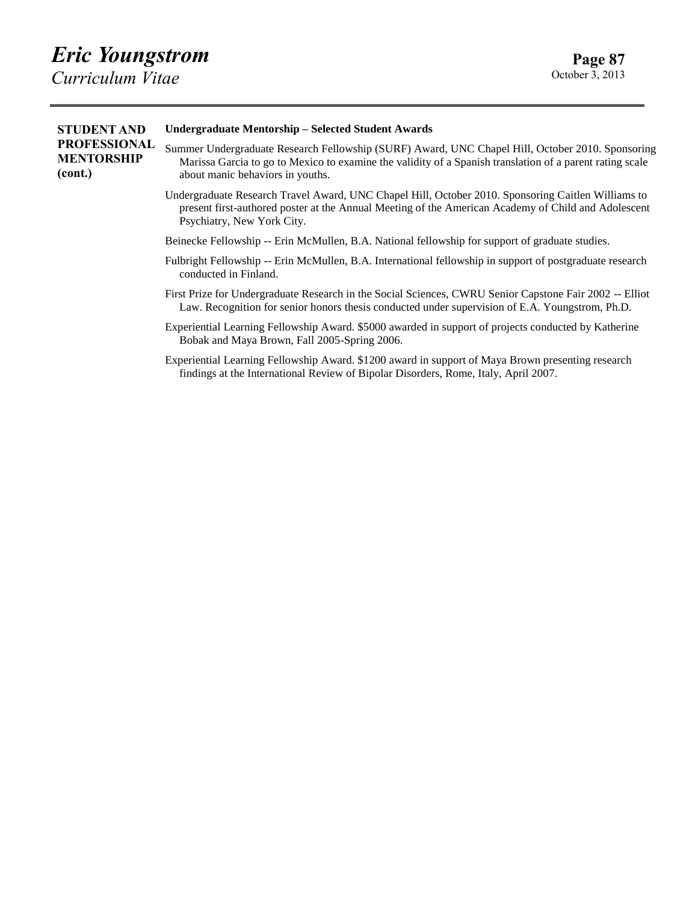| <b>STUDENT AND</b><br><b>PROFESSIONAL</b><br><b>MENTORSHIP</b><br>(cont.) | <b>Undergraduate Mentorship - Selected Student Awards</b>                                                                                                                                                                                        |
|---------------------------------------------------------------------------|--------------------------------------------------------------------------------------------------------------------------------------------------------------------------------------------------------------------------------------------------|
|                                                                           | Summer Undergraduate Research Fellowship (SURF) Award, UNC Chapel Hill, October 2010. Sponsoring<br>Marissa Garcia to go to Mexico to examine the validity of a Spanish translation of a parent rating scale<br>about manic behaviors in youths. |
|                                                                           | Undergraduate Research Travel Award, UNC Chapel Hill, October 2010. Sponsoring Caitlen Williams to<br>present first-authored poster at the Annual Meeting of the American Academy of Child and Adolescent<br>Psychiatry, New York City.          |
|                                                                           | Beinecke Fellowship -- Erin McMullen, B.A. National fellowship for support of graduate studies.                                                                                                                                                  |
|                                                                           | Fulbright Fellowship -- Erin McMullen, B.A. International fellowship in support of postgraduate research<br>conducted in Finland.                                                                                                                |
|                                                                           | First Prize for Undergraduate Research in the Social Sciences, CWRU Senior Capstone Fair 2002 -- Elliot<br>Law. Recognition for senior honors thesis conducted under supervision of E.A. Youngstrom, Ph.D.                                       |
|                                                                           | Experiential Learning Fellowship Award. \$5000 awarded in support of projects conducted by Katherine<br>Bobak and Maya Brown, Fall 2005-Spring 2006.                                                                                             |
|                                                                           |                                                                                                                                                                                                                                                  |

Experiential Learning Fellowship Award. \$1200 award in support of Maya Brown presenting research findings at the International Review of Bipolar Disorders, Rome, Italy, April 2007.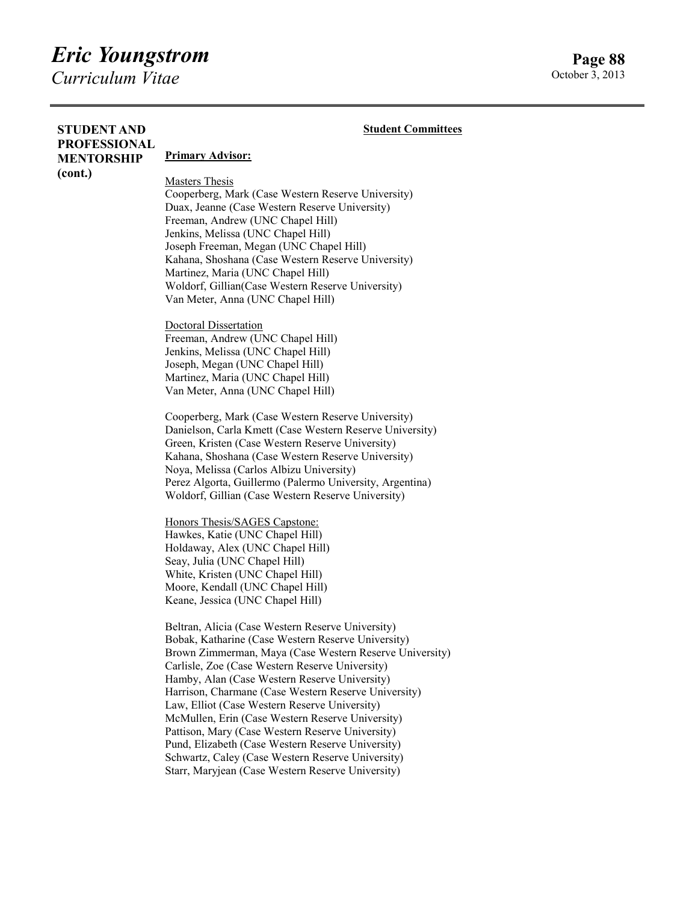### **Student Committees**

#### **STUDENT AND PROFESSIONAL MENTORSHIP (cont.) Primary Advisor:**

Masters Thesis

Cooperberg, Mark (Case Western Reserve University) Duax, Jeanne (Case Western Reserve University) Freeman, Andrew (UNC Chapel Hill) Jenkins, Melissa (UNC Chapel Hill) Joseph Freeman, Megan (UNC Chapel Hill) Kahana, Shoshana (Case Western Reserve University) Martinez, Maria (UNC Chapel Hill) Woldorf, Gillian(Case Western Reserve University) Van Meter, Anna (UNC Chapel Hill)

Doctoral Dissertation Freeman, Andrew (UNC Chapel Hill) Jenkins, Melissa (UNC Chapel Hill) Joseph, Megan (UNC Chapel Hill) Martinez, Maria (UNC Chapel Hill) Van Meter, Anna (UNC Chapel Hill)

Cooperberg, Mark (Case Western Reserve University) Danielson, Carla Kmett (Case Western Reserve University) Green, Kristen (Case Western Reserve University) Kahana, Shoshana (Case Western Reserve University) Noya, Melissa (Carlos Albizu University) Perez Algorta, Guillermo (Palermo University, Argentina) Woldorf, Gillian (Case Western Reserve University)

Honors Thesis/SAGES Capstone: Hawkes, Katie (UNC Chapel Hill) Holdaway, Alex (UNC Chapel Hill) Seay, Julia (UNC Chapel Hill) White, Kristen (UNC Chapel Hill) Moore, Kendall (UNC Chapel Hill) Keane, Jessica (UNC Chapel Hill)

Beltran, Alicia (Case Western Reserve University) Bobak, Katharine (Case Western Reserve University) Brown Zimmerman, Maya (Case Western Reserve University) Carlisle, Zoe (Case Western Reserve University) Hamby, Alan (Case Western Reserve University) Harrison, Charmane (Case Western Reserve University) Law, Elliot (Case Western Reserve University) McMullen, Erin (Case Western Reserve University) Pattison, Mary (Case Western Reserve University) Pund, Elizabeth (Case Western Reserve University) Schwartz, Caley (Case Western Reserve University) Starr, Maryjean (Case Western Reserve University)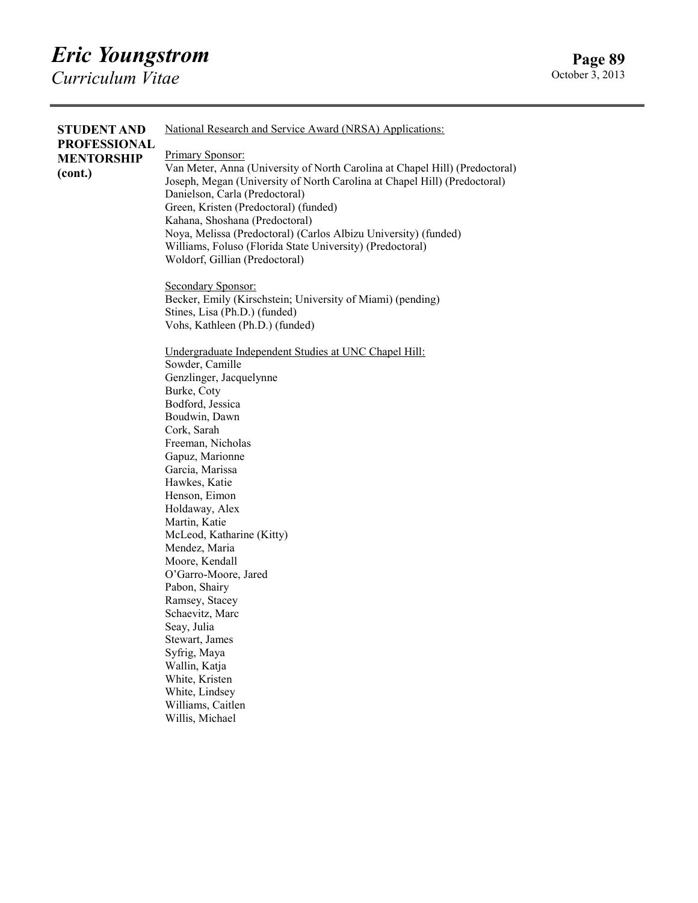| <b>STUDENT AND</b>                                  | National Research and Service Award (NRSA) Applications:                                                                                                                                                                                                                                                                                                                                                                                                                                                                                                                                           |
|-----------------------------------------------------|----------------------------------------------------------------------------------------------------------------------------------------------------------------------------------------------------------------------------------------------------------------------------------------------------------------------------------------------------------------------------------------------------------------------------------------------------------------------------------------------------------------------------------------------------------------------------------------------------|
| <b>PROFESSIONAL</b><br><b>MENTORSHIP</b><br>(cont.) | Primary Sponsor:<br>Van Meter, Anna (University of North Carolina at Chapel Hill) (Predoctoral)<br>Joseph, Megan (University of North Carolina at Chapel Hill) (Predoctoral)<br>Danielson, Carla (Predoctoral)<br>Green, Kristen (Predoctoral) (funded)<br>Kahana, Shoshana (Predoctoral)<br>Noya, Melissa (Predoctoral) (Carlos Albizu University) (funded)<br>Williams, Foluso (Florida State University) (Predoctoral)<br>Woldorf, Gillian (Predoctoral)                                                                                                                                        |
|                                                     | Secondary Sponsor:<br>Becker, Emily (Kirschstein; University of Miami) (pending)<br>Stines, Lisa (Ph.D.) (funded)<br>Vohs, Kathleen (Ph.D.) (funded)                                                                                                                                                                                                                                                                                                                                                                                                                                               |
|                                                     | Undergraduate Independent Studies at UNC Chapel Hill:<br>Sowder, Camille<br>Genzlinger, Jacquelynne<br>Burke, Coty<br>Bodford, Jessica<br>Boudwin, Dawn<br>Cork, Sarah<br>Freeman, Nicholas<br>Gapuz, Marionne<br>Garcia, Marissa<br>Hawkes, Katie<br>Henson, Eimon<br>Holdaway, Alex<br>Martin, Katie<br>McLeod, Katharine (Kitty)<br>Mendez, Maria<br>Moore, Kendall<br>O'Garro-Moore, Jared<br>Pabon, Shairy<br>Ramsey, Stacey<br>Schaevitz, Marc<br>Seay, Julia<br>Stewart, James<br>Syfrig, Maya<br>Wallin, Katja<br>White, Kristen<br>White, Lindsey<br>Williams, Caitlen<br>Willis, Michael |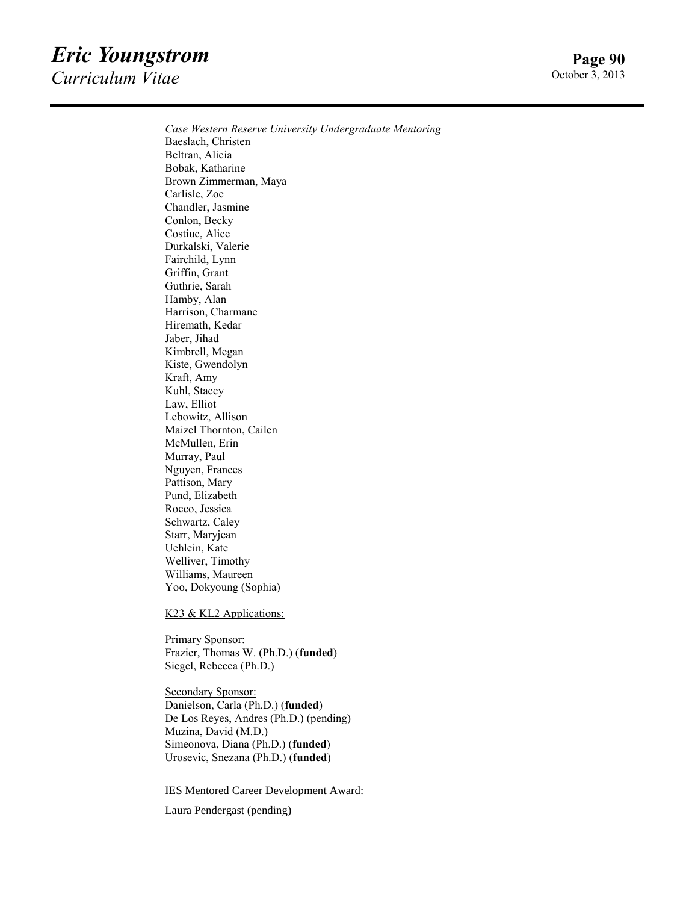**Page 90** October 3, 2013

*Case Western Reserve University Undergraduate Mentoring* Baeslach, Christen Beltran, Alicia Bobak, Katharine Brown Zimmerman, Maya Carlisle, Zoe Chandler, Jasmine Conlon, Becky Costiuc, Alice Durkalski, Valerie Fairchild, Lynn Griffin, Grant Guthrie, Sarah Hamby, Alan Harrison, Charmane Hiremath, Kedar Jaber, Jihad Kimbrell, Megan Kiste, Gwendolyn Kraft, Amy Kuhl, Stacey Law, Elliot Lebowitz, Allison Maizel Thornton, Cailen McMullen, Erin Murray, Paul Nguyen, Frances Pattison, Mary Pund, Elizabeth Rocco, Jessica Schwartz, Caley Starr, Maryjean Uehlein, Kate Welliver, Timothy Williams, Maureen Yoo, Dokyoung (Sophia) K23 & KL2 Applications:

Primary Sponsor: Frazier, Thomas W. (Ph.D.) (**funded**) Siegel, Rebecca (Ph.D.)

Secondary Sponsor: Danielson, Carla (Ph.D.) (**funded**) De Los Reyes, Andres (Ph.D.) (pending) Muzina, David (M.D.) Simeonova, Diana (Ph.D.) (**funded**) Urosevic, Snezana (Ph.D.) (**funded**)

IES Mentored Career Development Award:

Laura Pendergast (pending)